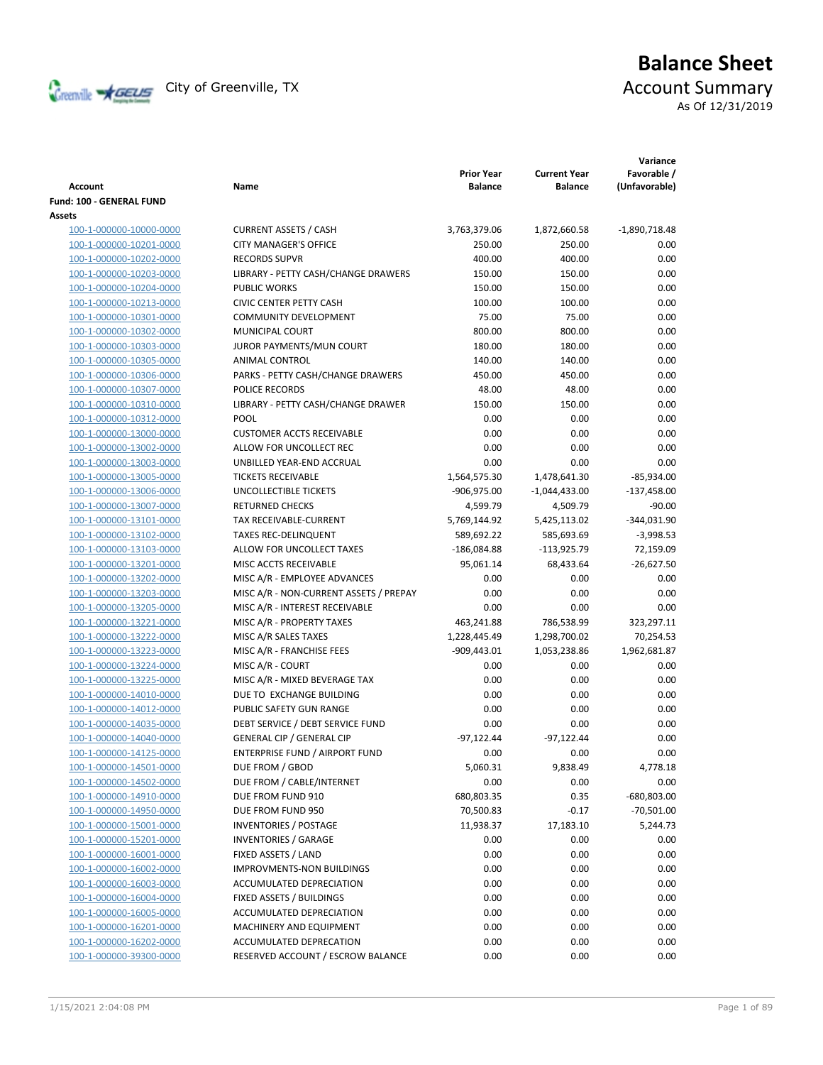

# **Balance Sheet** Creenville Strategy City of Greenville, TX Account Summary As Of 12/31/2019

|                                    |                                        | <b>Prior Year</b> | <b>Current Year</b> | Variance<br>Favorable / |
|------------------------------------|----------------------------------------|-------------------|---------------------|-------------------------|
| <b>Account</b>                     | Name                                   | <b>Balance</b>    | <b>Balance</b>      | (Unfavorable)           |
| Fund: 100 - GENERAL FUND<br>Assets |                                        |                   |                     |                         |
| 100-1-000000-10000-0000            | <b>CURRENT ASSETS / CASH</b>           | 3,763,379.06      | 1,872,660.58        | $-1,890,718.48$         |
| 100-1-000000-10201-0000            | <b>CITY MANAGER'S OFFICE</b>           | 250.00            | 250.00              | 0.00                    |
| 100-1-000000-10202-0000            | <b>RECORDS SUPVR</b>                   | 400.00            | 400.00              | 0.00                    |
| 100-1-000000-10203-0000            | LIBRARY - PETTY CASH/CHANGE DRAWERS    | 150.00            | 150.00              | 0.00                    |
| 100-1-000000-10204-0000            | <b>PUBLIC WORKS</b>                    | 150.00            | 150.00              | 0.00                    |
| 100-1-000000-10213-0000            | <b>CIVIC CENTER PETTY CASH</b>         | 100.00            | 100.00              | 0.00                    |
| 100-1-000000-10301-0000            | <b>COMMUNITY DEVELOPMENT</b>           | 75.00             | 75.00               | 0.00                    |
| 100-1-000000-10302-0000            | <b>MUNICIPAL COURT</b>                 | 800.00            | 800.00              | 0.00                    |
| 100-1-000000-10303-0000            | JUROR PAYMENTS/MUN COURT               | 180.00            | 180.00              | 0.00                    |
| 100-1-000000-10305-0000            | ANIMAL CONTROL                         | 140.00            | 140.00              | 0.00                    |
| 100-1-000000-10306-0000            | PARKS - PETTY CASH/CHANGE DRAWERS      | 450.00            | 450.00              | 0.00                    |
| 100-1-000000-10307-0000            | POLICE RECORDS                         | 48.00             | 48.00               | 0.00                    |
| 100-1-000000-10310-0000            | LIBRARY - PETTY CASH/CHANGE DRAWER     | 150.00            | 150.00              | 0.00                    |
| 100-1-000000-10312-0000            | POOL                                   | 0.00              | 0.00                | 0.00                    |
| 100-1-000000-13000-0000            | <b>CUSTOMER ACCTS RECEIVABLE</b>       | 0.00              | 0.00                | 0.00                    |
| 100-1-000000-13002-0000            | ALLOW FOR UNCOLLECT REC                | 0.00              | 0.00                | 0.00                    |
| 100-1-000000-13003-0000            | UNBILLED YEAR-END ACCRUAL              | 0.00              | 0.00                | 0.00                    |
| 100-1-000000-13005-0000            | <b>TICKETS RECEIVABLE</b>              | 1,564,575.30      | 1,478,641.30        | $-85,934.00$            |
| 100-1-000000-13006-0000            | <b>UNCOLLECTIBLE TICKETS</b>           | -906,975.00       | $-1,044,433.00$     | $-137,458.00$           |
| 100-1-000000-13007-0000            | <b>RETURNED CHECKS</b>                 | 4,599.79          | 4,509.79            | $-90.00$                |
| 100-1-000000-13101-0000            | TAX RECEIVABLE-CURRENT                 | 5,769,144.92      | 5,425,113.02        | $-344,031.90$           |
| 100-1-000000-13102-0000            | <b>TAXES REC-DELINQUENT</b>            | 589,692.22        | 585,693.69          | $-3,998.53$             |
| 100-1-000000-13103-0000            | ALLOW FOR UNCOLLECT TAXES              | $-186,084.88$     | $-113,925.79$       | 72,159.09               |
| 100-1-000000-13201-0000            | MISC ACCTS RECEIVABLE                  | 95,061.14         | 68,433.64           | $-26,627.50$            |
| 100-1-000000-13202-0000            | MISC A/R - EMPLOYEE ADVANCES           | 0.00              | 0.00                | 0.00                    |
| 100-1-000000-13203-0000            | MISC A/R - NON-CURRENT ASSETS / PREPAY | 0.00              | 0.00                | 0.00                    |
| 100-1-000000-13205-0000            | MISC A/R - INTEREST RECEIVABLE         | 0.00              | 0.00                | 0.00                    |
| 100-1-000000-13221-0000            | MISC A/R - PROPERTY TAXES              | 463,241.88        | 786,538.99          | 323,297.11              |
| 100-1-000000-13222-0000            | MISC A/R SALES TAXES                   | 1,228,445.49      | 1,298,700.02        | 70,254.53               |
| 100-1-000000-13223-0000            | MISC A/R - FRANCHISE FEES              | $-909,443.01$     | 1,053,238.86        | 1,962,681.87            |
| 100-1-000000-13224-0000            | MISC A/R - COURT                       | 0.00              | 0.00                | 0.00                    |
| 100-1-000000-13225-0000            | MISC A/R - MIXED BEVERAGE TAX          | 0.00              | 0.00                | 0.00                    |
| 100-1-000000-14010-0000            | DUE TO EXCHANGE BUILDING               | 0.00              | 0.00                | 0.00                    |
| 100-1-000000-14012-0000            | PUBLIC SAFETY GUN RANGE                | 0.00              | 0.00                | 0.00                    |
| 100-1-000000-14035-0000            | DEBT SERVICE / DEBT SERVICE FUND       | 0.00              | 0.00                | 0.00                    |
| 100-1-000000-14040-0000            | <b>GENERAL CIP / GENERAL CIP</b>       | $-97,122.44$      | $-97,122.44$        | 0.00                    |
| 100-1-000000-14125-0000            | <b>ENTERPRISE FUND / AIRPORT FUND</b>  | 0.00              | 0.00                | 0.00                    |
| 100-1-000000-14501-0000            | DUE FROM / GBOD                        | 5,060.31          | 9,838.49            | 4,778.18                |
| 100-1-000000-14502-0000            | DUE FROM / CABLE/INTERNET              | 0.00              | 0.00                | 0.00                    |
| 100-1-000000-14910-0000            | DUE FROM FUND 910                      | 680,803.35        | 0.35                | -680,803.00             |
| 100-1-000000-14950-0000            | DUE FROM FUND 950                      | 70,500.83         | $-0.17$             | $-70,501.00$            |
| 100-1-000000-15001-0000            | <b>INVENTORIES / POSTAGE</b>           | 11,938.37         | 17,183.10           | 5,244.73                |
| 100-1-000000-15201-0000            | <b>INVENTORIES / GARAGE</b>            | 0.00              | 0.00                | 0.00                    |
| 100-1-000000-16001-0000            | FIXED ASSETS / LAND                    | 0.00              | 0.00                | 0.00                    |
| 100-1-000000-16002-0000            | <b>IMPROVMENTS-NON BUILDINGS</b>       | 0.00              | 0.00                | 0.00                    |
| 100-1-000000-16003-0000            | ACCUMULATED DEPRECIATION               | 0.00              | 0.00                | 0.00                    |
| 100-1-000000-16004-0000            | FIXED ASSETS / BUILDINGS               | 0.00              | 0.00                | 0.00                    |
| 100-1-000000-16005-0000            | ACCUMULATED DEPRECIATION               | 0.00              | 0.00                | 0.00                    |
| 100-1-000000-16201-0000            | MACHINERY AND EQUIPMENT                | 0.00              | 0.00                | 0.00                    |
| 100-1-000000-16202-0000            | ACCUMULATED DEPRECATION                | 0.00              | 0.00                | 0.00                    |
| 100-1-000000-39300-0000            | RESERVED ACCOUNT / ESCROW BALANCE      | 0.00              | 0.00                | 0.00                    |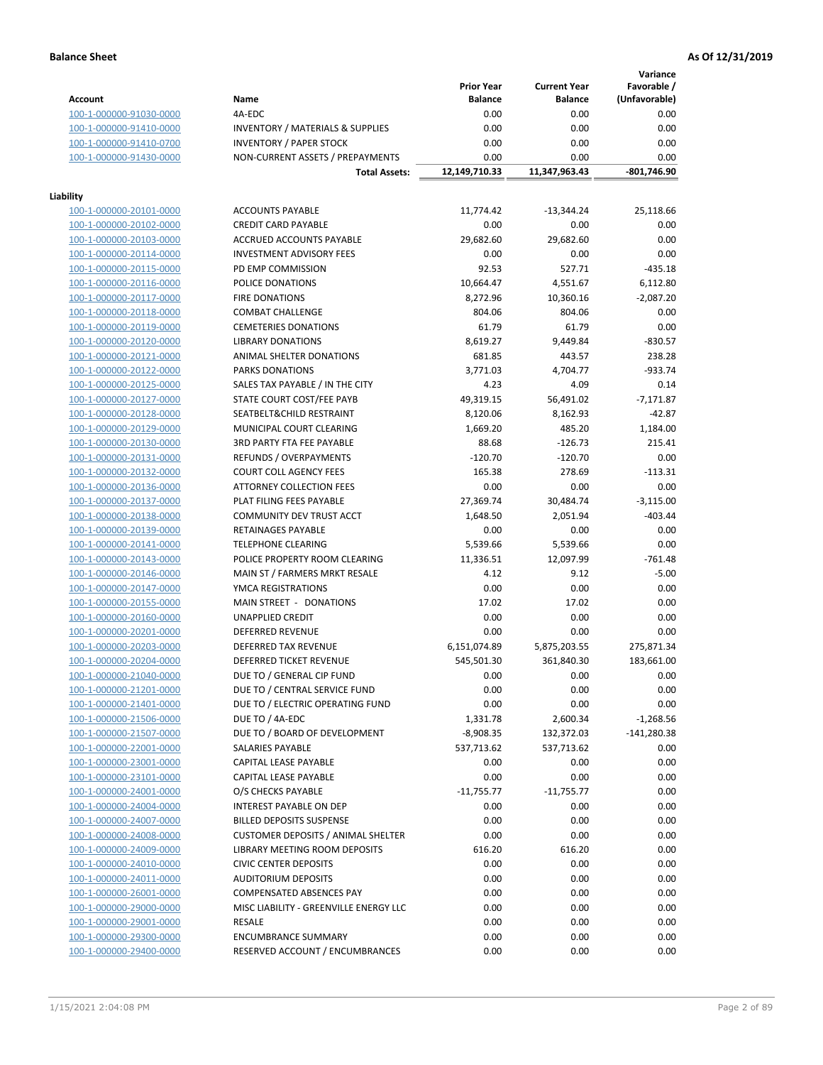**Variance**

|                         |                                             | <b>Prior Year</b> | <b>Current Year</b> | Favorable /   |
|-------------------------|---------------------------------------------|-------------------|---------------------|---------------|
| Account                 | Name                                        | <b>Balance</b>    | <b>Balance</b>      | (Unfavorable) |
| 100-1-000000-91030-0000 | 4A-EDC                                      | 0.00              | 0.00                | 0.00          |
| 100-1-000000-91410-0000 | <b>INVENTORY / MATERIALS &amp; SUPPLIES</b> | 0.00              | 0.00                | 0.00          |
| 100-1-000000-91410-0700 | <b>INVENTORY / PAPER STOCK</b>              | 0.00              | 0.00                | 0.00          |
| 100-1-000000-91430-0000 | NON-CURRENT ASSETS / PREPAYMENTS            | 0.00              | 0.00                | 0.00          |
|                         | <b>Total Assets:</b>                        | 12,149,710.33     | 11,347,963.43       | -801,746.90   |
|                         |                                             |                   |                     |               |
| Liability               |                                             |                   |                     |               |
| 100-1-000000-20101-0000 | <b>ACCOUNTS PAYABLE</b>                     | 11,774.42         | $-13,344.24$        | 25,118.66     |
| 100-1-000000-20102-0000 | <b>CREDIT CARD PAYABLE</b>                  | 0.00              | 0.00                | 0.00          |
| 100-1-000000-20103-0000 | ACCRUED ACCOUNTS PAYABLE                    | 29,682.60         | 29,682.60           | 0.00          |
| 100-1-000000-20114-0000 | <b>INVESTMENT ADVISORY FEES</b>             | 0.00              | 0.00                | 0.00          |
| 100-1-000000-20115-0000 | PD EMP COMMISSION                           | 92.53             | 527.71              | $-435.18$     |
| 100-1-000000-20116-0000 | POLICE DONATIONS                            | 10,664.47         | 4,551.67            | 6,112.80      |
| 100-1-000000-20117-0000 | <b>FIRE DONATIONS</b>                       | 8,272.96          | 10,360.16           | $-2,087.20$   |
| 100-1-000000-20118-0000 | <b>COMBAT CHALLENGE</b>                     | 804.06            | 804.06              | 0.00          |
| 100-1-000000-20119-0000 | <b>CEMETERIES DONATIONS</b>                 | 61.79             | 61.79               | 0.00          |
| 100-1-000000-20120-0000 | <b>LIBRARY DONATIONS</b>                    | 8,619.27          | 9,449.84            | $-830.57$     |
| 100-1-000000-20121-0000 | ANIMAL SHELTER DONATIONS                    | 681.85            | 443.57              | 238.28        |
| 100-1-000000-20122-0000 | <b>PARKS DONATIONS</b>                      | 3,771.03          | 4,704.77            | $-933.74$     |
| 100-1-000000-20125-0000 | SALES TAX PAYABLE / IN THE CITY             | 4.23              | 4.09                | 0.14          |
| 100-1-000000-20127-0000 | STATE COURT COST/FEE PAYB                   | 49,319.15         | 56,491.02           | $-7,171.87$   |
| 100-1-000000-20128-0000 | SEATBELT&CHILD RESTRAINT                    | 8,120.06          | 8,162.93            | $-42.87$      |
| 100-1-000000-20129-0000 | MUNICIPAL COURT CLEARING                    | 1,669.20          | 485.20              | 1,184.00      |
| 100-1-000000-20130-0000 | <b>3RD PARTY FTA FEE PAYABLE</b>            | 88.68             | $-126.73$           | 215.41        |
| 100-1-000000-20131-0000 | REFUNDS / OVERPAYMENTS                      | $-120.70$         | $-120.70$           | 0.00          |
| 100-1-000000-20132-0000 | <b>COURT COLL AGENCY FEES</b>               | 165.38            | 278.69              | $-113.31$     |
| 100-1-000000-20136-0000 | <b>ATTORNEY COLLECTION FEES</b>             | 0.00              | 0.00                | 0.00          |
| 100-1-000000-20137-0000 | PLAT FILING FEES PAYABLE                    | 27,369.74         | 30,484.74           | $-3,115.00$   |
| 100-1-000000-20138-0000 | COMMUNITY DEV TRUST ACCT                    | 1,648.50          | 2,051.94            | $-403.44$     |
| 100-1-000000-20139-0000 | RETAINAGES PAYABLE                          | 0.00              | 0.00                | 0.00          |
| 100-1-000000-20141-0000 | <b>TELEPHONE CLEARING</b>                   | 5,539.66          | 5,539.66            | 0.00          |
| 100-1-000000-20143-0000 | POLICE PROPERTY ROOM CLEARING               | 11,336.51         | 12,097.99           | $-761.48$     |
| 100-1-000000-20146-0000 | MAIN ST / FARMERS MRKT RESALE               | 4.12              | 9.12                | $-5.00$       |
| 100-1-000000-20147-0000 | YMCA REGISTRATIONS                          | 0.00              | 0.00                | 0.00          |
| 100-1-000000-20155-0000 | MAIN STREET - DONATIONS                     | 17.02             | 17.02               | 0.00          |
| 100-1-000000-20160-0000 | <b>UNAPPLIED CREDIT</b>                     | 0.00              | 0.00                | 0.00          |
| 100-1-000000-20201-0000 | <b>DEFERRED REVENUE</b>                     | 0.00              | 0.00                | 0.00          |
| 100-1-000000-20203-0000 | DEFERRED TAX REVENUE                        | 6,151,074.89      | 5,875,203.55        | 275,871.34    |
| 100-1-000000-20204-0000 | DEFERRED TICKET REVENUE                     | 545,501.30        | 361,840.30          | 183,661.00    |
| 100-1-000000-21040-0000 | DUE TO / GENERAL CIP FUND                   | 0.00              | 0.00                | 0.00          |
| 100-1-000000-21201-0000 | DUE TO / CENTRAL SERVICE FUND               | 0.00              | 0.00                | 0.00          |
| 100-1-000000-21401-0000 | DUE TO / ELECTRIC OPERATING FUND            | 0.00              | 0.00                | 0.00          |
| 100-1-000000-21506-0000 | DUE TO / 4A-EDC                             | 1,331.78          | 2,600.34            | $-1,268.56$   |
| 100-1-000000-21507-0000 | DUE TO / BOARD OF DEVELOPMENT               | $-8,908.35$       | 132,372.03          | $-141,280.38$ |
| 100-1-000000-22001-0000 | SALARIES PAYABLE                            | 537,713.62        | 537,713.62          | 0.00          |
| 100-1-000000-23001-0000 | CAPITAL LEASE PAYABLE                       | 0.00              | 0.00                | 0.00          |
| 100-1-000000-23101-0000 | CAPITAL LEASE PAYABLE                       | 0.00              | 0.00                | 0.00          |
| 100-1-000000-24001-0000 | O/S CHECKS PAYABLE                          | $-11,755.77$      | $-11,755.77$        | 0.00          |
| 100-1-000000-24004-0000 | INTEREST PAYABLE ON DEP                     | 0.00              | 0.00                | 0.00          |
| 100-1-000000-24007-0000 | <b>BILLED DEPOSITS SUSPENSE</b>             | 0.00              | 0.00                | 0.00          |
| 100-1-000000-24008-0000 | <b>CUSTOMER DEPOSITS / ANIMAL SHELTER</b>   | 0.00              | 0.00                | 0.00          |
| 100-1-000000-24009-0000 | LIBRARY MEETING ROOM DEPOSITS               | 616.20            | 616.20              | 0.00          |
| 100-1-000000-24010-0000 | <b>CIVIC CENTER DEPOSITS</b>                | 0.00              | 0.00                | 0.00          |
| 100-1-000000-24011-0000 | <b>AUDITORIUM DEPOSITS</b>                  | 0.00              | 0.00                | 0.00          |
| 100-1-000000-26001-0000 | COMPENSATED ABSENCES PAY                    | 0.00              | 0.00                | 0.00          |
| 100-1-000000-29000-0000 | MISC LIABILITY - GREENVILLE ENERGY LLC      | 0.00              | 0.00                | 0.00          |
|                         | RESALE                                      |                   | 0.00                | 0.00          |
| 100-1-000000-29001-0000 |                                             | 0.00              |                     |               |
| 100-1-000000-29300-0000 | <b>ENCUMBRANCE SUMMARY</b>                  | 0.00              | 0.00                | 0.00          |
| 100-1-000000-29400-0000 | RESERVED ACCOUNT / ENCUMBRANCES             | 0.00              | 0.00                | 0.00          |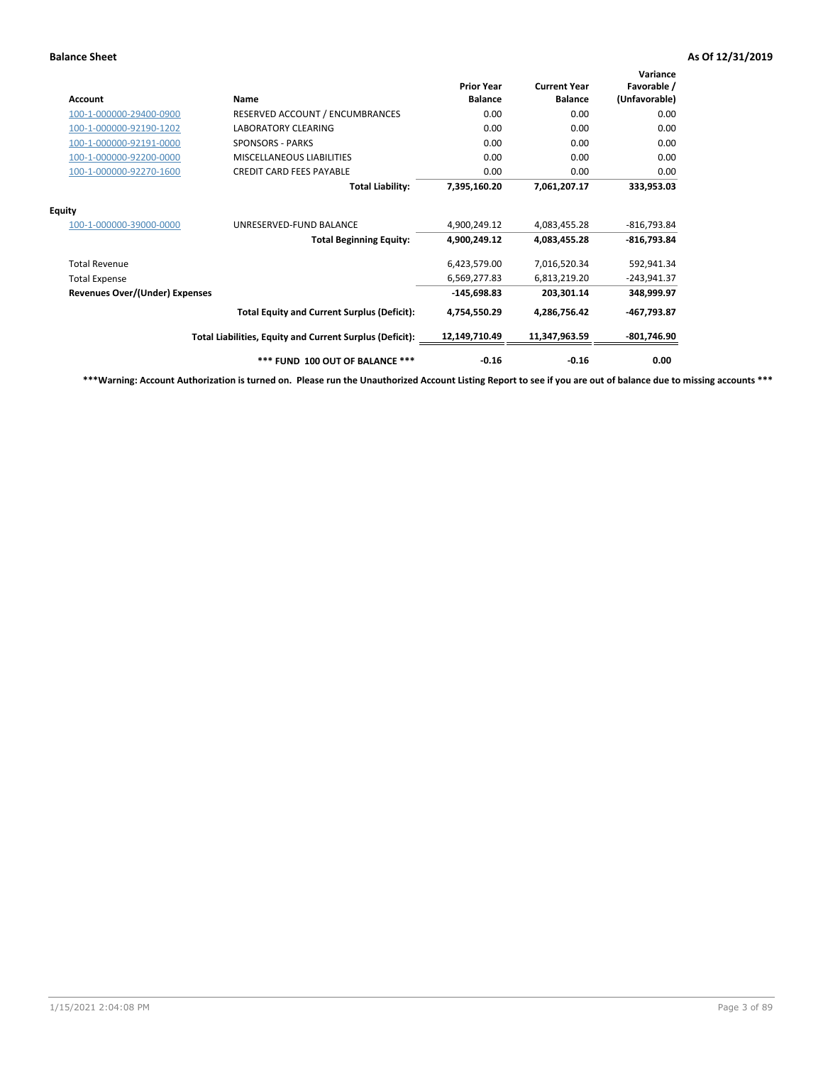| <b>Account</b>                        | <b>Name</b>                                              | <b>Prior Year</b><br><b>Balance</b> | <b>Current Year</b><br><b>Balance</b> | Variance<br>Favorable /<br>(Unfavorable) |
|---------------------------------------|----------------------------------------------------------|-------------------------------------|---------------------------------------|------------------------------------------|
| 100-1-000000-29400-0900               | RESERVED ACCOUNT / ENCUMBRANCES                          | 0.00                                | 0.00                                  | 0.00                                     |
| 100-1-000000-92190-1202               | <b>LABORATORY CLEARING</b>                               | 0.00                                | 0.00                                  | 0.00                                     |
| 100-1-000000-92191-0000               | <b>SPONSORS - PARKS</b>                                  | 0.00                                | 0.00                                  | 0.00                                     |
| 100-1-000000-92200-0000               | MISCELLANEOUS LIABILITIES                                | 0.00                                | 0.00                                  | 0.00                                     |
| 100-1-000000-92270-1600               | <b>CREDIT CARD FEES PAYABLE</b>                          | 0.00                                | 0.00                                  | 0.00                                     |
|                                       | <b>Total Liability:</b>                                  | 7,395,160.20                        | 7,061,207.17                          | 333,953.03                               |
| <b>Equity</b>                         |                                                          |                                     |                                       |                                          |
| 100-1-000000-39000-0000               | UNRESERVED-FUND BALANCE                                  | 4,900,249.12                        | 4,083,455.28                          | $-816,793.84$                            |
|                                       | <b>Total Beginning Equity:</b>                           | 4,900,249.12                        | 4,083,455.28                          | -816,793.84                              |
| <b>Total Revenue</b>                  |                                                          | 6,423,579.00                        | 7,016,520.34                          | 592,941.34                               |
| <b>Total Expense</b>                  |                                                          | 6,569,277.83                        | 6,813,219.20                          | $-243,941.37$                            |
| <b>Revenues Over/(Under) Expenses</b> |                                                          | $-145,698.83$                       | 203,301.14                            | 348,999.97                               |
|                                       | <b>Total Equity and Current Surplus (Deficit):</b>       | 4,754,550.29                        | 4,286,756.42                          | -467,793.87                              |
|                                       | Total Liabilities, Equity and Current Surplus (Deficit): | 12,149,710.49                       | 11,347,963.59                         | -801,746.90                              |
|                                       | *** FUND 100 OUT OF BALANCE ***                          | $-0.16$                             | $-0.16$                               | 0.00                                     |

**\*\*\*Warning: Account Authorization is turned on. Please run the Unauthorized Account Listing Report to see if you are out of balance due to missing accounts \*\*\***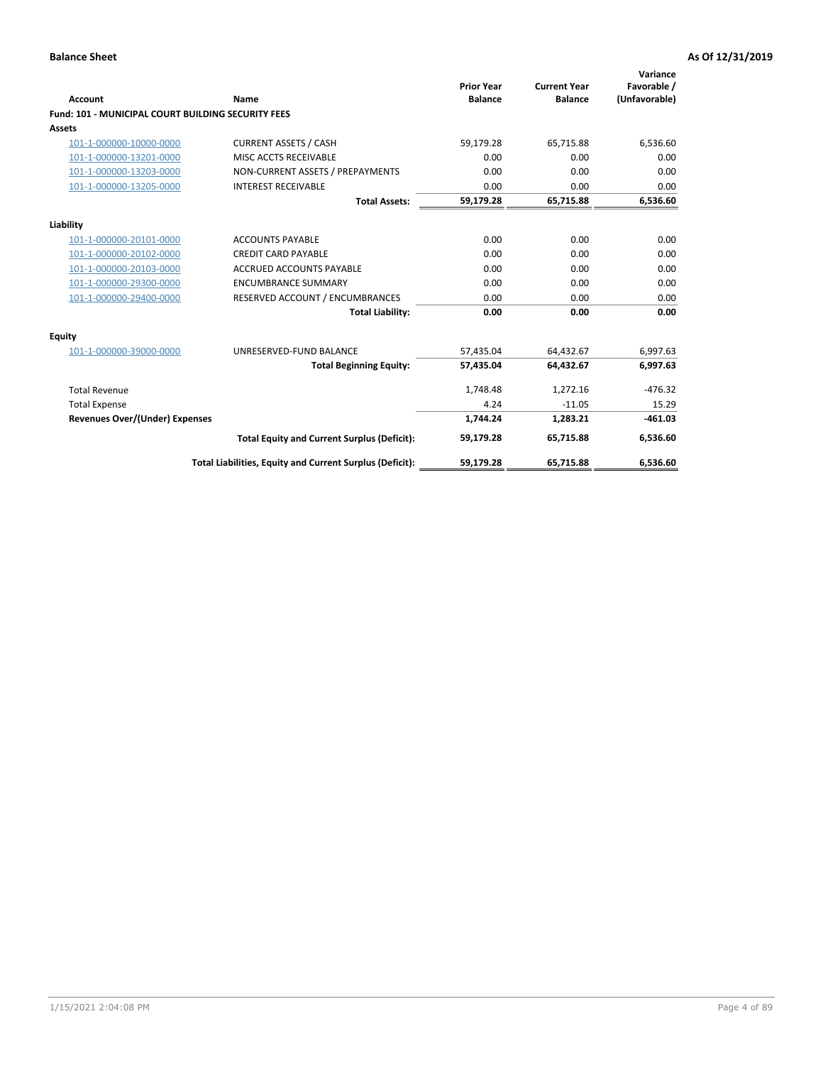| Account                                                   | Name                                                     | <b>Prior Year</b><br><b>Balance</b> | <b>Current Year</b><br><b>Balance</b> | Variance<br>Favorable /<br>(Unfavorable) |
|-----------------------------------------------------------|----------------------------------------------------------|-------------------------------------|---------------------------------------|------------------------------------------|
| <b>Fund: 101 - MUNICIPAL COURT BUILDING SECURITY FEES</b> |                                                          |                                     |                                       |                                          |
| <b>Assets</b>                                             |                                                          |                                     |                                       |                                          |
| 101-1-000000-10000-0000                                   | <b>CURRENT ASSETS / CASH</b>                             | 59,179.28                           | 65,715.88                             | 6,536.60                                 |
| 101-1-000000-13201-0000                                   | MISC ACCTS RECEIVABLE                                    | 0.00                                | 0.00                                  | 0.00                                     |
| 101-1-000000-13203-0000                                   | NON-CURRENT ASSETS / PREPAYMENTS                         | 0.00                                | 0.00                                  | 0.00                                     |
| 101-1-000000-13205-0000                                   | <b>INTEREST RECEIVABLE</b>                               | 0.00                                | 0.00                                  | 0.00                                     |
|                                                           | <b>Total Assets:</b>                                     | 59,179.28                           | 65,715.88                             | 6,536.60                                 |
| Liability                                                 |                                                          |                                     |                                       |                                          |
| 101-1-000000-20101-0000                                   | <b>ACCOUNTS PAYABLE</b>                                  | 0.00                                | 0.00                                  | 0.00                                     |
| 101-1-000000-20102-0000                                   | <b>CREDIT CARD PAYABLE</b>                               | 0.00                                | 0.00                                  | 0.00                                     |
| 101-1-000000-20103-0000                                   | <b>ACCRUED ACCOUNTS PAYABLE</b>                          | 0.00                                | 0.00                                  | 0.00                                     |
| 101-1-000000-29300-0000                                   | <b>ENCUMBRANCE SUMMARY</b>                               | 0.00                                | 0.00                                  | 0.00                                     |
| 101-1-000000-29400-0000                                   | RESERVED ACCOUNT / ENCUMBRANCES                          | 0.00                                | 0.00                                  | 0.00                                     |
|                                                           | <b>Total Liability:</b>                                  | 0.00                                | 0.00                                  | 0.00                                     |
| <b>Equity</b>                                             |                                                          |                                     |                                       |                                          |
| 101-1-000000-39000-0000                                   | UNRESERVED-FUND BALANCE                                  | 57,435.04                           | 64,432.67                             | 6,997.63                                 |
|                                                           | <b>Total Beginning Equity:</b>                           | 57,435.04                           | 64,432.67                             | 6,997.63                                 |
| <b>Total Revenue</b>                                      |                                                          | 1,748.48                            | 1,272.16                              | $-476.32$                                |
| <b>Total Expense</b>                                      |                                                          | 4.24                                | $-11.05$                              | 15.29                                    |
| <b>Revenues Over/(Under) Expenses</b>                     |                                                          | 1,744.24                            | 1,283.21                              | $-461.03$                                |
|                                                           | <b>Total Equity and Current Surplus (Deficit):</b>       | 59.179.28                           | 65.715.88                             | 6,536.60                                 |
|                                                           | Total Liabilities, Equity and Current Surplus (Deficit): | 59,179.28                           | 65,715.88                             | 6,536.60                                 |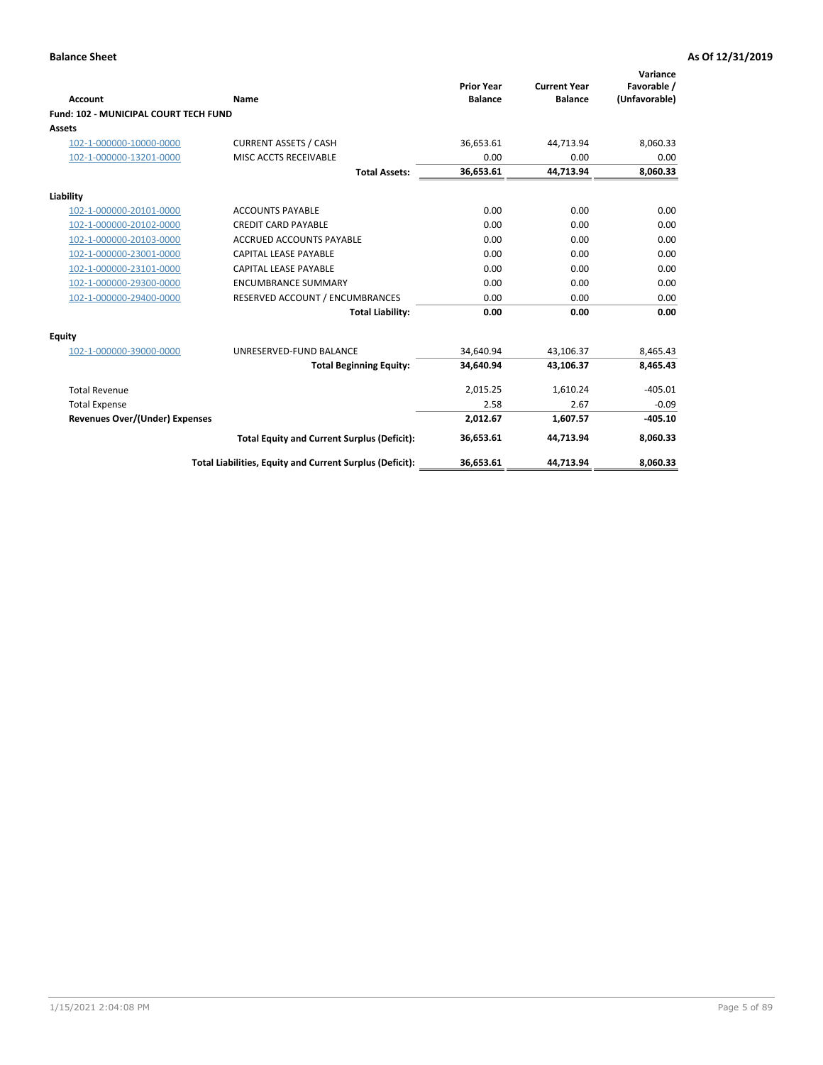| <b>Account</b>                        | Name                                                     | <b>Prior Year</b><br><b>Balance</b> | <b>Current Year</b><br><b>Balance</b> | Variance<br>Favorable /<br>(Unfavorable) |
|---------------------------------------|----------------------------------------------------------|-------------------------------------|---------------------------------------|------------------------------------------|
| Fund: 102 - MUNICIPAL COURT TECH FUND |                                                          |                                     |                                       |                                          |
| <b>Assets</b>                         |                                                          |                                     |                                       |                                          |
| 102-1-000000-10000-0000               | <b>CURRENT ASSETS / CASH</b>                             | 36.653.61                           | 44,713.94                             | 8,060.33                                 |
| 102-1-000000-13201-0000               | MISC ACCTS RECEIVABLE                                    | 0.00                                | 0.00                                  | 0.00                                     |
|                                       | <b>Total Assets:</b>                                     | 36,653.61                           | 44,713.94                             | 8,060.33                                 |
| Liability                             |                                                          |                                     |                                       |                                          |
| 102-1-000000-20101-0000               | <b>ACCOUNTS PAYABLE</b>                                  | 0.00                                | 0.00                                  | 0.00                                     |
| 102-1-000000-20102-0000               | <b>CREDIT CARD PAYABLE</b>                               | 0.00                                | 0.00                                  | 0.00                                     |
| 102-1-000000-20103-0000               | <b>ACCRUED ACCOUNTS PAYABLE</b>                          | 0.00                                | 0.00                                  | 0.00                                     |
| 102-1-000000-23001-0000               | CAPITAL LEASE PAYABLE                                    | 0.00                                | 0.00                                  | 0.00                                     |
| 102-1-000000-23101-0000               | <b>CAPITAL LEASE PAYABLE</b>                             | 0.00                                | 0.00                                  | 0.00                                     |
| 102-1-000000-29300-0000               | <b>ENCUMBRANCE SUMMARY</b>                               | 0.00                                | 0.00                                  | 0.00                                     |
| 102-1-000000-29400-0000               | RESERVED ACCOUNT / ENCUMBRANCES                          | 0.00                                | 0.00                                  | 0.00                                     |
|                                       | <b>Total Liability:</b>                                  | 0.00                                | 0.00                                  | 0.00                                     |
| <b>Equity</b>                         |                                                          |                                     |                                       |                                          |
| 102-1-000000-39000-0000               | UNRESERVED-FUND BALANCE                                  | 34,640.94                           | 43,106.37                             | 8,465.43                                 |
|                                       | <b>Total Beginning Equity:</b>                           | 34,640.94                           | 43,106.37                             | 8,465.43                                 |
| <b>Total Revenue</b>                  |                                                          | 2,015.25                            | 1,610.24                              | $-405.01$                                |
| <b>Total Expense</b>                  |                                                          | 2.58                                | 2.67                                  | $-0.09$                                  |
| <b>Revenues Over/(Under) Expenses</b> |                                                          | 2,012.67                            | 1,607.57                              | $-405.10$                                |
|                                       | <b>Total Equity and Current Surplus (Deficit):</b>       | 36,653.61                           | 44,713.94                             | 8,060.33                                 |
|                                       | Total Liabilities, Equity and Current Surplus (Deficit): | 36,653.61                           | 44,713.94                             | 8,060.33                                 |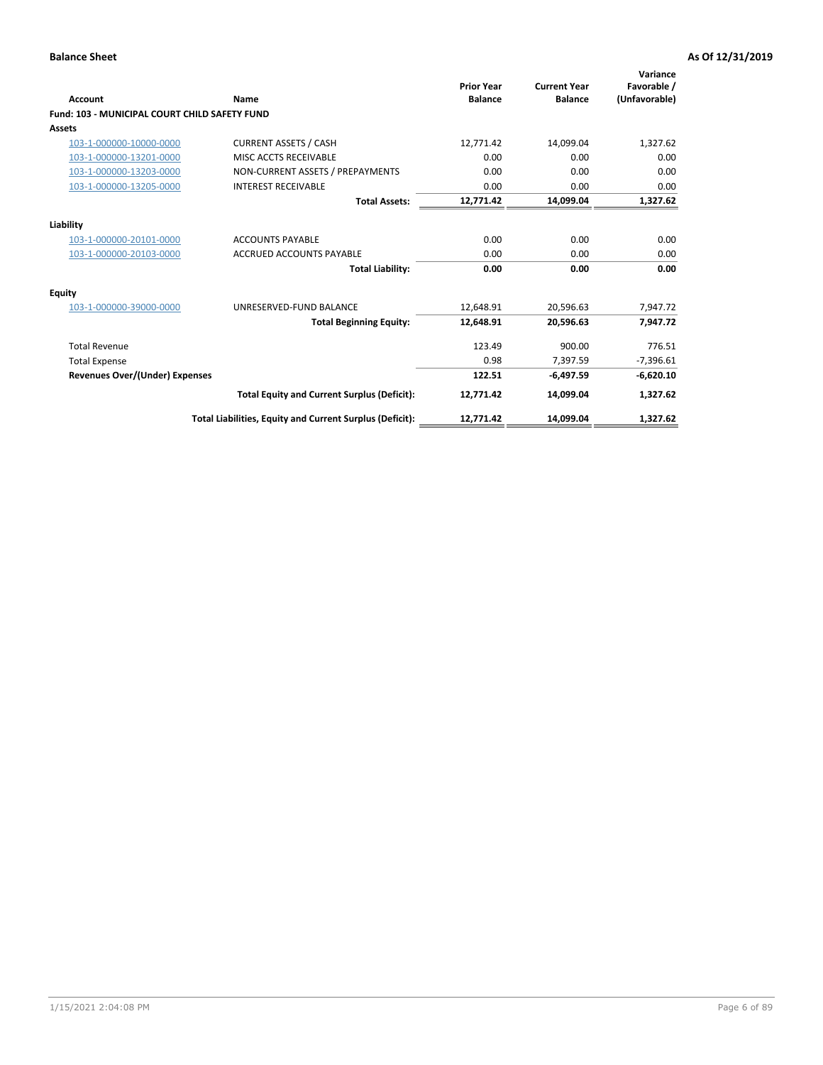| <b>Account</b>                                       | Name                                                     | <b>Prior Year</b><br><b>Balance</b> | <b>Current Year</b><br><b>Balance</b> | Variance<br>Favorable /<br>(Unfavorable) |
|------------------------------------------------------|----------------------------------------------------------|-------------------------------------|---------------------------------------|------------------------------------------|
| <b>Fund: 103 - MUNICIPAL COURT CHILD SAFETY FUND</b> |                                                          |                                     |                                       |                                          |
| <b>Assets</b>                                        |                                                          |                                     |                                       |                                          |
| 103-1-000000-10000-0000                              | <b>CURRENT ASSETS / CASH</b>                             | 12,771.42                           | 14,099.04                             | 1,327.62                                 |
| 103-1-000000-13201-0000                              | MISC ACCTS RECEIVABLE                                    | 0.00                                | 0.00                                  | 0.00                                     |
| 103-1-000000-13203-0000                              | NON-CURRENT ASSETS / PREPAYMENTS                         | 0.00                                | 0.00                                  | 0.00                                     |
| 103-1-000000-13205-0000                              | <b>INTEREST RECEIVABLE</b>                               | 0.00                                | 0.00                                  | 0.00                                     |
|                                                      | <b>Total Assets:</b>                                     | 12,771.42                           | 14,099.04                             | 1,327.62                                 |
| Liability                                            |                                                          |                                     |                                       |                                          |
| 103-1-000000-20101-0000                              | <b>ACCOUNTS PAYABLE</b>                                  | 0.00                                | 0.00                                  | 0.00                                     |
| 103-1-000000-20103-0000                              | <b>ACCRUED ACCOUNTS PAYABLE</b>                          | 0.00                                | 0.00                                  | 0.00                                     |
|                                                      | <b>Total Liability:</b>                                  | 0.00                                | 0.00                                  | 0.00                                     |
| Equity                                               |                                                          |                                     |                                       |                                          |
| 103-1-000000-39000-0000                              | UNRESERVED-FUND BALANCE                                  | 12,648.91                           | 20,596.63                             | 7,947.72                                 |
|                                                      | <b>Total Beginning Equity:</b>                           | 12,648.91                           | 20,596.63                             | 7,947.72                                 |
| <b>Total Revenue</b>                                 |                                                          | 123.49                              | 900.00                                | 776.51                                   |
| <b>Total Expense</b>                                 |                                                          | 0.98                                | 7,397.59                              | $-7,396.61$                              |
| <b>Revenues Over/(Under) Expenses</b>                |                                                          | 122.51                              | $-6,497.59$                           | $-6,620.10$                              |
|                                                      | <b>Total Equity and Current Surplus (Deficit):</b>       | 12,771.42                           | 14,099.04                             | 1,327.62                                 |
|                                                      | Total Liabilities, Equity and Current Surplus (Deficit): | 12,771.42                           | 14,099.04                             | 1,327.62                                 |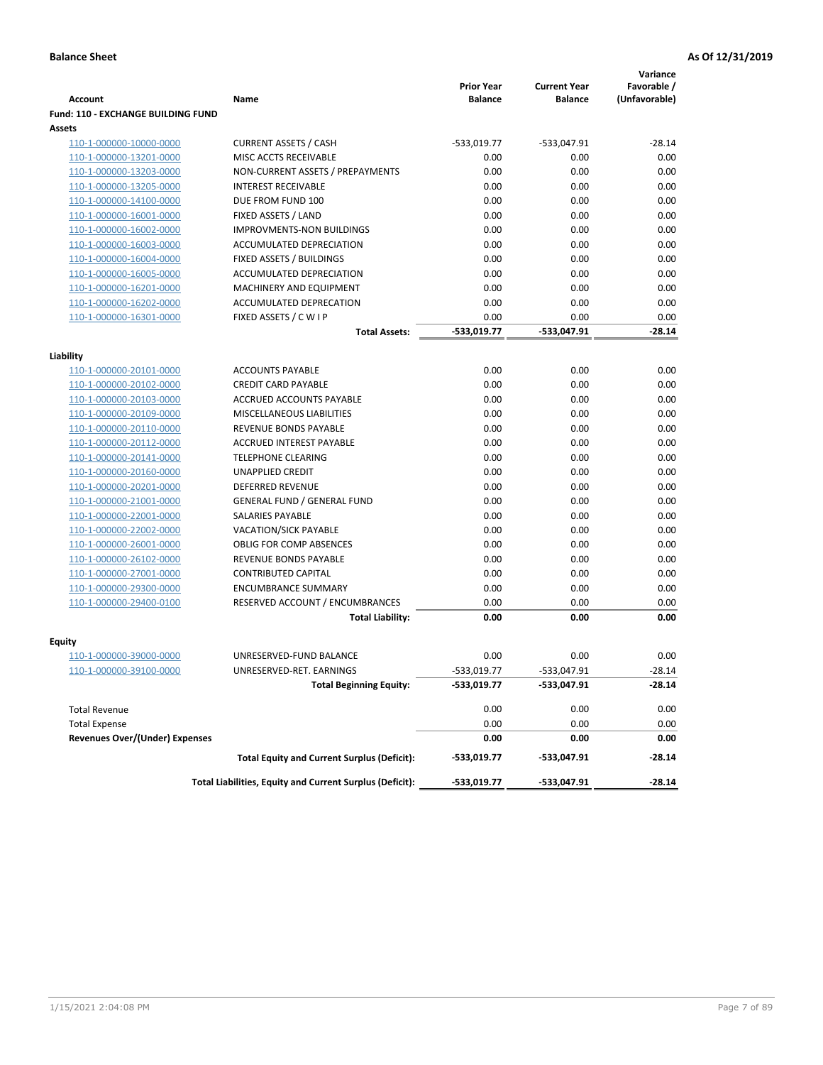|                                           |                                                          |                                     |                                       | Variance                     |
|-------------------------------------------|----------------------------------------------------------|-------------------------------------|---------------------------------------|------------------------------|
| <b>Account</b>                            | Name                                                     | <b>Prior Year</b><br><b>Balance</b> | <b>Current Year</b><br><b>Balance</b> | Favorable /<br>(Unfavorable) |
| <b>Fund: 110 - EXCHANGE BUILDING FUND</b> |                                                          |                                     |                                       |                              |
| Assets                                    |                                                          |                                     |                                       |                              |
| 110-1-000000-10000-0000                   | <b>CURRENT ASSETS / CASH</b>                             | -533,019.77                         | -533,047.91                           | $-28.14$                     |
| 110-1-000000-13201-0000                   | MISC ACCTS RECEIVABLE                                    | 0.00                                | 0.00                                  | 0.00                         |
| 110-1-000000-13203-0000                   | NON-CURRENT ASSETS / PREPAYMENTS                         | 0.00                                | 0.00                                  | 0.00                         |
| 110-1-000000-13205-0000                   | <b>INTEREST RECEIVABLE</b>                               | 0.00                                | 0.00                                  | 0.00                         |
| 110-1-000000-14100-0000                   | DUE FROM FUND 100                                        | 0.00                                | 0.00                                  | 0.00                         |
| 110-1-000000-16001-0000                   | FIXED ASSETS / LAND                                      | 0.00                                | 0.00                                  | 0.00                         |
| 110-1-000000-16002-0000                   | <b>IMPROVMENTS-NON BUILDINGS</b>                         | 0.00                                | 0.00                                  | 0.00                         |
| 110-1-000000-16003-0000                   | ACCUMULATED DEPRECIATION                                 | 0.00                                | 0.00                                  | 0.00                         |
| 110-1-000000-16004-0000                   | FIXED ASSETS / BUILDINGS                                 | 0.00                                | 0.00                                  | 0.00                         |
| 110-1-000000-16005-0000                   | ACCUMULATED DEPRECIATION                                 | 0.00                                | 0.00                                  | 0.00                         |
| 110-1-000000-16201-0000                   | <b>MACHINERY AND EQUIPMENT</b>                           | 0.00                                | 0.00                                  | 0.00                         |
| 110-1-000000-16202-0000                   | ACCUMULATED DEPRECATION                                  | 0.00                                | 0.00                                  | 0.00                         |
| 110-1-000000-16301-0000                   | FIXED ASSETS / C W I P                                   | 0.00                                | 0.00                                  | 0.00                         |
|                                           | <b>Total Assets:</b>                                     | $-533,019.77$                       | -533,047.91                           | $-28.14$                     |
|                                           |                                                          |                                     |                                       |                              |
| Liability<br>110-1-000000-20101-0000      | <b>ACCOUNTS PAYABLE</b>                                  | 0.00                                | 0.00                                  | 0.00                         |
| 110-1-000000-20102-0000                   | <b>CREDIT CARD PAYABLE</b>                               | 0.00                                | 0.00                                  | 0.00                         |
| 110-1-000000-20103-0000                   | ACCRUED ACCOUNTS PAYABLE                                 | 0.00                                | 0.00                                  | 0.00                         |
| 110-1-000000-20109-0000                   | MISCELLANEOUS LIABILITIES                                | 0.00                                | 0.00                                  | 0.00                         |
| 110-1-000000-20110-0000                   | REVENUE BONDS PAYABLE                                    | 0.00                                | 0.00                                  | 0.00                         |
| 110-1-000000-20112-0000                   | <b>ACCRUED INTEREST PAYABLE</b>                          | 0.00                                | 0.00                                  | 0.00                         |
| 110-1-000000-20141-0000                   | <b>TELEPHONE CLEARING</b>                                | 0.00                                | 0.00                                  | 0.00                         |
| 110-1-000000-20160-0000                   | <b>UNAPPLIED CREDIT</b>                                  | 0.00                                | 0.00                                  | 0.00                         |
| 110-1-000000-20201-0000                   | <b>DEFERRED REVENUE</b>                                  | 0.00                                | 0.00                                  | 0.00                         |
| 110-1-000000-21001-0000                   | <b>GENERAL FUND / GENERAL FUND</b>                       | 0.00                                | 0.00                                  | 0.00                         |
| 110-1-000000-22001-0000                   | SALARIES PAYABLE                                         | 0.00                                | 0.00                                  | 0.00                         |
| 110-1-000000-22002-0000                   | <b>VACATION/SICK PAYABLE</b>                             | 0.00                                | 0.00                                  | 0.00                         |
| 110-1-000000-26001-0000                   | <b>OBLIG FOR COMP ABSENCES</b>                           | 0.00                                | 0.00                                  | 0.00                         |
| 110-1-000000-26102-0000                   | REVENUE BONDS PAYABLE                                    | 0.00                                | 0.00                                  | 0.00                         |
| 110-1-000000-27001-0000                   | <b>CONTRIBUTED CAPITAL</b>                               | 0.00                                | 0.00                                  | 0.00                         |
| 110-1-000000-29300-0000                   | <b>ENCUMBRANCE SUMMARY</b>                               | 0.00                                | 0.00                                  | 0.00                         |
| 110-1-000000-29400-0100                   | RESERVED ACCOUNT / ENCUMBRANCES                          | 0.00                                | 0.00                                  | 0.00                         |
|                                           | <b>Total Liability:</b>                                  | 0.00                                | 0.00                                  | 0.00                         |
|                                           |                                                          |                                     |                                       |                              |
| <b>Equity</b>                             |                                                          |                                     |                                       |                              |
| 110-1-000000-39000-0000                   | UNRESERVED-FUND BALANCE                                  | 0.00                                | 0.00                                  | 0.00                         |
| <u>110-1-000000-39100-0000</u>            | UNRESERVED-RET. EARNINGS                                 | -533,019.77                         | $-533,047.91$                         | $-28.14$                     |
|                                           | <b>Total Beginning Equity:</b>                           | -533,019.77                         | -533,047.91                           | $-28.14$                     |
| <b>Total Revenue</b>                      |                                                          | 0.00                                | 0.00                                  | 0.00                         |
| <b>Total Expense</b>                      |                                                          | 0.00                                | 0.00                                  | 0.00                         |
| <b>Revenues Over/(Under) Expenses</b>     |                                                          | 0.00                                | 0.00                                  | 0.00                         |
|                                           | <b>Total Equity and Current Surplus (Deficit):</b>       | -533,019.77                         | -533,047.91                           | -28.14                       |
|                                           | Total Liabilities, Equity and Current Surplus (Deficit): | -533,019.77                         | -533,047.91                           | $-28.14$                     |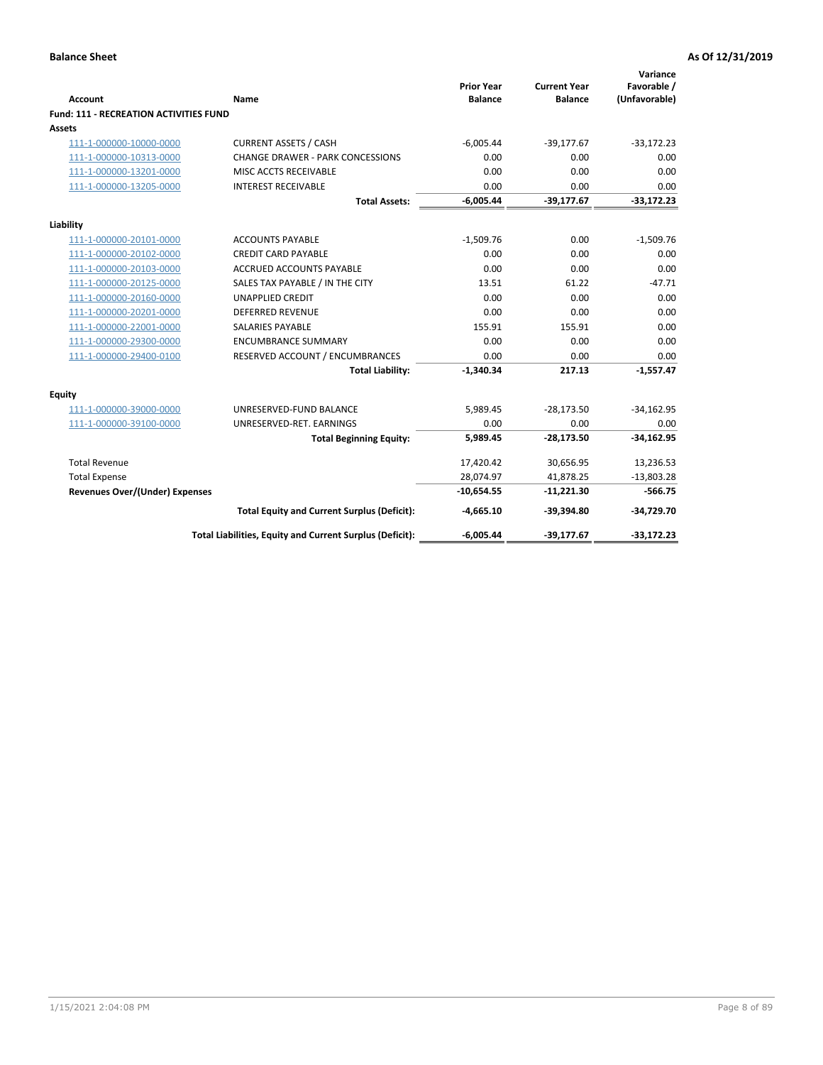| <b>Account</b>                                | <b>Name</b>                                              | <b>Prior Year</b><br><b>Balance</b> | <b>Current Year</b><br><b>Balance</b> | Variance<br>Favorable /<br>(Unfavorable) |
|-----------------------------------------------|----------------------------------------------------------|-------------------------------------|---------------------------------------|------------------------------------------|
| <b>Fund: 111 - RECREATION ACTIVITIES FUND</b> |                                                          |                                     |                                       |                                          |
| Assets                                        |                                                          |                                     |                                       |                                          |
| 111-1-000000-10000-0000                       | <b>CURRENT ASSETS / CASH</b>                             | $-6,005.44$                         | $-39,177.67$                          | $-33,172.23$                             |
| 111-1-000000-10313-0000                       | <b>CHANGE DRAWER - PARK CONCESSIONS</b>                  | 0.00                                | 0.00                                  | 0.00                                     |
| 111-1-000000-13201-0000                       | MISC ACCTS RECEIVABLE                                    | 0.00                                | 0.00                                  | 0.00                                     |
| 111-1-000000-13205-0000                       | <b>INTEREST RECEIVABLE</b>                               | 0.00                                | 0.00                                  | 0.00                                     |
|                                               | <b>Total Assets:</b>                                     | $-6,005.44$                         | $-39,177.67$                          | $-33,172.23$                             |
| Liability                                     |                                                          |                                     |                                       |                                          |
| 111-1-000000-20101-0000                       | <b>ACCOUNTS PAYABLE</b>                                  | $-1,509.76$                         | 0.00                                  | $-1,509.76$                              |
| 111-1-000000-20102-0000                       | <b>CREDIT CARD PAYABLE</b>                               | 0.00                                | 0.00                                  | 0.00                                     |
| 111-1-000000-20103-0000                       | <b>ACCRUED ACCOUNTS PAYABLE</b>                          | 0.00                                | 0.00                                  | 0.00                                     |
| 111-1-000000-20125-0000                       | SALES TAX PAYABLE / IN THE CITY                          | 13.51                               | 61.22                                 | $-47.71$                                 |
| 111-1-000000-20160-0000                       | <b>UNAPPLIED CREDIT</b>                                  | 0.00                                | 0.00                                  | 0.00                                     |
| 111-1-000000-20201-0000                       | <b>DEFERRED REVENUE</b>                                  | 0.00                                | 0.00                                  | 0.00                                     |
| 111-1-000000-22001-0000                       | <b>SALARIES PAYABLE</b>                                  | 155.91                              | 155.91                                | 0.00                                     |
| 111-1-000000-29300-0000                       | <b>ENCUMBRANCE SUMMARY</b>                               | 0.00                                | 0.00                                  | 0.00                                     |
| 111-1-000000-29400-0100                       | RESERVED ACCOUNT / ENCUMBRANCES                          | 0.00                                | 0.00                                  | 0.00                                     |
|                                               | <b>Total Liability:</b>                                  | $-1,340.34$                         | 217.13                                | $-1,557.47$                              |
| Equity                                        |                                                          |                                     |                                       |                                          |
| 111-1-000000-39000-0000                       | UNRESERVED-FUND BALANCE                                  | 5,989.45                            | $-28,173.50$                          | $-34,162.95$                             |
| 111-1-000000-39100-0000                       | UNRESERVED-RET. EARNINGS                                 | 0.00                                | 0.00                                  | 0.00                                     |
|                                               | <b>Total Beginning Equity:</b>                           | 5,989.45                            | $-28,173.50$                          | $-34,162.95$                             |
| <b>Total Revenue</b>                          |                                                          | 17,420.42                           | 30,656.95                             | 13,236.53                                |
| <b>Total Expense</b>                          |                                                          | 28,074.97                           | 41,878.25                             | $-13,803.28$                             |
| <b>Revenues Over/(Under) Expenses</b>         |                                                          | $-10,654.55$                        | $-11,221.30$                          | $-566.75$                                |
|                                               | <b>Total Equity and Current Surplus (Deficit):</b>       | $-4,665.10$                         | $-39,394.80$                          | $-34,729.70$                             |
|                                               | Total Liabilities, Equity and Current Surplus (Deficit): | $-6,005.44$                         | $-39,177.67$                          | $-33,172.23$                             |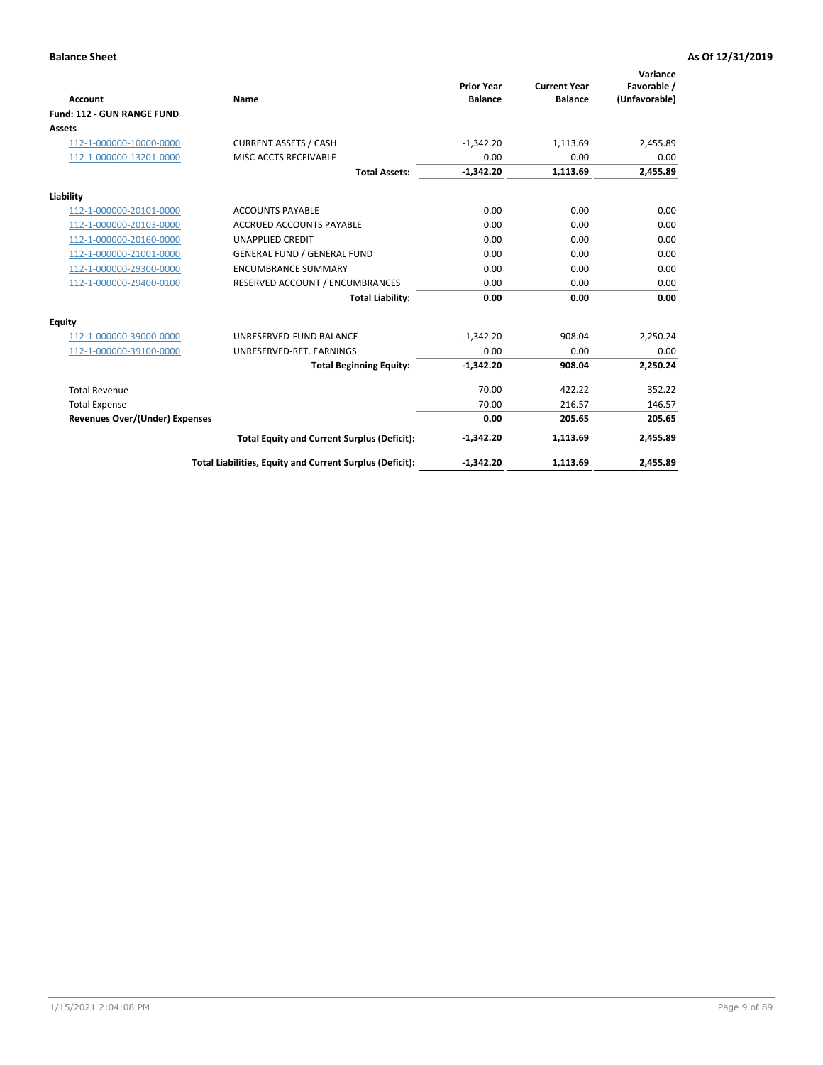|                                       |                                                          |                                     |                                       | Variance                     |
|---------------------------------------|----------------------------------------------------------|-------------------------------------|---------------------------------------|------------------------------|
| <b>Account</b>                        | Name                                                     | <b>Prior Year</b><br><b>Balance</b> | <b>Current Year</b><br><b>Balance</b> | Favorable /<br>(Unfavorable) |
| Fund: 112 - GUN RANGE FUND            |                                                          |                                     |                                       |                              |
| <b>Assets</b>                         |                                                          |                                     |                                       |                              |
| 112-1-000000-10000-0000               | <b>CURRENT ASSETS / CASH</b>                             | $-1,342.20$                         | 1,113.69                              | 2,455.89                     |
| 112-1-000000-13201-0000               | MISC ACCTS RECEIVABLE                                    | 0.00                                | 0.00                                  | 0.00                         |
|                                       | <b>Total Assets:</b>                                     | $-1,342.20$                         | 1,113.69                              | 2,455.89                     |
| Liability                             |                                                          |                                     |                                       |                              |
| 112-1-000000-20101-0000               | <b>ACCOUNTS PAYABLE</b>                                  | 0.00                                | 0.00                                  | 0.00                         |
| 112-1-000000-20103-0000               | <b>ACCRUED ACCOUNTS PAYABLE</b>                          | 0.00                                | 0.00                                  | 0.00                         |
| 112-1-000000-20160-0000               | <b>UNAPPLIED CREDIT</b>                                  | 0.00                                | 0.00                                  | 0.00                         |
| 112-1-000000-21001-0000               | <b>GENERAL FUND / GENERAL FUND</b>                       | 0.00                                | 0.00                                  | 0.00                         |
| 112-1-000000-29300-0000               | <b>ENCUMBRANCE SUMMARY</b>                               | 0.00                                | 0.00                                  | 0.00                         |
| 112-1-000000-29400-0100               | RESERVED ACCOUNT / ENCUMBRANCES                          | 0.00                                | 0.00                                  | 0.00                         |
|                                       | <b>Total Liability:</b>                                  | 0.00                                | 0.00                                  | 0.00                         |
| Equity                                |                                                          |                                     |                                       |                              |
| 112-1-000000-39000-0000               | UNRESERVED-FUND BALANCE                                  | $-1,342.20$                         | 908.04                                | 2,250.24                     |
| 112-1-000000-39100-0000               | UNRESERVED-RET. EARNINGS                                 | 0.00                                | 0.00                                  | 0.00                         |
|                                       | <b>Total Beginning Equity:</b>                           | $-1.342.20$                         | 908.04                                | 2.250.24                     |
| <b>Total Revenue</b>                  |                                                          | 70.00                               | 422.22                                | 352.22                       |
| <b>Total Expense</b>                  |                                                          | 70.00                               | 216.57                                | $-146.57$                    |
| <b>Revenues Over/(Under) Expenses</b> |                                                          | 0.00                                | 205.65                                | 205.65                       |
|                                       | <b>Total Equity and Current Surplus (Deficit):</b>       | $-1,342.20$                         | 1,113.69                              | 2,455.89                     |
|                                       | Total Liabilities, Equity and Current Surplus (Deficit): | $-1,342.20$                         | 1,113.69                              | 2,455.89                     |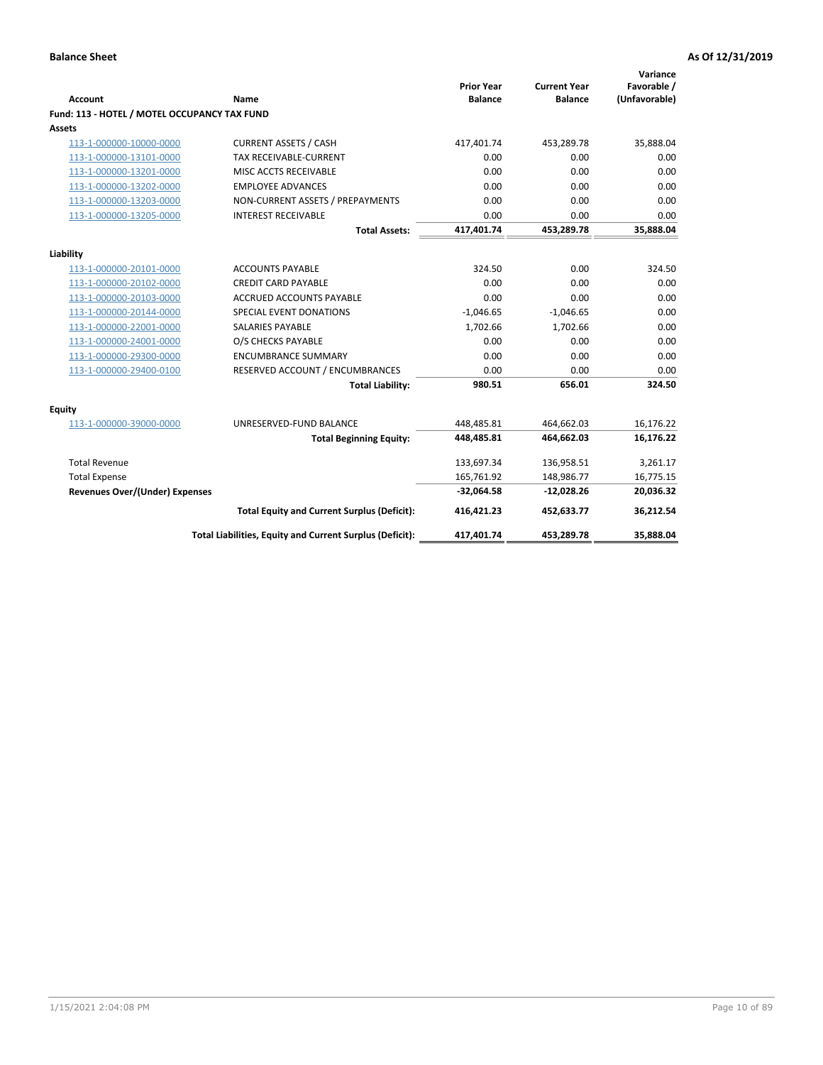| <b>Account</b>                               | Name                                                     | <b>Prior Year</b><br><b>Balance</b> | <b>Current Year</b><br><b>Balance</b> | Variance<br>Favorable /<br>(Unfavorable) |
|----------------------------------------------|----------------------------------------------------------|-------------------------------------|---------------------------------------|------------------------------------------|
| Fund: 113 - HOTEL / MOTEL OCCUPANCY TAX FUND |                                                          |                                     |                                       |                                          |
| Assets                                       |                                                          |                                     |                                       |                                          |
| 113-1-000000-10000-0000                      | <b>CURRENT ASSETS / CASH</b>                             | 417,401.74                          | 453,289.78                            | 35,888.04                                |
| 113-1-000000-13101-0000                      | TAX RECEIVABLE-CURRENT                                   | 0.00                                | 0.00                                  | 0.00                                     |
| 113-1-000000-13201-0000                      | MISC ACCTS RECEIVABLE                                    | 0.00                                | 0.00                                  | 0.00                                     |
| 113-1-000000-13202-0000                      | <b>EMPLOYEE ADVANCES</b>                                 | 0.00                                | 0.00                                  | 0.00                                     |
| 113-1-000000-13203-0000                      | NON-CURRENT ASSETS / PREPAYMENTS                         | 0.00                                | 0.00                                  | 0.00                                     |
| 113-1-000000-13205-0000                      | <b>INTEREST RECEIVABLE</b>                               | 0.00                                | 0.00                                  | 0.00                                     |
|                                              | <b>Total Assets:</b>                                     | 417,401.74                          | 453,289.78                            | 35,888.04                                |
| Liability                                    |                                                          |                                     |                                       |                                          |
| 113-1-000000-20101-0000                      | <b>ACCOUNTS PAYABLE</b>                                  | 324.50                              | 0.00                                  | 324.50                                   |
| 113-1-000000-20102-0000                      | <b>CREDIT CARD PAYABLE</b>                               | 0.00                                | 0.00                                  | 0.00                                     |
| 113-1-000000-20103-0000                      | ACCRUED ACCOUNTS PAYABLE                                 | 0.00                                | 0.00                                  | 0.00                                     |
| 113-1-000000-20144-0000                      | SPECIAL EVENT DONATIONS                                  | $-1,046.65$                         | $-1,046.65$                           | 0.00                                     |
| 113-1-000000-22001-0000                      | <b>SALARIES PAYABLE</b>                                  | 1.702.66                            | 1,702.66                              | 0.00                                     |
| 113-1-000000-24001-0000                      | O/S CHECKS PAYABLE                                       | 0.00                                | 0.00                                  | 0.00                                     |
| 113-1-000000-29300-0000                      | <b>ENCUMBRANCE SUMMARY</b>                               | 0.00                                | 0.00                                  | 0.00                                     |
| 113-1-000000-29400-0100                      | RESERVED ACCOUNT / ENCUMBRANCES                          | 0.00                                | 0.00                                  | 0.00                                     |
|                                              | <b>Total Liability:</b>                                  | 980.51                              | 656.01                                | 324.50                                   |
| Equity                                       |                                                          |                                     |                                       |                                          |
| 113-1-000000-39000-0000                      | UNRESERVED-FUND BALANCE                                  | 448,485.81                          | 464,662.03                            | 16,176.22                                |
|                                              | <b>Total Beginning Equity:</b>                           | 448,485.81                          | 464,662.03                            | 16,176.22                                |
| <b>Total Revenue</b>                         |                                                          | 133,697.34                          | 136,958.51                            | 3,261.17                                 |
| <b>Total Expense</b>                         |                                                          | 165,761.92                          | 148,986.77                            | 16,775.15                                |
| Revenues Over/(Under) Expenses               |                                                          | $-32,064.58$                        | $-12,028.26$                          | 20,036.32                                |
|                                              | <b>Total Equity and Current Surplus (Deficit):</b>       | 416,421.23                          | 452,633.77                            | 36,212.54                                |
|                                              | Total Liabilities, Equity and Current Surplus (Deficit): | 417,401.74                          | 453,289.78                            | 35,888.04                                |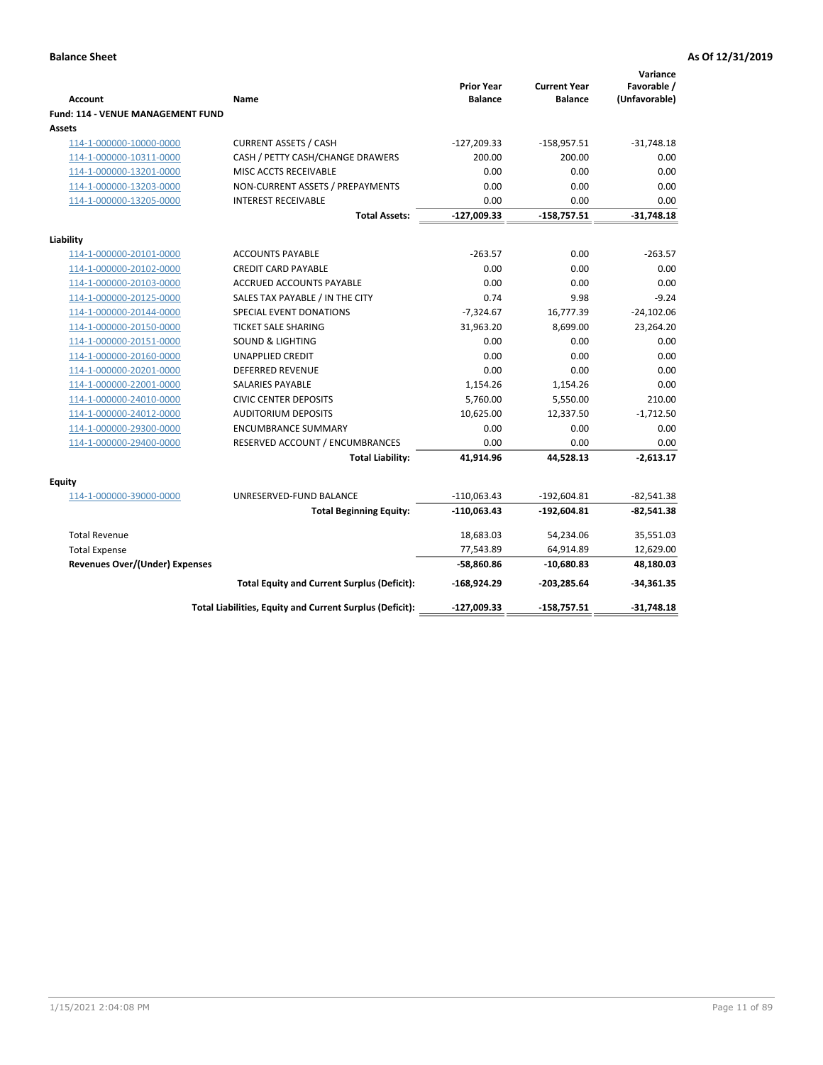| <b>Account</b>                                     | Name                                                     | <b>Prior Year</b><br><b>Balance</b> | <b>Current Year</b><br><b>Balance</b> | Variance<br>Favorable /<br>(Unfavorable) |
|----------------------------------------------------|----------------------------------------------------------|-------------------------------------|---------------------------------------|------------------------------------------|
| <b>Fund: 114 - VENUE MANAGEMENT FUND</b><br>Assets |                                                          |                                     |                                       |                                          |
| 114-1-000000-10000-0000                            | <b>CURRENT ASSETS / CASH</b>                             | $-127,209.33$                       | $-158,957.51$                         | $-31,748.18$                             |
| 114-1-000000-10311-0000                            | CASH / PETTY CASH/CHANGE DRAWERS                         | 200.00                              | 200.00                                | 0.00                                     |
| 114-1-000000-13201-0000                            | MISC ACCTS RECEIVABLE                                    | 0.00                                | 0.00                                  | 0.00                                     |
| 114-1-000000-13203-0000                            | NON-CURRENT ASSETS / PREPAYMENTS                         | 0.00                                | 0.00                                  | 0.00                                     |
| 114-1-000000-13205-0000                            | <b>INTEREST RECEIVABLE</b>                               | 0.00                                | 0.00                                  | 0.00                                     |
|                                                    | <b>Total Assets:</b>                                     | $-127,009.33$                       | $-158,757.51$                         | $-31,748.18$                             |
| Liability                                          |                                                          |                                     |                                       |                                          |
| 114-1-000000-20101-0000                            | <b>ACCOUNTS PAYABLE</b>                                  | $-263.57$                           | 0.00                                  | $-263.57$                                |
| 114-1-000000-20102-0000                            | <b>CREDIT CARD PAYABLE</b>                               | 0.00                                | 0.00                                  | 0.00                                     |
| 114-1-000000-20103-0000                            | <b>ACCRUED ACCOUNTS PAYABLE</b>                          | 0.00                                | 0.00                                  | 0.00                                     |
| 114-1-000000-20125-0000                            | SALES TAX PAYABLE / IN THE CITY                          | 0.74                                | 9.98                                  | $-9.24$                                  |
| 114-1-000000-20144-0000                            | SPECIAL EVENT DONATIONS                                  | $-7,324.67$                         | 16,777.39                             | $-24,102.06$                             |
| 114-1-000000-20150-0000                            | <b>TICKET SALE SHARING</b>                               | 31,963.20                           | 8,699.00                              | 23,264.20                                |
| 114-1-000000-20151-0000                            | <b>SOUND &amp; LIGHTING</b>                              | 0.00                                | 0.00                                  | 0.00                                     |
| 114-1-000000-20160-0000                            | <b>UNAPPLIED CREDIT</b>                                  | 0.00                                | 0.00                                  | 0.00                                     |
| 114-1-000000-20201-0000                            | <b>DEFERRED REVENUE</b>                                  | 0.00                                | 0.00                                  | 0.00                                     |
| 114-1-000000-22001-0000                            | SALARIES PAYABLE                                         | 1,154.26                            | 1,154.26                              | 0.00                                     |
| 114-1-000000-24010-0000                            | <b>CIVIC CENTER DEPOSITS</b>                             | 5,760.00                            | 5,550.00                              | 210.00                                   |
| 114-1-000000-24012-0000                            | <b>AUDITORIUM DEPOSITS</b>                               | 10,625.00                           | 12,337.50                             | $-1,712.50$                              |
| 114-1-000000-29300-0000                            | <b>ENCUMBRANCE SUMMARY</b>                               | 0.00                                | 0.00                                  | 0.00                                     |
| 114-1-000000-29400-0000                            | RESERVED ACCOUNT / ENCUMBRANCES                          | 0.00                                | 0.00                                  | 0.00                                     |
|                                                    | <b>Total Liability:</b>                                  | 41,914.96                           | 44,528.13                             | $-2,613.17$                              |
| Equity                                             |                                                          |                                     |                                       |                                          |
| 114-1-000000-39000-0000                            | UNRESERVED-FUND BALANCE                                  | $-110,063.43$                       | $-192,604.81$                         | $-82,541.38$                             |
|                                                    | <b>Total Beginning Equity:</b>                           | $-110,063.43$                       | $-192,604.81$                         | $-82,541.38$                             |
| <b>Total Revenue</b>                               |                                                          | 18,683.03                           | 54,234.06                             | 35,551.03                                |
| <b>Total Expense</b>                               |                                                          | 77,543.89                           | 64,914.89                             | 12,629.00                                |
| <b>Revenues Over/(Under) Expenses</b>              |                                                          | -58,860.86                          | $-10,680.83$                          | 48,180.03                                |
|                                                    | <b>Total Equity and Current Surplus (Deficit):</b>       | $-168,924.29$                       | $-203,285.64$                         | $-34,361.35$                             |
|                                                    | Total Liabilities, Equity and Current Surplus (Deficit): | $-127,009.33$                       | $-158,757.51$                         | $-31,748.18$                             |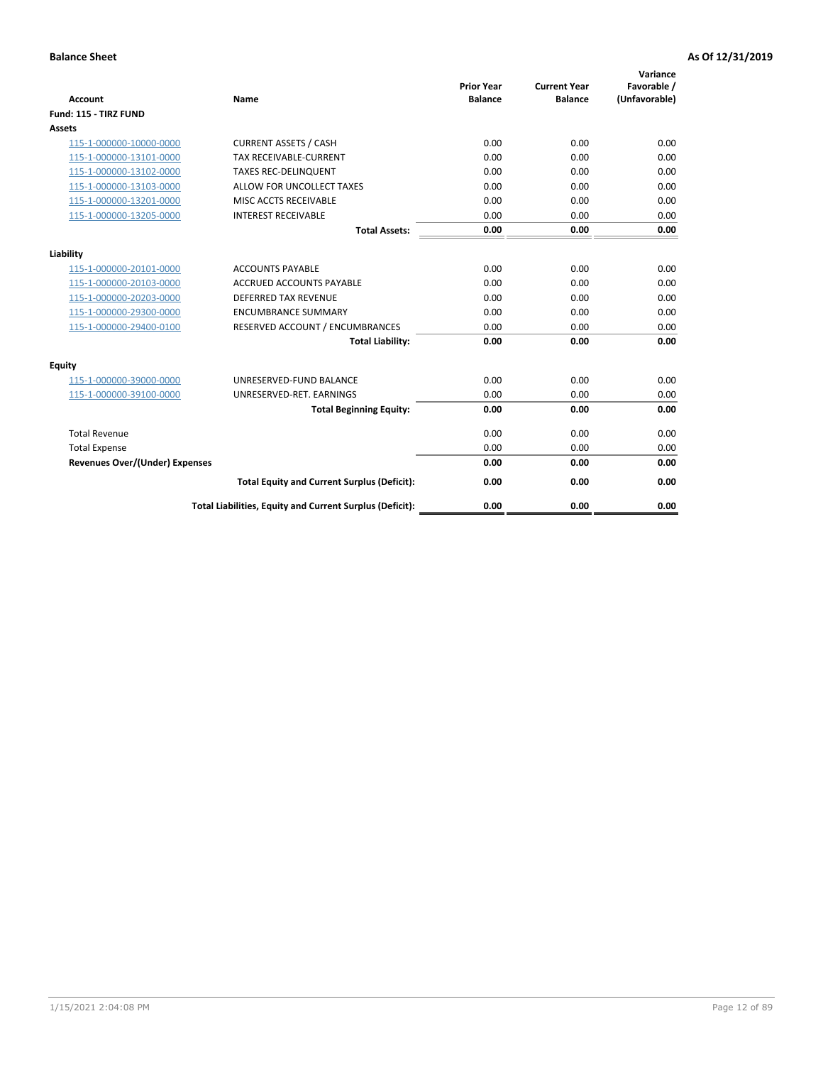| <b>Account</b>                        | <b>Name</b>                                              | <b>Prior Year</b><br><b>Balance</b> | <b>Current Year</b><br><b>Balance</b> | Variance<br>Favorable /<br>(Unfavorable) |
|---------------------------------------|----------------------------------------------------------|-------------------------------------|---------------------------------------|------------------------------------------|
| Fund: 115 - TIRZ FUND                 |                                                          |                                     |                                       |                                          |
| <b>Assets</b>                         |                                                          |                                     |                                       |                                          |
| 115-1-000000-10000-0000               | <b>CURRENT ASSETS / CASH</b>                             | 0.00                                | 0.00                                  | 0.00                                     |
| 115-1-000000-13101-0000               | <b>TAX RECEIVABLE-CURRENT</b>                            | 0.00                                | 0.00                                  | 0.00                                     |
| 115-1-000000-13102-0000               | <b>TAXES REC-DELINQUENT</b>                              | 0.00                                | 0.00                                  | 0.00                                     |
| 115-1-000000-13103-0000               | ALLOW FOR UNCOLLECT TAXES                                | 0.00                                | 0.00                                  | 0.00                                     |
| 115-1-000000-13201-0000               | MISC ACCTS RECEIVABLE                                    | 0.00                                | 0.00                                  | 0.00                                     |
| 115-1-000000-13205-0000               | <b>INTEREST RECEIVABLE</b>                               | 0.00                                | 0.00                                  | 0.00                                     |
|                                       | <b>Total Assets:</b>                                     | 0.00                                | 0.00                                  | 0.00                                     |
| Liability                             |                                                          |                                     |                                       |                                          |
| 115-1-000000-20101-0000               | <b>ACCOUNTS PAYABLE</b>                                  | 0.00                                | 0.00                                  | 0.00                                     |
| 115-1-000000-20103-0000               | <b>ACCRUED ACCOUNTS PAYABLE</b>                          | 0.00                                | 0.00                                  | 0.00                                     |
| 115-1-000000-20203-0000               | <b>DEFERRED TAX REVENUE</b>                              | 0.00                                | 0.00                                  | 0.00                                     |
| 115-1-000000-29300-0000               | <b>ENCUMBRANCE SUMMARY</b>                               | 0.00                                | 0.00                                  | 0.00                                     |
| 115-1-000000-29400-0100               | RESERVED ACCOUNT / ENCUMBRANCES                          | 0.00                                | 0.00                                  | 0.00                                     |
|                                       | <b>Total Liability:</b>                                  | 0.00                                | 0.00                                  | 0.00                                     |
| Equity                                |                                                          |                                     |                                       |                                          |
| 115-1-000000-39000-0000               | UNRESERVED-FUND BALANCE                                  | 0.00                                | 0.00                                  | 0.00                                     |
| 115-1-000000-39100-0000               | UNRESERVED-RET. EARNINGS                                 | 0.00                                | 0.00                                  | 0.00                                     |
|                                       | <b>Total Beginning Equity:</b>                           | 0.00                                | 0.00                                  | 0.00                                     |
| <b>Total Revenue</b>                  |                                                          | 0.00                                | 0.00                                  | 0.00                                     |
| <b>Total Expense</b>                  |                                                          | 0.00                                | 0.00                                  | 0.00                                     |
| <b>Revenues Over/(Under) Expenses</b> |                                                          | 0.00                                | 0.00                                  | 0.00                                     |
|                                       | <b>Total Equity and Current Surplus (Deficit):</b>       | 0.00                                | 0.00                                  | 0.00                                     |
|                                       | Total Liabilities, Equity and Current Surplus (Deficit): | 0.00                                | 0.00                                  | 0.00                                     |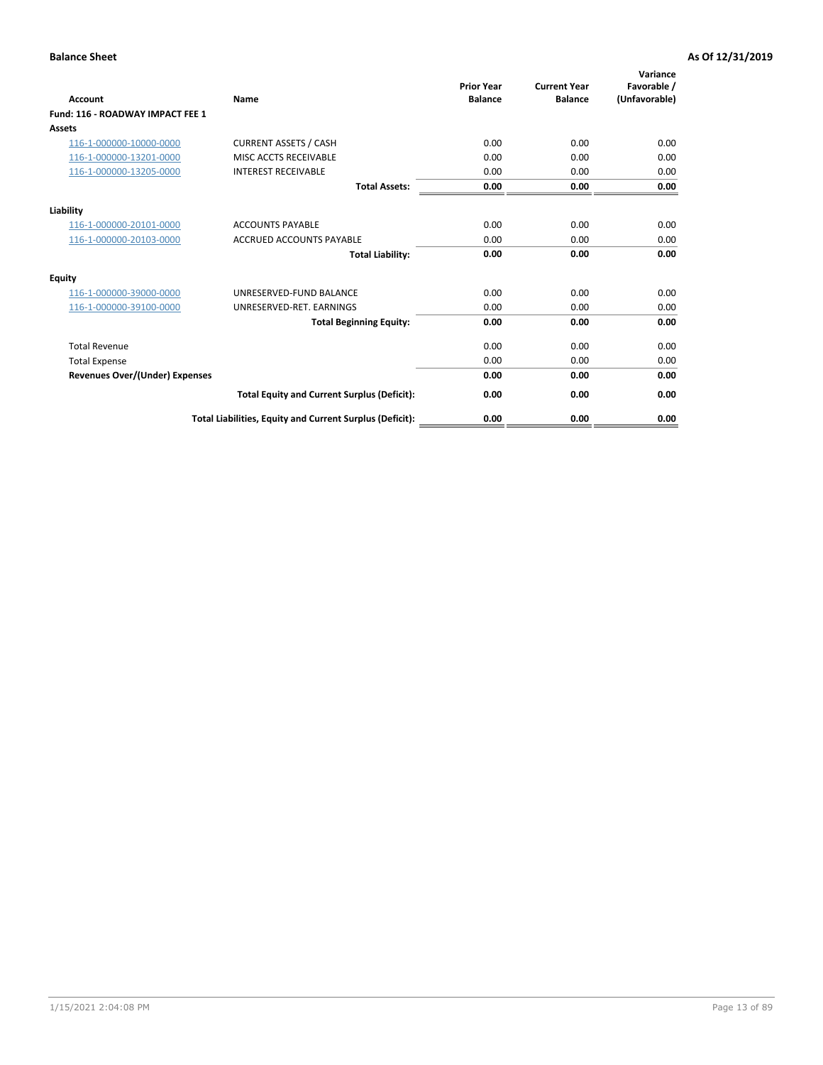| Account                               | <b>Name</b>                                              | <b>Prior Year</b><br><b>Balance</b> | <b>Current Year</b><br><b>Balance</b> | Variance<br>Favorable /<br>(Unfavorable) |
|---------------------------------------|----------------------------------------------------------|-------------------------------------|---------------------------------------|------------------------------------------|
| Fund: 116 - ROADWAY IMPACT FEE 1      |                                                          |                                     |                                       |                                          |
| Assets                                |                                                          |                                     |                                       |                                          |
| 116-1-000000-10000-0000               | <b>CURRENT ASSETS / CASH</b>                             | 0.00                                | 0.00                                  | 0.00                                     |
| 116-1-000000-13201-0000               | MISC ACCTS RECEIVABLE                                    | 0.00                                | 0.00                                  | 0.00                                     |
| 116-1-000000-13205-0000               | <b>INTEREST RECEIVABLE</b>                               | 0.00                                | 0.00                                  | 0.00                                     |
|                                       | <b>Total Assets:</b>                                     | 0.00                                | 0.00                                  | 0.00                                     |
| Liability                             |                                                          |                                     |                                       |                                          |
| 116-1-000000-20101-0000               | <b>ACCOUNTS PAYABLE</b>                                  | 0.00                                | 0.00                                  | 0.00                                     |
| 116-1-000000-20103-0000               | <b>ACCRUED ACCOUNTS PAYABLE</b>                          | 0.00                                | 0.00                                  | 0.00                                     |
|                                       | <b>Total Liability:</b>                                  | 0.00                                | 0.00                                  | 0.00                                     |
| Equity                                |                                                          |                                     |                                       |                                          |
| 116-1-000000-39000-0000               | UNRESERVED-FUND BALANCE                                  | 0.00                                | 0.00                                  | 0.00                                     |
| 116-1-000000-39100-0000               | UNRESERVED-RET. EARNINGS                                 | 0.00                                | 0.00                                  | 0.00                                     |
|                                       | <b>Total Beginning Equity:</b>                           | 0.00                                | 0.00                                  | 0.00                                     |
| <b>Total Revenue</b>                  |                                                          | 0.00                                | 0.00                                  | 0.00                                     |
| <b>Total Expense</b>                  |                                                          | 0.00                                | 0.00                                  | 0.00                                     |
| <b>Revenues Over/(Under) Expenses</b> |                                                          | 0.00                                | 0.00                                  | 0.00                                     |
|                                       | <b>Total Equity and Current Surplus (Deficit):</b>       | 0.00                                | 0.00                                  | 0.00                                     |
|                                       | Total Liabilities, Equity and Current Surplus (Deficit): | 0.00                                | 0.00                                  | 0.00                                     |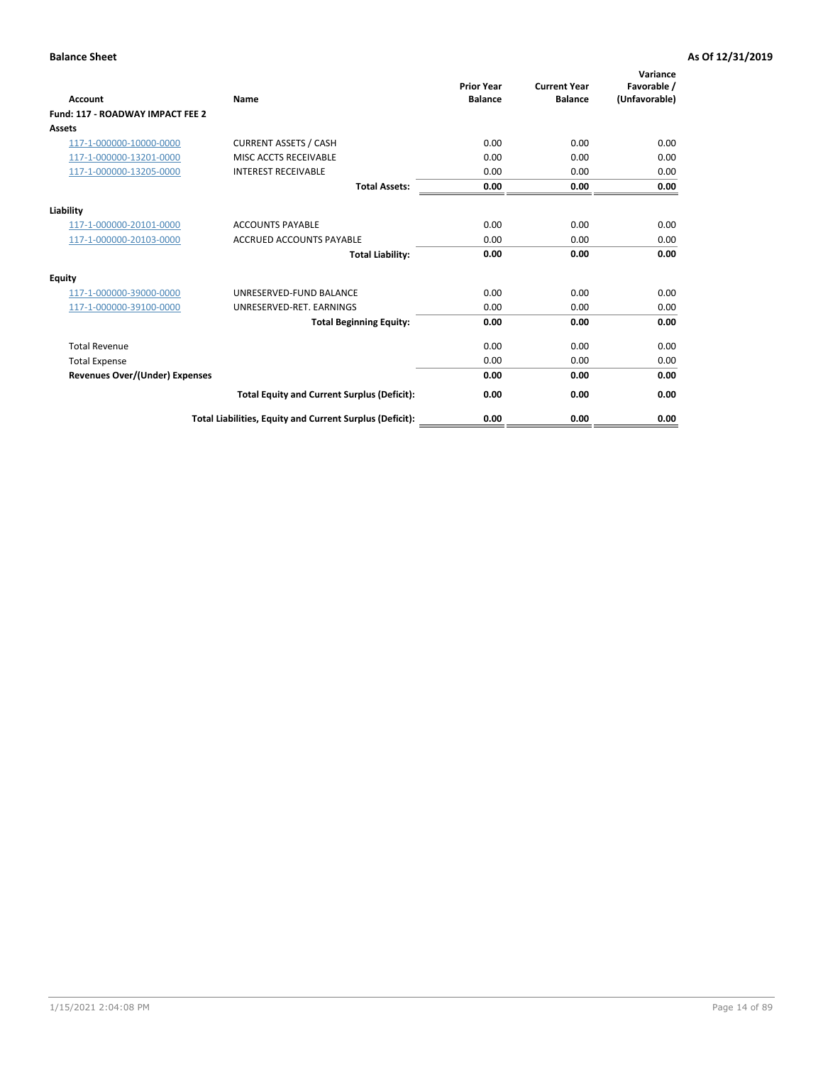| <b>Account</b>                        | <b>Name</b>                                              | <b>Prior Year</b><br><b>Balance</b> | <b>Current Year</b><br><b>Balance</b> | Variance<br>Favorable /<br>(Unfavorable) |
|---------------------------------------|----------------------------------------------------------|-------------------------------------|---------------------------------------|------------------------------------------|
| Fund: 117 - ROADWAY IMPACT FEE 2      |                                                          |                                     |                                       |                                          |
| Assets                                |                                                          |                                     |                                       |                                          |
| 117-1-000000-10000-0000               | <b>CURRENT ASSETS / CASH</b>                             | 0.00                                | 0.00                                  | 0.00                                     |
| 117-1-000000-13201-0000               | MISC ACCTS RECEIVABLE                                    | 0.00                                | 0.00                                  | 0.00                                     |
| 117-1-000000-13205-0000               | <b>INTEREST RECEIVABLE</b>                               | 0.00                                | 0.00                                  | 0.00                                     |
|                                       | <b>Total Assets:</b>                                     | 0.00                                | 0.00                                  | 0.00                                     |
| Liability                             |                                                          |                                     |                                       |                                          |
| 117-1-000000-20101-0000               | <b>ACCOUNTS PAYABLE</b>                                  | 0.00                                | 0.00                                  | 0.00                                     |
| 117-1-000000-20103-0000               | <b>ACCRUED ACCOUNTS PAYABLE</b>                          | 0.00                                | 0.00                                  | 0.00                                     |
|                                       | <b>Total Liability:</b>                                  | 0.00                                | 0.00                                  | 0.00                                     |
| Equity                                |                                                          |                                     |                                       |                                          |
| 117-1-000000-39000-0000               | UNRESERVED-FUND BALANCE                                  | 0.00                                | 0.00                                  | 0.00                                     |
| 117-1-000000-39100-0000               | UNRESERVED-RET. EARNINGS                                 | 0.00                                | 0.00                                  | 0.00                                     |
|                                       | <b>Total Beginning Equity:</b>                           | 0.00                                | 0.00                                  | 0.00                                     |
| <b>Total Revenue</b>                  |                                                          | 0.00                                | 0.00                                  | 0.00                                     |
| <b>Total Expense</b>                  |                                                          | 0.00                                | 0.00                                  | 0.00                                     |
| <b>Revenues Over/(Under) Expenses</b> |                                                          | 0.00                                | 0.00                                  | 0.00                                     |
|                                       | <b>Total Equity and Current Surplus (Deficit):</b>       | 0.00                                | 0.00                                  | 0.00                                     |
|                                       | Total Liabilities, Equity and Current Surplus (Deficit): | 0.00                                | 0.00                                  | 0.00                                     |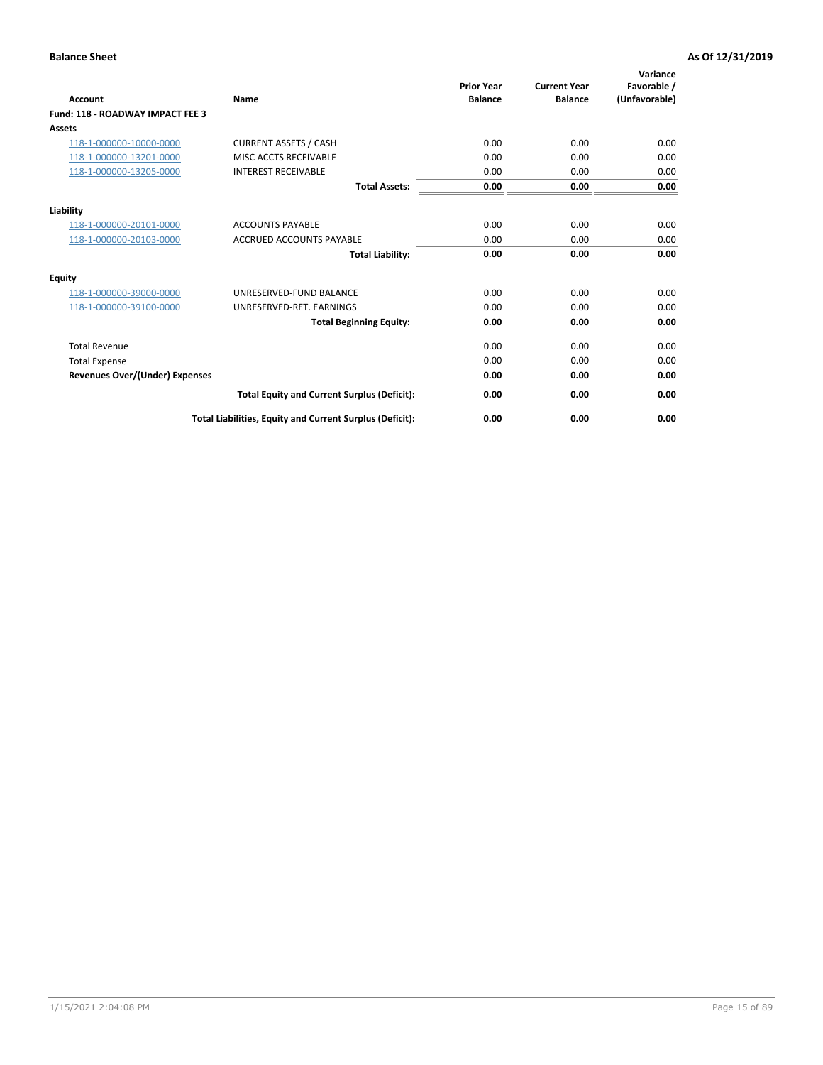| <b>Account</b>                        | <b>Name</b>                                              | <b>Prior Year</b><br><b>Balance</b> | <b>Current Year</b><br><b>Balance</b> | Variance<br>Favorable /<br>(Unfavorable) |
|---------------------------------------|----------------------------------------------------------|-------------------------------------|---------------------------------------|------------------------------------------|
| Fund: 118 - ROADWAY IMPACT FEE 3      |                                                          |                                     |                                       |                                          |
| <b>Assets</b>                         |                                                          |                                     |                                       |                                          |
| 118-1-000000-10000-0000               | <b>CURRENT ASSETS / CASH</b>                             | 0.00                                | 0.00                                  | 0.00                                     |
| 118-1-000000-13201-0000               | MISC ACCTS RECEIVABLE                                    | 0.00                                | 0.00                                  | 0.00                                     |
| 118-1-000000-13205-0000               | <b>INTEREST RECEIVABLE</b>                               | 0.00                                | 0.00                                  | 0.00                                     |
|                                       | <b>Total Assets:</b>                                     | 0.00                                | 0.00                                  | 0.00                                     |
| Liability                             |                                                          |                                     |                                       |                                          |
| 118-1-000000-20101-0000               | <b>ACCOUNTS PAYABLE</b>                                  | 0.00                                | 0.00                                  | 0.00                                     |
| 118-1-000000-20103-0000               | <b>ACCRUED ACCOUNTS PAYABLE</b>                          | 0.00                                | 0.00                                  | 0.00                                     |
|                                       | <b>Total Liability:</b>                                  | 0.00                                | 0.00                                  | 0.00                                     |
| Equity                                |                                                          |                                     |                                       |                                          |
| 118-1-000000-39000-0000               | UNRESERVED-FUND BALANCE                                  | 0.00                                | 0.00                                  | 0.00                                     |
| 118-1-000000-39100-0000               | UNRESERVED-RET. EARNINGS                                 | 0.00                                | 0.00                                  | 0.00                                     |
|                                       | <b>Total Beginning Equity:</b>                           | 0.00                                | 0.00                                  | 0.00                                     |
| <b>Total Revenue</b>                  |                                                          | 0.00                                | 0.00                                  | 0.00                                     |
| <b>Total Expense</b>                  |                                                          | 0.00                                | 0.00                                  | 0.00                                     |
| <b>Revenues Over/(Under) Expenses</b> |                                                          | 0.00                                | 0.00                                  | 0.00                                     |
|                                       | <b>Total Equity and Current Surplus (Deficit):</b>       | 0.00                                | 0.00                                  | 0.00                                     |
|                                       | Total Liabilities, Equity and Current Surplus (Deficit): | 0.00                                | 0.00                                  | 0.00                                     |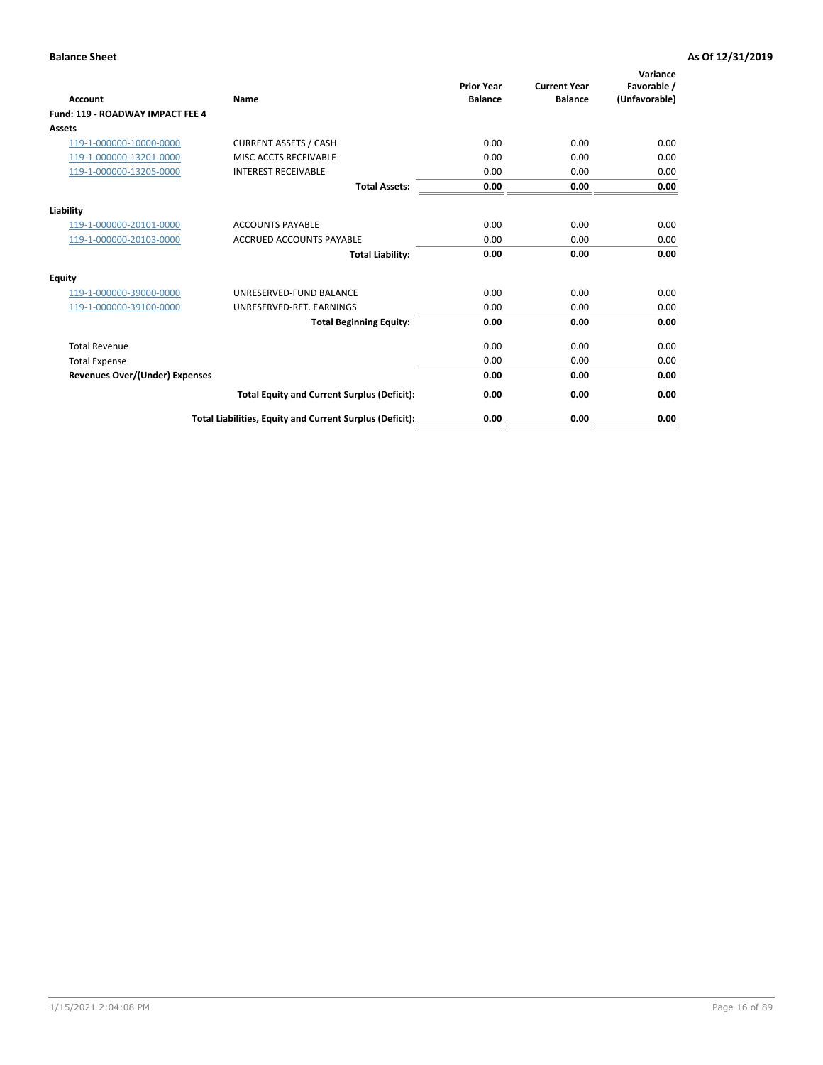| <b>Account</b>                        | <b>Name</b>                                              | <b>Prior Year</b><br><b>Balance</b> | <b>Current Year</b><br><b>Balance</b> | Variance<br>Favorable /<br>(Unfavorable) |
|---------------------------------------|----------------------------------------------------------|-------------------------------------|---------------------------------------|------------------------------------------|
| Fund: 119 - ROADWAY IMPACT FEE 4      |                                                          |                                     |                                       |                                          |
| Assets                                |                                                          |                                     |                                       |                                          |
| 119-1-000000-10000-0000               | <b>CURRENT ASSETS / CASH</b>                             | 0.00                                | 0.00                                  | 0.00                                     |
| 119-1-000000-13201-0000               | MISC ACCTS RECEIVABLE                                    | 0.00                                | 0.00                                  | 0.00                                     |
| 119-1-000000-13205-0000               | <b>INTEREST RECEIVABLE</b>                               | 0.00                                | 0.00                                  | 0.00                                     |
|                                       | <b>Total Assets:</b>                                     | 0.00                                | 0.00                                  | 0.00                                     |
| Liability                             |                                                          |                                     |                                       |                                          |
| 119-1-000000-20101-0000               | <b>ACCOUNTS PAYABLE</b>                                  | 0.00                                | 0.00                                  | 0.00                                     |
| 119-1-000000-20103-0000               | <b>ACCRUED ACCOUNTS PAYABLE</b>                          | 0.00                                | 0.00                                  | 0.00                                     |
|                                       | <b>Total Liability:</b>                                  | 0.00                                | 0.00                                  | 0.00                                     |
| Equity                                |                                                          |                                     |                                       |                                          |
| 119-1-000000-39000-0000               | UNRESERVED-FUND BALANCE                                  | 0.00                                | 0.00                                  | 0.00                                     |
| 119-1-000000-39100-0000               | UNRESERVED-RET. EARNINGS                                 | 0.00                                | 0.00                                  | 0.00                                     |
|                                       | <b>Total Beginning Equity:</b>                           | 0.00                                | 0.00                                  | 0.00                                     |
| <b>Total Revenue</b>                  |                                                          | 0.00                                | 0.00                                  | 0.00                                     |
| <b>Total Expense</b>                  |                                                          | 0.00                                | 0.00                                  | 0.00                                     |
| <b>Revenues Over/(Under) Expenses</b> |                                                          | 0.00                                | 0.00                                  | 0.00                                     |
|                                       | <b>Total Equity and Current Surplus (Deficit):</b>       | 0.00                                | 0.00                                  | 0.00                                     |
|                                       | Total Liabilities, Equity and Current Surplus (Deficit): | 0.00                                | 0.00                                  | 0.00                                     |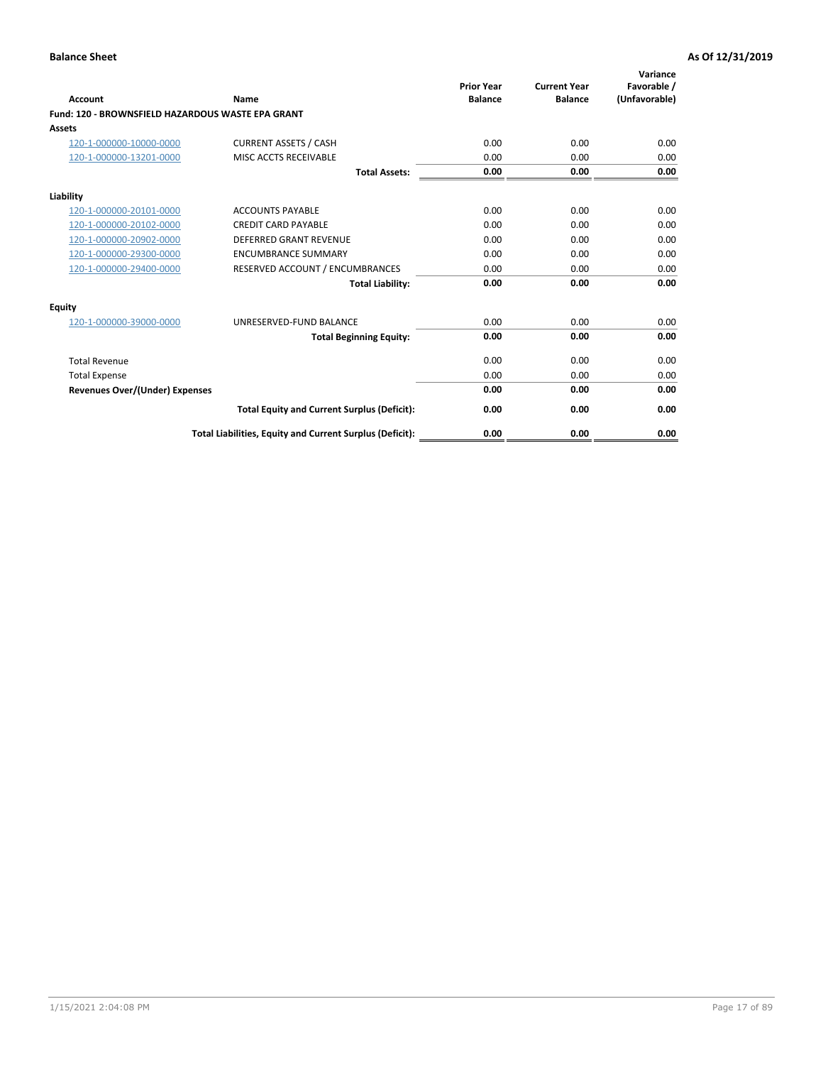|                                                   |                                                          | <b>Prior Year</b> | <b>Current Year</b> | Variance<br>Favorable / |
|---------------------------------------------------|----------------------------------------------------------|-------------------|---------------------|-------------------------|
| <b>Account</b>                                    | <b>Name</b>                                              | <b>Balance</b>    | <b>Balance</b>      | (Unfavorable)           |
| Fund: 120 - BROWNSFIELD HAZARDOUS WASTE EPA GRANT |                                                          |                   |                     |                         |
| <b>Assets</b>                                     |                                                          |                   |                     |                         |
| 120-1-000000-10000-0000                           | <b>CURRENT ASSETS / CASH</b>                             | 0.00              | 0.00                | 0.00                    |
| 120-1-000000-13201-0000                           | MISC ACCTS RECEIVABLE                                    | 0.00              | 0.00                | 0.00                    |
|                                                   | <b>Total Assets:</b>                                     | 0.00              | 0.00                | 0.00                    |
| Liability                                         |                                                          |                   |                     |                         |
| 120-1-000000-20101-0000                           | <b>ACCOUNTS PAYABLE</b>                                  | 0.00              | 0.00                | 0.00                    |
| 120-1-000000-20102-0000                           | <b>CREDIT CARD PAYABLE</b>                               | 0.00              | 0.00                | 0.00                    |
| 120-1-000000-20902-0000                           | <b>DEFERRED GRANT REVENUE</b>                            | 0.00              | 0.00                | 0.00                    |
| 120-1-000000-29300-0000                           | <b>ENCUMBRANCE SUMMARY</b>                               | 0.00              | 0.00                | 0.00                    |
| 120-1-000000-29400-0000                           | RESERVED ACCOUNT / ENCUMBRANCES                          | 0.00              | 0.00                | 0.00                    |
|                                                   | <b>Total Liability:</b>                                  | 0.00              | 0.00                | 0.00                    |
| Equity                                            |                                                          |                   |                     |                         |
| 120-1-000000-39000-0000                           | UNRESERVED-FUND BALANCE                                  | 0.00              | 0.00                | 0.00                    |
|                                                   | <b>Total Beginning Equity:</b>                           | 0.00              | 0.00                | 0.00                    |
| <b>Total Revenue</b>                              |                                                          | 0.00              | 0.00                | 0.00                    |
| <b>Total Expense</b>                              |                                                          | 0.00              | 0.00                | 0.00                    |
| <b>Revenues Over/(Under) Expenses</b>             |                                                          | 0.00              | 0.00                | 0.00                    |
|                                                   | <b>Total Equity and Current Surplus (Deficit):</b>       | 0.00              | 0.00                | 0.00                    |
|                                                   | Total Liabilities, Equity and Current Surplus (Deficit): | 0.00              | 0.00                | 0.00                    |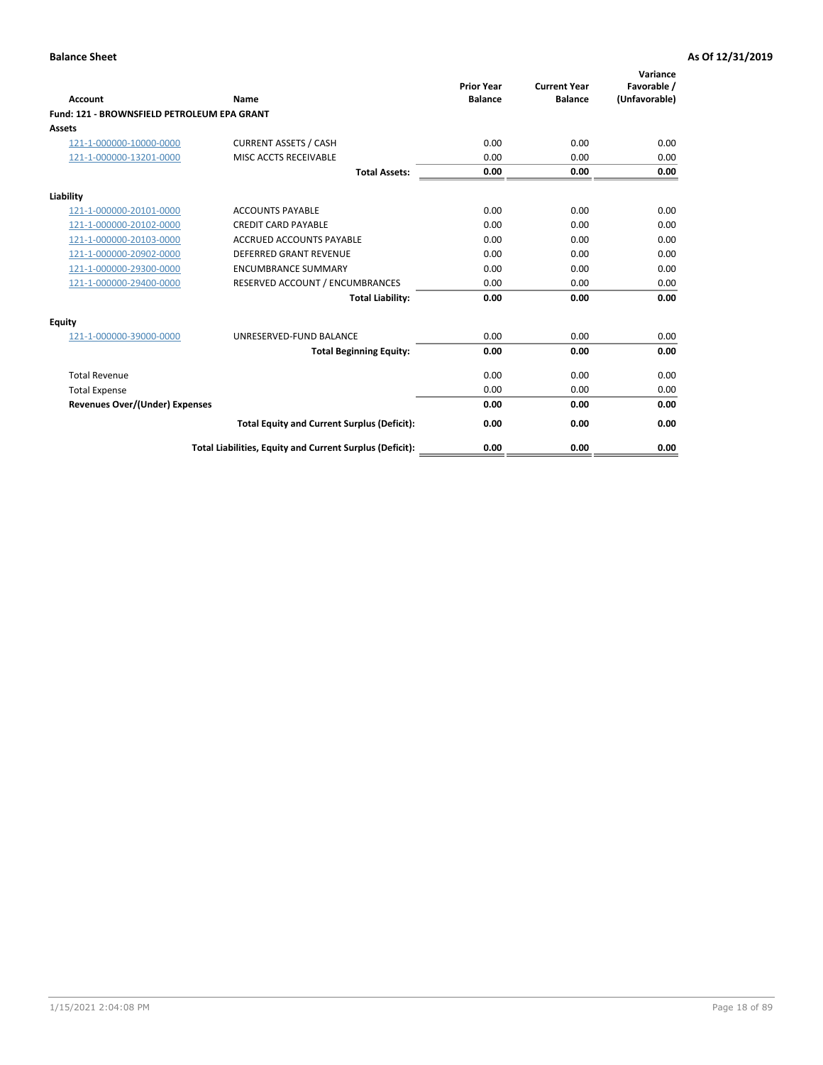| Account                                     | Name                                                     | <b>Prior Year</b><br><b>Balance</b> | <b>Current Year</b><br><b>Balance</b> | Variance<br>Favorable /<br>(Unfavorable) |
|---------------------------------------------|----------------------------------------------------------|-------------------------------------|---------------------------------------|------------------------------------------|
| Fund: 121 - BROWNSFIELD PETROLEUM EPA GRANT |                                                          |                                     |                                       |                                          |
| <b>Assets</b>                               |                                                          |                                     |                                       |                                          |
| 121-1-000000-10000-0000                     | <b>CURRENT ASSETS / CASH</b>                             | 0.00                                | 0.00                                  | 0.00                                     |
| 121-1-000000-13201-0000                     | <b>MISC ACCTS RECEIVABLE</b>                             | 0.00                                | 0.00                                  | 0.00                                     |
|                                             | <b>Total Assets:</b>                                     | 0.00                                | 0.00                                  | 0.00                                     |
| Liability                                   |                                                          |                                     |                                       |                                          |
| 121-1-000000-20101-0000                     | <b>ACCOUNTS PAYABLE</b>                                  | 0.00                                | 0.00                                  | 0.00                                     |
| 121-1-000000-20102-0000                     | <b>CREDIT CARD PAYABLE</b>                               | 0.00                                | 0.00                                  | 0.00                                     |
| 121-1-000000-20103-0000                     | <b>ACCRUED ACCOUNTS PAYABLE</b>                          | 0.00                                | 0.00                                  | 0.00                                     |
| 121-1-000000-20902-0000                     | <b>DEFERRED GRANT REVENUE</b>                            | 0.00                                | 0.00                                  | 0.00                                     |
| 121-1-000000-29300-0000                     | <b>ENCUMBRANCE SUMMARY</b>                               | 0.00                                | 0.00                                  | 0.00                                     |
| 121-1-000000-29400-0000                     | RESERVED ACCOUNT / ENCUMBRANCES                          | 0.00                                | 0.00                                  | 0.00                                     |
|                                             | <b>Total Liability:</b>                                  | 0.00                                | 0.00                                  | 0.00                                     |
| <b>Equity</b>                               |                                                          |                                     |                                       |                                          |
| 121-1-000000-39000-0000                     | UNRESERVED-FUND BALANCE                                  | 0.00                                | 0.00                                  | 0.00                                     |
|                                             | <b>Total Beginning Equity:</b>                           | 0.00                                | 0.00                                  | 0.00                                     |
| <b>Total Revenue</b>                        |                                                          | 0.00                                | 0.00                                  | 0.00                                     |
| <b>Total Expense</b>                        |                                                          | 0.00                                | 0.00                                  | 0.00                                     |
| <b>Revenues Over/(Under) Expenses</b>       |                                                          | 0.00                                | 0.00                                  | 0.00                                     |
|                                             | <b>Total Equity and Current Surplus (Deficit):</b>       | 0.00                                | 0.00                                  | 0.00                                     |
|                                             | Total Liabilities, Equity and Current Surplus (Deficit): | 0.00                                | 0.00                                  | 0.00                                     |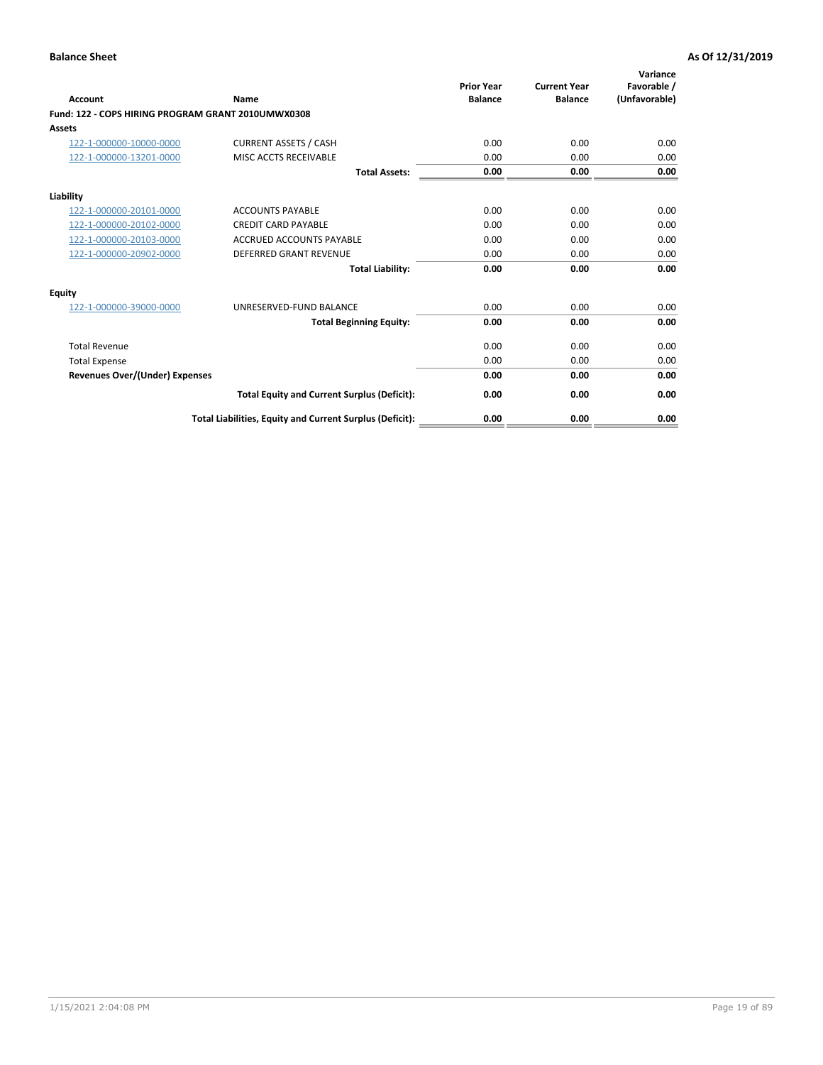| <b>Account</b>                                     | Name                                                     | <b>Prior Year</b><br><b>Balance</b> | <b>Current Year</b><br><b>Balance</b> | Variance<br>Favorable /<br>(Unfavorable) |
|----------------------------------------------------|----------------------------------------------------------|-------------------------------------|---------------------------------------|------------------------------------------|
| Fund: 122 - COPS HIRING PROGRAM GRANT 2010UMWX0308 |                                                          |                                     |                                       |                                          |
| Assets                                             |                                                          |                                     |                                       |                                          |
| 122-1-000000-10000-0000                            | <b>CURRENT ASSETS / CASH</b>                             | 0.00                                | 0.00                                  | 0.00                                     |
| 122-1-000000-13201-0000                            | MISC ACCTS RECEIVABLE                                    | 0.00                                | 0.00                                  | 0.00                                     |
|                                                    | <b>Total Assets:</b>                                     | 0.00                                | 0.00                                  | 0.00                                     |
| Liability                                          |                                                          |                                     |                                       |                                          |
| 122-1-000000-20101-0000                            | <b>ACCOUNTS PAYABLE</b>                                  | 0.00                                | 0.00                                  | 0.00                                     |
| 122-1-000000-20102-0000                            | <b>CREDIT CARD PAYABLE</b>                               | 0.00                                | 0.00                                  | 0.00                                     |
| 122-1-000000-20103-0000                            | <b>ACCRUED ACCOUNTS PAYABLE</b>                          | 0.00                                | 0.00                                  | 0.00                                     |
| 122-1-000000-20902-0000                            | <b>DEFERRED GRANT REVENUE</b>                            | 0.00                                | 0.00                                  | 0.00                                     |
|                                                    | <b>Total Liability:</b>                                  | 0.00                                | 0.00                                  | 0.00                                     |
| Equity                                             |                                                          |                                     |                                       |                                          |
| 122-1-000000-39000-0000                            | UNRESERVED-FUND BALANCE                                  | 0.00                                | 0.00                                  | 0.00                                     |
|                                                    | <b>Total Beginning Equity:</b>                           | 0.00                                | 0.00                                  | 0.00                                     |
| <b>Total Revenue</b>                               |                                                          | 0.00                                | 0.00                                  | 0.00                                     |
| <b>Total Expense</b>                               |                                                          | 0.00                                | 0.00                                  | 0.00                                     |
| <b>Revenues Over/(Under) Expenses</b>              |                                                          | 0.00                                | 0.00                                  | 0.00                                     |
|                                                    | <b>Total Equity and Current Surplus (Deficit):</b>       | 0.00                                | 0.00                                  | 0.00                                     |
|                                                    | Total Liabilities, Equity and Current Surplus (Deficit): | 0.00                                | 0.00                                  | 0.00                                     |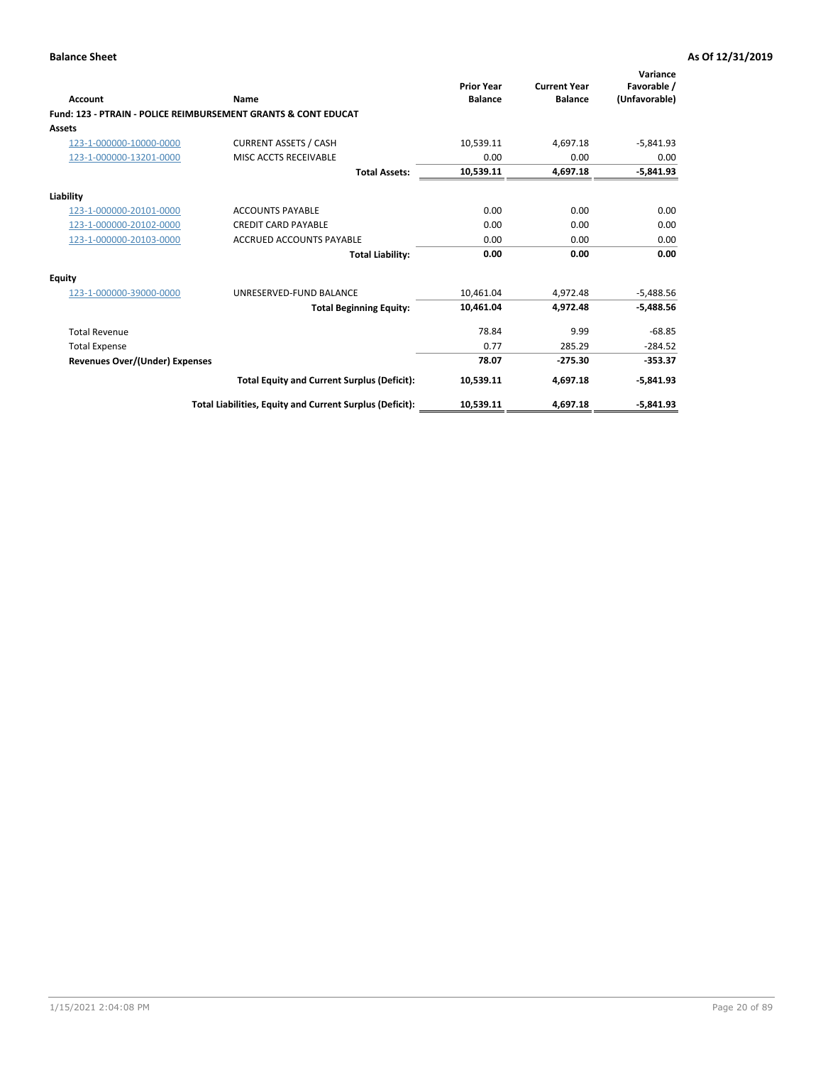| Account                        | Name                                                           | <b>Prior Year</b><br><b>Balance</b> | <b>Current Year</b><br><b>Balance</b> | Variance<br>Favorable /<br>(Unfavorable) |
|--------------------------------|----------------------------------------------------------------|-------------------------------------|---------------------------------------|------------------------------------------|
|                                | Fund: 123 - PTRAIN - POLICE REIMBURSEMENT GRANTS & CONT EDUCAT |                                     |                                       |                                          |
| Assets                         |                                                                |                                     |                                       |                                          |
| 123-1-000000-10000-0000        | <b>CURRENT ASSETS / CASH</b>                                   | 10,539.11                           | 4,697.18                              | $-5,841.93$                              |
| 123-1-000000-13201-0000        | MISC ACCTS RECEIVABLE                                          | 0.00                                | 0.00                                  | 0.00                                     |
|                                | <b>Total Assets:</b>                                           | 10,539.11                           | 4,697.18                              | $-5,841.93$                              |
| Liability                      |                                                                |                                     |                                       |                                          |
| 123-1-000000-20101-0000        | <b>ACCOUNTS PAYABLE</b>                                        | 0.00                                | 0.00                                  | 0.00                                     |
| 123-1-000000-20102-0000        | <b>CREDIT CARD PAYABLE</b>                                     | 0.00                                | 0.00                                  | 0.00                                     |
| 123-1-000000-20103-0000        | <b>ACCRUED ACCOUNTS PAYABLE</b>                                | 0.00                                | 0.00                                  | 0.00                                     |
|                                | <b>Total Liability:</b>                                        | 0.00                                | 0.00                                  | 0.00                                     |
| Equity                         |                                                                |                                     |                                       |                                          |
| 123-1-000000-39000-0000        | UNRESERVED-FUND BALANCE                                        | 10.461.04                           | 4,972.48                              | $-5,488.56$                              |
|                                | <b>Total Beginning Equity:</b>                                 | 10,461.04                           | 4,972.48                              | $-5,488.56$                              |
| <b>Total Revenue</b>           |                                                                | 78.84                               | 9.99                                  | $-68.85$                                 |
| <b>Total Expense</b>           |                                                                | 0.77                                | 285.29                                | $-284.52$                                |
| Revenues Over/(Under) Expenses |                                                                | 78.07                               | $-275.30$                             | $-353.37$                                |
|                                | <b>Total Equity and Current Surplus (Deficit):</b>             | 10,539.11                           | 4,697.18                              | $-5,841.93$                              |
|                                | Total Liabilities, Equity and Current Surplus (Deficit):       | 10,539.11                           | 4,697.18                              | $-5,841.93$                              |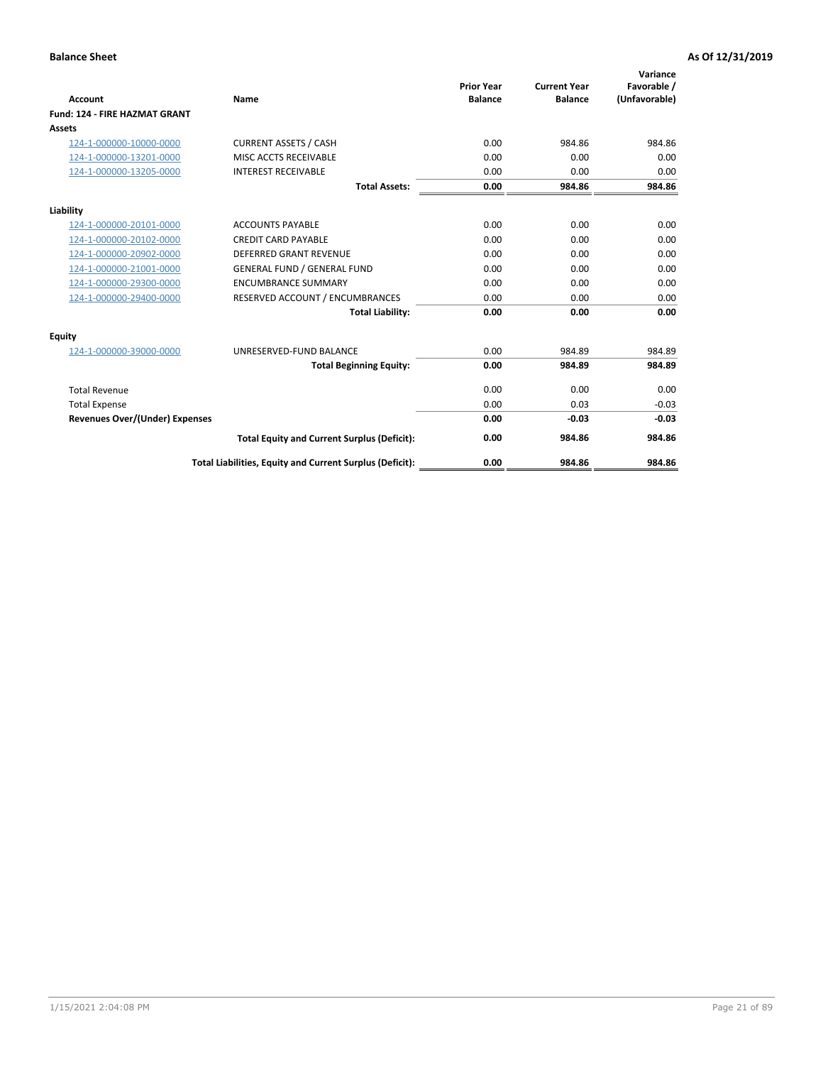|                                      |                                                          |                                     |                                       | Variance                     |
|--------------------------------------|----------------------------------------------------------|-------------------------------------|---------------------------------------|------------------------------|
| <b>Account</b>                       | <b>Name</b>                                              | <b>Prior Year</b><br><b>Balance</b> | <b>Current Year</b><br><b>Balance</b> | Favorable /<br>(Unfavorable) |
| <b>Fund: 124 - FIRE HAZMAT GRANT</b> |                                                          |                                     |                                       |                              |
| <b>Assets</b>                        |                                                          |                                     |                                       |                              |
| 124-1-000000-10000-0000              | <b>CURRENT ASSETS / CASH</b>                             | 0.00                                | 984.86                                | 984.86                       |
| 124-1-000000-13201-0000              | MISC ACCTS RECEIVABLE                                    | 0.00                                | 0.00                                  | 0.00                         |
| 124-1-000000-13205-0000              | <b>INTEREST RECEIVABLE</b>                               | 0.00                                | 0.00                                  | 0.00                         |
|                                      | <b>Total Assets:</b>                                     | 0.00                                | 984.86                                | 984.86                       |
| Liability                            |                                                          |                                     |                                       |                              |
| 124-1-000000-20101-0000              | <b>ACCOUNTS PAYABLE</b>                                  | 0.00                                | 0.00                                  | 0.00                         |
| 124-1-000000-20102-0000              | <b>CREDIT CARD PAYABLE</b>                               | 0.00                                | 0.00                                  | 0.00                         |
| 124-1-000000-20902-0000              | <b>DEFERRED GRANT REVENUE</b>                            | 0.00                                | 0.00                                  | 0.00                         |
| 124-1-000000-21001-0000              | <b>GENERAL FUND / GENERAL FUND</b>                       | 0.00                                | 0.00                                  | 0.00                         |
| 124-1-000000-29300-0000              | <b>ENCUMBRANCE SUMMARY</b>                               | 0.00                                | 0.00                                  | 0.00                         |
| 124-1-000000-29400-0000              | RESERVED ACCOUNT / ENCUMBRANCES                          | 0.00                                | 0.00                                  | 0.00                         |
|                                      | <b>Total Liability:</b>                                  | 0.00                                | 0.00                                  | 0.00                         |
| Equity                               |                                                          |                                     |                                       |                              |
| 124-1-000000-39000-0000              | UNRESERVED-FUND BALANCE                                  | 0.00                                | 984.89                                | 984.89                       |
|                                      | <b>Total Beginning Equity:</b>                           | 0.00                                | 984.89                                | 984.89                       |
| <b>Total Revenue</b>                 |                                                          | 0.00                                | 0.00                                  | 0.00                         |
| <b>Total Expense</b>                 |                                                          | 0.00                                | 0.03                                  | $-0.03$                      |
| Revenues Over/(Under) Expenses       |                                                          | 0.00                                | $-0.03$                               | $-0.03$                      |
|                                      | <b>Total Equity and Current Surplus (Deficit):</b>       | 0.00                                | 984.86                                | 984.86                       |
|                                      | Total Liabilities, Equity and Current Surplus (Deficit): | 0.00                                | 984.86                                | 984.86                       |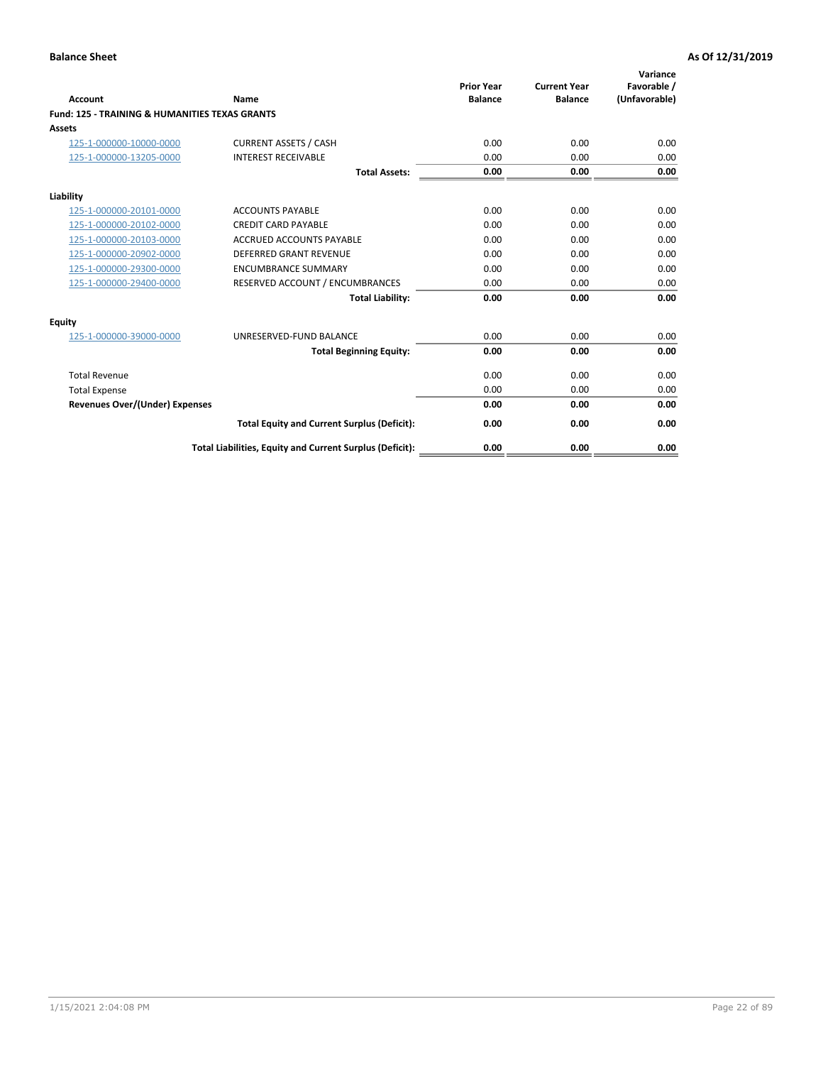| Account                                                   | Name                                                     | <b>Prior Year</b><br><b>Balance</b> | <b>Current Year</b><br><b>Balance</b> | Variance<br>Favorable /<br>(Unfavorable) |
|-----------------------------------------------------------|----------------------------------------------------------|-------------------------------------|---------------------------------------|------------------------------------------|
| <b>Fund: 125 - TRAINING &amp; HUMANITIES TEXAS GRANTS</b> |                                                          |                                     |                                       |                                          |
| <b>Assets</b>                                             |                                                          |                                     |                                       |                                          |
| 125-1-000000-10000-0000                                   | <b>CURRENT ASSETS / CASH</b>                             | 0.00                                | 0.00                                  | 0.00                                     |
| 125-1-000000-13205-0000                                   | <b>INTEREST RECEIVABLE</b>                               | 0.00                                | 0.00                                  | 0.00                                     |
|                                                           | <b>Total Assets:</b>                                     | 0.00                                | 0.00                                  | 0.00                                     |
| Liability                                                 |                                                          |                                     |                                       |                                          |
| 125-1-000000-20101-0000                                   | <b>ACCOUNTS PAYABLE</b>                                  | 0.00                                | 0.00                                  | 0.00                                     |
| 125-1-000000-20102-0000                                   | <b>CREDIT CARD PAYABLE</b>                               | 0.00                                | 0.00                                  | 0.00                                     |
| 125-1-000000-20103-0000                                   | <b>ACCRUED ACCOUNTS PAYABLE</b>                          | 0.00                                | 0.00                                  | 0.00                                     |
| 125-1-000000-20902-0000                                   | <b>DEFERRED GRANT REVENUE</b>                            | 0.00                                | 0.00                                  | 0.00                                     |
| 125-1-000000-29300-0000                                   | <b>ENCUMBRANCE SUMMARY</b>                               | 0.00                                | 0.00                                  | 0.00                                     |
| 125-1-000000-29400-0000                                   | RESERVED ACCOUNT / ENCUMBRANCES                          | 0.00                                | 0.00                                  | 0.00                                     |
|                                                           | <b>Total Liability:</b>                                  | 0.00                                | 0.00                                  | 0.00                                     |
| <b>Equity</b>                                             |                                                          |                                     |                                       |                                          |
| 125-1-000000-39000-0000                                   | UNRESERVED-FUND BALANCE                                  | 0.00                                | 0.00                                  | 0.00                                     |
|                                                           | <b>Total Beginning Equity:</b>                           | 0.00                                | 0.00                                  | 0.00                                     |
| <b>Total Revenue</b>                                      |                                                          | 0.00                                | 0.00                                  | 0.00                                     |
| <b>Total Expense</b>                                      |                                                          | 0.00                                | 0.00                                  | 0.00                                     |
| <b>Revenues Over/(Under) Expenses</b>                     |                                                          | 0.00                                | 0.00                                  | 0.00                                     |
|                                                           | <b>Total Equity and Current Surplus (Deficit):</b>       | 0.00                                | 0.00                                  | 0.00                                     |
|                                                           | Total Liabilities, Equity and Current Surplus (Deficit): | 0.00                                | 0.00                                  | 0.00                                     |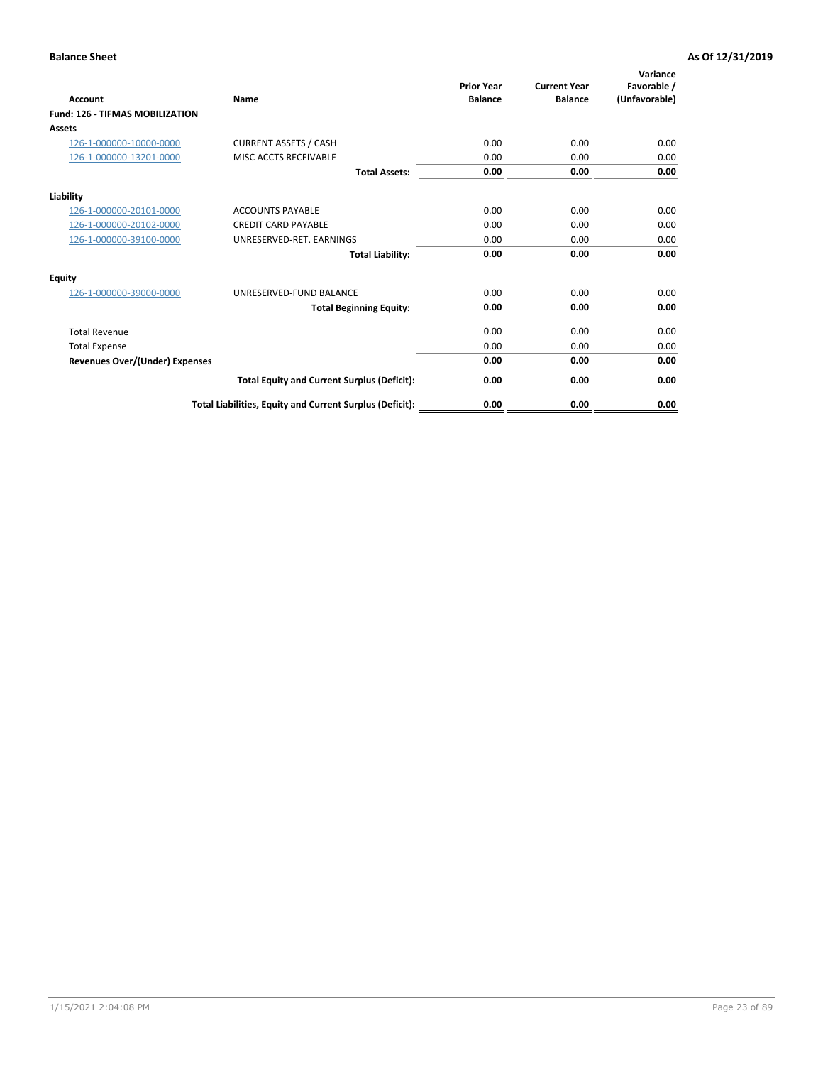| Account                                | Name                                                     | <b>Prior Year</b><br><b>Balance</b> | <b>Current Year</b><br><b>Balance</b> | Variance<br>Favorable /<br>(Unfavorable) |
|----------------------------------------|----------------------------------------------------------|-------------------------------------|---------------------------------------|------------------------------------------|
| <b>Fund: 126 - TIFMAS MOBILIZATION</b> |                                                          |                                     |                                       |                                          |
| Assets                                 |                                                          |                                     |                                       |                                          |
| 126-1-000000-10000-0000                | <b>CURRENT ASSETS / CASH</b>                             | 0.00                                | 0.00                                  | 0.00                                     |
| 126-1-000000-13201-0000                | MISC ACCTS RECEIVABLE                                    | 0.00                                | 0.00                                  | 0.00                                     |
|                                        | <b>Total Assets:</b>                                     | 0.00                                | 0.00                                  | 0.00                                     |
| Liability                              |                                                          |                                     |                                       |                                          |
| 126-1-000000-20101-0000                | <b>ACCOUNTS PAYABLE</b>                                  | 0.00                                | 0.00                                  | 0.00                                     |
| 126-1-000000-20102-0000                | <b>CREDIT CARD PAYABLE</b>                               | 0.00                                | 0.00                                  | 0.00                                     |
| 126-1-000000-39100-0000                | UNRESERVED-RET. EARNINGS                                 | 0.00                                | 0.00                                  | 0.00                                     |
|                                        | <b>Total Liability:</b>                                  | 0.00                                | 0.00                                  | 0.00                                     |
| Equity                                 |                                                          |                                     |                                       |                                          |
| 126-1-000000-39000-0000                | UNRESERVED-FUND BALANCE                                  | 0.00                                | 0.00                                  | 0.00                                     |
|                                        | <b>Total Beginning Equity:</b>                           | 0.00                                | 0.00                                  | 0.00                                     |
| <b>Total Revenue</b>                   |                                                          | 0.00                                | 0.00                                  | 0.00                                     |
| <b>Total Expense</b>                   |                                                          | 0.00                                | 0.00                                  | 0.00                                     |
| Revenues Over/(Under) Expenses         |                                                          | 0.00                                | 0.00                                  | 0.00                                     |
|                                        | <b>Total Equity and Current Surplus (Deficit):</b>       | 0.00                                | 0.00                                  | 0.00                                     |
|                                        | Total Liabilities, Equity and Current Surplus (Deficit): | 0.00                                | 0.00                                  | 0.00                                     |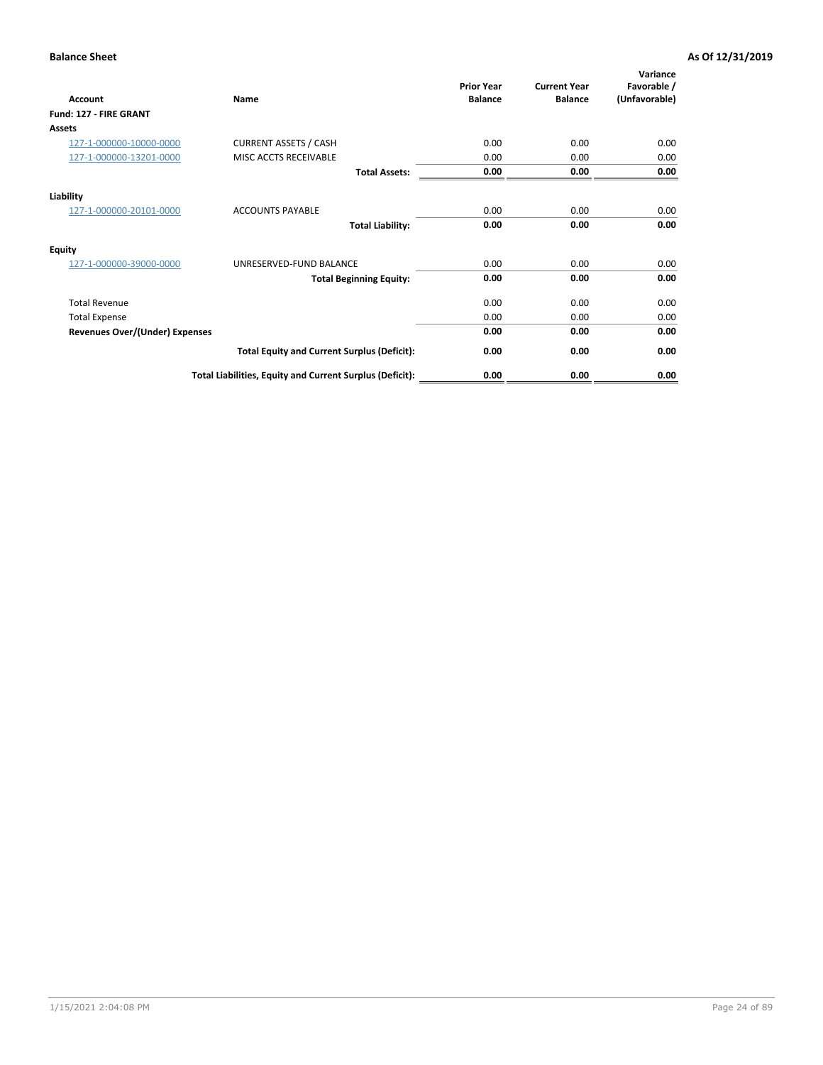| <b>Account</b>                        | Name                                                     | <b>Prior Year</b><br><b>Balance</b> | <b>Current Year</b><br><b>Balance</b> | Variance<br>Favorable /<br>(Unfavorable) |
|---------------------------------------|----------------------------------------------------------|-------------------------------------|---------------------------------------|------------------------------------------|
| Fund: 127 - FIRE GRANT                |                                                          |                                     |                                       |                                          |
| Assets                                |                                                          |                                     |                                       |                                          |
| 127-1-000000-10000-0000               | <b>CURRENT ASSETS / CASH</b>                             | 0.00                                | 0.00                                  | 0.00                                     |
| 127-1-000000-13201-0000               | MISC ACCTS RECEIVABLE                                    | 0.00                                | 0.00                                  | 0.00                                     |
|                                       | <b>Total Assets:</b>                                     | 0.00                                | 0.00                                  | 0.00                                     |
| Liability                             |                                                          |                                     |                                       |                                          |
| 127-1-000000-20101-0000               | <b>ACCOUNTS PAYABLE</b>                                  | 0.00                                | 0.00                                  | 0.00                                     |
|                                       | <b>Total Liability:</b>                                  | 0.00                                | 0.00                                  | 0.00                                     |
| Equity                                |                                                          |                                     |                                       |                                          |
| 127-1-000000-39000-0000               | UNRESERVED-FUND BALANCE                                  | 0.00                                | 0.00                                  | 0.00                                     |
|                                       | <b>Total Beginning Equity:</b>                           | 0.00                                | 0.00                                  | 0.00                                     |
| <b>Total Revenue</b>                  |                                                          | 0.00                                | 0.00                                  | 0.00                                     |
| <b>Total Expense</b>                  |                                                          | 0.00                                | 0.00                                  | 0.00                                     |
| <b>Revenues Over/(Under) Expenses</b> |                                                          | 0.00                                | 0.00                                  | 0.00                                     |
|                                       | <b>Total Equity and Current Surplus (Deficit):</b>       | 0.00                                | 0.00                                  | 0.00                                     |
|                                       | Total Liabilities, Equity and Current Surplus (Deficit): | 0.00                                | 0.00                                  | 0.00                                     |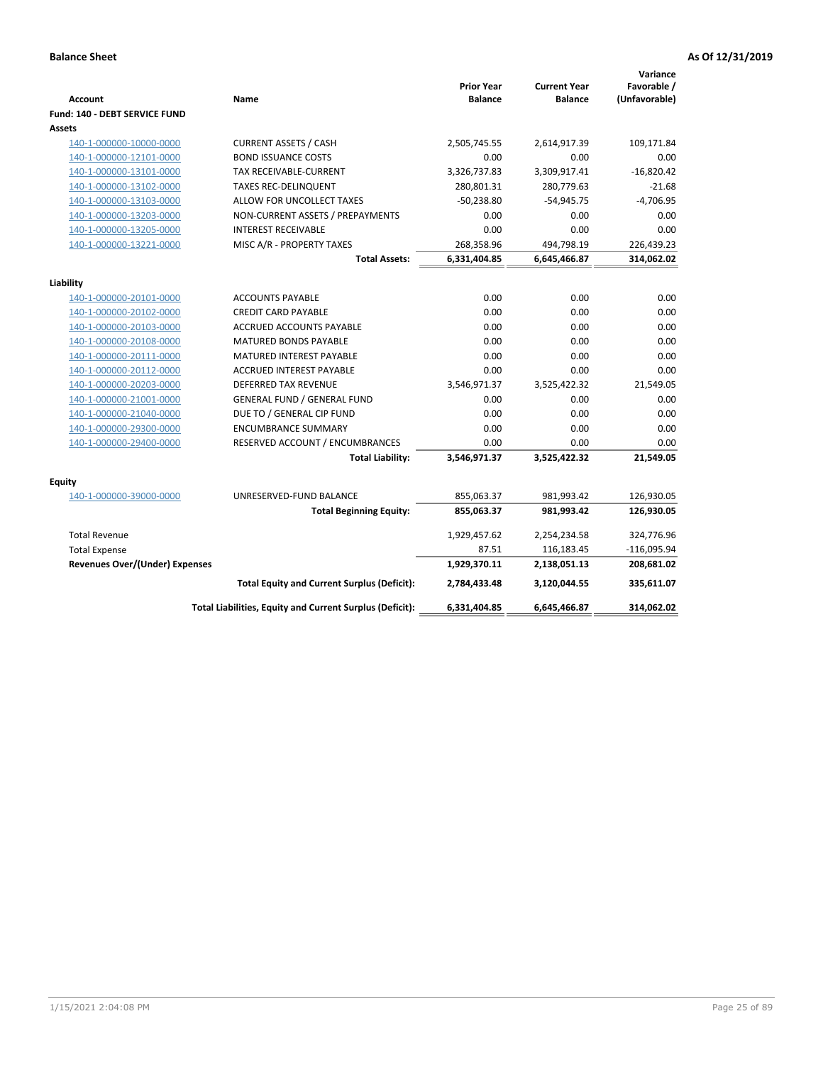| <b>Account</b>                 | Name                                                     | <b>Prior Year</b><br><b>Balance</b> | <b>Current Year</b><br><b>Balance</b> | Variance<br>Favorable /<br>(Unfavorable) |
|--------------------------------|----------------------------------------------------------|-------------------------------------|---------------------------------------|------------------------------------------|
| Fund: 140 - DEBT SERVICE FUND  |                                                          |                                     |                                       |                                          |
| Assets                         |                                                          |                                     |                                       |                                          |
| 140-1-000000-10000-0000        | <b>CURRENT ASSETS / CASH</b>                             | 2,505,745.55                        | 2,614,917.39                          | 109,171.84                               |
| 140-1-000000-12101-0000        | <b>BOND ISSUANCE COSTS</b>                               | 0.00                                | 0.00                                  | 0.00                                     |
| 140-1-000000-13101-0000        | TAX RECEIVABLE-CURRENT                                   | 3,326,737.83                        | 3,309,917.41                          | $-16,820.42$                             |
| 140-1-000000-13102-0000        | <b>TAXES REC-DELINQUENT</b>                              | 280,801.31                          | 280,779.63                            | $-21.68$                                 |
| 140-1-000000-13103-0000        | ALLOW FOR UNCOLLECT TAXES                                | $-50,238.80$                        | $-54,945.75$                          | $-4,706.95$                              |
| 140-1-000000-13203-0000        | NON-CURRENT ASSETS / PREPAYMENTS                         | 0.00                                | 0.00                                  | 0.00                                     |
| 140-1-000000-13205-0000        | <b>INTEREST RECEIVABLE</b>                               | 0.00                                | 0.00                                  | 0.00                                     |
| 140-1-000000-13221-0000        | MISC A/R - PROPERTY TAXES                                | 268,358.96                          | 494,798.19                            | 226,439.23                               |
|                                | <b>Total Assets:</b>                                     | 6,331,404.85                        | 6,645,466.87                          | 314,062.02                               |
| Liability                      |                                                          |                                     |                                       |                                          |
| 140-1-000000-20101-0000        | <b>ACCOUNTS PAYABLE</b>                                  | 0.00                                | 0.00                                  | 0.00                                     |
| 140-1-000000-20102-0000        | <b>CREDIT CARD PAYABLE</b>                               | 0.00                                | 0.00                                  | 0.00                                     |
| 140-1-000000-20103-0000        | ACCRUED ACCOUNTS PAYABLE                                 | 0.00                                | 0.00                                  | 0.00                                     |
| 140-1-000000-20108-0000        | <b>MATURED BONDS PAYABLE</b>                             | 0.00                                | 0.00                                  | 0.00                                     |
| 140-1-000000-20111-0000        | MATURED INTEREST PAYABLE                                 | 0.00                                | 0.00                                  | 0.00                                     |
| 140-1-000000-20112-0000        | <b>ACCRUED INTEREST PAYABLE</b>                          | 0.00                                | 0.00                                  | 0.00                                     |
| 140-1-000000-20203-0000        | <b>DEFERRED TAX REVENUE</b>                              | 3,546,971.37                        | 3,525,422.32                          | 21,549.05                                |
| 140-1-000000-21001-0000        | <b>GENERAL FUND / GENERAL FUND</b>                       | 0.00                                | 0.00                                  | 0.00                                     |
| 140-1-000000-21040-0000        | DUE TO / GENERAL CIP FUND                                | 0.00                                | 0.00                                  | 0.00                                     |
| 140-1-000000-29300-0000        | <b>ENCUMBRANCE SUMMARY</b>                               | 0.00                                | 0.00                                  | 0.00                                     |
| 140-1-000000-29400-0000        | RESERVED ACCOUNT / ENCUMBRANCES                          | 0.00                                | 0.00                                  | 0.00                                     |
|                                | <b>Total Liability:</b>                                  | 3,546,971.37                        | 3,525,422.32                          | 21,549.05                                |
| Equity                         |                                                          |                                     |                                       |                                          |
| 140-1-000000-39000-0000        | UNRESERVED-FUND BALANCE                                  | 855,063.37                          | 981,993.42                            | 126,930.05                               |
|                                | <b>Total Beginning Equity:</b>                           | 855,063.37                          | 981,993.42                            | 126,930.05                               |
| <b>Total Revenue</b>           |                                                          | 1,929,457.62                        | 2,254,234.58                          | 324,776.96                               |
| <b>Total Expense</b>           |                                                          | 87.51                               | 116,183.45                            | $-116,095.94$                            |
| Revenues Over/(Under) Expenses |                                                          | 1,929,370.11                        | 2,138,051.13                          | 208,681.02                               |
|                                | <b>Total Equity and Current Surplus (Deficit):</b>       | 2,784,433.48                        | 3,120,044.55                          | 335,611.07                               |
|                                | Total Liabilities, Equity and Current Surplus (Deficit): | 6,331,404.85                        | 6.645.466.87                          | 314,062.02                               |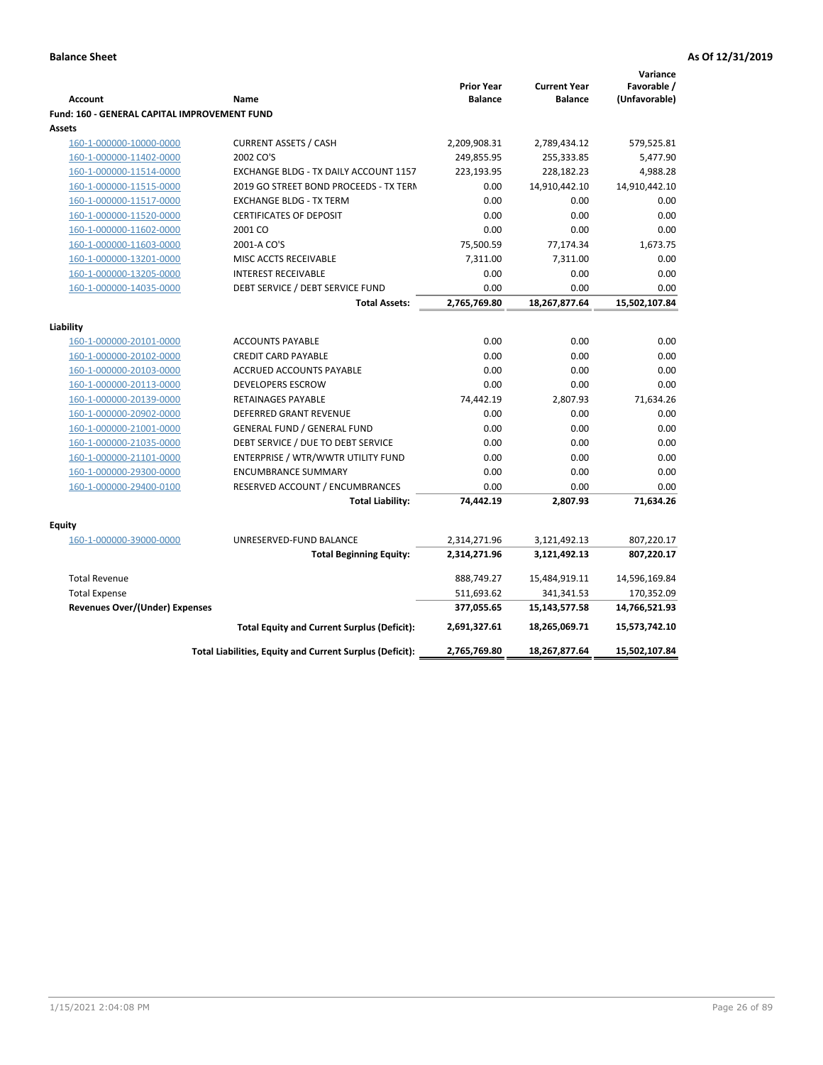| <b>Prior Year</b><br><b>Current Year</b><br><b>Balance</b><br><b>Balance</b><br><b>Account</b><br>Name<br>Fund: 160 - GENERAL CAPITAL IMPROVEMENT FUND<br><b>Assets</b><br><b>CURRENT ASSETS / CASH</b><br>2,209,908.31<br>160-1-000000-10000-0000<br>2,789,434.12<br>2002 CO'S<br>249,855.95<br>255,333.85<br>160-1-000000-11402-0000<br>160-1-000000-11514-0000<br>EXCHANGE BLDG - TX DAILY ACCOUNT 1157<br>223,193.95<br>228,182.23<br>160-1-000000-11515-0000<br>2019 GO STREET BOND PROCEEDS - TX TERN<br>14,910,442.10<br>0.00<br>0.00<br>0.00<br>160-1-000000-11517-0000<br><b>EXCHANGE BLDG - TX TERM</b><br>160-1-000000-11520-0000<br><b>CERTIFICATES OF DEPOSIT</b><br>0.00<br>0.00 | Favorable /<br>(Unfavorable)<br>579,525.81<br>5,477.90<br>4,988.28<br>14,910,442.10<br>0.00<br>0.00<br>0.00 |
|------------------------------------------------------------------------------------------------------------------------------------------------------------------------------------------------------------------------------------------------------------------------------------------------------------------------------------------------------------------------------------------------------------------------------------------------------------------------------------------------------------------------------------------------------------------------------------------------------------------------------------------------------------------------------------------------|-------------------------------------------------------------------------------------------------------------|
|                                                                                                                                                                                                                                                                                                                                                                                                                                                                                                                                                                                                                                                                                                |                                                                                                             |
|                                                                                                                                                                                                                                                                                                                                                                                                                                                                                                                                                                                                                                                                                                |                                                                                                             |
|                                                                                                                                                                                                                                                                                                                                                                                                                                                                                                                                                                                                                                                                                                |                                                                                                             |
|                                                                                                                                                                                                                                                                                                                                                                                                                                                                                                                                                                                                                                                                                                |                                                                                                             |
|                                                                                                                                                                                                                                                                                                                                                                                                                                                                                                                                                                                                                                                                                                |                                                                                                             |
|                                                                                                                                                                                                                                                                                                                                                                                                                                                                                                                                                                                                                                                                                                |                                                                                                             |
|                                                                                                                                                                                                                                                                                                                                                                                                                                                                                                                                                                                                                                                                                                |                                                                                                             |
|                                                                                                                                                                                                                                                                                                                                                                                                                                                                                                                                                                                                                                                                                                |                                                                                                             |
|                                                                                                                                                                                                                                                                                                                                                                                                                                                                                                                                                                                                                                                                                                |                                                                                                             |
|                                                                                                                                                                                                                                                                                                                                                                                                                                                                                                                                                                                                                                                                                                |                                                                                                             |
| 160-1-000000-11602-0000<br>2001 CO<br>0.00<br>0.00                                                                                                                                                                                                                                                                                                                                                                                                                                                                                                                                                                                                                                             |                                                                                                             |
| 2001-A CO'S<br>75,500.59<br>77,174.34<br>160-1-000000-11603-0000                                                                                                                                                                                                                                                                                                                                                                                                                                                                                                                                                                                                                               | 1,673.75                                                                                                    |
| 160-1-000000-13201-0000<br>MISC ACCTS RECEIVABLE<br>7,311.00<br>7,311.00                                                                                                                                                                                                                                                                                                                                                                                                                                                                                                                                                                                                                       | 0.00                                                                                                        |
| <b>INTEREST RECEIVABLE</b><br>0.00<br>0.00<br>160-1-000000-13205-0000                                                                                                                                                                                                                                                                                                                                                                                                                                                                                                                                                                                                                          | 0.00                                                                                                        |
| DEBT SERVICE / DEBT SERVICE FUND<br>0.00<br>0.00<br>160-1-000000-14035-0000                                                                                                                                                                                                                                                                                                                                                                                                                                                                                                                                                                                                                    | 0.00                                                                                                        |
| 2,765,769.80<br>18,267,877.64<br><b>Total Assets:</b>                                                                                                                                                                                                                                                                                                                                                                                                                                                                                                                                                                                                                                          | 15,502,107.84                                                                                               |
| Liability                                                                                                                                                                                                                                                                                                                                                                                                                                                                                                                                                                                                                                                                                      |                                                                                                             |
| 0.00<br>0.00<br>160-1-000000-20101-0000<br><b>ACCOUNTS PAYABLE</b>                                                                                                                                                                                                                                                                                                                                                                                                                                                                                                                                                                                                                             | 0.00                                                                                                        |
| 0.00<br>0.00<br>160-1-000000-20102-0000<br><b>CREDIT CARD PAYABLE</b>                                                                                                                                                                                                                                                                                                                                                                                                                                                                                                                                                                                                                          | 0.00                                                                                                        |
| 160-1-000000-20103-0000<br>ACCRUED ACCOUNTS PAYABLE<br>0.00<br>0.00                                                                                                                                                                                                                                                                                                                                                                                                                                                                                                                                                                                                                            | 0.00                                                                                                        |
| <b>DEVELOPERS ESCROW</b><br>0.00<br>0.00<br>160-1-000000-20113-0000                                                                                                                                                                                                                                                                                                                                                                                                                                                                                                                                                                                                                            | 0.00                                                                                                        |
| 74,442.19<br>2,807.93<br>160-1-000000-20139-0000<br><b>RETAINAGES PAYABLE</b>                                                                                                                                                                                                                                                                                                                                                                                                                                                                                                                                                                                                                  | 71,634.26                                                                                                   |
| 0.00<br>0.00<br>160-1-000000-20902-0000<br><b>DEFERRED GRANT REVENUE</b>                                                                                                                                                                                                                                                                                                                                                                                                                                                                                                                                                                                                                       | 0.00                                                                                                        |
| <b>GENERAL FUND / GENERAL FUND</b><br>0.00<br>0.00<br>160-1-000000-21001-0000                                                                                                                                                                                                                                                                                                                                                                                                                                                                                                                                                                                                                  | 0.00                                                                                                        |
| DEBT SERVICE / DUE TO DEBT SERVICE<br>0.00<br>0.00<br>160-1-000000-21035-0000                                                                                                                                                                                                                                                                                                                                                                                                                                                                                                                                                                                                                  | 0.00                                                                                                        |
| 0.00<br>160-1-000000-21101-0000<br>ENTERPRISE / WTR/WWTR UTILITY FUND<br>0.00                                                                                                                                                                                                                                                                                                                                                                                                                                                                                                                                                                                                                  | 0.00                                                                                                        |
| <b>ENCUMBRANCE SUMMARY</b><br>0.00<br>0.00                                                                                                                                                                                                                                                                                                                                                                                                                                                                                                                                                                                                                                                     | 0.00                                                                                                        |
| 160-1-000000-29300-0000<br>0.00                                                                                                                                                                                                                                                                                                                                                                                                                                                                                                                                                                                                                                                                | 0.00                                                                                                        |
| 160-1-000000-29400-0100<br>0.00<br>RESERVED ACCOUNT / ENCUMBRANCES                                                                                                                                                                                                                                                                                                                                                                                                                                                                                                                                                                                                                             |                                                                                                             |
| <b>Total Liability:</b><br>74,442.19<br>2,807.93                                                                                                                                                                                                                                                                                                                                                                                                                                                                                                                                                                                                                                               | 71,634.26                                                                                                   |
| <b>Equity</b>                                                                                                                                                                                                                                                                                                                                                                                                                                                                                                                                                                                                                                                                                  |                                                                                                             |
| 160-1-000000-39000-0000<br>UNRESERVED-FUND BALANCE<br>2,314,271.96<br>3,121,492.13                                                                                                                                                                                                                                                                                                                                                                                                                                                                                                                                                                                                             | 807,220.17                                                                                                  |
| <b>Total Beginning Equity:</b><br>2,314,271.96<br>3,121,492.13                                                                                                                                                                                                                                                                                                                                                                                                                                                                                                                                                                                                                                 | 807,220.17                                                                                                  |
| <b>Total Revenue</b><br>888,749.27<br>15,484,919.11                                                                                                                                                                                                                                                                                                                                                                                                                                                                                                                                                                                                                                            | 14,596,169.84                                                                                               |
| <b>Total Expense</b><br>511,693.62<br>341,341.53                                                                                                                                                                                                                                                                                                                                                                                                                                                                                                                                                                                                                                               | 170,352.09                                                                                                  |
| <b>Revenues Over/(Under) Expenses</b><br>377,055.65<br>15,143,577.58                                                                                                                                                                                                                                                                                                                                                                                                                                                                                                                                                                                                                           | 14,766,521.93                                                                                               |
| <b>Total Equity and Current Surplus (Deficit):</b><br>2,691,327.61<br>18,265,069.71                                                                                                                                                                                                                                                                                                                                                                                                                                                                                                                                                                                                            | 15,573,742.10                                                                                               |
| Total Liabilities, Equity and Current Surplus (Deficit):<br>2,765,769.80<br>18,267,877.64                                                                                                                                                                                                                                                                                                                                                                                                                                                                                                                                                                                                      | 15,502,107.84                                                                                               |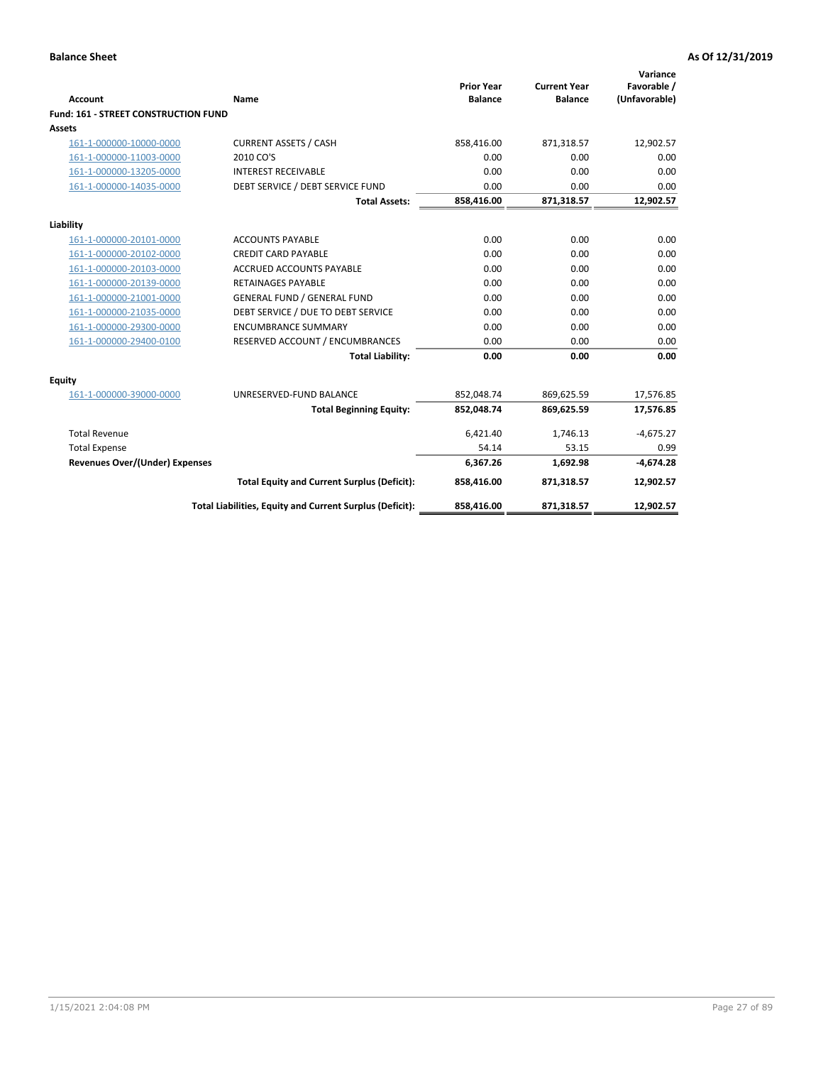| <b>Account</b>                              | <b>Name</b>                                              | <b>Prior Year</b><br><b>Balance</b> | <b>Current Year</b><br><b>Balance</b> | Variance<br>Favorable /<br>(Unfavorable) |
|---------------------------------------------|----------------------------------------------------------|-------------------------------------|---------------------------------------|------------------------------------------|
| <b>Fund: 161 - STREET CONSTRUCTION FUND</b> |                                                          |                                     |                                       |                                          |
| <b>Assets</b>                               |                                                          |                                     |                                       |                                          |
| 161-1-000000-10000-0000                     | <b>CURRENT ASSETS / CASH</b>                             | 858,416.00                          | 871,318.57                            | 12,902.57                                |
| 161-1-000000-11003-0000                     | 2010 CO'S                                                | 0.00                                | 0.00                                  | 0.00                                     |
| 161-1-000000-13205-0000                     | <b>INTEREST RECEIVABLE</b>                               | 0.00                                | 0.00                                  | 0.00                                     |
| 161-1-000000-14035-0000                     | DEBT SERVICE / DEBT SERVICE FUND                         | 0.00                                | 0.00                                  | 0.00                                     |
|                                             | <b>Total Assets:</b>                                     | 858,416.00                          | 871,318.57                            | 12,902.57                                |
| Liability                                   |                                                          |                                     |                                       |                                          |
| 161-1-000000-20101-0000                     | <b>ACCOUNTS PAYABLE</b>                                  | 0.00                                | 0.00                                  | 0.00                                     |
| 161-1-000000-20102-0000                     | <b>CREDIT CARD PAYABLE</b>                               | 0.00                                | 0.00                                  | 0.00                                     |
| 161-1-000000-20103-0000                     | <b>ACCRUED ACCOUNTS PAYABLE</b>                          | 0.00                                | 0.00                                  | 0.00                                     |
| 161-1-000000-20139-0000                     | <b>RETAINAGES PAYABLE</b>                                | 0.00                                | 0.00                                  | 0.00                                     |
| 161-1-000000-21001-0000                     | <b>GENERAL FUND / GENERAL FUND</b>                       | 0.00                                | 0.00                                  | 0.00                                     |
| 161-1-000000-21035-0000                     | DEBT SERVICE / DUE TO DEBT SERVICE                       | 0.00                                | 0.00                                  | 0.00                                     |
| 161-1-000000-29300-0000                     | <b>ENCUMBRANCE SUMMARY</b>                               | 0.00                                | 0.00                                  | 0.00                                     |
| 161-1-000000-29400-0100                     | RESERVED ACCOUNT / ENCUMBRANCES                          | 0.00                                | 0.00                                  | 0.00                                     |
|                                             | <b>Total Liability:</b>                                  | 0.00                                | 0.00                                  | 0.00                                     |
| <b>Equity</b>                               |                                                          |                                     |                                       |                                          |
| 161-1-000000-39000-0000                     | UNRESERVED-FUND BALANCE                                  | 852,048.74                          | 869,625.59                            | 17,576.85                                |
|                                             | <b>Total Beginning Equity:</b>                           | 852,048.74                          | 869,625.59                            | 17,576.85                                |
| <b>Total Revenue</b>                        |                                                          | 6,421.40                            | 1,746.13                              | $-4,675.27$                              |
| <b>Total Expense</b>                        |                                                          | 54.14                               | 53.15                                 | 0.99                                     |
| Revenues Over/(Under) Expenses              |                                                          | 6,367.26                            | 1,692.98                              | $-4,674.28$                              |
|                                             | <b>Total Equity and Current Surplus (Deficit):</b>       | 858,416.00                          | 871,318.57                            | 12,902.57                                |
|                                             | Total Liabilities, Equity and Current Surplus (Deficit): | 858,416.00                          | 871,318.57                            | 12,902.57                                |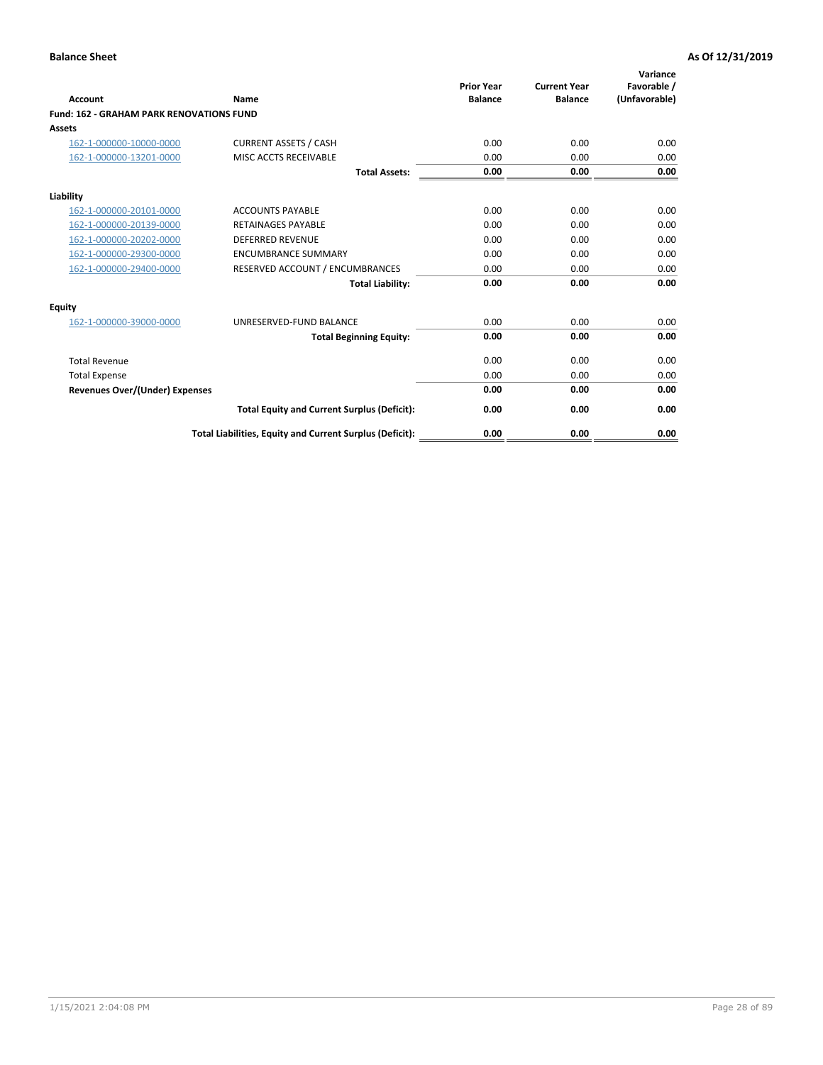|                                                 |                                                          | <b>Prior Year</b><br><b>Balance</b> | <b>Current Year</b> | Variance<br>Favorable / |
|-------------------------------------------------|----------------------------------------------------------|-------------------------------------|---------------------|-------------------------|
| <b>Account</b>                                  | Name                                                     |                                     | <b>Balance</b>      | (Unfavorable)           |
| <b>Fund: 162 - GRAHAM PARK RENOVATIONS FUND</b> |                                                          |                                     |                     |                         |
| <b>Assets</b>                                   |                                                          |                                     |                     |                         |
| 162-1-000000-10000-0000                         | <b>CURRENT ASSETS / CASH</b>                             | 0.00                                | 0.00                | 0.00                    |
| 162-1-000000-13201-0000                         | MISC ACCTS RECEIVABLE                                    | 0.00                                | 0.00                | 0.00                    |
|                                                 | <b>Total Assets:</b>                                     | 0.00                                | 0.00                | 0.00                    |
| Liability                                       |                                                          |                                     |                     |                         |
| 162-1-000000-20101-0000                         | <b>ACCOUNTS PAYABLE</b>                                  | 0.00                                | 0.00                | 0.00                    |
| 162-1-000000-20139-0000                         | <b>RETAINAGES PAYABLE</b>                                | 0.00                                | 0.00                | 0.00                    |
| 162-1-000000-20202-0000                         | <b>DEFERRED REVENUE</b>                                  | 0.00                                | 0.00                | 0.00                    |
| 162-1-000000-29300-0000                         | <b>ENCUMBRANCE SUMMARY</b>                               | 0.00                                | 0.00                | 0.00                    |
| 162-1-000000-29400-0000                         | RESERVED ACCOUNT / ENCUMBRANCES                          | 0.00                                | 0.00                | 0.00                    |
|                                                 | <b>Total Liability:</b>                                  | 0.00                                | 0.00                | 0.00                    |
| Equity                                          |                                                          |                                     |                     |                         |
| 162-1-000000-39000-0000                         | UNRESERVED-FUND BALANCE                                  | 0.00                                | 0.00                | 0.00                    |
|                                                 | <b>Total Beginning Equity:</b>                           | 0.00                                | 0.00                | 0.00                    |
| <b>Total Revenue</b>                            |                                                          | 0.00                                | 0.00                | 0.00                    |
| <b>Total Expense</b>                            |                                                          | 0.00                                | 0.00                | 0.00                    |
| Revenues Over/(Under) Expenses                  |                                                          | 0.00                                | 0.00                | 0.00                    |
|                                                 | <b>Total Equity and Current Surplus (Deficit):</b>       | 0.00                                | 0.00                | 0.00                    |
|                                                 | Total Liabilities, Equity and Current Surplus (Deficit): | 0.00                                | 0.00                | 0.00                    |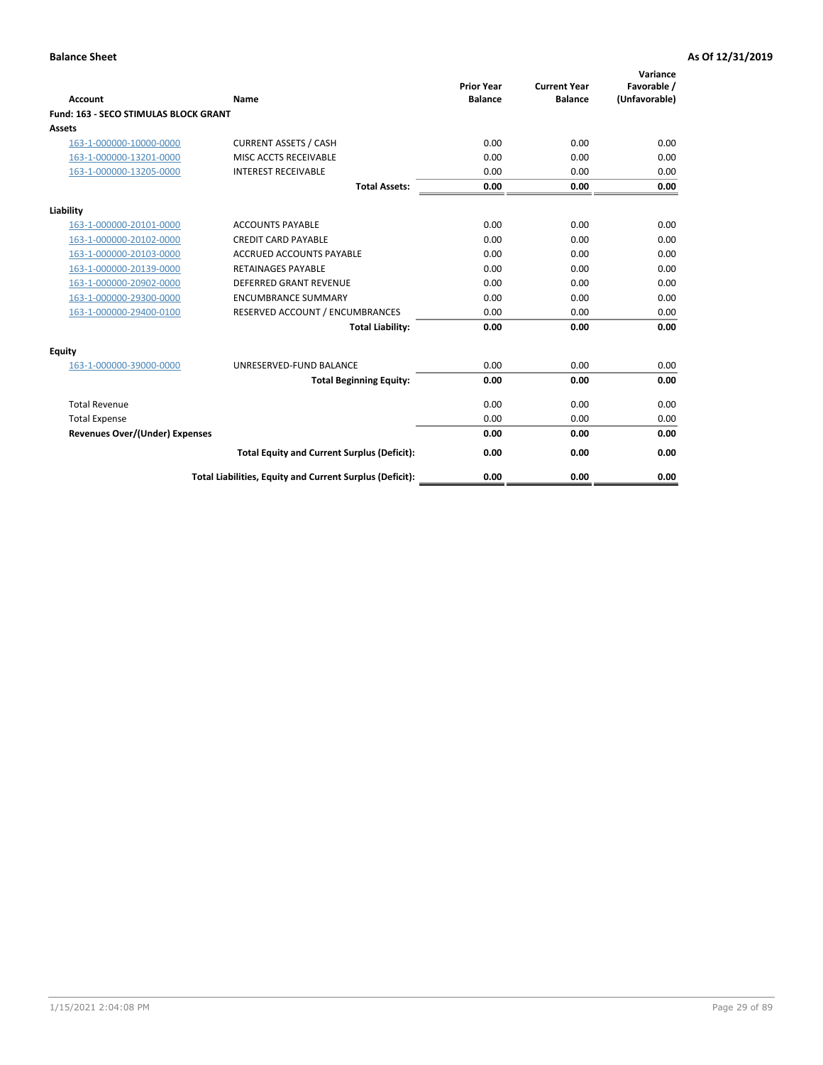|                                              |                                                          | <b>Prior Year</b> | <b>Current Year</b> | Variance<br>Favorable / |
|----------------------------------------------|----------------------------------------------------------|-------------------|---------------------|-------------------------|
| <b>Account</b>                               | Name                                                     | <b>Balance</b>    | <b>Balance</b>      | (Unfavorable)           |
| <b>Fund: 163 - SECO STIMULAS BLOCK GRANT</b> |                                                          |                   |                     |                         |
| Assets                                       |                                                          |                   |                     |                         |
| 163-1-000000-10000-0000                      | <b>CURRENT ASSETS / CASH</b>                             | 0.00              | 0.00                | 0.00                    |
| 163-1-000000-13201-0000                      | MISC ACCTS RECEIVABLE                                    | 0.00              | 0.00                | 0.00                    |
| 163-1-000000-13205-0000                      | <b>INTEREST RECEIVABLE</b>                               | 0.00              | 0.00                | 0.00                    |
|                                              | <b>Total Assets:</b>                                     | 0.00              | 0.00                | 0.00                    |
| Liability                                    |                                                          |                   |                     |                         |
| 163-1-000000-20101-0000                      | <b>ACCOUNTS PAYABLE</b>                                  | 0.00              | 0.00                | 0.00                    |
| 163-1-000000-20102-0000                      | <b>CREDIT CARD PAYABLE</b>                               | 0.00              | 0.00                | 0.00                    |
| 163-1-000000-20103-0000                      | <b>ACCRUED ACCOUNTS PAYABLE</b>                          | 0.00              | 0.00                | 0.00                    |
| 163-1-000000-20139-0000                      | <b>RETAINAGES PAYABLE</b>                                | 0.00              | 0.00                | 0.00                    |
| 163-1-000000-20902-0000                      | <b>DEFERRED GRANT REVENUE</b>                            | 0.00              | 0.00                | 0.00                    |
| 163-1-000000-29300-0000                      | <b>ENCUMBRANCE SUMMARY</b>                               | 0.00              | 0.00                | 0.00                    |
| 163-1-000000-29400-0100                      | RESERVED ACCOUNT / ENCUMBRANCES                          | 0.00              | 0.00                | 0.00                    |
|                                              | <b>Total Liability:</b>                                  | 0.00              | 0.00                | 0.00                    |
| <b>Equity</b>                                |                                                          |                   |                     |                         |
| 163-1-000000-39000-0000                      | UNRESERVED-FUND BALANCE                                  | 0.00              | 0.00                | 0.00                    |
|                                              | <b>Total Beginning Equity:</b>                           | 0.00              | 0.00                | 0.00                    |
| <b>Total Revenue</b>                         |                                                          | 0.00              | 0.00                | 0.00                    |
| <b>Total Expense</b>                         |                                                          | 0.00              | 0.00                | 0.00                    |
| Revenues Over/(Under) Expenses               |                                                          | 0.00              | 0.00                | 0.00                    |
|                                              | <b>Total Equity and Current Surplus (Deficit):</b>       | 0.00              | 0.00                | 0.00                    |
|                                              | Total Liabilities, Equity and Current Surplus (Deficit): | 0.00              | 0.00                | 0.00                    |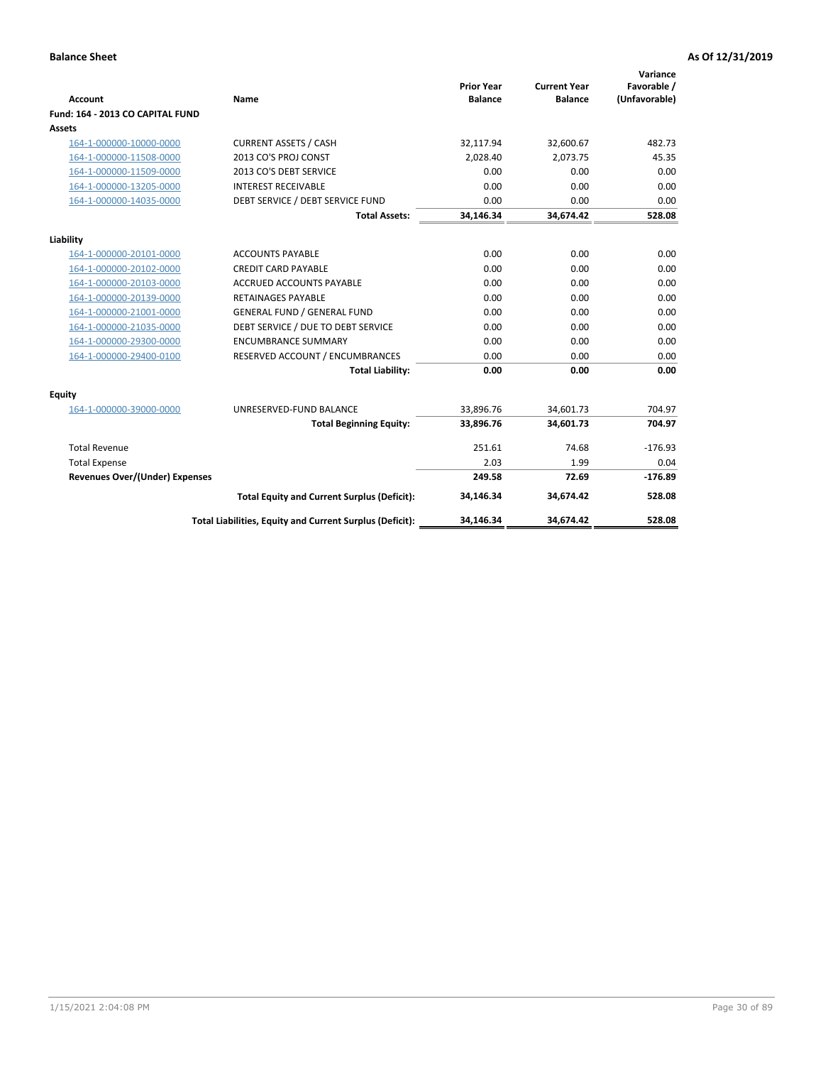| <b>Account</b>                        | Name                                                     | <b>Prior Year</b><br><b>Balance</b> | <b>Current Year</b><br><b>Balance</b> | Variance<br>Favorable /<br>(Unfavorable) |
|---------------------------------------|----------------------------------------------------------|-------------------------------------|---------------------------------------|------------------------------------------|
| Fund: 164 - 2013 CO CAPITAL FUND      |                                                          |                                     |                                       |                                          |
| Assets                                |                                                          |                                     |                                       |                                          |
| 164-1-000000-10000-0000               | <b>CURRENT ASSETS / CASH</b>                             | 32,117.94                           | 32,600.67                             | 482.73                                   |
| 164-1-000000-11508-0000               | 2013 CO'S PROJ CONST                                     | 2,028.40                            | 2,073.75                              | 45.35                                    |
| 164-1-000000-11509-0000               | 2013 CO'S DEBT SERVICE                                   | 0.00                                | 0.00                                  | 0.00                                     |
| 164-1-000000-13205-0000               | <b>INTEREST RECEIVABLE</b>                               | 0.00                                | 0.00                                  | 0.00                                     |
| 164-1-000000-14035-0000               | DEBT SERVICE / DEBT SERVICE FUND                         | 0.00                                | 0.00                                  | 0.00                                     |
|                                       | <b>Total Assets:</b>                                     | 34,146.34                           | 34,674.42                             | 528.08                                   |
| Liability                             |                                                          |                                     |                                       |                                          |
| 164-1-000000-20101-0000               | <b>ACCOUNTS PAYABLE</b>                                  | 0.00                                | 0.00                                  | 0.00                                     |
| 164-1-000000-20102-0000               | <b>CREDIT CARD PAYABLE</b>                               | 0.00                                | 0.00                                  | 0.00                                     |
| 164-1-000000-20103-0000               | <b>ACCRUED ACCOUNTS PAYABLE</b>                          | 0.00                                | 0.00                                  | 0.00                                     |
| 164-1-000000-20139-0000               | <b>RETAINAGES PAYABLE</b>                                | 0.00                                | 0.00                                  | 0.00                                     |
| 164-1-000000-21001-0000               | <b>GENERAL FUND / GENERAL FUND</b>                       | 0.00                                | 0.00                                  | 0.00                                     |
| 164-1-000000-21035-0000               | DEBT SERVICE / DUE TO DEBT SERVICE                       | 0.00                                | 0.00                                  | 0.00                                     |
| 164-1-000000-29300-0000               | <b>ENCUMBRANCE SUMMARY</b>                               | 0.00                                | 0.00                                  | 0.00                                     |
| 164-1-000000-29400-0100               | RESERVED ACCOUNT / ENCUMBRANCES                          | 0.00                                | 0.00                                  | 0.00                                     |
|                                       | <b>Total Liability:</b>                                  | 0.00                                | 0.00                                  | 0.00                                     |
| Equity                                |                                                          |                                     |                                       |                                          |
| 164-1-000000-39000-0000               | UNRESERVED-FUND BALANCE                                  | 33,896.76                           | 34,601.73                             | 704.97                                   |
|                                       | <b>Total Beginning Equity:</b>                           | 33,896.76                           | 34,601.73                             | 704.97                                   |
| <b>Total Revenue</b>                  |                                                          | 251.61                              | 74.68                                 | $-176.93$                                |
| <b>Total Expense</b>                  |                                                          | 2.03                                | 1.99                                  | 0.04                                     |
| <b>Revenues Over/(Under) Expenses</b> |                                                          | 249.58                              | 72.69                                 | $-176.89$                                |
|                                       | <b>Total Equity and Current Surplus (Deficit):</b>       | 34,146.34                           | 34,674.42                             | 528.08                                   |
|                                       | Total Liabilities, Equity and Current Surplus (Deficit): | 34,146.34                           | 34,674.42                             | 528.08                                   |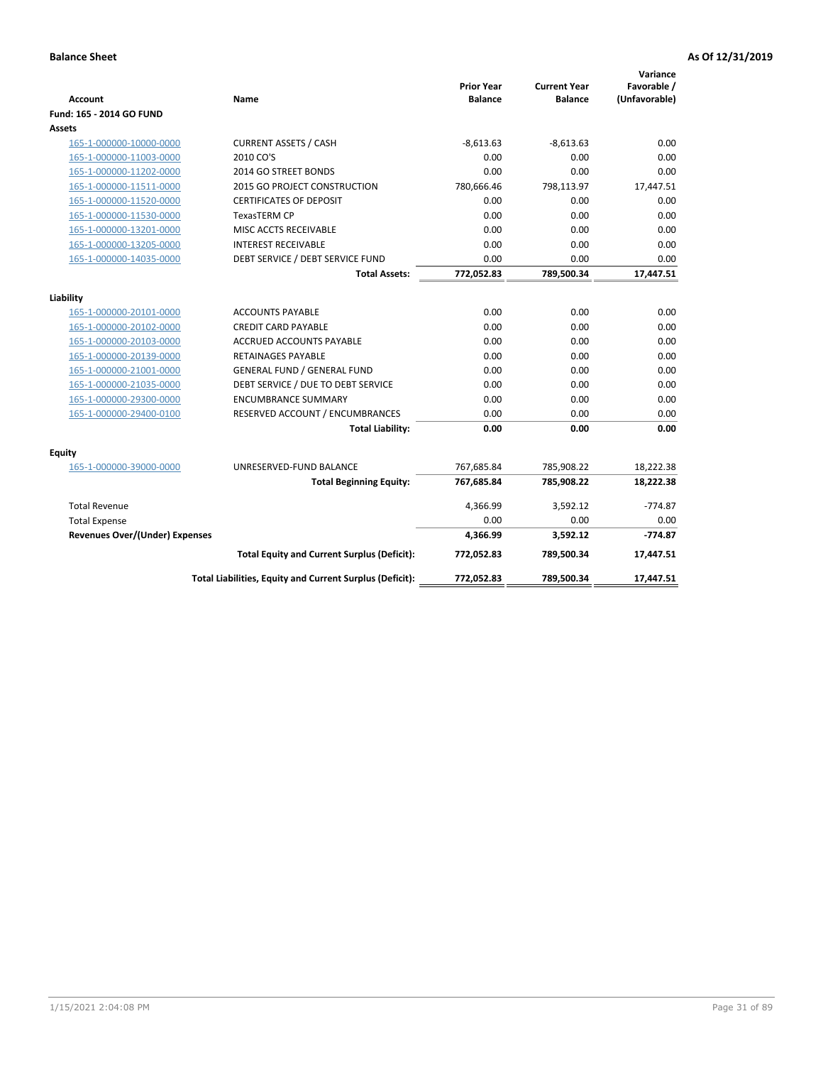| <b>Account</b>                        | Name                                                     | <b>Prior Year</b><br><b>Balance</b> | <b>Current Year</b><br><b>Balance</b> | Variance<br>Favorable /<br>(Unfavorable) |
|---------------------------------------|----------------------------------------------------------|-------------------------------------|---------------------------------------|------------------------------------------|
| Fund: 165 - 2014 GO FUND              |                                                          |                                     |                                       |                                          |
| Assets                                |                                                          |                                     |                                       |                                          |
| 165-1-000000-10000-0000               | <b>CURRENT ASSETS / CASH</b>                             | $-8,613.63$                         | $-8,613.63$                           | 0.00                                     |
| 165-1-000000-11003-0000               | 2010 CO'S                                                | 0.00                                | 0.00                                  | 0.00                                     |
| 165-1-000000-11202-0000               | 2014 GO STREET BONDS                                     | 0.00                                | 0.00                                  | 0.00                                     |
| 165-1-000000-11511-0000               | 2015 GO PROJECT CONSTRUCTION                             | 780,666.46                          | 798,113.97                            | 17,447.51                                |
| 165-1-000000-11520-0000               | <b>CERTIFICATES OF DEPOSIT</b>                           | 0.00                                | 0.00                                  | 0.00                                     |
| 165-1-000000-11530-0000               | <b>TexasTERM CP</b>                                      | 0.00                                | 0.00                                  | 0.00                                     |
| 165-1-000000-13201-0000               | MISC ACCTS RECEIVABLE                                    | 0.00                                | 0.00                                  | 0.00                                     |
| 165-1-000000-13205-0000               | <b>INTEREST RECEIVABLE</b>                               | 0.00                                | 0.00                                  | 0.00                                     |
| 165-1-000000-14035-0000               | DEBT SERVICE / DEBT SERVICE FUND                         | 0.00                                | 0.00                                  | 0.00                                     |
|                                       | <b>Total Assets:</b>                                     | 772,052.83                          | 789,500.34                            | 17,447.51                                |
| Liability                             |                                                          |                                     |                                       |                                          |
| 165-1-000000-20101-0000               | <b>ACCOUNTS PAYABLE</b>                                  | 0.00                                | 0.00                                  | 0.00                                     |
| 165-1-000000-20102-0000               | <b>CREDIT CARD PAYABLE</b>                               | 0.00                                | 0.00                                  | 0.00                                     |
| 165-1-000000-20103-0000               | ACCRUED ACCOUNTS PAYABLE                                 | 0.00                                | 0.00                                  | 0.00                                     |
| 165-1-000000-20139-0000               | <b>RETAINAGES PAYABLE</b>                                | 0.00                                | 0.00                                  | 0.00                                     |
| 165-1-000000-21001-0000               | <b>GENERAL FUND / GENERAL FUND</b>                       | 0.00                                | 0.00                                  | 0.00                                     |
| 165-1-000000-21035-0000               | DEBT SERVICE / DUE TO DEBT SERVICE                       | 0.00                                | 0.00                                  | 0.00                                     |
| 165-1-000000-29300-0000               | <b>ENCUMBRANCE SUMMARY</b>                               | 0.00                                | 0.00                                  | 0.00                                     |
| 165-1-000000-29400-0100               | RESERVED ACCOUNT / ENCUMBRANCES                          | 0.00                                | 0.00                                  | 0.00                                     |
|                                       | <b>Total Liability:</b>                                  | 0.00                                | 0.00                                  | 0.00                                     |
| <b>Equity</b>                         |                                                          |                                     |                                       |                                          |
| 165-1-000000-39000-0000               | UNRESERVED-FUND BALANCE                                  | 767,685.84                          | 785,908.22                            | 18,222.38                                |
|                                       | <b>Total Beginning Equity:</b>                           | 767,685.84                          | 785,908.22                            | 18,222.38                                |
| <b>Total Revenue</b>                  |                                                          | 4,366.99                            | 3,592.12                              | $-774.87$                                |
| <b>Total Expense</b>                  |                                                          | 0.00                                | 0.00                                  | 0.00                                     |
| <b>Revenues Over/(Under) Expenses</b> |                                                          | 4,366.99                            | 3,592.12                              | $-774.87$                                |
|                                       | <b>Total Equity and Current Surplus (Deficit):</b>       | 772,052.83                          | 789,500.34                            | 17,447.51                                |
|                                       | Total Liabilities, Equity and Current Surplus (Deficit): | 772,052.83                          | 789,500.34                            | 17.447.51                                |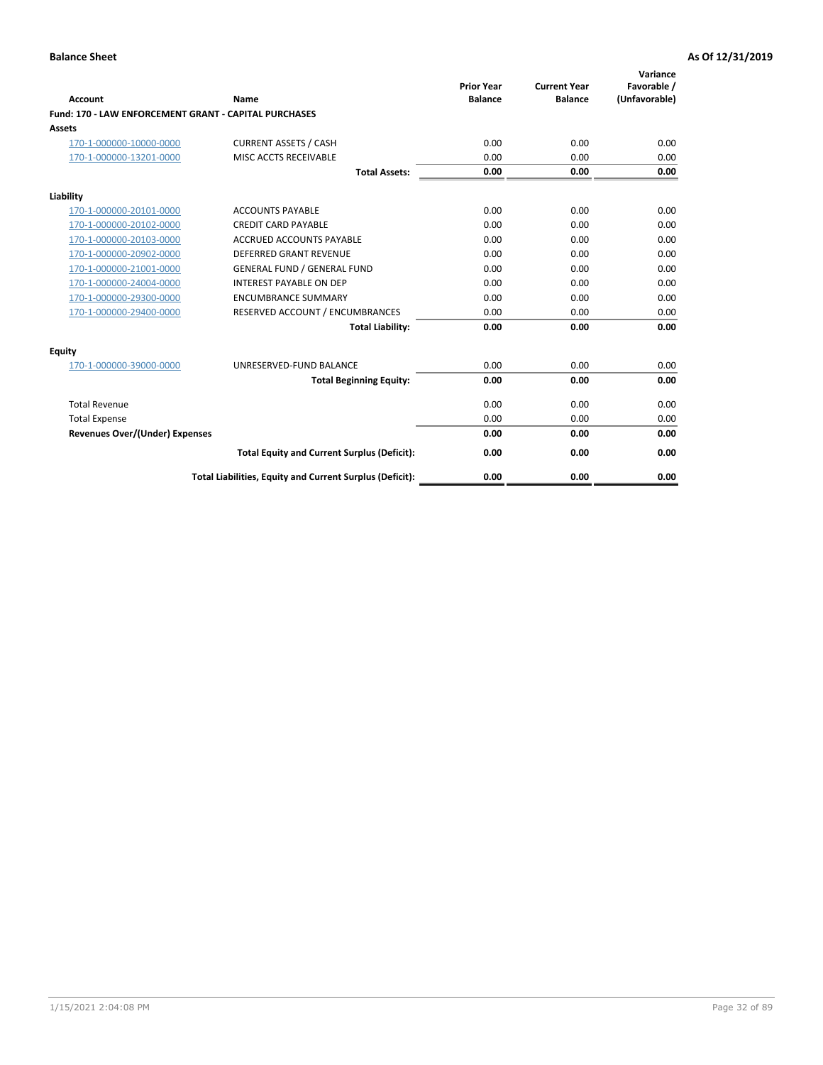| Account                                                      | Name                                                     | <b>Prior Year</b><br><b>Balance</b> | <b>Current Year</b><br><b>Balance</b> | Variance<br>Favorable /<br>(Unfavorable) |
|--------------------------------------------------------------|----------------------------------------------------------|-------------------------------------|---------------------------------------|------------------------------------------|
| <b>Fund: 170 - LAW ENFORCEMENT GRANT - CAPITAL PURCHASES</b> |                                                          |                                     |                                       |                                          |
| <b>Assets</b>                                                |                                                          |                                     |                                       |                                          |
| 170-1-000000-10000-0000                                      | <b>CURRENT ASSETS / CASH</b>                             | 0.00                                | 0.00                                  | 0.00                                     |
| 170-1-000000-13201-0000                                      | MISC ACCTS RECEIVABLE                                    | 0.00                                | 0.00                                  | 0.00                                     |
|                                                              | <b>Total Assets:</b>                                     | 0.00                                | 0.00                                  | 0.00                                     |
| Liability                                                    |                                                          |                                     |                                       |                                          |
| 170-1-000000-20101-0000                                      | <b>ACCOUNTS PAYABLE</b>                                  | 0.00                                | 0.00                                  | 0.00                                     |
| 170-1-000000-20102-0000                                      | <b>CREDIT CARD PAYABLE</b>                               | 0.00                                | 0.00                                  | 0.00                                     |
| 170-1-000000-20103-0000                                      | <b>ACCRUED ACCOUNTS PAYABLE</b>                          | 0.00                                | 0.00                                  | 0.00                                     |
| 170-1-000000-20902-0000                                      | <b>DEFERRED GRANT REVENUE</b>                            | 0.00                                | 0.00                                  | 0.00                                     |
| 170-1-000000-21001-0000                                      | <b>GENERAL FUND / GENERAL FUND</b>                       | 0.00                                | 0.00                                  | 0.00                                     |
| 170-1-000000-24004-0000                                      | <b>INTEREST PAYABLE ON DEP</b>                           | 0.00                                | 0.00                                  | 0.00                                     |
| 170-1-000000-29300-0000                                      | <b>ENCUMBRANCE SUMMARY</b>                               | 0.00                                | 0.00                                  | 0.00                                     |
| 170-1-000000-29400-0000                                      | RESERVED ACCOUNT / ENCUMBRANCES                          | 0.00                                | 0.00                                  | 0.00                                     |
|                                                              | <b>Total Liability:</b>                                  | 0.00                                | 0.00                                  | 0.00                                     |
| <b>Equity</b>                                                |                                                          |                                     |                                       |                                          |
| 170-1-000000-39000-0000                                      | UNRESERVED-FUND BALANCE                                  | 0.00                                | 0.00                                  | 0.00                                     |
|                                                              | <b>Total Beginning Equity:</b>                           | 0.00                                | 0.00                                  | 0.00                                     |
| <b>Total Revenue</b>                                         |                                                          | 0.00                                | 0.00                                  | 0.00                                     |
| <b>Total Expense</b>                                         |                                                          | 0.00                                | 0.00                                  | 0.00                                     |
| <b>Revenues Over/(Under) Expenses</b>                        |                                                          | 0.00                                | 0.00                                  | 0.00                                     |
|                                                              | <b>Total Equity and Current Surplus (Deficit):</b>       | 0.00                                | 0.00                                  | 0.00                                     |
|                                                              | Total Liabilities, Equity and Current Surplus (Deficit): | 0.00                                | 0.00                                  | 0.00                                     |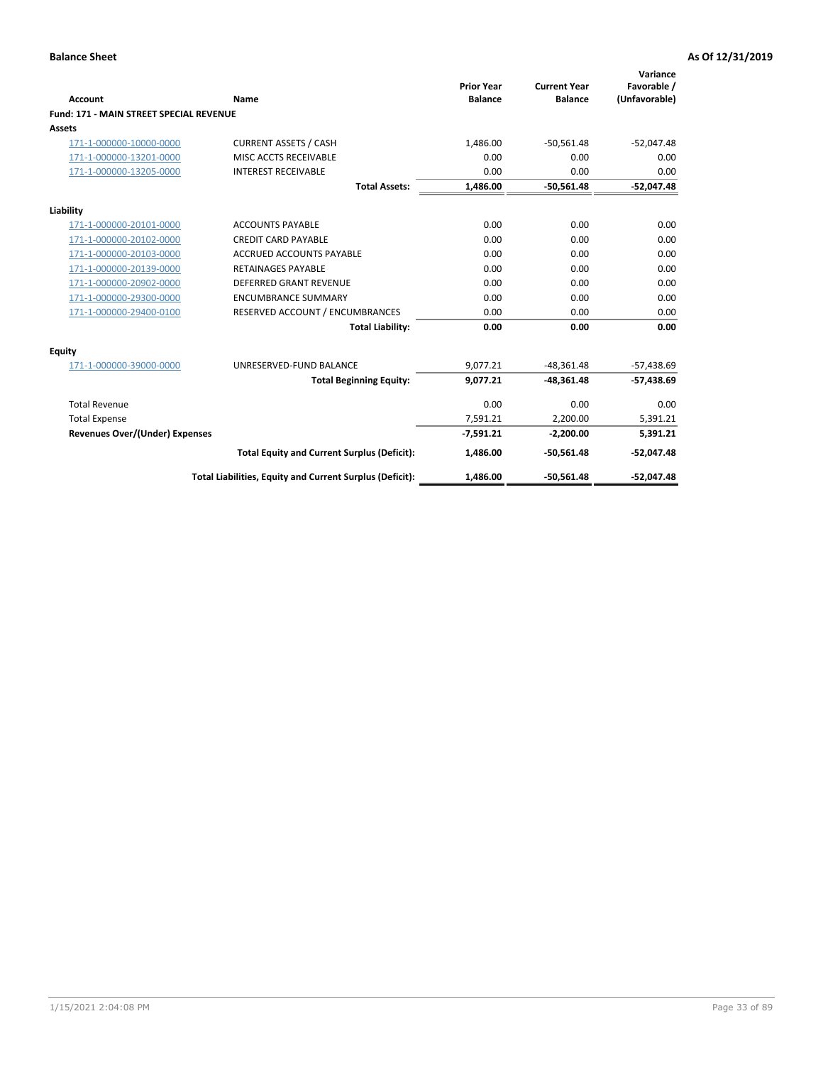|                                                |                                                          | <b>Prior Year</b> | <b>Current Year</b> | Variance<br>Favorable / |
|------------------------------------------------|----------------------------------------------------------|-------------------|---------------------|-------------------------|
| <b>Account</b>                                 | Name                                                     | <b>Balance</b>    | <b>Balance</b>      | (Unfavorable)           |
| <b>Fund: 171 - MAIN STREET SPECIAL REVENUE</b> |                                                          |                   |                     |                         |
| <b>Assets</b>                                  |                                                          |                   |                     |                         |
| 171-1-000000-10000-0000                        | <b>CURRENT ASSETS / CASH</b>                             | 1,486.00          | $-50,561.48$        | $-52,047.48$            |
| 171-1-000000-13201-0000                        | MISC ACCTS RECEIVABLE                                    | 0.00              | 0.00                | 0.00                    |
| 171-1-000000-13205-0000                        | <b>INTEREST RECEIVABLE</b>                               | 0.00              | 0.00                | 0.00                    |
|                                                | <b>Total Assets:</b>                                     | 1.486.00          | $-50.561.48$        | $-52,047.48$            |
| Liability                                      |                                                          |                   |                     |                         |
| 171-1-000000-20101-0000                        | <b>ACCOUNTS PAYABLE</b>                                  | 0.00              | 0.00                | 0.00                    |
| 171-1-000000-20102-0000                        | <b>CREDIT CARD PAYABLE</b>                               | 0.00              | 0.00                | 0.00                    |
| 171-1-000000-20103-0000                        | <b>ACCRUED ACCOUNTS PAYABLE</b>                          | 0.00              | 0.00                | 0.00                    |
| 171-1-000000-20139-0000                        | <b>RETAINAGES PAYABLE</b>                                | 0.00              | 0.00                | 0.00                    |
| 171-1-000000-20902-0000                        | DEFERRED GRANT REVENUE                                   | 0.00              | 0.00                | 0.00                    |
| 171-1-000000-29300-0000                        | <b>ENCUMBRANCE SUMMARY</b>                               | 0.00              | 0.00                | 0.00                    |
| 171-1-000000-29400-0100                        | RESERVED ACCOUNT / ENCUMBRANCES                          | 0.00              | 0.00                | 0.00                    |
|                                                | <b>Total Liability:</b>                                  | 0.00              | 0.00                | 0.00                    |
| <b>Equity</b>                                  |                                                          |                   |                     |                         |
| 171-1-000000-39000-0000                        | UNRESERVED-FUND BALANCE                                  | 9,077.21          | $-48,361.48$        | $-57,438.69$            |
|                                                | <b>Total Beginning Equity:</b>                           | 9.077.21          | $-48.361.48$        | $-57,438.69$            |
| <b>Total Revenue</b>                           |                                                          | 0.00              | 0.00                | 0.00                    |
| <b>Total Expense</b>                           |                                                          | 7,591.21          | 2,200.00            | 5,391.21                |
| <b>Revenues Over/(Under) Expenses</b>          |                                                          | $-7,591.21$       | $-2,200.00$         | 5,391.21                |
|                                                | <b>Total Equity and Current Surplus (Deficit):</b>       | 1,486.00          | $-50,561.48$        | $-52,047.48$            |
|                                                | Total Liabilities, Equity and Current Surplus (Deficit): | 1,486.00          | $-50,561.48$        | $-52,047.48$            |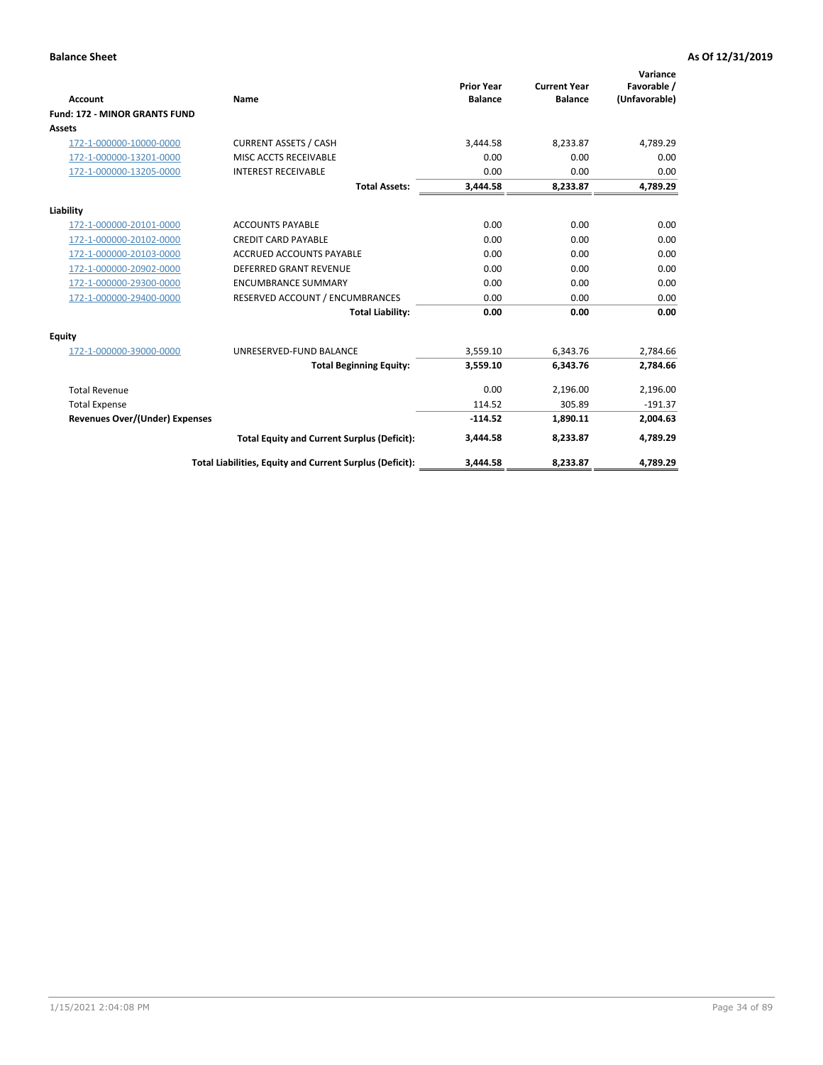|                                       |                                                          |                                     |                                       | Variance                     |
|---------------------------------------|----------------------------------------------------------|-------------------------------------|---------------------------------------|------------------------------|
| <b>Account</b>                        | <b>Name</b>                                              | <b>Prior Year</b><br><b>Balance</b> | <b>Current Year</b><br><b>Balance</b> | Favorable /<br>(Unfavorable) |
| <b>Fund: 172 - MINOR GRANTS FUND</b>  |                                                          |                                     |                                       |                              |
| <b>Assets</b>                         |                                                          |                                     |                                       |                              |
| 172-1-000000-10000-0000               | <b>CURRENT ASSETS / CASH</b>                             | 3,444.58                            | 8,233.87                              | 4,789.29                     |
|                                       | MISC ACCTS RECEIVABLE                                    | 0.00                                | 0.00                                  | 0.00                         |
| 172-1-000000-13201-0000               |                                                          |                                     |                                       |                              |
| 172-1-000000-13205-0000               | <b>INTEREST RECEIVABLE</b>                               | 0.00                                | 0.00                                  | 0.00                         |
|                                       | <b>Total Assets:</b>                                     | 3,444.58                            | 8,233.87                              | 4,789.29                     |
| Liability                             |                                                          |                                     |                                       |                              |
| 172-1-000000-20101-0000               | <b>ACCOUNTS PAYABLE</b>                                  | 0.00                                | 0.00                                  | 0.00                         |
| 172-1-000000-20102-0000               | <b>CREDIT CARD PAYABLE</b>                               | 0.00                                | 0.00                                  | 0.00                         |
| 172-1-000000-20103-0000               | <b>ACCRUED ACCOUNTS PAYABLE</b>                          | 0.00                                | 0.00                                  | 0.00                         |
| 172-1-000000-20902-0000               | <b>DEFERRED GRANT REVENUE</b>                            | 0.00                                | 0.00                                  | 0.00                         |
| 172-1-000000-29300-0000               | <b>ENCUMBRANCE SUMMARY</b>                               | 0.00                                | 0.00                                  | 0.00                         |
| 172-1-000000-29400-0000               | RESERVED ACCOUNT / ENCUMBRANCES                          | 0.00                                | 0.00                                  | 0.00                         |
|                                       | <b>Total Liability:</b>                                  | 0.00                                | 0.00                                  | 0.00                         |
| Equity                                |                                                          |                                     |                                       |                              |
| 172-1-000000-39000-0000               | UNRESERVED-FUND BALANCE                                  | 3,559.10                            | 6.343.76                              | 2,784.66                     |
|                                       | <b>Total Beginning Equity:</b>                           | 3,559.10                            | 6,343.76                              | 2,784.66                     |
| <b>Total Revenue</b>                  |                                                          | 0.00                                | 2,196.00                              | 2,196.00                     |
| <b>Total Expense</b>                  |                                                          | 114.52                              | 305.89                                | $-191.37$                    |
| <b>Revenues Over/(Under) Expenses</b> |                                                          | $-114.52$                           | 1,890.11                              | 2,004.63                     |
|                                       | <b>Total Equity and Current Surplus (Deficit):</b>       | 3,444.58                            | 8,233.87                              | 4,789.29                     |
|                                       | Total Liabilities, Equity and Current Surplus (Deficit): | 3,444.58                            | 8,233.87                              | 4,789.29                     |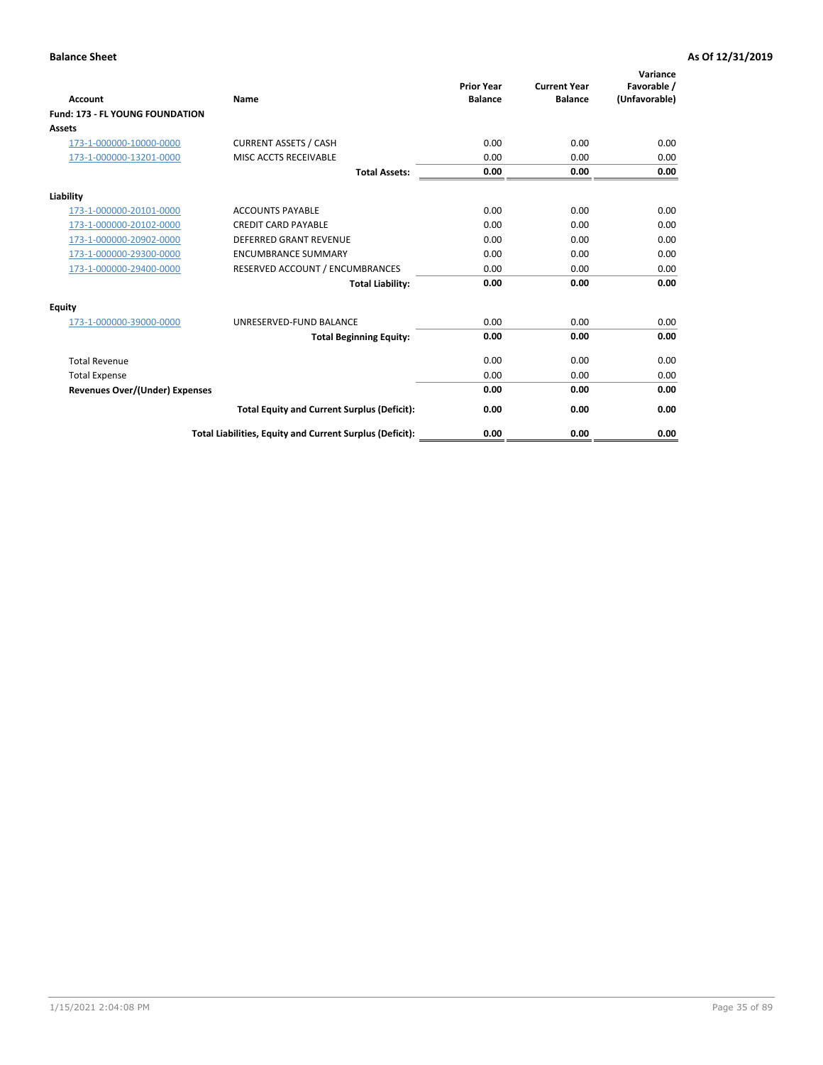| <b>Account</b>                         | <b>Name</b>                                              | <b>Prior Year</b><br><b>Balance</b> | <b>Current Year</b><br><b>Balance</b> | Variance<br>Favorable /<br>(Unfavorable) |
|----------------------------------------|----------------------------------------------------------|-------------------------------------|---------------------------------------|------------------------------------------|
| <b>Fund: 173 - FL YOUNG FOUNDATION</b> |                                                          |                                     |                                       |                                          |
| Assets                                 |                                                          |                                     |                                       |                                          |
| 173-1-000000-10000-0000                | <b>CURRENT ASSETS / CASH</b>                             | 0.00                                | 0.00                                  | 0.00                                     |
| 173-1-000000-13201-0000                | MISC ACCTS RECEIVABLE                                    | 0.00                                | 0.00                                  | 0.00                                     |
|                                        | <b>Total Assets:</b>                                     | 0.00                                | 0.00                                  | 0.00                                     |
| Liability                              |                                                          |                                     |                                       |                                          |
| 173-1-000000-20101-0000                | <b>ACCOUNTS PAYABLE</b>                                  | 0.00                                | 0.00                                  | 0.00                                     |
| 173-1-000000-20102-0000                | <b>CREDIT CARD PAYABLE</b>                               | 0.00                                | 0.00                                  | 0.00                                     |
| 173-1-000000-20902-0000                | <b>DEFERRED GRANT REVENUE</b>                            | 0.00                                | 0.00                                  | 0.00                                     |
| 173-1-000000-29300-0000                | <b>ENCUMBRANCE SUMMARY</b>                               | 0.00                                | 0.00                                  | 0.00                                     |
| 173-1-000000-29400-0000                | RESERVED ACCOUNT / ENCUMBRANCES                          | 0.00                                | 0.00                                  | 0.00                                     |
|                                        | <b>Total Liability:</b>                                  | 0.00                                | 0.00                                  | 0.00                                     |
| Equity                                 |                                                          |                                     |                                       |                                          |
| 173-1-000000-39000-0000                | UNRESERVED-FUND BALANCE                                  | 0.00                                | 0.00                                  | 0.00                                     |
|                                        | <b>Total Beginning Equity:</b>                           | 0.00                                | 0.00                                  | 0.00                                     |
| <b>Total Revenue</b>                   |                                                          | 0.00                                | 0.00                                  | 0.00                                     |
| <b>Total Expense</b>                   |                                                          | 0.00                                | 0.00                                  | 0.00                                     |
| <b>Revenues Over/(Under) Expenses</b>  |                                                          | 0.00                                | 0.00                                  | 0.00                                     |
|                                        | <b>Total Equity and Current Surplus (Deficit):</b>       | 0.00                                | 0.00                                  | 0.00                                     |
|                                        | Total Liabilities, Equity and Current Surplus (Deficit): | 0.00                                | 0.00                                  | 0.00                                     |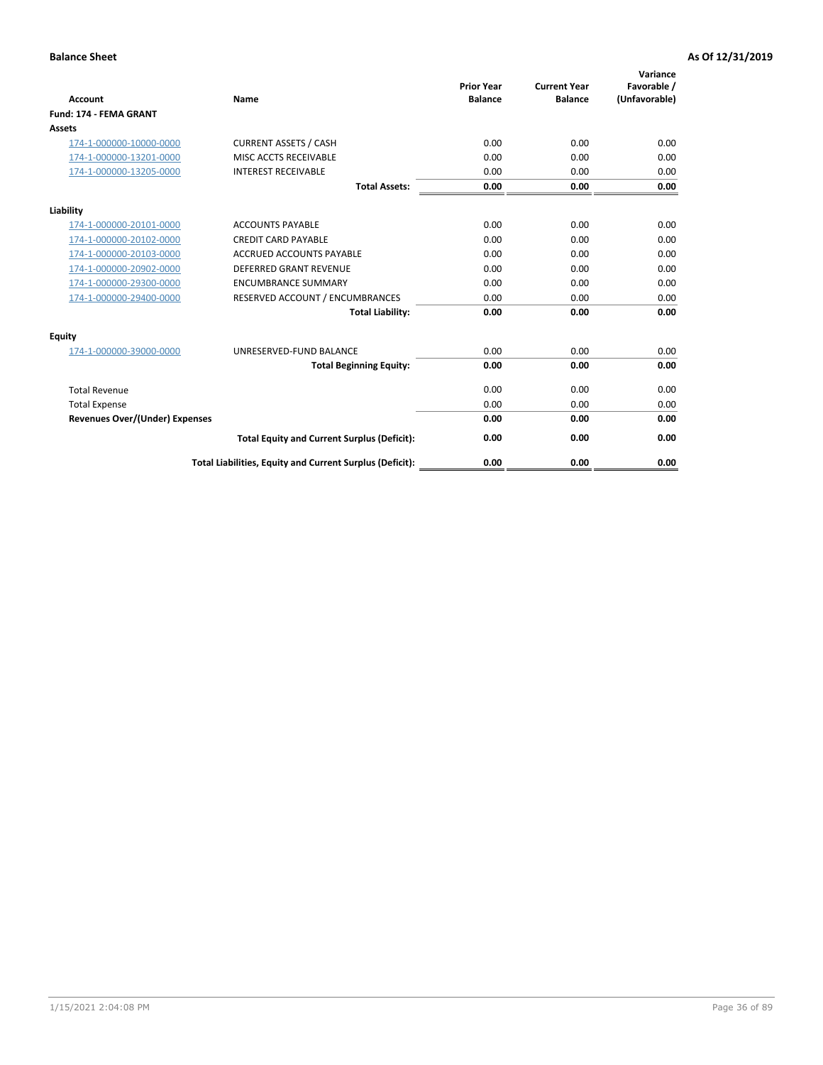| <b>Account</b>                        | Name                                                     | <b>Prior Year</b><br><b>Balance</b> | <b>Current Year</b><br><b>Balance</b> | Variance<br>Favorable /<br>(Unfavorable) |
|---------------------------------------|----------------------------------------------------------|-------------------------------------|---------------------------------------|------------------------------------------|
| <b>Fund: 174 - FEMA GRANT</b>         |                                                          |                                     |                                       |                                          |
| Assets                                |                                                          |                                     |                                       |                                          |
| 174-1-000000-10000-0000               | <b>CURRENT ASSETS / CASH</b>                             | 0.00                                | 0.00                                  | 0.00                                     |
| 174-1-000000-13201-0000               | MISC ACCTS RECEIVABLE                                    | 0.00                                | 0.00                                  | 0.00                                     |
| 174-1-000000-13205-0000               | <b>INTEREST RECEIVABLE</b>                               | 0.00                                | 0.00                                  | 0.00                                     |
|                                       | <b>Total Assets:</b>                                     | 0.00                                | 0.00                                  | 0.00                                     |
| Liability                             |                                                          |                                     |                                       |                                          |
| 174-1-000000-20101-0000               | <b>ACCOUNTS PAYABLE</b>                                  | 0.00                                | 0.00                                  | 0.00                                     |
| 174-1-000000-20102-0000               | <b>CREDIT CARD PAYABLE</b>                               | 0.00                                | 0.00                                  | 0.00                                     |
| 174-1-000000-20103-0000               | <b>ACCRUED ACCOUNTS PAYABLE</b>                          | 0.00                                | 0.00                                  | 0.00                                     |
| 174-1-000000-20902-0000               | <b>DEFERRED GRANT REVENUE</b>                            | 0.00                                | 0.00                                  | 0.00                                     |
| 174-1-000000-29300-0000               | <b>ENCUMBRANCE SUMMARY</b>                               | 0.00                                | 0.00                                  | 0.00                                     |
| 174-1-000000-29400-0000               | RESERVED ACCOUNT / ENCUMBRANCES                          | 0.00                                | 0.00                                  | 0.00                                     |
|                                       | <b>Total Liability:</b>                                  | 0.00                                | 0.00                                  | 0.00                                     |
| <b>Equity</b>                         |                                                          |                                     |                                       |                                          |
| 174-1-000000-39000-0000               | UNRESERVED-FUND BALANCE                                  | 0.00                                | 0.00                                  | 0.00                                     |
|                                       | <b>Total Beginning Equity:</b>                           | 0.00                                | 0.00                                  | 0.00                                     |
| <b>Total Revenue</b>                  |                                                          | 0.00                                | 0.00                                  | 0.00                                     |
| <b>Total Expense</b>                  |                                                          | 0.00                                | 0.00                                  | 0.00                                     |
| <b>Revenues Over/(Under) Expenses</b> |                                                          | 0.00                                | 0.00                                  | 0.00                                     |
|                                       | <b>Total Equity and Current Surplus (Deficit):</b>       | 0.00                                | 0.00                                  | 0.00                                     |
|                                       | Total Liabilities, Equity and Current Surplus (Deficit): | 0.00                                | 0.00                                  | 0.00                                     |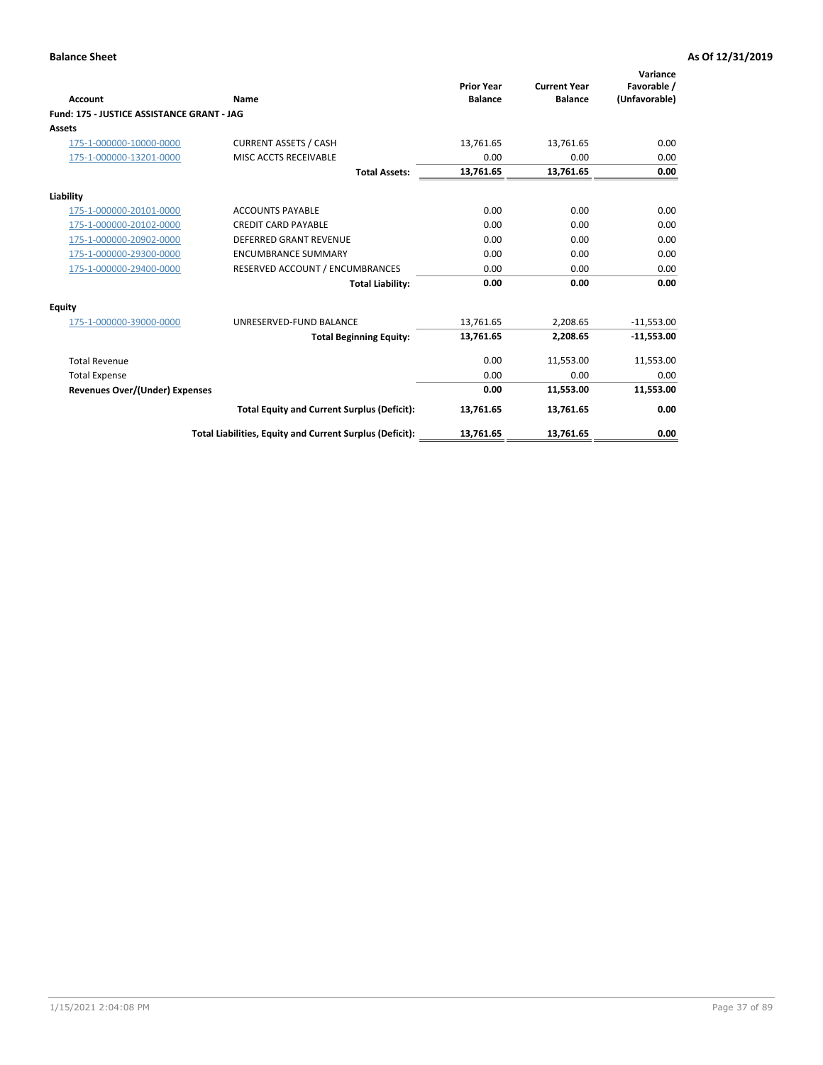| <b>Account</b>                             | Name                                                     | <b>Prior Year</b><br><b>Balance</b> | <b>Current Year</b><br><b>Balance</b> | Variance<br>Favorable /<br>(Unfavorable) |
|--------------------------------------------|----------------------------------------------------------|-------------------------------------|---------------------------------------|------------------------------------------|
| Fund: 175 - JUSTICE ASSISTANCE GRANT - JAG |                                                          |                                     |                                       |                                          |
| <b>Assets</b>                              |                                                          |                                     |                                       |                                          |
| 175-1-000000-10000-0000                    | <b>CURRENT ASSETS / CASH</b>                             | 13,761.65                           | 13,761.65                             | 0.00                                     |
| 175-1-000000-13201-0000                    | MISC ACCTS RECEIVABLE                                    | 0.00                                | 0.00                                  | 0.00                                     |
|                                            | <b>Total Assets:</b>                                     | 13,761.65                           | 13,761.65                             | 0.00                                     |
| Liability                                  |                                                          |                                     |                                       |                                          |
| 175-1-000000-20101-0000                    | <b>ACCOUNTS PAYABLE</b>                                  | 0.00                                | 0.00                                  | 0.00                                     |
| 175-1-000000-20102-0000                    | <b>CREDIT CARD PAYABLE</b>                               | 0.00                                | 0.00                                  | 0.00                                     |
| 175-1-000000-20902-0000                    | <b>DEFERRED GRANT REVENUE</b>                            | 0.00                                | 0.00                                  | 0.00                                     |
| 175-1-000000-29300-0000                    | <b>ENCUMBRANCE SUMMARY</b>                               | 0.00                                | 0.00                                  | 0.00                                     |
| 175-1-000000-29400-0000                    | RESERVED ACCOUNT / ENCUMBRANCES                          | 0.00                                | 0.00                                  | 0.00                                     |
|                                            | <b>Total Liability:</b>                                  | 0.00                                | 0.00                                  | 0.00                                     |
| Equity                                     |                                                          |                                     |                                       |                                          |
| 175-1-000000-39000-0000                    | UNRESERVED-FUND BALANCE                                  | 13,761.65                           | 2,208.65                              | $-11,553.00$                             |
|                                            | <b>Total Beginning Equity:</b>                           | 13,761.65                           | 2,208.65                              | $-11,553.00$                             |
| <b>Total Revenue</b>                       |                                                          | 0.00                                | 11,553.00                             | 11,553.00                                |
| <b>Total Expense</b>                       |                                                          | 0.00                                | 0.00                                  | 0.00                                     |
| Revenues Over/(Under) Expenses             |                                                          | 0.00                                | 11,553.00                             | 11,553.00                                |
|                                            | <b>Total Equity and Current Surplus (Deficit):</b>       | 13,761.65                           | 13,761.65                             | 0.00                                     |
|                                            | Total Liabilities, Equity and Current Surplus (Deficit): | 13,761.65                           | 13,761.65                             | 0.00                                     |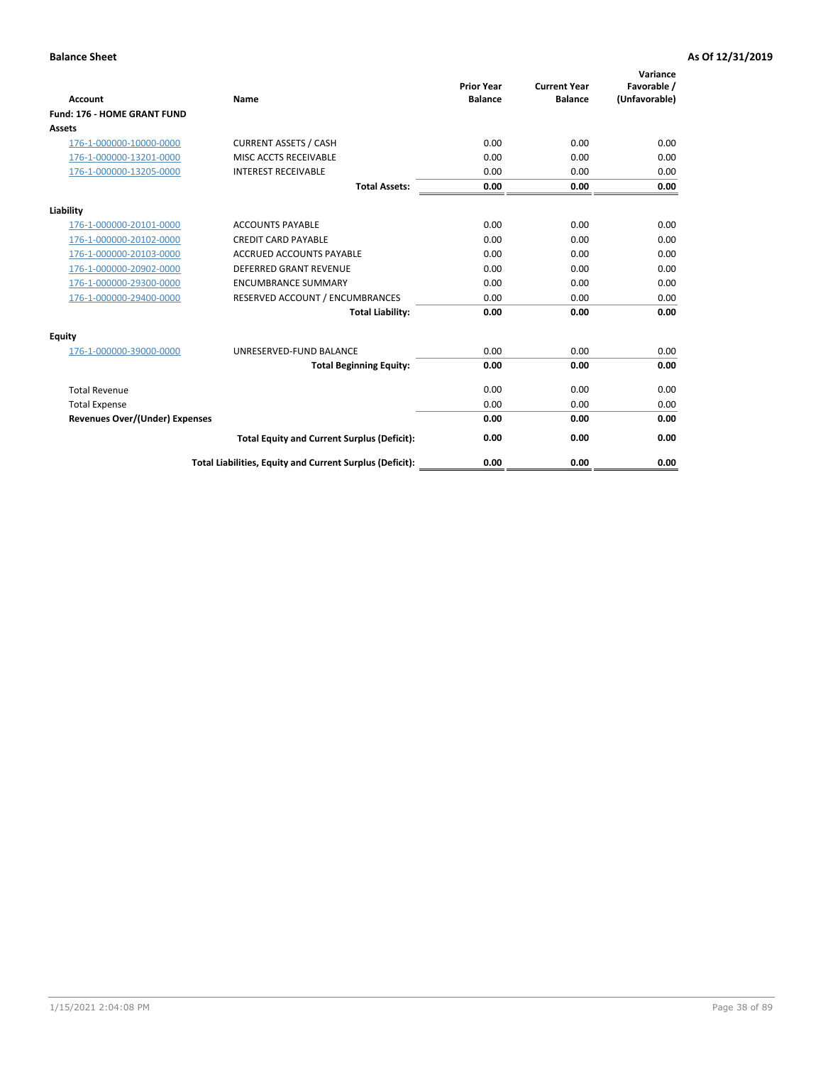| <b>Account</b>                        | Name                                                     | <b>Prior Year</b><br><b>Balance</b> | <b>Current Year</b><br><b>Balance</b> | Variance<br>Favorable /<br>(Unfavorable) |
|---------------------------------------|----------------------------------------------------------|-------------------------------------|---------------------------------------|------------------------------------------|
| <b>Fund: 176 - HOME GRANT FUND</b>    |                                                          |                                     |                                       |                                          |
| Assets                                |                                                          |                                     |                                       |                                          |
| 176-1-000000-10000-0000               | <b>CURRENT ASSETS / CASH</b>                             | 0.00                                | 0.00                                  | 0.00                                     |
| 176-1-000000-13201-0000               | MISC ACCTS RECEIVABLE                                    | 0.00                                | 0.00                                  | 0.00                                     |
| 176-1-000000-13205-0000               | <b>INTEREST RECEIVABLE</b>                               | 0.00                                | 0.00                                  | 0.00                                     |
|                                       | <b>Total Assets:</b>                                     | 0.00                                | 0.00                                  | 0.00                                     |
| Liability                             |                                                          |                                     |                                       |                                          |
| 176-1-000000-20101-0000               | <b>ACCOUNTS PAYABLE</b>                                  | 0.00                                | 0.00                                  | 0.00                                     |
| 176-1-000000-20102-0000               | <b>CREDIT CARD PAYABLE</b>                               | 0.00                                | 0.00                                  | 0.00                                     |
| 176-1-000000-20103-0000               | <b>ACCRUED ACCOUNTS PAYABLE</b>                          | 0.00                                | 0.00                                  | 0.00                                     |
| 176-1-000000-20902-0000               | <b>DEFERRED GRANT REVENUE</b>                            | 0.00                                | 0.00                                  | 0.00                                     |
| 176-1-000000-29300-0000               | <b>ENCUMBRANCE SUMMARY</b>                               | 0.00                                | 0.00                                  | 0.00                                     |
| 176-1-000000-29400-0000               | RESERVED ACCOUNT / ENCUMBRANCES                          | 0.00                                | 0.00                                  | 0.00                                     |
|                                       | <b>Total Liability:</b>                                  | 0.00                                | 0.00                                  | 0.00                                     |
| Equity                                |                                                          |                                     |                                       |                                          |
| 176-1-000000-39000-0000               | UNRESERVED-FUND BALANCE                                  | 0.00                                | 0.00                                  | 0.00                                     |
|                                       | <b>Total Beginning Equity:</b>                           | 0.00                                | 0.00                                  | 0.00                                     |
| <b>Total Revenue</b>                  |                                                          | 0.00                                | 0.00                                  | 0.00                                     |
| <b>Total Expense</b>                  |                                                          | 0.00                                | 0.00                                  | 0.00                                     |
| <b>Revenues Over/(Under) Expenses</b> |                                                          | 0.00                                | 0.00                                  | 0.00                                     |
|                                       | <b>Total Equity and Current Surplus (Deficit):</b>       | 0.00                                | 0.00                                  | 0.00                                     |
|                                       | Total Liabilities, Equity and Current Surplus (Deficit): | 0.00                                | 0.00                                  | 0.00                                     |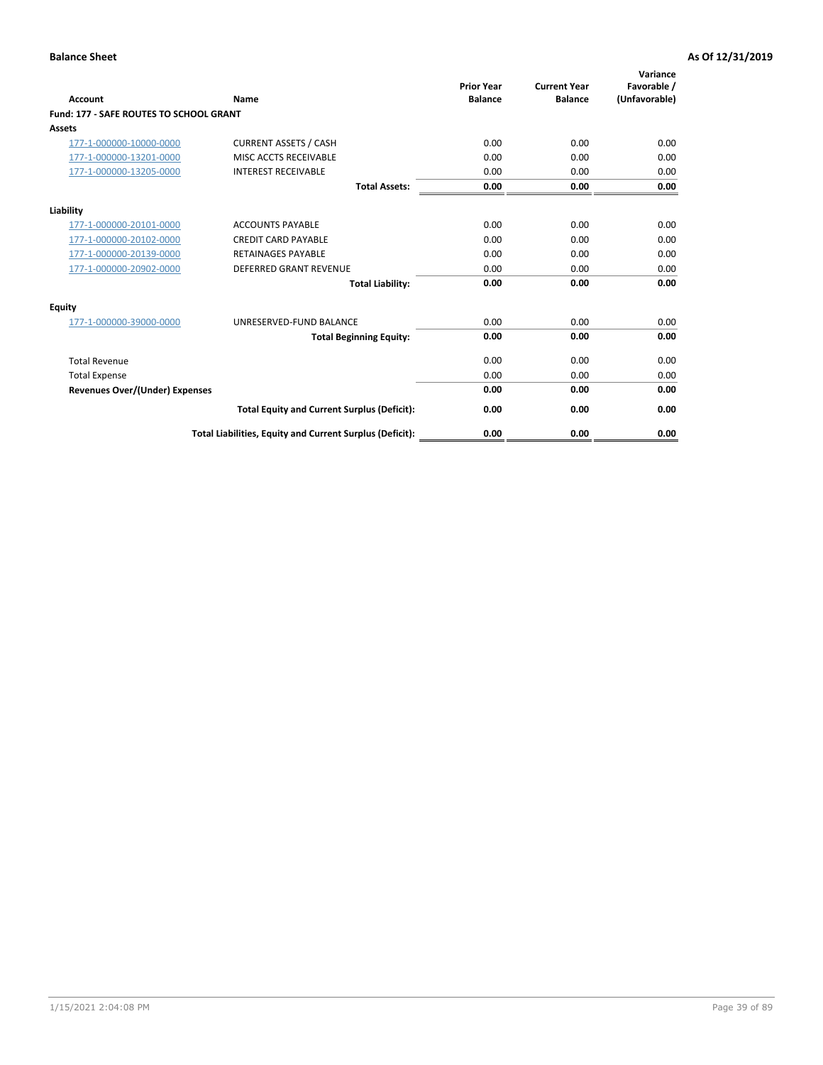| Account                                        | Name                                                     | <b>Prior Year</b><br><b>Balance</b> | <b>Current Year</b><br><b>Balance</b> | Variance<br>Favorable /<br>(Unfavorable) |
|------------------------------------------------|----------------------------------------------------------|-------------------------------------|---------------------------------------|------------------------------------------|
| <b>Fund: 177 - SAFE ROUTES TO SCHOOL GRANT</b> |                                                          |                                     |                                       |                                          |
| <b>Assets</b>                                  |                                                          |                                     |                                       |                                          |
| 177-1-000000-10000-0000                        | <b>CURRENT ASSETS / CASH</b>                             | 0.00                                | 0.00                                  | 0.00                                     |
| 177-1-000000-13201-0000                        | MISC ACCTS RECEIVABLE                                    | 0.00                                | 0.00                                  | 0.00                                     |
| 177-1-000000-13205-0000                        | <b>INTEREST RECEIVABLE</b>                               | 0.00                                | 0.00                                  | 0.00                                     |
|                                                | <b>Total Assets:</b>                                     | 0.00                                | 0.00                                  | 0.00                                     |
| Liability                                      |                                                          |                                     |                                       |                                          |
| 177-1-000000-20101-0000                        | <b>ACCOUNTS PAYABLE</b>                                  | 0.00                                | 0.00                                  | 0.00                                     |
| 177-1-000000-20102-0000                        | <b>CREDIT CARD PAYABLE</b>                               | 0.00                                | 0.00                                  | 0.00                                     |
| 177-1-000000-20139-0000                        | <b>RETAINAGES PAYABLE</b>                                | 0.00                                | 0.00                                  | 0.00                                     |
| 177-1-000000-20902-0000                        | <b>DEFERRED GRANT REVENUE</b>                            | 0.00                                | 0.00                                  | 0.00                                     |
|                                                | <b>Total Liability:</b>                                  | 0.00                                | 0.00                                  | 0.00                                     |
| Equity                                         |                                                          |                                     |                                       |                                          |
| 177-1-000000-39000-0000                        | UNRESERVED-FUND BALANCE                                  | 0.00                                | 0.00                                  | 0.00                                     |
|                                                | <b>Total Beginning Equity:</b>                           | 0.00                                | 0.00                                  | 0.00                                     |
| <b>Total Revenue</b>                           |                                                          | 0.00                                | 0.00                                  | 0.00                                     |
| <b>Total Expense</b>                           |                                                          | 0.00                                | 0.00                                  | 0.00                                     |
| Revenues Over/(Under) Expenses                 |                                                          | 0.00                                | 0.00                                  | 0.00                                     |
|                                                | <b>Total Equity and Current Surplus (Deficit):</b>       | 0.00                                | 0.00                                  | 0.00                                     |
|                                                | Total Liabilities, Equity and Current Surplus (Deficit): | 0.00                                | 0.00                                  | 0.00                                     |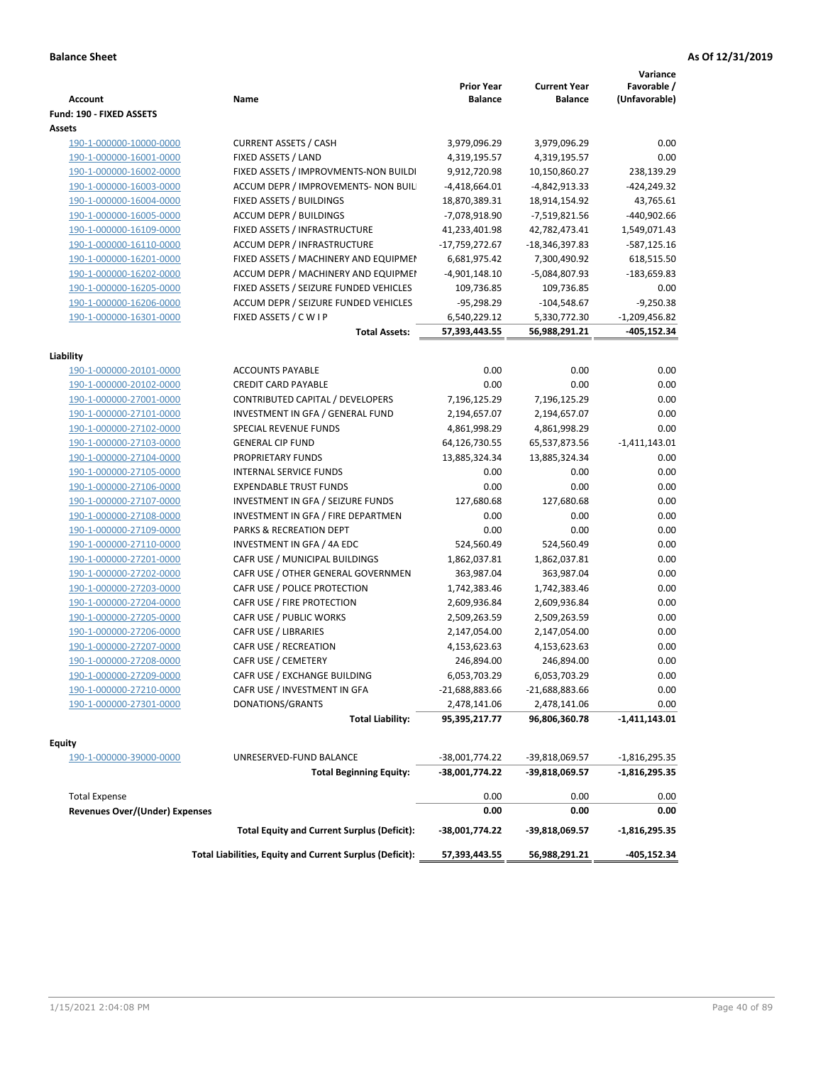| <b>Account</b>                                     | Name                                                     | <b>Prior Year</b><br><b>Balance</b> | <b>Current Year</b><br><b>Balance</b> | Variance<br>Favorable /<br>(Unfavorable) |
|----------------------------------------------------|----------------------------------------------------------|-------------------------------------|---------------------------------------|------------------------------------------|
| Fund: 190 - FIXED ASSETS<br>Assets                 |                                                          |                                     |                                       |                                          |
| 190-1-000000-10000-0000                            | <b>CURRENT ASSETS / CASH</b>                             | 3,979,096.29                        | 3,979,096.29                          | 0.00                                     |
| 190-1-000000-16001-0000                            | FIXED ASSETS / LAND                                      | 4,319,195.57                        | 4,319,195.57                          | 0.00                                     |
| 190-1-000000-16002-0000                            | FIXED ASSETS / IMPROVMENTS-NON BUILDI                    | 9,912,720.98                        | 10,150,860.27                         | 238,139.29                               |
| 190-1-000000-16003-0000                            | ACCUM DEPR / IMPROVEMENTS- NON BUIL                      | $-4,418,664.01$                     | -4,842,913.33                         | $-424,249.32$                            |
| 190-1-000000-16004-0000                            | FIXED ASSETS / BUILDINGS                                 | 18,870,389.31                       | 18,914,154.92                         | 43,765.61                                |
| 190-1-000000-16005-0000                            | <b>ACCUM DEPR / BUILDINGS</b>                            | -7,078,918.90                       | -7,519,821.56                         | -440,902.66                              |
| 190-1-000000-16109-0000                            | FIXED ASSETS / INFRASTRUCTURE                            | 41,233,401.98                       | 42,782,473.41                         | 1,549,071.43                             |
| 190-1-000000-16110-0000                            | ACCUM DEPR / INFRASTRUCTURE                              | -17,759,272.67                      | -18,346,397.83                        | -587,125.16                              |
| 190-1-000000-16201-0000                            | FIXED ASSETS / MACHINERY AND EQUIPMEN                    | 6,681,975.42                        | 7,300,490.92                          | 618,515.50                               |
| 190-1-000000-16202-0000                            | ACCUM DEPR / MACHINERY AND EQUIPMEI                      | $-4,901,148.10$                     | -5,084,807.93                         | -183,659.83                              |
| 190-1-000000-16205-0000                            | FIXED ASSETS / SEIZURE FUNDED VEHICLES                   | 109,736.85                          | 109,736.85                            | 0.00                                     |
| 190-1-000000-16206-0000                            | ACCUM DEPR / SEIZURE FUNDED VEHICLES                     | $-95,298.29$                        | $-104,548.67$                         | $-9,250.38$                              |
| 190-1-000000-16301-0000                            | FIXED ASSETS / C W I P                                   | 6,540,229.12                        | 5,330,772.30                          | $-1,209,456.82$                          |
|                                                    | <b>Total Assets:</b>                                     | 57,393,443.55                       | 56,988,291.21                         | -405,152.34                              |
|                                                    |                                                          |                                     |                                       |                                          |
| Liability                                          |                                                          |                                     |                                       |                                          |
| 190-1-000000-20101-0000<br>190-1-000000-20102-0000 | <b>ACCOUNTS PAYABLE</b>                                  | 0.00                                | 0.00                                  | 0.00                                     |
|                                                    | <b>CREDIT CARD PAYABLE</b>                               | 0.00                                | 0.00                                  | 0.00                                     |
| 190-1-000000-27001-0000                            | CONTRIBUTED CAPITAL / DEVELOPERS                         | 7,196,125.29                        | 7,196,125.29                          | 0.00                                     |
| 190-1-000000-27101-0000                            | INVESTMENT IN GFA / GENERAL FUND                         | 2,194,657.07                        | 2,194,657.07                          | 0.00                                     |
| 190-1-000000-27102-0000                            | SPECIAL REVENUE FUNDS                                    | 4,861,998.29                        | 4,861,998.29                          | 0.00                                     |
| 190-1-000000-27103-0000                            | <b>GENERAL CIP FUND</b>                                  | 64,126,730.55                       | 65,537,873.56                         | $-1,411,143.01$                          |
| 190-1-000000-27104-0000                            | PROPRIETARY FUNDS                                        | 13,885,324.34                       | 13,885,324.34                         | 0.00                                     |
| 190-1-000000-27105-0000                            | INTERNAL SERVICE FUNDS                                   | 0.00                                | 0.00                                  | 0.00                                     |
| 190-1-000000-27106-0000                            | <b>EXPENDABLE TRUST FUNDS</b>                            | 0.00                                | 0.00                                  | 0.00                                     |
| 190-1-000000-27107-0000                            | INVESTMENT IN GFA / SEIZURE FUNDS                        | 127,680.68                          | 127,680.68                            | 0.00                                     |
| 190-1-000000-27108-0000                            | INVESTMENT IN GFA / FIRE DEPARTMEN                       | 0.00                                | 0.00                                  | 0.00                                     |
| 190-1-000000-27109-0000                            | PARKS & RECREATION DEPT                                  | 0.00                                | 0.00                                  | 0.00                                     |
| 190-1-000000-27110-0000                            | INVESTMENT IN GFA / 4A EDC                               | 524,560.49                          | 524,560.49                            | 0.00                                     |
| 190-1-000000-27201-0000                            | CAFR USE / MUNICIPAL BUILDINGS                           | 1,862,037.81                        | 1,862,037.81                          | 0.00                                     |
| 190-1-000000-27202-0000                            | CAFR USE / OTHER GENERAL GOVERNMEN                       | 363,987.04                          | 363,987.04                            | 0.00                                     |
| 190-1-000000-27203-0000                            | CAFR USE / POLICE PROTECTION                             | 1,742,383.46                        | 1,742,383.46                          | 0.00                                     |
| 190-1-000000-27204-0000                            | CAFR USE / FIRE PROTECTION                               | 2,609,936.84                        | 2,609,936.84                          | 0.00                                     |
| 190-1-000000-27205-0000                            | CAFR USE / PUBLIC WORKS                                  | 2,509,263.59                        | 2,509,263.59                          | 0.00                                     |
| 190-1-000000-27206-0000                            | CAFR USE / LIBRARIES                                     | 2,147,054.00                        | 2,147,054.00                          | 0.00                                     |
| 190-1-000000-27207-0000                            | CAFR USE / RECREATION<br>CAFR USE / CEMETERY             | 4,153,623.63                        | 4,153,623.63                          | 0.00                                     |
| 190-1-000000-27208-0000<br>190-1-000000-27209-0000 |                                                          | 246,894.00                          | 246,894.00                            | 0.00                                     |
|                                                    | CAFR USE / EXCHANGE BUILDING                             | 6,053,703.29                        | 6,053,703.29                          | 0.00                                     |
| 190-1-000000-27210-0000                            | CAFR USE / INVESTMENT IN GFA                             | -21,688,883.66                      | $-21,688,883.66$                      | 0.00                                     |
| 190-1-000000-27301-0000                            | DONATIONS/GRANTS<br><b>Total Liability:</b>              | 2,478,141.06<br>95,395,217.77       | 2,478,141.06<br>96,806,360.78         | 0.00<br>-1,411,143.01                    |
|                                                    |                                                          |                                     |                                       |                                          |
| <b>Equity</b>                                      |                                                          |                                     |                                       |                                          |
| 190-1-000000-39000-0000                            | UNRESERVED-FUND BALANCE                                  | -38,001,774.22                      | -39,818,069.57                        | $-1,816,295.35$                          |
|                                                    | <b>Total Beginning Equity:</b>                           | -38,001,774.22                      | -39,818,069.57                        | $-1,816,295.35$                          |
| <b>Total Expense</b>                               |                                                          | 0.00                                | 0.00                                  | 0.00                                     |
| <b>Revenues Over/(Under) Expenses</b>              |                                                          | 0.00                                | 0.00                                  | 0.00                                     |
|                                                    | <b>Total Equity and Current Surplus (Deficit):</b>       | -38,001,774.22                      | -39,818,069.57                        | $-1,816,295.35$                          |
|                                                    | Total Liabilities, Equity and Current Surplus (Deficit): | 57,393,443.55                       | 56,988,291.21                         | -405,152.34                              |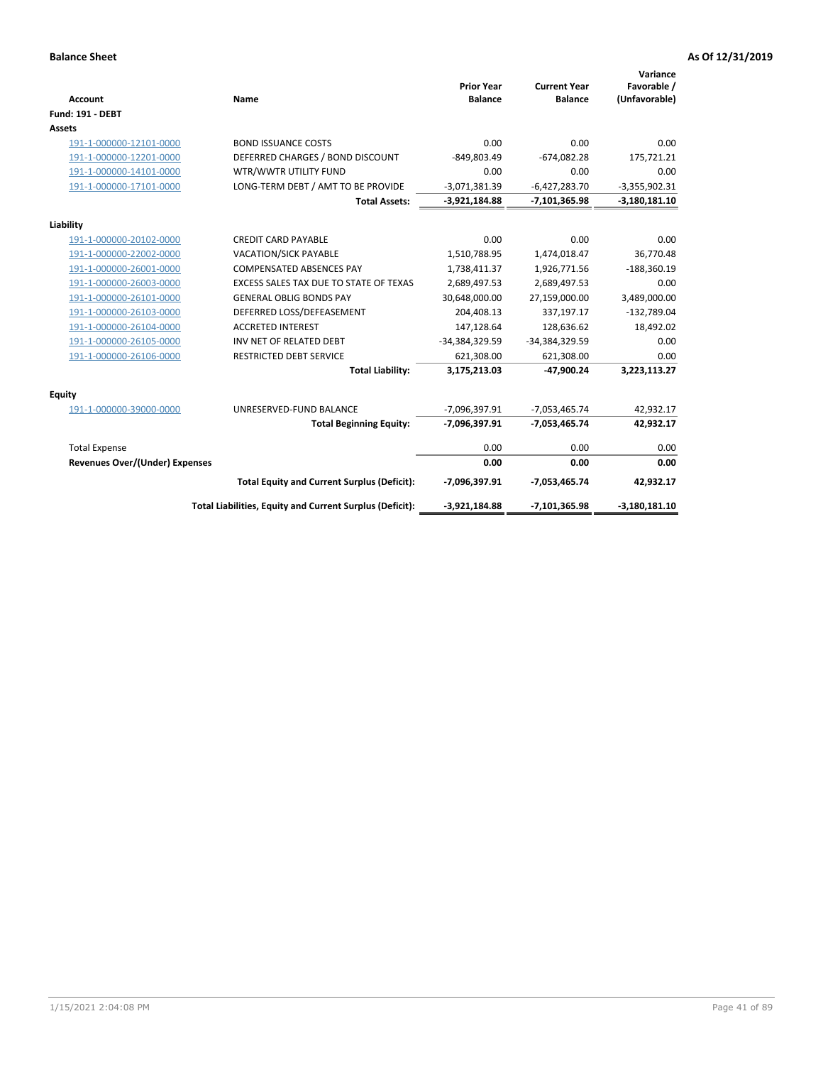| <b>Account</b>                 | Name                                                     | <b>Prior Year</b><br><b>Balance</b> | <b>Current Year</b><br><b>Balance</b> | Variance<br>Favorable /<br>(Unfavorable) |
|--------------------------------|----------------------------------------------------------|-------------------------------------|---------------------------------------|------------------------------------------|
| <b>Fund: 191 - DEBT</b>        |                                                          |                                     |                                       |                                          |
| <b>Assets</b>                  |                                                          |                                     |                                       |                                          |
| 191-1-000000-12101-0000        | <b>BOND ISSUANCE COSTS</b>                               | 0.00                                | 0.00                                  | 0.00                                     |
| 191-1-000000-12201-0000        | DEFERRED CHARGES / BOND DISCOUNT                         | -849,803.49                         | $-674,082.28$                         | 175,721.21                               |
| 191-1-000000-14101-0000        | WTR/WWTR UTILITY FUND                                    | 0.00                                | 0.00                                  | 0.00                                     |
| 191-1-000000-17101-0000        | LONG-TERM DEBT / AMT TO BE PROVIDE                       | $-3,071,381.39$                     | $-6,427,283.70$                       | $-3,355,902.31$                          |
|                                | <b>Total Assets:</b>                                     | $-3,921,184.88$                     | $-7,101,365.98$                       | $-3,180,181.10$                          |
| Liability                      |                                                          |                                     |                                       |                                          |
| 191-1-000000-20102-0000        | <b>CREDIT CARD PAYABLE</b>                               | 0.00                                | 0.00                                  | 0.00                                     |
| 191-1-000000-22002-0000        | <b>VACATION/SICK PAYABLE</b>                             | 1,510,788.95                        | 1,474,018.47                          | 36,770.48                                |
| 191-1-000000-26001-0000        | <b>COMPENSATED ABSENCES PAY</b>                          | 1,738,411.37                        | 1,926,771.56                          | $-188,360.19$                            |
| 191-1-000000-26003-0000        | EXCESS SALES TAX DUE TO STATE OF TEXAS                   | 2,689,497.53                        | 2,689,497.53                          | 0.00                                     |
| 191-1-000000-26101-0000        | <b>GENERAL OBLIG BONDS PAY</b>                           | 30,648,000.00                       | 27,159,000.00                         | 3,489,000.00                             |
| 191-1-000000-26103-0000        | DEFERRED LOSS/DEFEASEMENT                                | 204,408.13                          | 337,197.17                            | $-132,789.04$                            |
| 191-1-000000-26104-0000        | <b>ACCRETED INTEREST</b>                                 | 147,128.64                          | 128,636.62                            | 18,492.02                                |
| 191-1-000000-26105-0000        | INV NET OF RELATED DEBT                                  | -34,384,329.59                      | -34,384,329.59                        | 0.00                                     |
| 191-1-000000-26106-0000        | <b>RESTRICTED DEBT SERVICE</b>                           | 621,308.00                          | 621,308.00                            | 0.00                                     |
|                                | <b>Total Liability:</b>                                  | 3,175,213.03                        | $-47,900.24$                          | 3,223,113.27                             |
| Equity                         |                                                          |                                     |                                       |                                          |
| 191-1-000000-39000-0000        | UNRESERVED-FUND BALANCE                                  | -7,096,397.91                       | $-7,053,465.74$                       | 42,932.17                                |
|                                | <b>Total Beginning Equity:</b>                           | -7,096,397.91                       | $-7,053,465.74$                       | 42,932.17                                |
| <b>Total Expense</b>           |                                                          | 0.00                                | 0.00                                  | 0.00                                     |
| Revenues Over/(Under) Expenses |                                                          | 0.00                                | 0.00                                  | 0.00                                     |
|                                | <b>Total Equity and Current Surplus (Deficit):</b>       | -7,096,397.91                       | -7,053,465.74                         | 42,932.17                                |
|                                | Total Liabilities, Equity and Current Surplus (Deficit): | $-3,921,184.88$                     | -7,101,365.98                         | $-3,180,181.10$                          |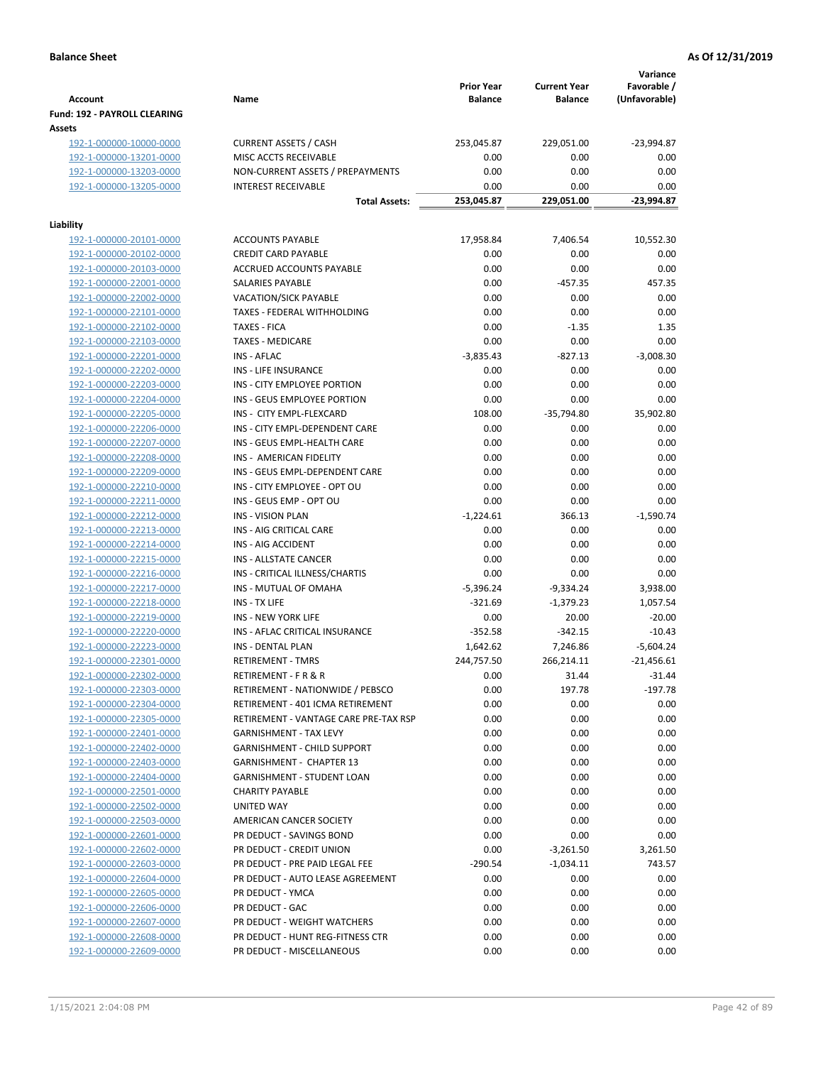|                                                    |                                                    | <b>Prior Year</b>   | <b>Current Year</b> | Variance<br>Favorable / |
|----------------------------------------------------|----------------------------------------------------|---------------------|---------------------|-------------------------|
| <b>Account</b>                                     | Name                                               | <b>Balance</b>      | <b>Balance</b>      | (Unfavorable)           |
| Fund: 192 - PAYROLL CLEARING                       |                                                    |                     |                     |                         |
| Assets                                             |                                                    |                     |                     |                         |
| 192-1-000000-10000-0000                            | <b>CURRENT ASSETS / CASH</b>                       | 253,045.87          | 229,051.00          | $-23,994.87$            |
| 192-1-000000-13201-0000                            | MISC ACCTS RECEIVABLE                              | 0.00                | 0.00                | 0.00                    |
| 192-1-000000-13203-0000                            | NON-CURRENT ASSETS / PREPAYMENTS                   | 0.00                | 0.00                | 0.00                    |
| 192-1-000000-13205-0000                            | <b>INTEREST RECEIVABLE</b>                         | 0.00                | 0.00                | 0.00                    |
|                                                    | <b>Total Assets:</b>                               | 253,045.87          | 229,051.00          | -23,994.87              |
| Liability                                          |                                                    |                     |                     |                         |
| 192-1-000000-20101-0000                            | <b>ACCOUNTS PAYABLE</b>                            | 17,958.84           | 7,406.54            | 10,552.30               |
| 192-1-000000-20102-0000                            | <b>CREDIT CARD PAYABLE</b>                         | 0.00                | 0.00                | 0.00                    |
| 192-1-000000-20103-0000                            | ACCRUED ACCOUNTS PAYABLE                           | 0.00                | 0.00                | 0.00                    |
| 192-1-000000-22001-0000                            | SALARIES PAYABLE                                   | 0.00                | $-457.35$           | 457.35                  |
| 192-1-000000-22002-0000                            | <b>VACATION/SICK PAYABLE</b>                       | 0.00                | 0.00                | 0.00                    |
| 192-1-000000-22101-0000                            | TAXES - FEDERAL WITHHOLDING                        | 0.00                | 0.00                | 0.00                    |
| 192-1-000000-22102-0000                            | <b>TAXES - FICA</b>                                | 0.00                | $-1.35$             | 1.35                    |
| 192-1-000000-22103-0000                            | <b>TAXES - MEDICARE</b>                            | 0.00                | 0.00                | 0.00                    |
| 192-1-000000-22201-0000                            | INS - AFLAC                                        | $-3,835.43$         | $-827.13$           | $-3,008.30$             |
| 192-1-000000-22202-0000                            | <b>INS - LIFE INSURANCE</b>                        | 0.00                | 0.00                | 0.00                    |
| 192-1-000000-22203-0000                            | INS - CITY EMPLOYEE PORTION                        | 0.00                | 0.00                | 0.00                    |
| 192-1-000000-22204-0000                            | INS - GEUS EMPLOYEE PORTION                        | 0.00                | 0.00                | 0.00                    |
| 192-1-000000-22205-0000                            | INS - CITY EMPL-FLEXCARD                           | 108.00              | $-35,794.80$        | 35,902.80               |
| 192-1-000000-22206-0000                            | INS - CITY EMPL-DEPENDENT CARE                     | 0.00                | 0.00                | 0.00                    |
| 192-1-000000-22207-0000                            | INS - GEUS EMPL-HEALTH CARE                        | 0.00                | 0.00                | 0.00                    |
| 192-1-000000-22208-0000                            | INS - AMERICAN FIDELITY                            | 0.00                | 0.00                | 0.00                    |
| 192-1-000000-22209-0000                            | INS - GEUS EMPL-DEPENDENT CARE                     | 0.00                | 0.00                | 0.00                    |
| 192-1-000000-22210-0000                            | INS - CITY EMPLOYEE - OPT OU                       | 0.00                | 0.00                | 0.00                    |
| 192-1-000000-22211-0000                            | INS - GEUS EMP - OPT OU                            | 0.00                | 0.00                | 0.00                    |
| 192-1-000000-22212-0000                            | <b>INS - VISION PLAN</b>                           | $-1,224.61$         | 366.13              | $-1,590.74$             |
| 192-1-000000-22213-0000                            | INS - AIG CRITICAL CARE                            | 0.00                | 0.00                | 0.00                    |
| 192-1-000000-22214-0000                            | INS - AIG ACCIDENT<br><b>INS - ALLSTATE CANCER</b> | 0.00<br>0.00        | 0.00<br>0.00        | 0.00<br>0.00            |
| 192-1-000000-22215-0000                            | INS - CRITICAL ILLNESS/CHARTIS                     |                     | 0.00                | 0.00                    |
| 192-1-000000-22216-0000<br>192-1-000000-22217-0000 | INS - MUTUAL OF OMAHA                              | 0.00<br>$-5,396.24$ | -9,334.24           | 3,938.00                |
| 192-1-000000-22218-0000                            | INS - TX LIFE                                      | $-321.69$           | $-1,379.23$         | 1,057.54                |
| 192-1-000000-22219-0000                            | <b>INS - NEW YORK LIFE</b>                         | 0.00                | 20.00               | $-20.00$                |
| 192-1-000000-22220-0000                            | INS - AFLAC CRITICAL INSURANCE                     | $-352.58$           | $-342.15$           | $-10.43$                |
| 192-1-000000-22223-0000                            | INS - DENTAL PLAN                                  | 1,642.62            | 7,246.86            | $-5,604.24$             |
| 192-1-000000-22301-0000                            | <b>RETIREMENT - TMRS</b>                           | 244,757.50          | 266,214.11          | $-21,456.61$            |
| 192-1-000000-22302-0000                            | RETIREMENT - F R & R                               | 0.00                | 31.44               | $-31.44$                |
| 192-1-000000-22303-0000                            | RETIREMENT - NATIONWIDE / PEBSCO                   | 0.00                | 197.78              | $-197.78$               |
| 192-1-000000-22304-0000                            | RETIREMENT - 401 ICMA RETIREMENT                   | 0.00                | 0.00                | 0.00                    |
| 192-1-000000-22305-0000                            | RETIREMENT - VANTAGE CARE PRE-TAX RSP              | 0.00                | 0.00                | 0.00                    |
| 192-1-000000-22401-0000                            | <b>GARNISHMENT - TAX LEVY</b>                      | 0.00                | 0.00                | 0.00                    |
| 192-1-000000-22402-0000                            | <b>GARNISHMENT - CHILD SUPPORT</b>                 | 0.00                | 0.00                | 0.00                    |
| 192-1-000000-22403-0000                            | GARNISHMENT - CHAPTER 13                           | 0.00                | 0.00                | 0.00                    |
| 192-1-000000-22404-0000                            | GARNISHMENT - STUDENT LOAN                         | 0.00                | 0.00                | 0.00                    |
| 192-1-000000-22501-0000                            | <b>CHARITY PAYABLE</b>                             | 0.00                | 0.00                | 0.00                    |
| 192-1-000000-22502-0000                            | UNITED WAY                                         | 0.00                | 0.00                | 0.00                    |
| 192-1-000000-22503-0000                            | AMERICAN CANCER SOCIETY                            | 0.00                | 0.00                | 0.00                    |
| 192-1-000000-22601-0000                            | PR DEDUCT - SAVINGS BOND                           | 0.00                | 0.00                | 0.00                    |
| 192-1-000000-22602-0000                            | PR DEDUCT - CREDIT UNION                           | 0.00                | $-3,261.50$         | 3,261.50                |
| 192-1-000000-22603-0000                            | PR DEDUCT - PRE PAID LEGAL FEE                     | $-290.54$           | $-1,034.11$         | 743.57                  |
| 192-1-000000-22604-0000                            | PR DEDUCT - AUTO LEASE AGREEMENT                   | 0.00                | 0.00                | 0.00                    |
| 192-1-000000-22605-0000                            | PR DEDUCT - YMCA                                   | 0.00                | 0.00                | 0.00                    |
| 192-1-000000-22606-0000                            | PR DEDUCT - GAC                                    | 0.00                | 0.00                | 0.00                    |
| 192-1-000000-22607-0000                            | PR DEDUCT - WEIGHT WATCHERS                        | 0.00                | 0.00                | 0.00                    |
| 192-1-000000-22608-0000                            | PR DEDUCT - HUNT REG-FITNESS CTR                   | 0.00                | 0.00                | 0.00                    |
| 192-1-000000-22609-0000                            | PR DEDUCT - MISCELLANEOUS                          | 0.00                | 0.00                | 0.00                    |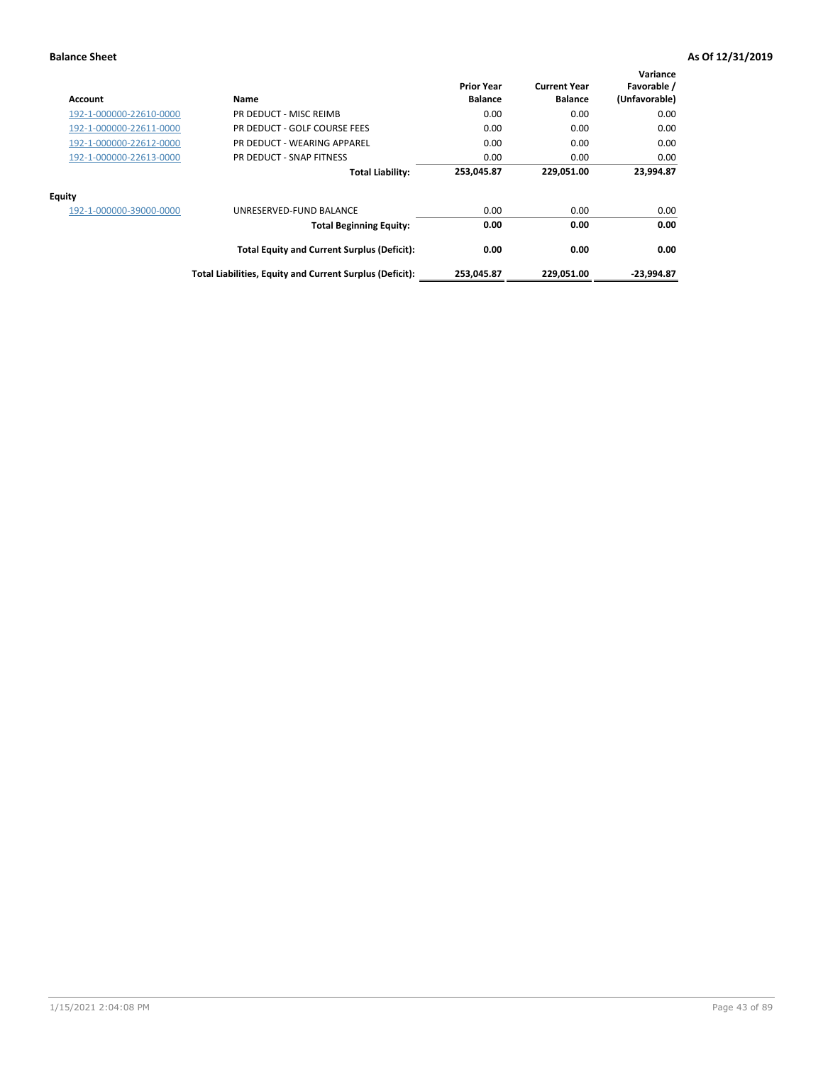| <b>Account</b>          | Name                                                     | <b>Prior Year</b><br><b>Balance</b> | <b>Current Year</b><br><b>Balance</b> | Variance<br>Favorable /<br>(Unfavorable) |
|-------------------------|----------------------------------------------------------|-------------------------------------|---------------------------------------|------------------------------------------|
| 192-1-000000-22610-0000 | PR DEDUCT - MISC REIMB                                   | 0.00                                | 0.00                                  | 0.00                                     |
| 192-1-000000-22611-0000 | PR DEDUCT - GOLF COURSE FEES                             | 0.00                                | 0.00                                  | 0.00                                     |
| 192-1-000000-22612-0000 | PR DEDUCT - WEARING APPAREL                              | 0.00                                | 0.00                                  | 0.00                                     |
| 192-1-000000-22613-0000 | PR DEDUCT - SNAP FITNESS                                 | 0.00                                | 0.00                                  | 0.00                                     |
|                         | <b>Total Liability:</b>                                  | 253,045.87                          | 229,051.00                            | 23,994.87                                |
| <b>Equity</b>           |                                                          |                                     |                                       |                                          |
| 192-1-000000-39000-0000 | UNRESERVED-FUND BALANCE                                  | 0.00                                | 0.00                                  | 0.00                                     |
|                         | <b>Total Beginning Equity:</b>                           | 0.00                                | 0.00                                  | 0.00                                     |
|                         | <b>Total Equity and Current Surplus (Deficit):</b>       | 0.00                                | 0.00                                  | 0.00                                     |
|                         | Total Liabilities, Equity and Current Surplus (Deficit): | 253,045.87                          | 229,051.00                            | -23.994.87                               |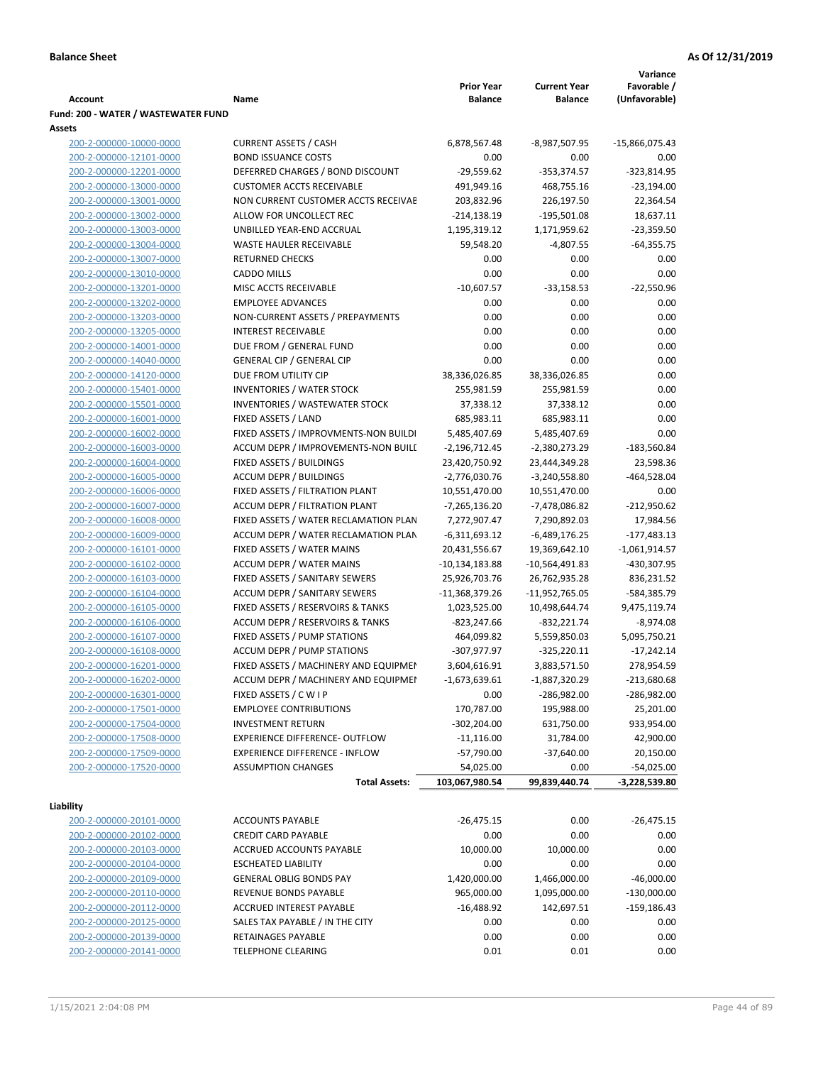|                                     |                                       |                             |                     | Variance                      |
|-------------------------------------|---------------------------------------|-----------------------------|---------------------|-------------------------------|
|                                     |                                       | <b>Prior Year</b>           | <b>Current Year</b> | Favorable /                   |
| <b>Account</b>                      | Name                                  | <b>Balance</b>              | <b>Balance</b>      | (Unfavorable)                 |
| Fund: 200 - WATER / WASTEWATER FUND |                                       |                             |                     |                               |
| Assets                              |                                       |                             |                     |                               |
| 200-2-000000-10000-0000             | <b>CURRENT ASSETS / CASH</b>          | 6,878,567.48                | -8,987,507.95       | -15,866,075.43                |
| 200-2-000000-12101-0000             | <b>BOND ISSUANCE COSTS</b>            | 0.00                        | 0.00                | 0.00                          |
| 200-2-000000-12201-0000             | DEFERRED CHARGES / BOND DISCOUNT      | $-29,559.62$                | $-353,374.57$       | $-323,814.95$                 |
| 200-2-000000-13000-0000             | <b>CUSTOMER ACCTS RECEIVABLE</b>      | 491,949.16                  | 468,755.16          | $-23,194.00$                  |
| 200-2-000000-13001-0000             | NON CURRENT CUSTOMER ACCTS RECEIVAE   | 203,832.96                  | 226,197.50          | 22,364.54                     |
| 200-2-000000-13002-0000             | ALLOW FOR UNCOLLECT REC               | $-214,138.19$               | $-195,501.08$       | 18,637.11                     |
| 200-2-000000-13003-0000             | UNBILLED YEAR-END ACCRUAL             | 1,195,319.12                | 1,171,959.62        | $-23,359.50$                  |
| 200-2-000000-13004-0000             | <b>WASTE HAULER RECEIVABLE</b>        | 59,548.20                   | $-4,807.55$         | -64,355.75                    |
| 200-2-000000-13007-0000             | <b>RETURNED CHECKS</b>                | 0.00                        | 0.00                | 0.00                          |
| 200-2-000000-13010-0000             | <b>CADDO MILLS</b>                    | 0.00                        | 0.00                | 0.00                          |
| 200-2-000000-13201-0000             | MISC ACCTS RECEIVABLE                 | $-10,607.57$                | $-33,158.53$        | $-22,550.96$                  |
| 200-2-000000-13202-0000             | <b>EMPLOYEE ADVANCES</b>              | 0.00                        | 0.00                | 0.00                          |
| 200-2-000000-13203-0000             | NON-CURRENT ASSETS / PREPAYMENTS      | 0.00                        | 0.00                | 0.00                          |
| 200-2-000000-13205-0000             | <b>INTEREST RECEIVABLE</b>            | 0.00                        | 0.00                | 0.00                          |
| 200-2-000000-14001-0000             | DUE FROM / GENERAL FUND               | 0.00                        | 0.00                | 0.00                          |
| 200-2-000000-14040-0000             | <b>GENERAL CIP / GENERAL CIP</b>      | 0.00                        | 0.00                | 0.00                          |
| 200-2-000000-14120-0000             | DUE FROM UTILITY CIP                  | 38,336,026.85               | 38,336,026.85       | 0.00                          |
| 200-2-000000-15401-0000             | <b>INVENTORIES / WATER STOCK</b>      | 255,981.59                  | 255,981.59          | 0.00                          |
| 200-2-000000-15501-0000             | <b>INVENTORIES / WASTEWATER STOCK</b> | 37,338.12                   | 37,338.12           | 0.00                          |
| 200-2-000000-16001-0000             | FIXED ASSETS / LAND                   | 685,983.11                  | 685,983.11          | 0.00                          |
| 200-2-000000-16002-0000             | FIXED ASSETS / IMPROVMENTS-NON BUILDI | 5,485,407.69                | 5,485,407.69        | 0.00                          |
| 200-2-000000-16003-0000             | ACCUM DEPR / IMPROVEMENTS-NON BUILL   | $-2,196,712.45$             | -2,380,273.29       | $-183,560.84$                 |
| 200-2-000000-16004-0000             | FIXED ASSETS / BUILDINGS              | 23,420,750.92               | 23,444,349.28       | 23,598.36                     |
| 200-2-000000-16005-0000             | <b>ACCUM DEPR / BUILDINGS</b>         | $-2,776,030.76$             | $-3,240,558.80$     | $-464,528.04$                 |
| 200-2-000000-16006-0000             | FIXED ASSETS / FILTRATION PLANT       | 10,551,470.00               | 10,551,470.00       | 0.00                          |
| 200-2-000000-16007-0000             | ACCUM DEPR / FILTRATION PLANT         | -7,265,136.20               | -7,478,086.82       | $-212,950.62$                 |
| 200-2-000000-16008-0000             | FIXED ASSETS / WATER RECLAMATION PLAN | 7,272,907.47                | 7,290,892.03        | 17,984.56                     |
| 200-2-000000-16009-0000             | ACCUM DEPR / WATER RECLAMATION PLAN   | $-6,311,693.12$             | $-6,489,176.25$     | $-177,483.13$                 |
| 200-2-000000-16101-0000             | FIXED ASSETS / WATER MAINS            | 20,431,556.67               | 19,369,642.10       | $-1,061,914.57$               |
| 200-2-000000-16102-0000             | <b>ACCUM DEPR / WATER MAINS</b>       | -10,134,183.88              | -10,564,491.83      | -430,307.95                   |
| 200-2-000000-16103-0000             | FIXED ASSETS / SANITARY SEWERS        | 25,926,703.76               | 26,762,935.28       | 836,231.52                    |
| 200-2-000000-16104-0000             | <b>ACCUM DEPR / SANITARY SEWERS</b>   | $-11,368,379.26$            | -11,952,765.05      | -584,385.79                   |
| 200-2-000000-16105-0000             | FIXED ASSETS / RESERVOIRS & TANKS     | 1,023,525.00                | 10,498,644.74       | 9,475,119.74                  |
| 200-2-000000-16106-0000             | ACCUM DEPR / RESERVOIRS & TANKS       | -823,247.66                 | $-832,221.74$       | $-8,974.08$                   |
| 200-2-000000-16107-0000             | FIXED ASSETS / PUMP STATIONS          | 464,099.82                  | 5,559,850.03        | 5,095,750.21                  |
| 200-2-000000-16108-0000             | <b>ACCUM DEPR / PUMP STATIONS</b>     | -307,977.97                 | $-325,220.11$       | $-17,242.14$                  |
| 200-2-000000-16201-0000             | FIXED ASSETS / MACHINERY AND EQUIPMEN | 3,604,616.91                | 3,883,571.50        | 278,954.59                    |
| 200-2-000000-16202-0000             | ACCUM DEPR / MACHINERY AND EQUIPMEI   | -1,673,639.61               | $-1,887,320.29$     | $-213,680.68$                 |
| 200-2-000000-16301-0000             | FIXED ASSETS / C W I P                | 0.00                        | -286,982.00         | $-286,982.00$                 |
| 200-2-000000-17501-0000             | <b>EMPLOYEE CONTRIBUTIONS</b>         | 170,787.00                  | 195,988.00          | 25,201.00                     |
| 200-2-000000-17504-0000             | <b>INVESTMENT RETURN</b>              | $-302,204.00$               | 631,750.00          | 933,954.00                    |
| 200-2-000000-17508-0000             | EXPERIENCE DIFFERENCE- OUTFLOW        | $-11,116.00$                | 31,784.00           | 42,900.00                     |
| 200-2-000000-17509-0000             | <b>EXPERIENCE DIFFERENCE - INFLOW</b> | $-57,790.00$                | $-37,640.00$        | 20,150.00                     |
| 200-2-000000-17520-0000             | <b>ASSUMPTION CHANGES</b>             |                             | 0.00                |                               |
|                                     | <b>Total Assets:</b>                  | 54,025.00<br>103,067,980.54 | 99,839,440.74       | $-54,025.00$<br>-3,228,539.80 |
|                                     |                                       |                             |                     |                               |
| Liability                           |                                       |                             |                     |                               |
| 200-2-000000-20101-0000             | <b>ACCOUNTS PAYABLE</b>               | $-26,475.15$                | 0.00                | $-26,475.15$                  |
| 200-2-000000-20102-0000             | <b>CREDIT CARD PAYABLE</b>            | 0.00                        | 0.00                | 0.00                          |
| 200-2-000000-20103-0000             | ACCRUED ACCOUNTS PAYABLE              | 10,000.00                   | 10,000.00           | 0.00                          |
| 200-2-000000-20104-0000             | <b>ESCHEATED LIABILITY</b>            | 0.00                        | 0.00                | 0.00                          |
| 200-2-000000-20109-0000             | <b>GENERAL OBLIG BONDS PAY</b>        | 1,420,000.00                | 1,466,000.00        | $-46,000.00$                  |
| 200-2-000000-20110-0000             | REVENUE BONDS PAYABLE                 | 965,000.00                  | 1,095,000.00        | $-130,000.00$                 |
| 200-2-000000-20112-0000             | ACCRUED INTEREST PAYABLE              | $-16,488.92$                | 142,697.51          | $-159,186.43$                 |
| 200-2-000000-20125-0000             | SALES TAX PAYABLE / IN THE CITY       | 0.00                        | 0.00                | 0.00                          |
| 200-2-000000-20139-0000             | RETAINAGES PAYABLE                    | 0.00                        | 0.00                | 0.00                          |
| 200-2-000000-20141-0000             | <b>TELEPHONE CLEARING</b>             | 0.01                        | 0.01                | 0.00                          |
|                                     |                                       |                             |                     |                               |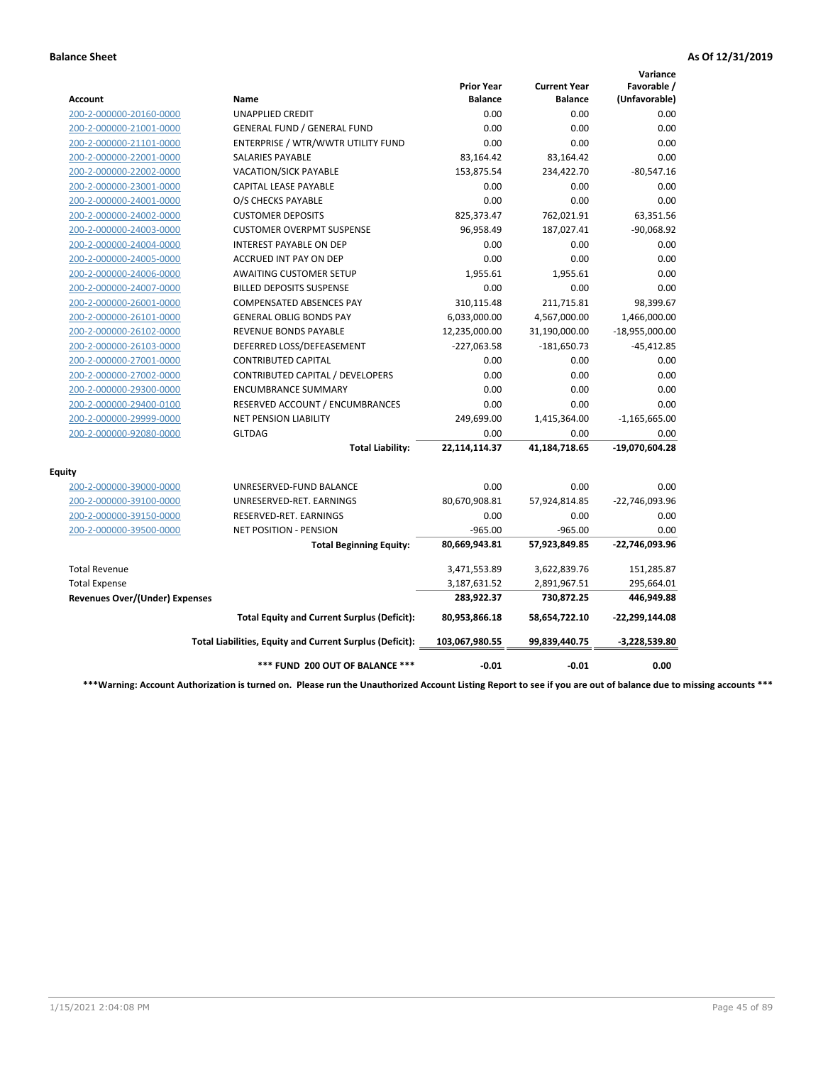|                                       |                                                          |                                     |                                       | Variance                     |
|---------------------------------------|----------------------------------------------------------|-------------------------------------|---------------------------------------|------------------------------|
| Account                               | Name                                                     | <b>Prior Year</b><br><b>Balance</b> | <b>Current Year</b><br><b>Balance</b> | Favorable /<br>(Unfavorable) |
| 200-2-000000-20160-0000               | <b>UNAPPLIED CREDIT</b>                                  | 0.00                                | 0.00                                  | 0.00                         |
| 200-2-000000-21001-0000               | <b>GENERAL FUND / GENERAL FUND</b>                       | 0.00                                | 0.00                                  | 0.00                         |
| 200-2-000000-21101-0000               | ENTERPRISE / WTR/WWTR UTILITY FUND                       | 0.00                                | 0.00                                  | 0.00                         |
| 200-2-000000-22001-0000               | <b>SALARIES PAYABLE</b>                                  | 83,164.42                           | 83,164.42                             | 0.00                         |
| 200-2-000000-22002-0000               | <b>VACATION/SICK PAYABLE</b>                             | 153,875.54                          | 234,422.70                            | $-80,547.16$                 |
| 200-2-000000-23001-0000               | CAPITAL LEASE PAYABLE                                    | 0.00                                | 0.00                                  | 0.00                         |
| 200-2-000000-24001-0000               | O/S CHECKS PAYABLE                                       | 0.00                                | 0.00                                  | 0.00                         |
| 200-2-000000-24002-0000               | <b>CUSTOMER DEPOSITS</b>                                 | 825,373.47                          | 762,021.91                            | 63,351.56                    |
| 200-2-000000-24003-0000               | <b>CUSTOMER OVERPMT SUSPENSE</b>                         | 96,958.49                           | 187,027.41                            | $-90,068.92$                 |
| 200-2-000000-24004-0000               | <b>INTEREST PAYABLE ON DEP</b>                           | 0.00                                | 0.00                                  | 0.00                         |
| 200-2-000000-24005-0000               | <b>ACCRUED INT PAY ON DEP</b>                            | 0.00                                | 0.00                                  | 0.00                         |
| 200-2-000000-24006-0000               | <b>AWAITING CUSTOMER SETUP</b>                           | 1.955.61                            | 1,955.61                              | 0.00                         |
| 200-2-000000-24007-0000               | <b>BILLED DEPOSITS SUSPENSE</b>                          | 0.00                                | 0.00                                  | 0.00                         |
| 200-2-000000-26001-0000               | <b>COMPENSATED ABSENCES PAY</b>                          | 310,115.48                          | 211,715.81                            | 98,399.67                    |
| 200-2-000000-26101-0000               | <b>GENERAL OBLIG BONDS PAY</b>                           | 6,033,000.00                        | 4,567,000.00                          | 1,466,000.00                 |
| 200-2-000000-26102-0000               | <b>REVENUE BONDS PAYABLE</b>                             | 12,235,000.00                       | 31,190,000.00                         | $-18,955,000.00$             |
| 200-2-000000-26103-0000               | DEFERRED LOSS/DEFEASEMENT                                | $-227,063.58$                       | $-181,650.73$                         | $-45,412.85$                 |
| 200-2-000000-27001-0000               | <b>CONTRIBUTED CAPITAL</b>                               | 0.00                                | 0.00                                  | 0.00                         |
| 200-2-000000-27002-0000               | CONTRIBUTED CAPITAL / DEVELOPERS                         | 0.00                                | 0.00                                  | 0.00                         |
| 200-2-000000-29300-0000               | <b>ENCUMBRANCE SUMMARY</b>                               | 0.00                                | 0.00                                  | 0.00                         |
| 200-2-000000-29400-0100               | RESERVED ACCOUNT / ENCUMBRANCES                          | 0.00                                | 0.00                                  | 0.00                         |
| 200-2-000000-29999-0000               | <b>NET PENSION LIABILITY</b>                             | 249,699.00                          | 1,415,364.00                          | $-1,165,665.00$              |
| 200-2-000000-92080-0000               | <b>GLTDAG</b>                                            | 0.00                                | 0.00                                  | 0.00                         |
|                                       | <b>Total Liability:</b>                                  | 22,114,114.37                       | 41,184,718.65                         | -19,070,604.28               |
| <b>Equity</b>                         |                                                          |                                     |                                       |                              |
| 200-2-000000-39000-0000               | UNRESERVED-FUND BALANCE                                  | 0.00                                | 0.00                                  | 0.00                         |
| 200-2-000000-39100-0000               | UNRESERVED-RET. EARNINGS                                 | 80,670,908.81                       | 57,924,814.85                         | -22,746,093.96               |
| 200-2-000000-39150-0000               | RESERVED-RET. EARNINGS                                   | 0.00                                | 0.00                                  | 0.00                         |
| 200-2-000000-39500-0000               | NET POSITION - PENSION                                   | $-965.00$                           | $-965.00$                             | 0.00                         |
|                                       | <b>Total Beginning Equity:</b>                           | 80,669,943.81                       | 57,923,849.85                         | -22,746,093.96               |
| <b>Total Revenue</b>                  |                                                          | 3,471,553.89                        | 3,622,839.76                          | 151,285.87                   |
| <b>Total Expense</b>                  |                                                          | 3,187,631.52                        | 2,891,967.51                          | 295,664.01                   |
| <b>Revenues Over/(Under) Expenses</b> |                                                          | 283,922.37                          | 730,872.25                            | 446,949.88                   |
|                                       | <b>Total Equity and Current Surplus (Deficit):</b>       | 80,953,866.18                       | 58,654,722.10                         | -22,299,144.08               |
|                                       | Total Liabilities, Equity and Current Surplus (Deficit): | 103,067,980.55                      | 99,839,440.75                         | $-3,228,539.80$              |
|                                       | *** FUND 200 OUT OF BALANCE ***                          | $-0.01$                             | $-0.01$                               | 0.00                         |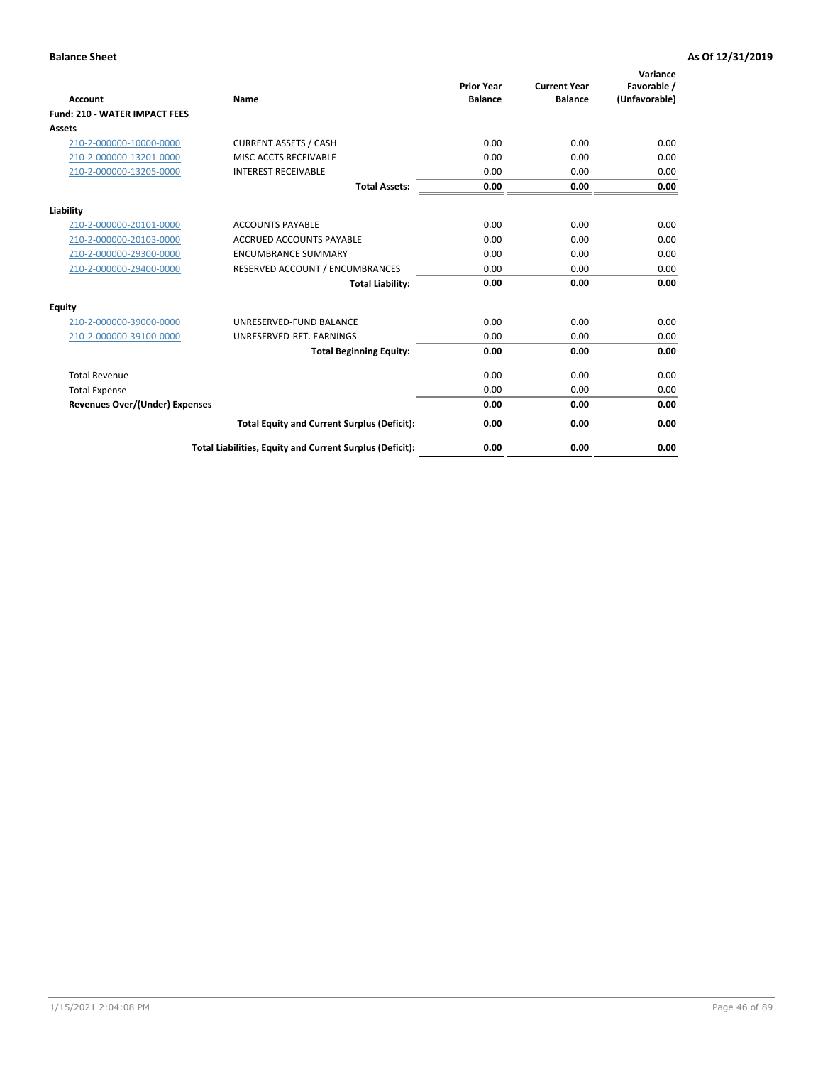| <b>Account</b>                        | Name                                                     | <b>Prior Year</b><br><b>Balance</b> | <b>Current Year</b><br><b>Balance</b> | Variance<br>Favorable /<br>(Unfavorable) |
|---------------------------------------|----------------------------------------------------------|-------------------------------------|---------------------------------------|------------------------------------------|
| <b>Fund: 210 - WATER IMPACT FEES</b>  |                                                          |                                     |                                       |                                          |
| <b>Assets</b>                         |                                                          |                                     |                                       |                                          |
| 210-2-000000-10000-0000               | <b>CURRENT ASSETS / CASH</b>                             | 0.00                                | 0.00                                  | 0.00                                     |
| 210-2-000000-13201-0000               | MISC ACCTS RECEIVABLE                                    | 0.00                                | 0.00                                  | 0.00                                     |
| 210-2-000000-13205-0000               | <b>INTEREST RECEIVABLE</b>                               | 0.00                                | 0.00                                  | 0.00                                     |
|                                       | <b>Total Assets:</b>                                     | 0.00                                | 0.00                                  | 0.00                                     |
|                                       |                                                          |                                     |                                       |                                          |
| Liability                             |                                                          |                                     |                                       |                                          |
| 210-2-000000-20101-0000               | <b>ACCOUNTS PAYABLE</b>                                  | 0.00                                | 0.00                                  | 0.00                                     |
| 210-2-000000-20103-0000               | <b>ACCRUED ACCOUNTS PAYABLE</b>                          | 0.00                                | 0.00                                  | 0.00                                     |
| 210-2-000000-29300-0000               | <b>ENCUMBRANCE SUMMARY</b>                               | 0.00                                | 0.00                                  | 0.00                                     |
| 210-2-000000-29400-0000               | RESERVED ACCOUNT / ENCUMBRANCES                          | 0.00                                | 0.00                                  | 0.00                                     |
|                                       | <b>Total Liability:</b>                                  | 0.00                                | 0.00                                  | 0.00                                     |
| <b>Equity</b>                         |                                                          |                                     |                                       |                                          |
| 210-2-000000-39000-0000               | UNRESERVED-FUND BALANCE                                  | 0.00                                | 0.00                                  | 0.00                                     |
| 210-2-000000-39100-0000               | UNRESERVED-RET. EARNINGS                                 | 0.00                                | 0.00                                  | 0.00                                     |
|                                       | <b>Total Beginning Equity:</b>                           | 0.00                                | 0.00                                  | 0.00                                     |
| <b>Total Revenue</b>                  |                                                          | 0.00                                | 0.00                                  | 0.00                                     |
| <b>Total Expense</b>                  |                                                          | 0.00                                | 0.00                                  | 0.00                                     |
| <b>Revenues Over/(Under) Expenses</b> |                                                          | 0.00                                | 0.00                                  | 0.00                                     |
|                                       | <b>Total Equity and Current Surplus (Deficit):</b>       | 0.00                                | 0.00                                  | 0.00                                     |
|                                       | Total Liabilities, Equity and Current Surplus (Deficit): | 0.00                                | 0.00                                  | 0.00                                     |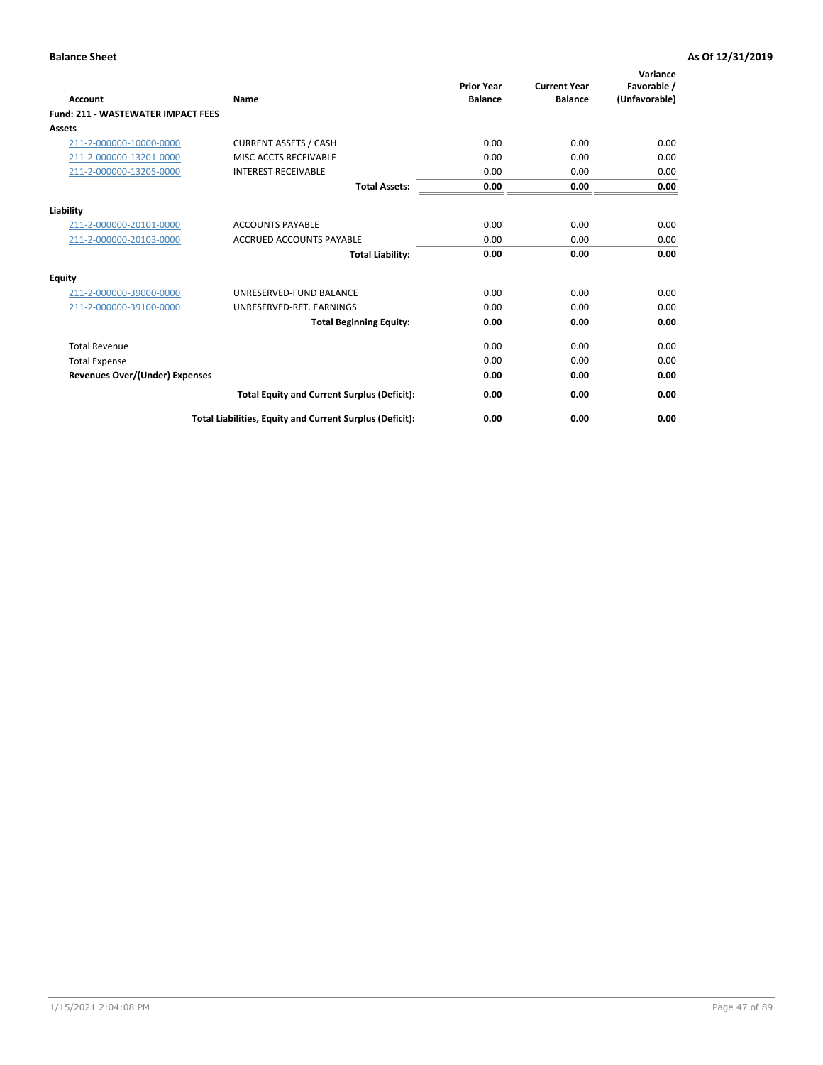| Account                                   | Name                                                     | <b>Prior Year</b><br><b>Balance</b> | <b>Current Year</b><br><b>Balance</b> | Variance<br>Favorable /<br>(Unfavorable) |
|-------------------------------------------|----------------------------------------------------------|-------------------------------------|---------------------------------------|------------------------------------------|
| <b>Fund: 211 - WASTEWATER IMPACT FEES</b> |                                                          |                                     |                                       |                                          |
| <b>Assets</b>                             |                                                          |                                     |                                       |                                          |
| 211-2-000000-10000-0000                   | <b>CURRENT ASSETS / CASH</b>                             | 0.00                                | 0.00                                  | 0.00                                     |
| 211-2-000000-13201-0000                   | MISC ACCTS RECEIVABLE                                    | 0.00                                | 0.00                                  | 0.00                                     |
| 211-2-000000-13205-0000                   | <b>INTEREST RECEIVABLE</b>                               | 0.00                                | 0.00                                  | 0.00                                     |
|                                           | <b>Total Assets:</b>                                     | 0.00                                | 0.00                                  | 0.00                                     |
| Liability                                 |                                                          |                                     |                                       |                                          |
| 211-2-000000-20101-0000                   | <b>ACCOUNTS PAYABLE</b>                                  | 0.00                                | 0.00                                  | 0.00                                     |
| 211-2-000000-20103-0000                   | <b>ACCRUED ACCOUNTS PAYABLE</b>                          | 0.00                                | 0.00                                  | 0.00                                     |
|                                           | <b>Total Liability:</b>                                  | 0.00                                | 0.00                                  | 0.00                                     |
| Equity                                    |                                                          |                                     |                                       |                                          |
| 211-2-000000-39000-0000                   | UNRESERVED-FUND BALANCE                                  | 0.00                                | 0.00                                  | 0.00                                     |
| 211-2-000000-39100-0000                   | UNRESERVED-RET. EARNINGS                                 | 0.00                                | 0.00                                  | 0.00                                     |
|                                           | <b>Total Beginning Equity:</b>                           | 0.00                                | 0.00                                  | 0.00                                     |
| <b>Total Revenue</b>                      |                                                          | 0.00                                | 0.00                                  | 0.00                                     |
| <b>Total Expense</b>                      |                                                          | 0.00                                | 0.00                                  | 0.00                                     |
| <b>Revenues Over/(Under) Expenses</b>     |                                                          | 0.00                                | 0.00                                  | 0.00                                     |
|                                           | <b>Total Equity and Current Surplus (Deficit):</b>       | 0.00                                | 0.00                                  | 0.00                                     |
|                                           | Total Liabilities, Equity and Current Surplus (Deficit): | 0.00                                | 0.00                                  | 0.00                                     |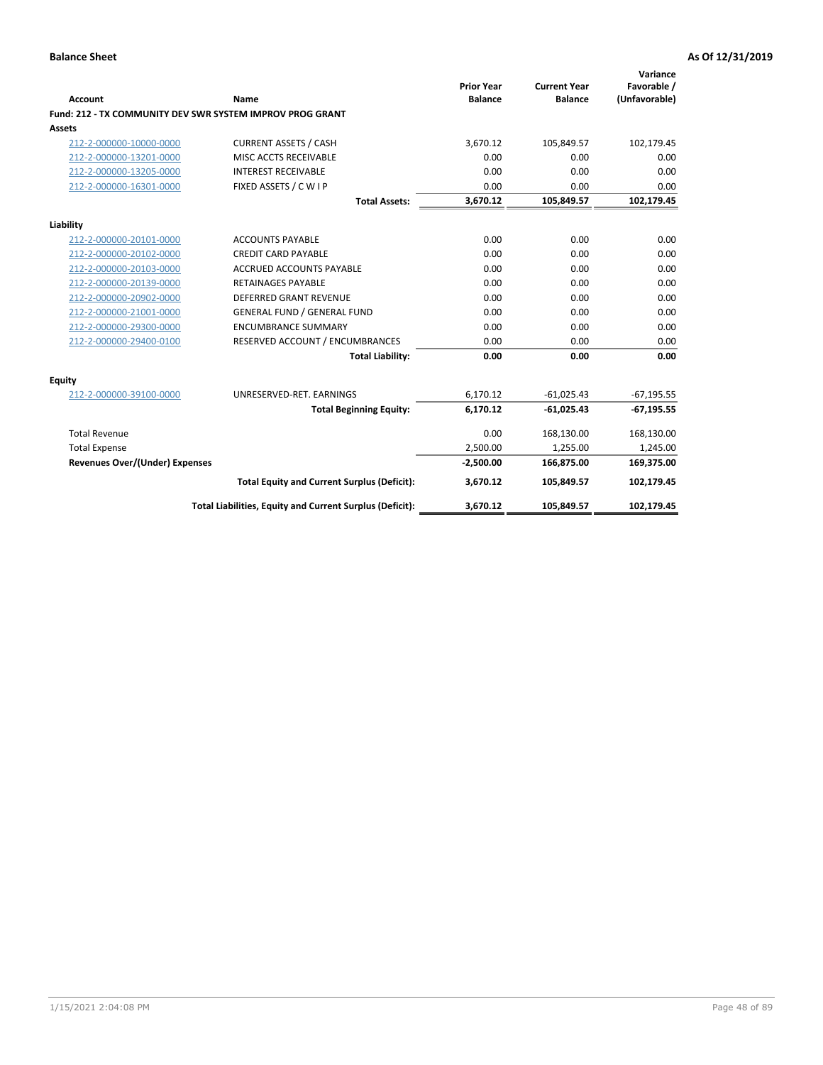| <b>Account</b>                        | Name                                                      | <b>Prior Year</b><br><b>Balance</b> | <b>Current Year</b><br><b>Balance</b> | Variance<br>Favorable /<br>(Unfavorable) |
|---------------------------------------|-----------------------------------------------------------|-------------------------------------|---------------------------------------|------------------------------------------|
|                                       | Fund: 212 - TX COMMUNITY DEV SWR SYSTEM IMPROV PROG GRANT |                                     |                                       |                                          |
| <b>Assets</b>                         |                                                           |                                     |                                       |                                          |
| 212-2-000000-10000-0000               | <b>CURRENT ASSETS / CASH</b>                              | 3,670.12                            | 105,849.57                            | 102,179.45                               |
| 212-2-000000-13201-0000               | MISC ACCTS RECEIVABLE                                     | 0.00                                | 0.00                                  | 0.00                                     |
| 212-2-000000-13205-0000               | <b>INTEREST RECEIVABLE</b>                                | 0.00                                | 0.00                                  | 0.00                                     |
| 212-2-000000-16301-0000               | FIXED ASSETS / C W I P                                    | 0.00                                | 0.00                                  | 0.00                                     |
|                                       | <b>Total Assets:</b>                                      | 3,670.12                            | 105,849.57                            | 102,179.45                               |
| Liability                             |                                                           |                                     |                                       |                                          |
| 212-2-000000-20101-0000               | <b>ACCOUNTS PAYABLE</b>                                   | 0.00                                | 0.00                                  | 0.00                                     |
| 212-2-000000-20102-0000               | <b>CREDIT CARD PAYABLE</b>                                | 0.00                                | 0.00                                  | 0.00                                     |
| 212-2-000000-20103-0000               | <b>ACCRUED ACCOUNTS PAYABLE</b>                           | 0.00                                | 0.00                                  | 0.00                                     |
| 212-2-000000-20139-0000               | <b>RETAINAGES PAYABLE</b>                                 | 0.00                                | 0.00                                  | 0.00                                     |
| 212-2-000000-20902-0000               | <b>DEFERRED GRANT REVENUE</b>                             | 0.00                                | 0.00                                  | 0.00                                     |
| 212-2-000000-21001-0000               | <b>GENERAL FUND / GENERAL FUND</b>                        | 0.00                                | 0.00                                  | 0.00                                     |
| 212-2-000000-29300-0000               | <b>ENCUMBRANCE SUMMARY</b>                                | 0.00                                | 0.00                                  | 0.00                                     |
| 212-2-000000-29400-0100               | RESERVED ACCOUNT / ENCUMBRANCES                           | 0.00                                | 0.00                                  | 0.00                                     |
|                                       | <b>Total Liability:</b>                                   | 0.00                                | 0.00                                  | 0.00                                     |
| Equity                                |                                                           |                                     |                                       |                                          |
| 212-2-000000-39100-0000               | UNRESERVED-RET. EARNINGS                                  | 6,170.12                            | $-61,025.43$                          | $-67,195.55$                             |
|                                       | <b>Total Beginning Equity:</b>                            | 6,170.12                            | $-61,025.43$                          | $-67,195.55$                             |
| <b>Total Revenue</b>                  |                                                           | 0.00                                | 168,130.00                            | 168,130.00                               |
| <b>Total Expense</b>                  |                                                           | 2,500.00                            | 1,255.00                              | 1,245.00                                 |
| <b>Revenues Over/(Under) Expenses</b> |                                                           | $-2,500.00$                         | 166,875.00                            | 169,375.00                               |
|                                       | <b>Total Equity and Current Surplus (Deficit):</b>        | 3,670.12                            | 105,849.57                            | 102,179.45                               |
|                                       | Total Liabilities, Equity and Current Surplus (Deficit):  | 3,670.12                            | 105,849.57                            | 102,179.45                               |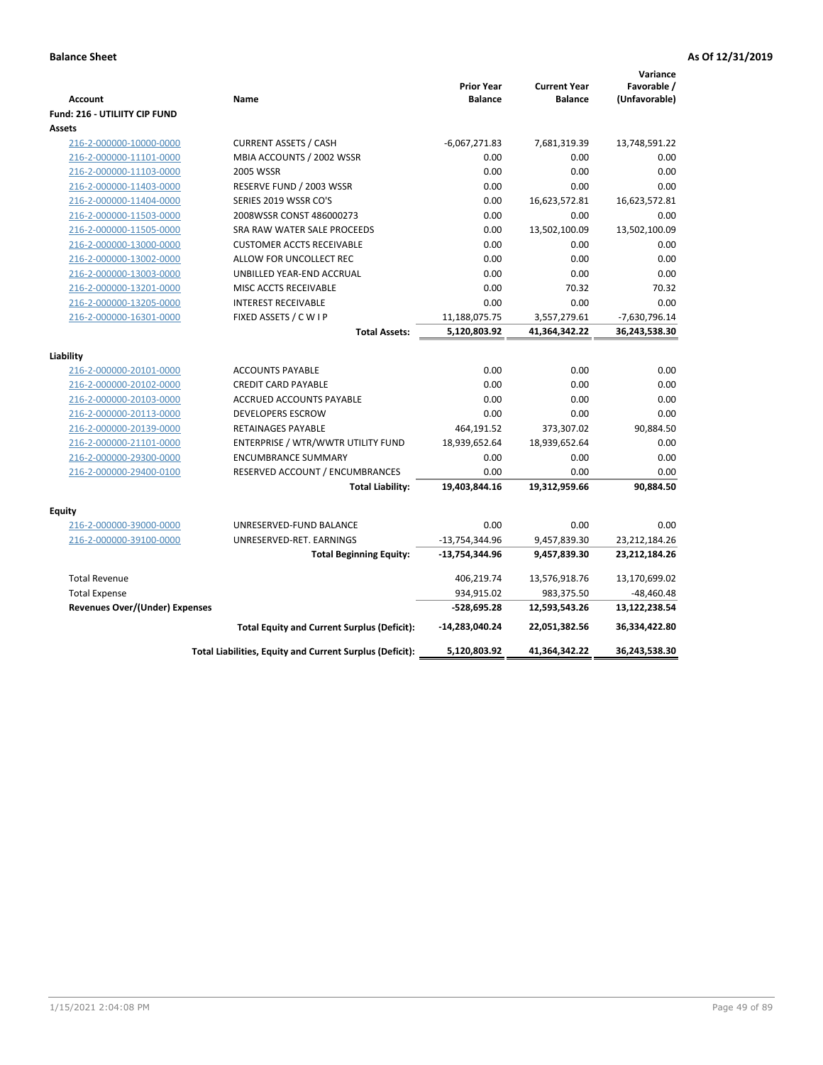| <b>Account</b><br>Fund: 216 - UTILIITY CIP FUND | Name                                                     | <b>Prior Year</b><br><b>Balance</b> | <b>Current Year</b><br><b>Balance</b> | Variance<br>Favorable /<br>(Unfavorable) |
|-------------------------------------------------|----------------------------------------------------------|-------------------------------------|---------------------------------------|------------------------------------------|
| <b>Assets</b>                                   |                                                          |                                     |                                       |                                          |
| 216-2-000000-10000-0000                         | <b>CURRENT ASSETS / CASH</b>                             | $-6,067,271.83$                     | 7,681,319.39                          | 13,748,591.22                            |
| 216-2-000000-11101-0000                         | MBIA ACCOUNTS / 2002 WSSR                                | 0.00                                | 0.00                                  | 0.00                                     |
| 216-2-000000-11103-0000                         | 2005 WSSR                                                | 0.00                                | 0.00                                  | 0.00                                     |
| 216-2-000000-11403-0000                         | RESERVE FUND / 2003 WSSR                                 | 0.00                                | 0.00                                  | 0.00                                     |
| 216-2-000000-11404-0000                         | SERIES 2019 WSSR CO'S                                    | 0.00                                | 16,623,572.81                         | 16,623,572.81                            |
| 216-2-000000-11503-0000                         | 2008WSSR CONST 486000273                                 | 0.00                                | 0.00                                  | 0.00                                     |
| 216-2-000000-11505-0000                         | SRA RAW WATER SALE PROCEEDS                              | 0.00                                | 13,502,100.09                         | 13,502,100.09                            |
| 216-2-000000-13000-0000                         | <b>CUSTOMER ACCTS RECEIVABLE</b>                         | 0.00                                | 0.00                                  | 0.00                                     |
| 216-2-000000-13002-0000                         | ALLOW FOR UNCOLLECT REC                                  | 0.00                                | 0.00                                  | 0.00                                     |
| 216-2-000000-13003-0000                         | UNBILLED YEAR-END ACCRUAL                                | 0.00                                | 0.00                                  | 0.00                                     |
| 216-2-000000-13201-0000                         | <b>MISC ACCTS RECEIVABLE</b>                             | 0.00                                | 70.32                                 | 70.32                                    |
| 216-2-000000-13205-0000                         | <b>INTEREST RECEIVABLE</b>                               | 0.00                                | 0.00                                  | 0.00                                     |
| 216-2-000000-16301-0000                         | FIXED ASSETS / C W I P                                   | 11,188,075.75                       | 3,557,279.61                          | -7,630,796.14                            |
|                                                 | <b>Total Assets:</b>                                     | 5,120,803.92                        | 41,364,342.22                         | 36,243,538.30                            |
| Liability                                       |                                                          |                                     |                                       |                                          |
| 216-2-000000-20101-0000                         | <b>ACCOUNTS PAYABLE</b>                                  | 0.00                                | 0.00                                  | 0.00                                     |
| 216-2-000000-20102-0000                         | <b>CREDIT CARD PAYABLE</b>                               | 0.00                                | 0.00                                  | 0.00                                     |
| 216-2-000000-20103-0000                         | ACCRUED ACCOUNTS PAYABLE                                 | 0.00                                | 0.00                                  | 0.00                                     |
| 216-2-000000-20113-0000                         | <b>DEVELOPERS ESCROW</b>                                 | 0.00                                | 0.00                                  | 0.00                                     |
| 216-2-000000-20139-0000                         | <b>RETAINAGES PAYABLE</b>                                | 464,191.52                          | 373,307.02                            | 90,884.50                                |
| 216-2-000000-21101-0000                         | ENTERPRISE / WTR/WWTR UTILITY FUND                       | 18,939,652.64                       | 18,939,652.64                         | 0.00                                     |
| 216-2-000000-29300-0000                         | <b>ENCUMBRANCE SUMMARY</b>                               | 0.00                                | 0.00                                  | 0.00                                     |
| 216-2-000000-29400-0100                         | RESERVED ACCOUNT / ENCUMBRANCES                          | 0.00                                | 0.00                                  | 0.00                                     |
|                                                 | <b>Total Liability:</b>                                  | 19,403,844.16                       | 19,312,959.66                         | 90,884.50                                |
|                                                 |                                                          |                                     |                                       |                                          |
| <b>Equity</b>                                   |                                                          |                                     |                                       |                                          |
| 216-2-000000-39000-0000                         | UNRESERVED-FUND BALANCE                                  | 0.00                                | 0.00                                  | 0.00                                     |
| 216-2-000000-39100-0000                         | UNRESERVED-RET. EARNINGS                                 | $-13,754,344.96$                    | 9,457,839.30                          | 23,212,184.26                            |
|                                                 | <b>Total Beginning Equity:</b>                           | -13,754,344.96                      | 9,457,839.30                          | 23,212,184.26                            |
| <b>Total Revenue</b>                            |                                                          | 406,219.74                          | 13,576,918.76                         | 13,170,699.02                            |
| <b>Total Expense</b>                            |                                                          | 934,915.02                          | 983,375.50                            | $-48,460.48$                             |
| Revenues Over/(Under) Expenses                  |                                                          | $-528,695.28$                       | 12,593,543.26                         | 13,122,238.54                            |
|                                                 | <b>Total Equity and Current Surplus (Deficit):</b>       | -14,283,040.24                      | 22,051,382.56                         | 36,334,422.80                            |
|                                                 | Total Liabilities, Equity and Current Surplus (Deficit): | 5,120,803.92                        | 41,364,342.22                         | 36,243,538.30                            |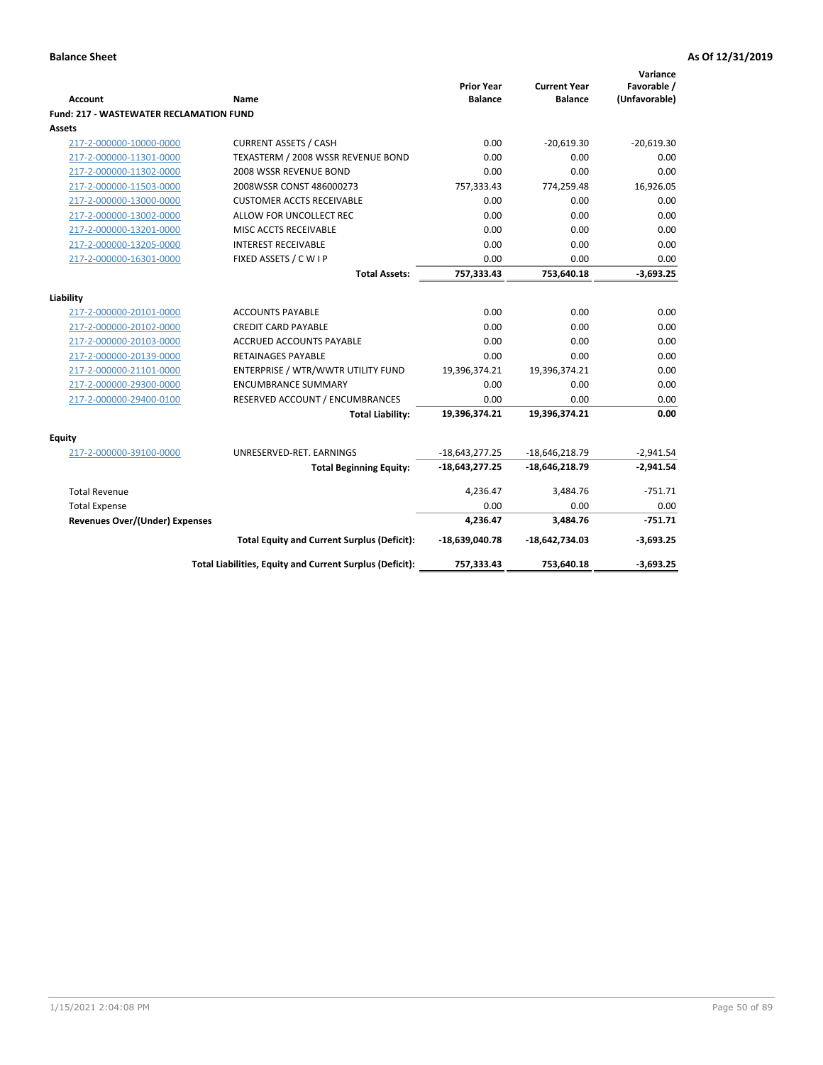| Account                                        | <b>Name</b>                                              | <b>Prior Year</b><br><b>Balance</b> | <b>Current Year</b><br><b>Balance</b> | Variance<br>Favorable /<br>(Unfavorable) |
|------------------------------------------------|----------------------------------------------------------|-------------------------------------|---------------------------------------|------------------------------------------|
| <b>Fund: 217 - WASTEWATER RECLAMATION FUND</b> |                                                          |                                     |                                       |                                          |
| Assets                                         |                                                          |                                     |                                       |                                          |
| 217-2-000000-10000-0000                        | <b>CURRENT ASSETS / CASH</b>                             | 0.00                                | $-20.619.30$                          | $-20.619.30$                             |
| 217-2-000000-11301-0000                        | TEXASTERM / 2008 WSSR REVENUE BOND                       | 0.00                                | 0.00                                  | 0.00                                     |
| 217-2-000000-11302-0000                        | 2008 WSSR REVENUE BOND                                   | 0.00                                | 0.00                                  | 0.00                                     |
| 217-2-000000-11503-0000                        | 2008WSSR CONST 486000273                                 | 757,333.43                          | 774,259.48                            | 16,926.05                                |
| 217-2-000000-13000-0000                        | <b>CUSTOMER ACCTS RECEIVABLE</b>                         | 0.00                                | 0.00                                  | 0.00                                     |
| 217-2-000000-13002-0000                        | ALLOW FOR UNCOLLECT REC                                  | 0.00                                | 0.00                                  | 0.00                                     |
| 217-2-000000-13201-0000                        | MISC ACCTS RECEIVABLE                                    | 0.00                                | 0.00                                  | 0.00                                     |
| 217-2-000000-13205-0000                        | <b>INTEREST RECEIVABLE</b>                               | 0.00                                | 0.00                                  | 0.00                                     |
| 217-2-000000-16301-0000                        | FIXED ASSETS / C W I P                                   | 0.00                                | 0.00                                  | 0.00                                     |
|                                                | <b>Total Assets:</b>                                     | 757,333.43                          | 753,640.18                            | $-3,693.25$                              |
|                                                |                                                          |                                     |                                       |                                          |
| Liability                                      |                                                          |                                     |                                       |                                          |
| 217-2-000000-20101-0000                        | <b>ACCOUNTS PAYABLE</b>                                  | 0.00                                | 0.00                                  | 0.00                                     |
| 217-2-000000-20102-0000                        | <b>CREDIT CARD PAYABLE</b>                               | 0.00                                | 0.00                                  | 0.00                                     |
| 217-2-000000-20103-0000                        | <b>ACCRUED ACCOUNTS PAYABLE</b>                          | 0.00                                | 0.00                                  | 0.00                                     |
| 217-2-000000-20139-0000                        | <b>RETAINAGES PAYABLE</b>                                | 0.00                                | 0.00                                  | 0.00                                     |
| 217-2-000000-21101-0000                        | ENTERPRISE / WTR/WWTR UTILITY FUND                       | 19,396,374.21                       | 19,396,374.21                         | 0.00                                     |
| 217-2-000000-29300-0000                        | <b>ENCUMBRANCE SUMMARY</b>                               | 0.00                                | 0.00                                  | 0.00                                     |
| 217-2-000000-29400-0100                        | RESERVED ACCOUNT / ENCUMBRANCES                          | 0.00                                | 0.00                                  | 0.00                                     |
|                                                | <b>Total Liability:</b>                                  | 19,396,374.21                       | 19,396,374.21                         | 0.00                                     |
| <b>Equity</b>                                  |                                                          |                                     |                                       |                                          |
| 217-2-000000-39100-0000                        | UNRESERVED-RET. EARNINGS                                 | $-18,643,277.25$                    | $-18,646,218.79$                      | $-2,941.54$                              |
|                                                | <b>Total Beginning Equity:</b>                           | $-18,643,277.25$                    | $-18,646,218.79$                      | $-2,941.54$                              |
| <b>Total Revenue</b>                           |                                                          | 4,236.47                            | 3,484.76                              | $-751.71$                                |
| <b>Total Expense</b>                           |                                                          | 0.00                                | 0.00                                  | 0.00                                     |
| <b>Revenues Over/(Under) Expenses</b>          |                                                          | 4,236.47                            | 3,484.76                              | $-751.71$                                |
|                                                | <b>Total Equity and Current Surplus (Deficit):</b>       | $-18,639,040.78$                    | $-18,642,734.03$                      | $-3,693.25$                              |
|                                                | Total Liabilities, Equity and Current Surplus (Deficit): | 757,333.43                          | 753,640.18                            | $-3,693.25$                              |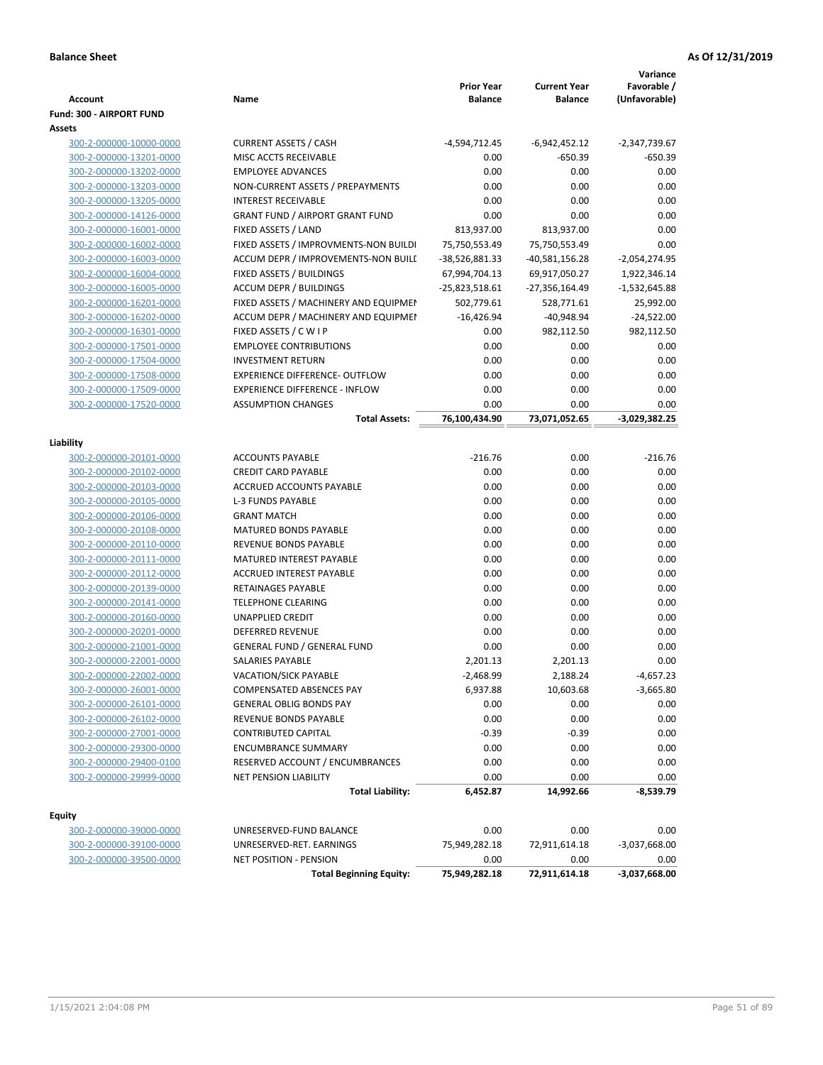|                                                    |                                                                              | <b>Prior Year</b>               | <b>Current Year</b>               | Variance<br>Favorable /         |
|----------------------------------------------------|------------------------------------------------------------------------------|---------------------------------|-----------------------------------|---------------------------------|
| Account                                            | Name                                                                         | <b>Balance</b>                  | <b>Balance</b>                    | (Unfavorable)                   |
| Fund: 300 - AIRPORT FUND                           |                                                                              |                                 |                                   |                                 |
| Assets                                             |                                                                              |                                 |                                   |                                 |
| 300-2-000000-10000-0000<br>300-2-000000-13201-0000 | <b>CURRENT ASSETS / CASH</b><br>MISC ACCTS RECEIVABLE                        | -4,594,712.45                   | $-6,942,452.12$<br>$-650.39$      | -2,347,739.67<br>-650.39        |
|                                                    | <b>EMPLOYEE ADVANCES</b>                                                     | 0.00<br>0.00                    | 0.00                              | 0.00                            |
| 300-2-000000-13202-0000                            |                                                                              | 0.00                            | 0.00                              | 0.00                            |
| 300-2-000000-13203-0000<br>300-2-000000-13205-0000 | NON-CURRENT ASSETS / PREPAYMENTS<br><b>INTEREST RECEIVABLE</b>               | 0.00                            | 0.00                              | 0.00                            |
| 300-2-000000-14126-0000                            | <b>GRANT FUND / AIRPORT GRANT FUND</b>                                       | 0.00                            | 0.00                              | 0.00                            |
| 300-2-000000-16001-0000                            | FIXED ASSETS / LAND                                                          | 813,937.00                      | 813,937.00                        | 0.00                            |
| 300-2-000000-16002-0000                            |                                                                              |                                 |                                   | 0.00                            |
|                                                    | FIXED ASSETS / IMPROVMENTS-NON BUILDI<br>ACCUM DEPR / IMPROVEMENTS-NON BUILL | 75,750,553.49                   | 75,750,553.49                     |                                 |
| 300-2-000000-16003-0000<br>300-2-000000-16004-0000 | FIXED ASSETS / BUILDINGS                                                     | -38,526,881.33<br>67,994,704.13 | $-40,581,156.28$<br>69,917,050.27 | $-2,054,274.95$<br>1,922,346.14 |
|                                                    | <b>ACCUM DEPR / BUILDINGS</b>                                                |                                 |                                   |                                 |
| 300-2-000000-16005-0000<br>300-2-000000-16201-0000 | FIXED ASSETS / MACHINERY AND EQUIPMEN                                        | -25,823,518.61<br>502,779.61    | -27,356,164.49                    | $-1,532,645.88$<br>25,992.00    |
| 300-2-000000-16202-0000                            | ACCUM DEPR / MACHINERY AND EQUIPMEI                                          | $-16,426.94$                    | 528,771.61<br>$-40,948.94$        | $-24,522.00$                    |
|                                                    |                                                                              | 0.00                            |                                   |                                 |
| 300-2-000000-16301-0000<br>300-2-000000-17501-0000 | FIXED ASSETS / C W I P<br><b>EMPLOYEE CONTRIBUTIONS</b>                      | 0.00                            | 982,112.50<br>0.00                | 982,112.50<br>0.00              |
|                                                    | <b>INVESTMENT RETURN</b>                                                     | 0.00                            | 0.00                              | 0.00                            |
| 300-2-000000-17504-0000                            | EXPERIENCE DIFFERENCE- OUTFLOW                                               | 0.00                            |                                   |                                 |
| 300-2-000000-17508-0000                            | <b>EXPERIENCE DIFFERENCE - INFLOW</b>                                        |                                 | 0.00                              | 0.00<br>0.00                    |
| 300-2-000000-17509-0000                            | <b>ASSUMPTION CHANGES</b>                                                    | 0.00                            | 0.00                              |                                 |
| 300-2-000000-17520-0000                            |                                                                              | 0.00                            | 0.00                              | 0.00                            |
|                                                    | <b>Total Assets:</b>                                                         | 76,100,434.90                   | 73,071,052.65                     | $-3,029,382.25$                 |
| Liability                                          |                                                                              |                                 |                                   |                                 |
| 300-2-000000-20101-0000                            | <b>ACCOUNTS PAYABLE</b>                                                      | $-216.76$                       | 0.00                              | $-216.76$                       |
| 300-2-000000-20102-0000                            | <b>CREDIT CARD PAYABLE</b>                                                   | 0.00                            | 0.00                              | 0.00                            |
| 300-2-000000-20103-0000                            | ACCRUED ACCOUNTS PAYABLE                                                     | 0.00                            | 0.00                              | 0.00                            |
| 300-2-000000-20105-0000                            | <b>L-3 FUNDS PAYABLE</b>                                                     | 0.00                            | 0.00                              | 0.00                            |
| 300-2-000000-20106-0000                            | <b>GRANT MATCH</b>                                                           | 0.00                            | 0.00                              | 0.00                            |
| 300-2-000000-20108-0000                            | MATURED BONDS PAYABLE                                                        | 0.00                            | 0.00                              | 0.00                            |
| 300-2-000000-20110-0000                            | REVENUE BONDS PAYABLE                                                        | 0.00                            | 0.00                              | 0.00                            |
| 300-2-000000-20111-0000                            | MATURED INTEREST PAYABLE                                                     | 0.00                            | 0.00                              | 0.00                            |
| 300-2-000000-20112-0000                            | <b>ACCRUED INTEREST PAYABLE</b>                                              | 0.00                            | 0.00                              | 0.00                            |
| 300-2-000000-20139-0000                            | RETAINAGES PAYABLE                                                           | 0.00                            | 0.00                              | 0.00                            |
| 300-2-000000-20141-0000                            | <b>TELEPHONE CLEARING</b>                                                    | 0.00                            | 0.00                              | 0.00                            |
| 300-2-000000-20160-0000                            | <b>UNAPPLIED CREDIT</b>                                                      | 0.00                            | 0.00                              | 0.00                            |
| 300-2-000000-20201-0000                            | <b>DEFERRED REVENUE</b>                                                      | 0.00                            | 0.00                              | 0.00                            |
| 300-2-000000-21001-0000                            | <b>GENERAL FUND / GENERAL FUND</b>                                           | 0.00                            | 0.00                              | 0.00                            |
| 300-2-000000-22001-0000                            | SALARIES PAYABLE                                                             | 2,201.13                        | 2,201.13                          | 0.00                            |
| 300-2-000000-22002-0000                            | VACATION/SICK PAYABLE                                                        | $-2,468.99$                     | 2,188.24                          | $-4,657.23$                     |
| 300-2-000000-26001-0000                            | COMPENSATED ABSENCES PAY                                                     | 6,937.88                        | 10,603.68                         | $-3,665.80$                     |
| 300-2-000000-26101-0000                            | <b>GENERAL OBLIG BONDS PAY</b>                                               | 0.00                            | 0.00                              | 0.00                            |
| 300-2-000000-26102-0000                            | REVENUE BONDS PAYABLE                                                        | 0.00                            | 0.00                              | 0.00                            |
| 300-2-000000-27001-0000                            | <b>CONTRIBUTED CAPITAL</b>                                                   | $-0.39$                         | $-0.39$                           | 0.00                            |
| 300-2-000000-29300-0000                            | <b>ENCUMBRANCE SUMMARY</b>                                                   | 0.00                            | 0.00                              | 0.00                            |
| 300-2-000000-29400-0100                            | RESERVED ACCOUNT / ENCUMBRANCES                                              | 0.00                            | 0.00                              | 0.00                            |
| 300-2-000000-29999-0000                            | NET PENSION LIABILITY                                                        | 0.00                            | 0.00                              | 0.00                            |
|                                                    | <b>Total Liability:</b>                                                      | 6,452.87                        | 14,992.66                         | $-8,539.79$                     |
|                                                    |                                                                              |                                 |                                   |                                 |
| Equity                                             |                                                                              |                                 |                                   |                                 |
| 300-2-000000-39000-0000                            | UNRESERVED-FUND BALANCE                                                      | 0.00                            | 0.00                              | 0.00                            |
| 300-2-000000-39100-0000                            | UNRESERVED-RET. EARNINGS                                                     | 75,949,282.18                   | 72,911,614.18                     | $-3,037,668.00$                 |
| 300-2-000000-39500-0000                            | NET POSITION - PENSION                                                       | 0.00                            | 0.00                              | 0.00                            |
|                                                    | <b>Total Beginning Equity:</b>                                               | 75,949,282.18                   | 72,911,614.18                     | $-3,037,668.00$                 |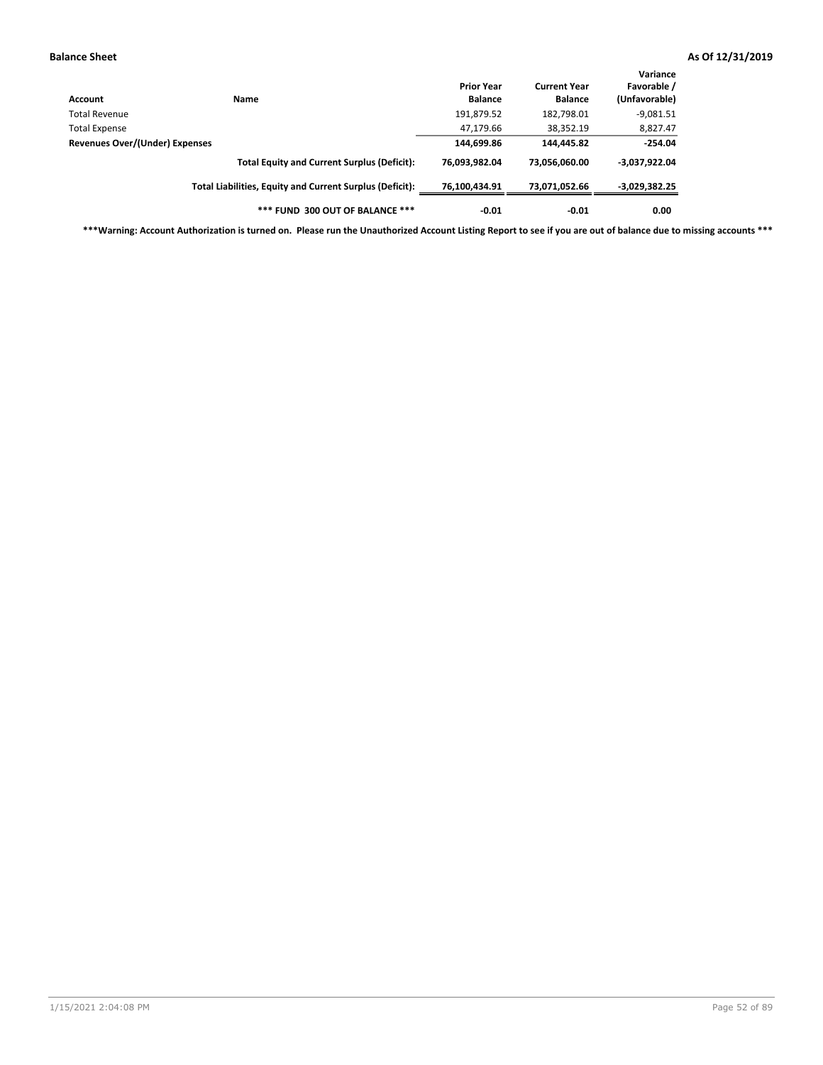| Account                        | Name                                                     | <b>Prior Year</b><br><b>Balance</b> | <b>Current Year</b><br><b>Balance</b> | Variance<br>Favorable /<br>(Unfavorable) |
|--------------------------------|----------------------------------------------------------|-------------------------------------|---------------------------------------|------------------------------------------|
| Total Revenue                  |                                                          | 191,879.52                          | 182,798.01                            | $-9,081.51$                              |
| <b>Total Expense</b>           |                                                          | 47,179.66                           | 38,352.19                             | 8,827.47                                 |
| Revenues Over/(Under) Expenses |                                                          | 144,699.86                          | 144,445.82                            | $-254.04$                                |
|                                | <b>Total Equity and Current Surplus (Deficit):</b>       | 76.093.982.04                       | 73.056.060.00                         | $-3,037,922.04$                          |
|                                | Total Liabilities, Equity and Current Surplus (Deficit): | 76,100,434.91                       | 73,071,052.66                         | -3,029,382.25                            |
|                                | *** FUND 300 OUT OF BALANCE ***                          | $-0.01$                             | $-0.01$                               | 0.00                                     |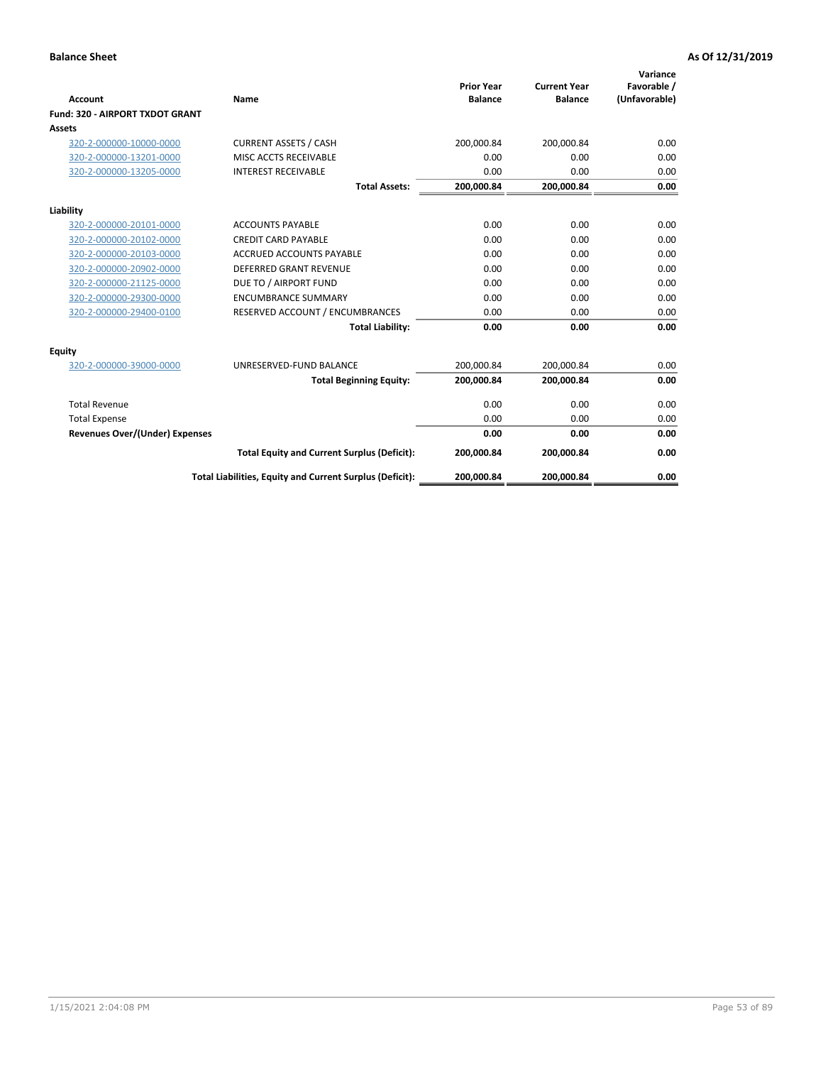|                                       |                                                          |                                     |                                       | Variance                     |
|---------------------------------------|----------------------------------------------------------|-------------------------------------|---------------------------------------|------------------------------|
| <b>Account</b>                        | Name                                                     | <b>Prior Year</b><br><b>Balance</b> | <b>Current Year</b><br><b>Balance</b> | Favorable /<br>(Unfavorable) |
| Fund: 320 - AIRPORT TXDOT GRANT       |                                                          |                                     |                                       |                              |
| Assets                                |                                                          |                                     |                                       |                              |
| 320-2-000000-10000-0000               | <b>CURRENT ASSETS / CASH</b>                             | 200,000.84                          | 200,000.84                            | 0.00                         |
| 320-2-000000-13201-0000               | MISC ACCTS RECEIVABLE                                    | 0.00                                | 0.00                                  | 0.00                         |
| 320-2-000000-13205-0000               | <b>INTEREST RECEIVABLE</b>                               | 0.00                                | 0.00                                  | 0.00                         |
|                                       | <b>Total Assets:</b>                                     | 200,000.84                          | 200,000.84                            | 0.00                         |
| Liability                             |                                                          |                                     |                                       |                              |
| 320-2-000000-20101-0000               | <b>ACCOUNTS PAYABLE</b>                                  | 0.00                                | 0.00                                  | 0.00                         |
| 320-2-000000-20102-0000               | <b>CREDIT CARD PAYABLE</b>                               | 0.00                                | 0.00                                  | 0.00                         |
| 320-2-000000-20103-0000               | <b>ACCRUED ACCOUNTS PAYABLE</b>                          | 0.00                                | 0.00                                  | 0.00                         |
| 320-2-000000-20902-0000               | <b>DEFERRED GRANT REVENUE</b>                            | 0.00                                | 0.00                                  | 0.00                         |
| 320-2-000000-21125-0000               | DUE TO / AIRPORT FUND                                    | 0.00                                | 0.00                                  | 0.00                         |
| 320-2-000000-29300-0000               | <b>ENCUMBRANCE SUMMARY</b>                               | 0.00                                | 0.00                                  | 0.00                         |
| 320-2-000000-29400-0100               | RESERVED ACCOUNT / ENCUMBRANCES                          | 0.00                                | 0.00                                  | 0.00                         |
|                                       | <b>Total Liability:</b>                                  | 0.00                                | 0.00                                  | 0.00                         |
| <b>Equity</b>                         |                                                          |                                     |                                       |                              |
| 320-2-000000-39000-0000               | UNRESERVED-FUND BALANCE                                  | 200,000.84                          | 200,000.84                            | 0.00                         |
|                                       | <b>Total Beginning Equity:</b>                           | 200,000.84                          | 200,000.84                            | 0.00                         |
| <b>Total Revenue</b>                  |                                                          | 0.00                                | 0.00                                  | 0.00                         |
| <b>Total Expense</b>                  |                                                          | 0.00                                | 0.00                                  | 0.00                         |
| <b>Revenues Over/(Under) Expenses</b> |                                                          | 0.00                                | 0.00                                  | 0.00                         |
|                                       | <b>Total Equity and Current Surplus (Deficit):</b>       | 200,000.84                          | 200,000.84                            | 0.00                         |
|                                       | Total Liabilities, Equity and Current Surplus (Deficit): | 200,000.84                          | 200,000.84                            | 0.00                         |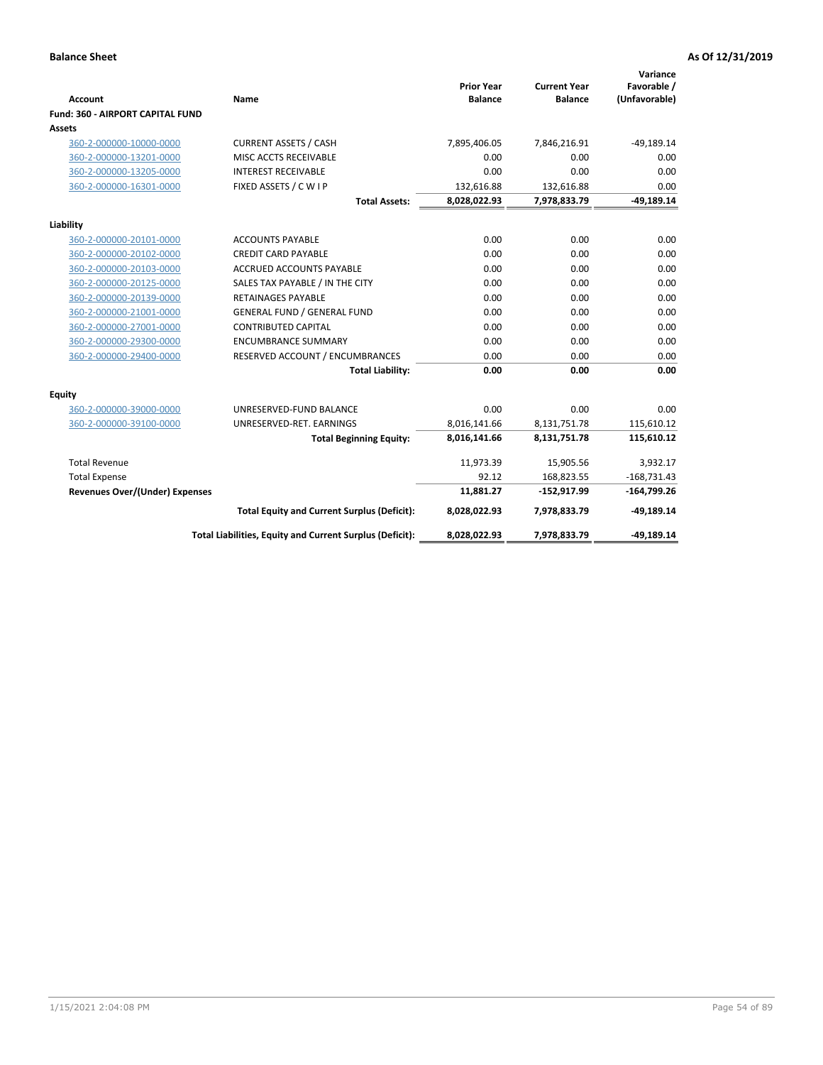| <b>Account</b>                        | Name                                                     | <b>Prior Year</b><br><b>Balance</b> | <b>Current Year</b><br><b>Balance</b> | Variance<br>Favorable /<br>(Unfavorable) |
|---------------------------------------|----------------------------------------------------------|-------------------------------------|---------------------------------------|------------------------------------------|
| Fund: 360 - AIRPORT CAPITAL FUND      |                                                          |                                     |                                       |                                          |
| Assets                                |                                                          |                                     |                                       |                                          |
| 360-2-000000-10000-0000               | <b>CURRENT ASSETS / CASH</b>                             | 7,895,406.05                        | 7,846,216.91                          | $-49,189.14$                             |
| 360-2-000000-13201-0000               | MISC ACCTS RECEIVABLE                                    | 0.00                                | 0.00                                  | 0.00                                     |
| 360-2-000000-13205-0000               | <b>INTEREST RECEIVABLE</b>                               | 0.00                                | 0.00                                  | 0.00                                     |
| 360-2-000000-16301-0000               | FIXED ASSETS / C W I P                                   | 132,616.88                          | 132,616.88                            | 0.00                                     |
|                                       | <b>Total Assets:</b>                                     | 8,028,022.93                        | 7,978,833.79                          | $-49,189.14$                             |
| Liability                             |                                                          |                                     |                                       |                                          |
| 360-2-000000-20101-0000               | <b>ACCOUNTS PAYABLE</b>                                  | 0.00                                | 0.00                                  | 0.00                                     |
| 360-2-000000-20102-0000               | <b>CREDIT CARD PAYABLE</b>                               | 0.00                                | 0.00                                  | 0.00                                     |
| 360-2-000000-20103-0000               | <b>ACCRUED ACCOUNTS PAYABLE</b>                          | 0.00                                | 0.00                                  | 0.00                                     |
| 360-2-000000-20125-0000               | SALES TAX PAYABLE / IN THE CITY                          | 0.00                                | 0.00                                  | 0.00                                     |
| 360-2-000000-20139-0000               | <b>RETAINAGES PAYABLE</b>                                | 0.00                                | 0.00                                  | 0.00                                     |
| 360-2-000000-21001-0000               | <b>GENERAL FUND / GENERAL FUND</b>                       | 0.00                                | 0.00                                  | 0.00                                     |
| 360-2-000000-27001-0000               | <b>CONTRIBUTED CAPITAL</b>                               | 0.00                                | 0.00                                  | 0.00                                     |
| 360-2-000000-29300-0000               | <b>ENCUMBRANCE SUMMARY</b>                               | 0.00                                | 0.00                                  | 0.00                                     |
| 360-2-000000-29400-0000               | RESERVED ACCOUNT / ENCUMBRANCES                          | 0.00                                | 0.00                                  | 0.00                                     |
|                                       | <b>Total Liability:</b>                                  | 0.00                                | 0.00                                  | 0.00                                     |
| Equity                                |                                                          |                                     |                                       |                                          |
| 360-2-000000-39000-0000               | UNRESERVED-FUND BALANCE                                  | 0.00                                | 0.00                                  | 0.00                                     |
| 360-2-000000-39100-0000               | UNRESERVED-RET. EARNINGS                                 | 8,016,141.66                        | 8,131,751.78                          | 115,610.12                               |
|                                       | <b>Total Beginning Equity:</b>                           | 8,016,141.66                        | 8,131,751.78                          | 115,610.12                               |
| <b>Total Revenue</b>                  |                                                          | 11,973.39                           | 15,905.56                             | 3,932.17                                 |
| <b>Total Expense</b>                  |                                                          | 92.12                               | 168,823.55                            | $-168,731.43$                            |
| <b>Revenues Over/(Under) Expenses</b> |                                                          | 11,881.27                           | $-152,917.99$                         | $-164,799.26$                            |
|                                       | <b>Total Equity and Current Surplus (Deficit):</b>       | 8,028,022.93                        | 7,978,833.79                          | $-49,189.14$                             |
|                                       | Total Liabilities, Equity and Current Surplus (Deficit): | 8,028,022.93                        | 7,978,833.79                          | $-49,189.14$                             |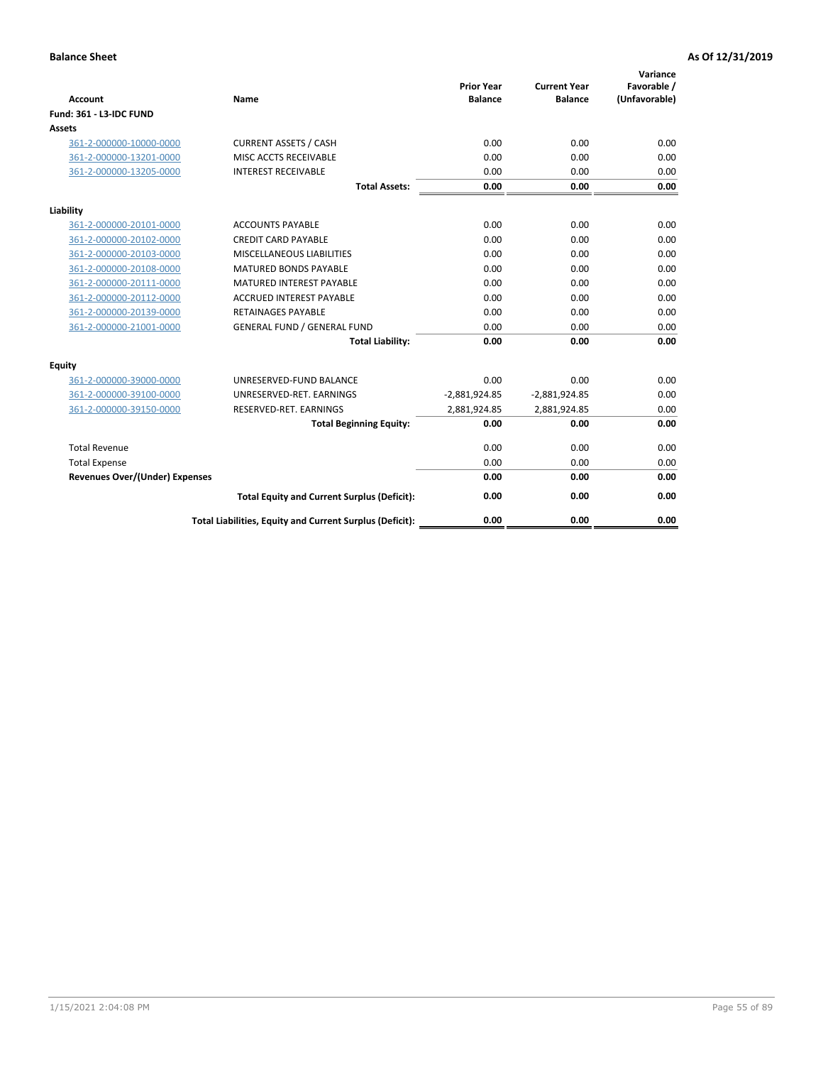| <b>Account</b>                        | Name                                                     | <b>Prior Year</b><br><b>Balance</b> | <b>Current Year</b><br><b>Balance</b> | Variance<br>Favorable /<br>(Unfavorable) |
|---------------------------------------|----------------------------------------------------------|-------------------------------------|---------------------------------------|------------------------------------------|
| Fund: 361 - L3-IDC FUND               |                                                          |                                     |                                       |                                          |
| <b>Assets</b>                         |                                                          |                                     |                                       |                                          |
| 361-2-000000-10000-0000               | <b>CURRENT ASSETS / CASH</b>                             | 0.00                                | 0.00                                  | 0.00                                     |
| 361-2-000000-13201-0000               | MISC ACCTS RECEIVABLE                                    | 0.00                                | 0.00                                  | 0.00                                     |
| 361-2-000000-13205-0000               | <b>INTEREST RECEIVABLE</b>                               | 0.00                                | 0.00                                  | 0.00                                     |
|                                       | <b>Total Assets:</b>                                     | 0.00                                | 0.00                                  | 0.00                                     |
| Liability                             |                                                          |                                     |                                       |                                          |
| 361-2-000000-20101-0000               | <b>ACCOUNTS PAYABLE</b>                                  | 0.00                                | 0.00                                  | 0.00                                     |
| 361-2-000000-20102-0000               | <b>CREDIT CARD PAYABLE</b>                               | 0.00                                | 0.00                                  | 0.00                                     |
| 361-2-000000-20103-0000               | MISCELLANEOUS LIABILITIES                                | 0.00                                | 0.00                                  | 0.00                                     |
| 361-2-000000-20108-0000               | <b>MATURED BONDS PAYABLE</b>                             | 0.00                                | 0.00                                  | 0.00                                     |
| 361-2-000000-20111-0000               | <b>MATURED INTEREST PAYABLE</b>                          | 0.00                                | 0.00                                  | 0.00                                     |
| 361-2-000000-20112-0000               | <b>ACCRUED INTEREST PAYABLE</b>                          | 0.00                                | 0.00                                  | 0.00                                     |
| 361-2-000000-20139-0000               | <b>RETAINAGES PAYABLE</b>                                | 0.00                                | 0.00                                  | 0.00                                     |
| 361-2-000000-21001-0000               | <b>GENERAL FUND / GENERAL FUND</b>                       | 0.00                                | 0.00                                  | 0.00                                     |
|                                       | <b>Total Liability:</b>                                  | 0.00                                | 0.00                                  | 0.00                                     |
| Equity                                |                                                          |                                     |                                       |                                          |
| 361-2-000000-39000-0000               | UNRESERVED-FUND BALANCE                                  | 0.00                                | 0.00                                  | 0.00                                     |
| 361-2-000000-39100-0000               | UNRESERVED-RET. EARNINGS                                 | $-2,881,924.85$                     | $-2,881,924.85$                       | 0.00                                     |
| 361-2-000000-39150-0000               | RESERVED-RET. EARNINGS                                   | 2,881,924.85                        | 2,881,924.85                          | 0.00                                     |
|                                       | <b>Total Beginning Equity:</b>                           | 0.00                                | 0.00                                  | 0.00                                     |
| <b>Total Revenue</b>                  |                                                          | 0.00                                | 0.00                                  | 0.00                                     |
| <b>Total Expense</b>                  |                                                          | 0.00                                | 0.00                                  | 0.00                                     |
| <b>Revenues Over/(Under) Expenses</b> |                                                          | 0.00                                | 0.00                                  | 0.00                                     |
|                                       | <b>Total Equity and Current Surplus (Deficit):</b>       | 0.00                                | 0.00                                  | 0.00                                     |
|                                       | Total Liabilities, Equity and Current Surplus (Deficit): | 0.00                                | 0.00                                  | 0.00                                     |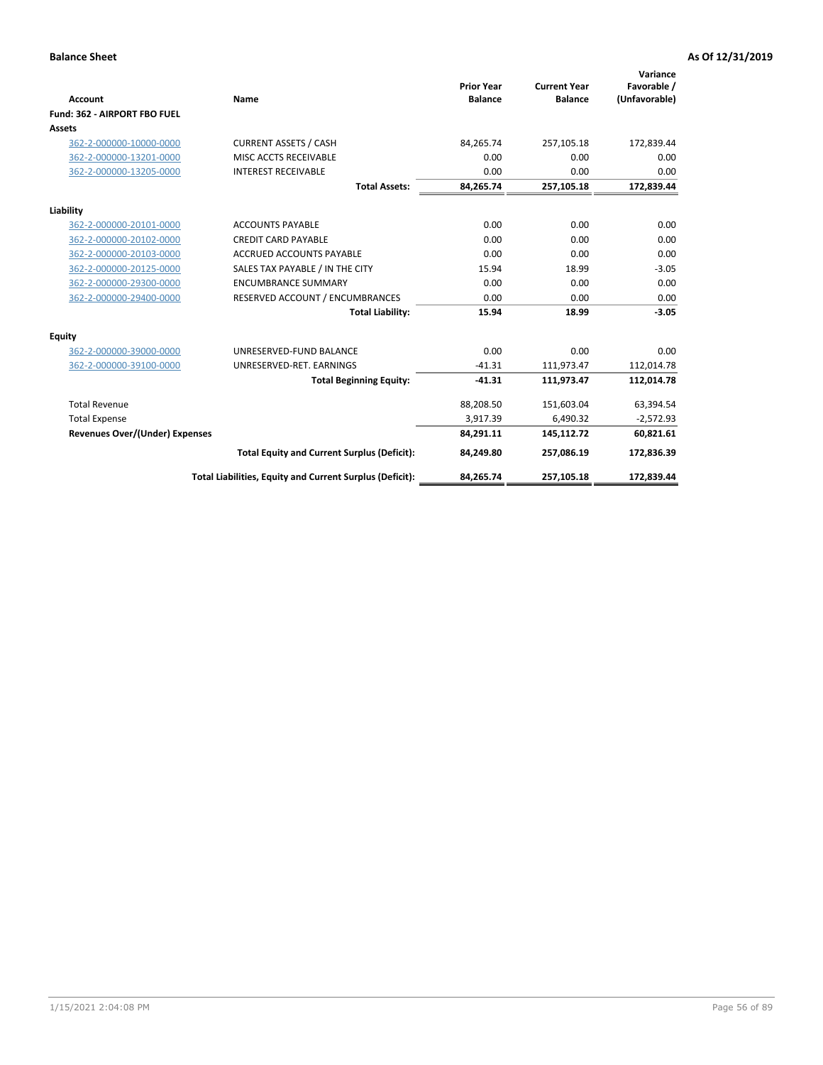|                                       |                                                          |                                     |                                       | Variance                     |
|---------------------------------------|----------------------------------------------------------|-------------------------------------|---------------------------------------|------------------------------|
| <b>Account</b>                        | <b>Name</b>                                              | <b>Prior Year</b><br><b>Balance</b> | <b>Current Year</b><br><b>Balance</b> | Favorable /<br>(Unfavorable) |
| Fund: 362 - AIRPORT FBO FUEL          |                                                          |                                     |                                       |                              |
| Assets                                |                                                          |                                     |                                       |                              |
| 362-2-000000-10000-0000               | <b>CURRENT ASSETS / CASH</b>                             | 84.265.74                           | 257,105.18                            | 172,839.44                   |
| 362-2-000000-13201-0000               | MISC ACCTS RECEIVABLE                                    | 0.00                                | 0.00                                  | 0.00                         |
| 362-2-000000-13205-0000               | <b>INTEREST RECEIVABLE</b>                               | 0.00                                | 0.00                                  | 0.00                         |
|                                       | <b>Total Assets:</b>                                     | 84,265.74                           | 257,105.18                            | 172,839.44                   |
| Liability                             |                                                          |                                     |                                       |                              |
| 362-2-000000-20101-0000               | <b>ACCOUNTS PAYABLE</b>                                  | 0.00                                | 0.00                                  | 0.00                         |
| 362-2-000000-20102-0000               | <b>CREDIT CARD PAYABLE</b>                               | 0.00                                | 0.00                                  | 0.00                         |
| 362-2-000000-20103-0000               | <b>ACCRUED ACCOUNTS PAYABLE</b>                          | 0.00                                | 0.00                                  | 0.00                         |
| 362-2-000000-20125-0000               | SALES TAX PAYABLE / IN THE CITY                          | 15.94                               | 18.99                                 | $-3.05$                      |
| 362-2-000000-29300-0000               | <b>ENCUMBRANCE SUMMARY</b>                               | 0.00                                | 0.00                                  | 0.00                         |
| 362-2-000000-29400-0000               | RESERVED ACCOUNT / ENCUMBRANCES                          | 0.00                                | 0.00                                  | 0.00                         |
|                                       | <b>Total Liability:</b>                                  | 15.94                               | 18.99                                 | $-3.05$                      |
| <b>Equity</b>                         |                                                          |                                     |                                       |                              |
| 362-2-000000-39000-0000               | UNRESERVED-FUND BALANCE                                  | 0.00                                | 0.00                                  | 0.00                         |
| 362-2-000000-39100-0000               | UNRESERVED-RET. EARNINGS                                 | $-41.31$                            | 111,973.47                            | 112,014.78                   |
|                                       | <b>Total Beginning Equity:</b>                           | $-41.31$                            | 111,973.47                            | 112,014.78                   |
| <b>Total Revenue</b>                  |                                                          | 88,208.50                           | 151,603.04                            | 63,394.54                    |
| <b>Total Expense</b>                  |                                                          | 3,917.39                            | 6,490.32                              | $-2,572.93$                  |
| <b>Revenues Over/(Under) Expenses</b> |                                                          | 84,291.11                           | 145,112.72                            | 60,821.61                    |
|                                       | <b>Total Equity and Current Surplus (Deficit):</b>       | 84,249.80                           | 257,086.19                            | 172,836.39                   |
|                                       | Total Liabilities, Equity and Current Surplus (Deficit): | 84,265.74                           | 257,105.18                            | 172,839.44                   |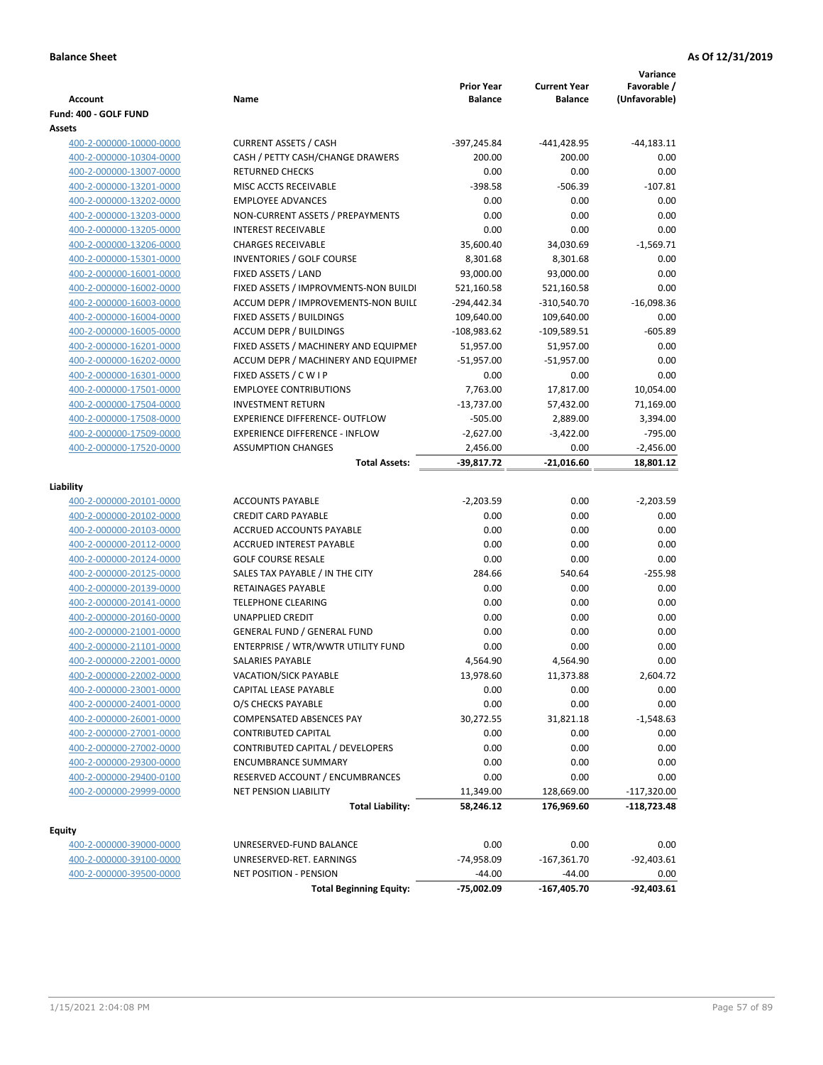| Account                                            | Name                                                                     | <b>Prior Year</b><br><b>Balance</b> | <b>Current Year</b><br><b>Balance</b> | Variance<br>Favorable /<br>(Unfavorable) |
|----------------------------------------------------|--------------------------------------------------------------------------|-------------------------------------|---------------------------------------|------------------------------------------|
| Fund: 400 - GOLF FUND                              |                                                                          |                                     |                                       |                                          |
| Assets                                             |                                                                          |                                     |                                       |                                          |
| 400-2-000000-10000-0000                            | <b>CURRENT ASSETS / CASH</b>                                             | -397,245.84                         | -441,428.95                           | $-44,183.11$                             |
| 400-2-000000-10304-0000                            | CASH / PETTY CASH/CHANGE DRAWERS                                         | 200.00                              | 200.00                                | 0.00                                     |
| 400-2-000000-13007-0000                            | <b>RETURNED CHECKS</b>                                                   | 0.00                                | 0.00                                  | 0.00                                     |
| 400-2-000000-13201-0000                            | MISC ACCTS RECEIVABLE                                                    | $-398.58$                           | $-506.39$                             | $-107.81$                                |
| 400-2-000000-13202-0000                            | <b>EMPLOYEE ADVANCES</b>                                                 | 0.00                                | 0.00                                  | 0.00                                     |
| 400-2-000000-13203-0000                            | NON-CURRENT ASSETS / PREPAYMENTS                                         | 0.00                                | 0.00                                  | 0.00                                     |
| 400-2-000000-13205-0000                            | <b>INTEREST RECEIVABLE</b>                                               | 0.00                                | 0.00                                  | 0.00                                     |
| 400-2-000000-13206-0000                            | <b>CHARGES RECEIVABLE</b>                                                | 35,600.40                           | 34,030.69                             | $-1,569.71$                              |
| 400-2-000000-15301-0000                            | INVENTORIES / GOLF COURSE                                                | 8,301.68                            | 8,301.68                              | 0.00                                     |
| 400-2-000000-16001-0000                            | FIXED ASSETS / LAND                                                      | 93,000.00                           | 93,000.00                             | 0.00                                     |
| 400-2-000000-16002-0000                            | FIXED ASSETS / IMPROVMENTS-NON BUILDI                                    | 521,160.58                          | 521,160.58                            | 0.00                                     |
| 400-2-000000-16003-0000                            | ACCUM DEPR / IMPROVEMENTS-NON BUILI                                      | $-294,442.34$                       | -310,540.70                           | $-16,098.36$                             |
| 400-2-000000-16004-0000                            | FIXED ASSETS / BUILDINGS                                                 | 109,640.00                          | 109,640.00                            | 0.00                                     |
| 400-2-000000-16005-0000                            | <b>ACCUM DEPR / BUILDINGS</b>                                            | $-108,983.62$                       | $-109,589.51$                         | $-605.89$                                |
| 400-2-000000-16201-0000                            | FIXED ASSETS / MACHINERY AND EQUIPMEN                                    | 51,957.00                           | 51,957.00                             | 0.00                                     |
| 400-2-000000-16202-0000                            | ACCUM DEPR / MACHINERY AND EQUIPMEI                                      | $-51,957.00$                        | $-51,957.00$                          | 0.00                                     |
| 400-2-000000-16301-0000                            | FIXED ASSETS / C W I P                                                   | 0.00                                | 0.00                                  | 0.00                                     |
| 400-2-000000-17501-0000                            | <b>EMPLOYEE CONTRIBUTIONS</b>                                            | 7,763.00                            | 17,817.00                             | 10,054.00                                |
| 400-2-000000-17504-0000                            | <b>INVESTMENT RETURN</b>                                                 | $-13,737.00$                        | 57,432.00                             | 71,169.00                                |
| 400-2-000000-17508-0000                            | <b>EXPERIENCE DIFFERENCE- OUTFLOW</b>                                    | $-505.00$                           | 2,889.00                              | 3,394.00                                 |
| 400-2-000000-17509-0000                            | <b>EXPERIENCE DIFFERENCE - INFLOW</b>                                    | $-2,627.00$                         | $-3,422.00$                           | $-795.00$                                |
| 400-2-000000-17520-0000                            | <b>ASSUMPTION CHANGES</b>                                                | 2,456.00                            | 0.00                                  | $-2,456.00$                              |
|                                                    | <b>Total Assets:</b>                                                     | -39,817.72                          | $-21,016.60$                          | 18,801.12                                |
|                                                    |                                                                          |                                     |                                       |                                          |
| Liability                                          |                                                                          |                                     |                                       |                                          |
| 400-2-000000-20101-0000                            | <b>ACCOUNTS PAYABLE</b>                                                  | $-2,203.59$                         | 0.00                                  | $-2,203.59$                              |
| 400-2-000000-20102-0000                            | <b>CREDIT CARD PAYABLE</b>                                               | 0.00                                | 0.00                                  | 0.00                                     |
| 400-2-000000-20103-0000                            | ACCRUED ACCOUNTS PAYABLE                                                 | 0.00                                | 0.00                                  | 0.00                                     |
| 400-2-000000-20112-0000                            | <b>ACCRUED INTEREST PAYABLE</b>                                          | 0.00                                | 0.00                                  | 0.00                                     |
| 400-2-000000-20124-0000                            | <b>GOLF COURSE RESALE</b>                                                | 0.00                                | 0.00                                  | 0.00                                     |
| 400-2-000000-20125-0000                            | SALES TAX PAYABLE / IN THE CITY<br><b>RETAINAGES PAYABLE</b>             | 284.66                              | 540.64                                | $-255.98$                                |
| 400-2-000000-20139-0000                            |                                                                          | 0.00                                | 0.00                                  | 0.00                                     |
| 400-2-000000-20141-0000                            | <b>TELEPHONE CLEARING</b>                                                | 0.00                                | 0.00                                  | 0.00                                     |
| 400-2-000000-20160-0000                            | <b>UNAPPLIED CREDIT</b>                                                  | 0.00                                | 0.00                                  | 0.00                                     |
| 400-2-000000-21001-0000                            | <b>GENERAL FUND / GENERAL FUND</b><br>ENTERPRISE / WTR/WWTR UTILITY FUND | 0.00                                | 0.00                                  | 0.00<br>0.00                             |
| 400-2-000000-21101-0000                            |                                                                          | 0.00<br>4,564.90                    | 0.00<br>4,564.90                      | 0.00                                     |
| 400-2-000000-22001-0000<br>400-2-000000-22002-0000 | SALARIES PAYABLE<br>VACATION/SICK PAYABLE                                | 13,978.60                           | 11,373.88                             | 2,604.72                                 |
| 400-2-000000-23001-0000                            | CAPITAL LEASE PAYABLE                                                    | 0.00                                | 0.00                                  | 0.00                                     |
| 400-2-000000-24001-0000                            | O/S CHECKS PAYABLE                                                       | 0.00                                | 0.00                                  | 0.00                                     |
| 400-2-000000-26001-0000                            | COMPENSATED ABSENCES PAY                                                 | 30,272.55                           | 31,821.18                             | $-1,548.63$                              |
| 400-2-000000-27001-0000                            | <b>CONTRIBUTED CAPITAL</b>                                               | 0.00                                | 0.00                                  | 0.00                                     |
| 400-2-000000-27002-0000                            | <b>CONTRIBUTED CAPITAL / DEVELOPERS</b>                                  | 0.00                                | 0.00                                  | 0.00                                     |
| 400-2-000000-29300-0000                            | <b>ENCUMBRANCE SUMMARY</b>                                               | 0.00                                | 0.00                                  | 0.00                                     |
| 400-2-000000-29400-0100                            | RESERVED ACCOUNT / ENCUMBRANCES                                          | 0.00                                | 0.00                                  | 0.00                                     |
| 400-2-000000-29999-0000                            | <b>NET PENSION LIABILITY</b>                                             | 11,349.00                           | 128,669.00                            | $-117,320.00$                            |
|                                                    | <b>Total Liability:</b>                                                  | 58,246.12                           | 176,969.60                            | -118,723.48                              |
|                                                    |                                                                          |                                     |                                       |                                          |
| <b>Equity</b>                                      |                                                                          |                                     |                                       |                                          |
| 400-2-000000-39000-0000                            | UNRESERVED-FUND BALANCE                                                  | 0.00                                | 0.00                                  | 0.00                                     |
| 400-2-000000-39100-0000                            | UNRESERVED-RET. EARNINGS                                                 | -74,958.09                          | $-167,361.70$                         | $-92,403.61$                             |
| 400-2-000000-39500-0000                            | NET POSITION - PENSION                                                   | $-44.00$                            | $-44.00$                              | 0.00                                     |
|                                                    | <b>Total Beginning Equity:</b>                                           | -75,002.09                          | $-167,405.70$                         | $-92,403.61$                             |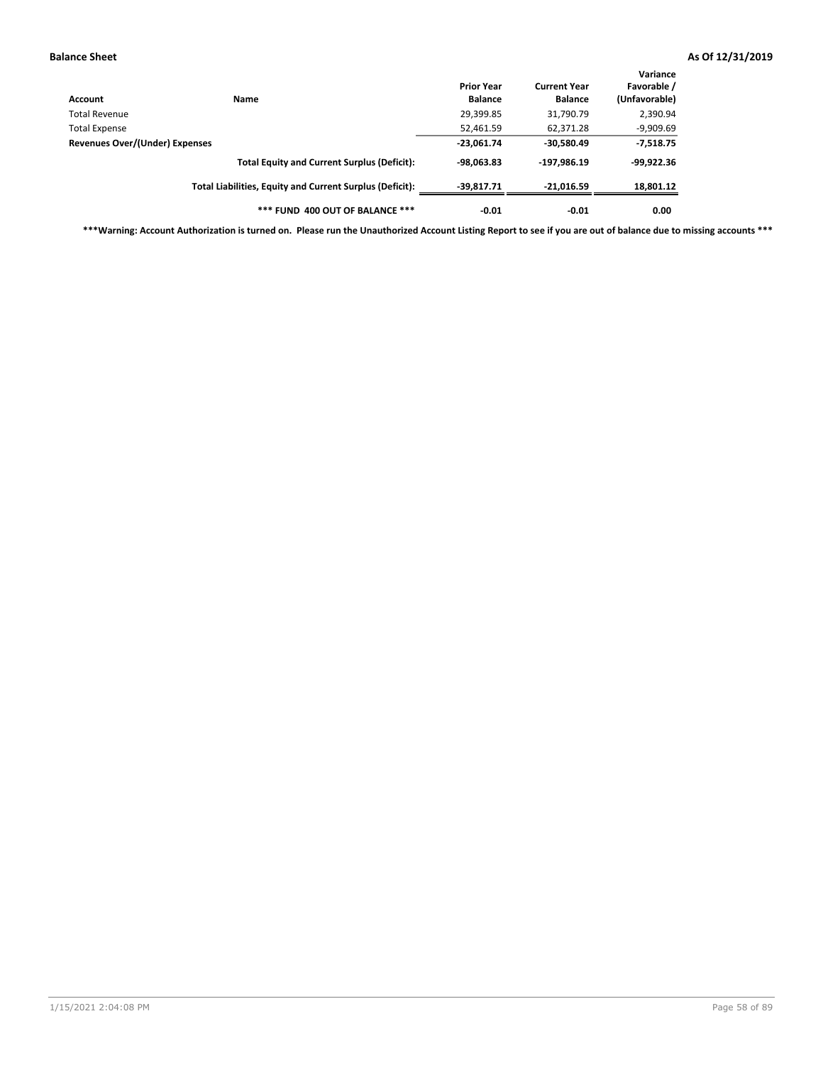| Account                        | Name                                                     | <b>Prior Year</b><br><b>Balance</b> | <b>Current Year</b><br><b>Balance</b> | Variance<br>Favorable /<br>(Unfavorable) |
|--------------------------------|----------------------------------------------------------|-------------------------------------|---------------------------------------|------------------------------------------|
| Total Revenue                  |                                                          | 29,399.85                           | 31,790.79                             | 2,390.94                                 |
| Total Expense                  |                                                          | 52,461.59                           | 62,371.28                             | $-9,909.69$                              |
| Revenues Over/(Under) Expenses |                                                          | $-23,061.74$                        | $-30,580.49$                          | $-7,518.75$                              |
|                                | <b>Total Equity and Current Surplus (Deficit):</b>       | $-98,063.83$                        | $-197,986.19$                         | $-99,922.36$                             |
|                                | Total Liabilities, Equity and Current Surplus (Deficit): | $-39.817.71$                        | $-21,016.59$                          | 18,801.12                                |
|                                | *** FUND 400 OUT OF BALANCE ***                          | $-0.01$                             | $-0.01$                               | 0.00                                     |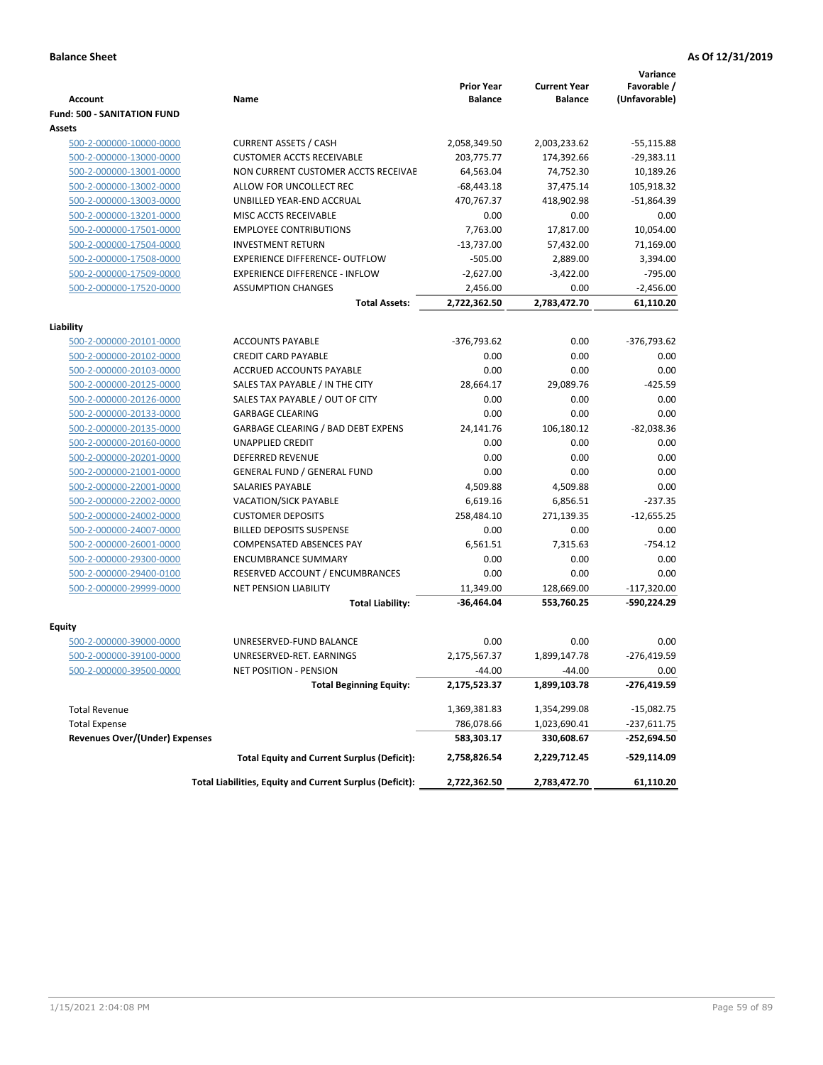|                                                    |                                                                      | <b>Prior Year</b>    | <b>Current Year</b>  | Variance<br>Favorable / |
|----------------------------------------------------|----------------------------------------------------------------------|----------------------|----------------------|-------------------------|
| <b>Account</b>                                     | Name                                                                 | <b>Balance</b>       | <b>Balance</b>       | (Unfavorable)           |
| <b>Fund: 500 - SANITATION FUND</b>                 |                                                                      |                      |                      |                         |
| Assets                                             |                                                                      |                      |                      |                         |
| 500-2-000000-10000-0000                            | <b>CURRENT ASSETS / CASH</b>                                         | 2,058,349.50         | 2,003,233.62         | $-55,115.88$            |
| 500-2-000000-13000-0000                            | <b>CUSTOMER ACCTS RECEIVABLE</b>                                     | 203,775.77           | 174,392.66           | $-29,383.11$            |
| 500-2-000000-13001-0000                            | NON CURRENT CUSTOMER ACCTS RECEIVAE                                  | 64,563.04            | 74,752.30            | 10,189.26               |
| 500-2-000000-13002-0000                            | ALLOW FOR UNCOLLECT REC                                              | $-68,443.18$         | 37,475.14            | 105,918.32              |
| 500-2-000000-13003-0000                            | UNBILLED YEAR-END ACCRUAL                                            | 470,767.37           | 418,902.98           | $-51,864.39$            |
| 500-2-000000-13201-0000                            | MISC ACCTS RECEIVABLE                                                | 0.00                 | 0.00                 | 0.00                    |
| 500-2-000000-17501-0000                            | <b>EMPLOYEE CONTRIBUTIONS</b>                                        | 7,763.00             | 17,817.00            | 10,054.00               |
| 500-2-000000-17504-0000                            | <b>INVESTMENT RETURN</b>                                             | $-13,737.00$         | 57,432.00            | 71,169.00               |
| 500-2-000000-17508-0000                            | <b>EXPERIENCE DIFFERENCE- OUTFLOW</b>                                | $-505.00$            | 2,889.00             | 3,394.00                |
| 500-2-000000-17509-0000                            | <b>EXPERIENCE DIFFERENCE - INFLOW</b>                                | $-2,627.00$          | $-3,422.00$          | $-795.00$               |
| 500-2-000000-17520-0000                            | <b>ASSUMPTION CHANGES</b>                                            | 2,456.00             | 0.00                 | $-2,456.00$             |
|                                                    | <b>Total Assets:</b>                                                 | 2,722,362.50         | 2,783,472.70         | 61,110.20               |
|                                                    |                                                                      |                      |                      |                         |
| Liability                                          |                                                                      |                      |                      |                         |
| 500-2-000000-20101-0000                            | <b>ACCOUNTS PAYABLE</b>                                              | -376,793.62          | 0.00                 | -376,793.62             |
| 500-2-000000-20102-0000                            | <b>CREDIT CARD PAYABLE</b><br><b>ACCRUED ACCOUNTS PAYABLE</b>        | 0.00                 | 0.00                 | 0.00                    |
| 500-2-000000-20103-0000                            |                                                                      | 0.00                 | 0.00                 | 0.00                    |
| 500-2-000000-20125-0000                            | SALES TAX PAYABLE / IN THE CITY                                      | 28,664.17            | 29,089.76            | $-425.59$               |
| 500-2-000000-20126-0000                            | SALES TAX PAYABLE / OUT OF CITY                                      | 0.00                 | 0.00                 | 0.00                    |
| 500-2-000000-20133-0000                            | <b>GARBAGE CLEARING</b>                                              | 0.00                 | 0.00                 | 0.00                    |
| 500-2-000000-20135-0000                            | <b>GARBAGE CLEARING / BAD DEBT EXPENS</b><br><b>UNAPPLIED CREDIT</b> | 24,141.76            | 106,180.12           | $-82,038.36$            |
| 500-2-000000-20160-0000                            |                                                                      | 0.00                 | 0.00<br>0.00         | 0.00<br>0.00            |
| 500-2-000000-20201-0000                            | <b>DEFERRED REVENUE</b>                                              | 0.00<br>0.00         | 0.00                 | 0.00                    |
| 500-2-000000-21001-0000                            | <b>GENERAL FUND / GENERAL FUND</b><br><b>SALARIES PAYABLE</b>        |                      |                      | 0.00                    |
| 500-2-000000-22001-0000<br>500-2-000000-22002-0000 | <b>VACATION/SICK PAYABLE</b>                                         | 4,509.88<br>6,619.16 | 4,509.88<br>6,856.51 | $-237.35$               |
| 500-2-000000-24002-0000                            | <b>CUSTOMER DEPOSITS</b>                                             | 258,484.10           | 271,139.35           | $-12,655.25$            |
| 500-2-000000-24007-0000                            | <b>BILLED DEPOSITS SUSPENSE</b>                                      | 0.00                 | 0.00                 | 0.00                    |
|                                                    | <b>COMPENSATED ABSENCES PAY</b>                                      | 6,561.51             | 7,315.63             | $-754.12$               |
| 500-2-000000-26001-0000<br>500-2-000000-29300-0000 | <b>ENCUMBRANCE SUMMARY</b>                                           | 0.00                 | 0.00                 | 0.00                    |
| 500-2-000000-29400-0100                            | RESERVED ACCOUNT / ENCUMBRANCES                                      | 0.00                 | 0.00                 | 0.00                    |
| 500-2-000000-29999-0000                            | <b>NET PENSION LIABILITY</b>                                         | 11,349.00            | 128,669.00           | $-117,320.00$           |
|                                                    | <b>Total Liability:</b>                                              | -36,464.04           | 553,760.25           | -590,224.29             |
|                                                    |                                                                      |                      |                      |                         |
| Equity                                             |                                                                      |                      |                      |                         |
| 500-2-000000-39000-0000                            | UNRESERVED-FUND BALANCE                                              | 0.00                 | 0.00                 | 0.00                    |
| 500-2-000000-39100-0000                            | UNRESERVED-RET. EARNINGS                                             | 2,175,567.37         | 1,899,147.78         | $-276,419.59$           |
| <u>500-2-000000-39500-0000</u>                     | NET POSITION - PENSION                                               | $-44.00$             | $-44.00$             | 0.00                    |
|                                                    | <b>Total Beginning Equity:</b>                                       | 2,175,523.37         | 1,899,103.78         | -276,419.59             |
| <b>Total Revenue</b>                               |                                                                      | 1,369,381.83         | 1,354,299.08         | $-15,082.75$            |
| <b>Total Expense</b>                               |                                                                      | 786,078.66           | 1,023,690.41         | -237,611.75             |
| <b>Revenues Over/(Under) Expenses</b>              |                                                                      | 583,303.17           | 330,608.67           | -252,694.50             |
|                                                    | <b>Total Equity and Current Surplus (Deficit):</b>                   | 2,758,826.54         | 2,229,712.45         | -529,114.09             |
|                                                    | Total Liabilities, Equity and Current Surplus (Deficit):             | 2,722,362.50         | 2,783,472.70         | 61,110.20               |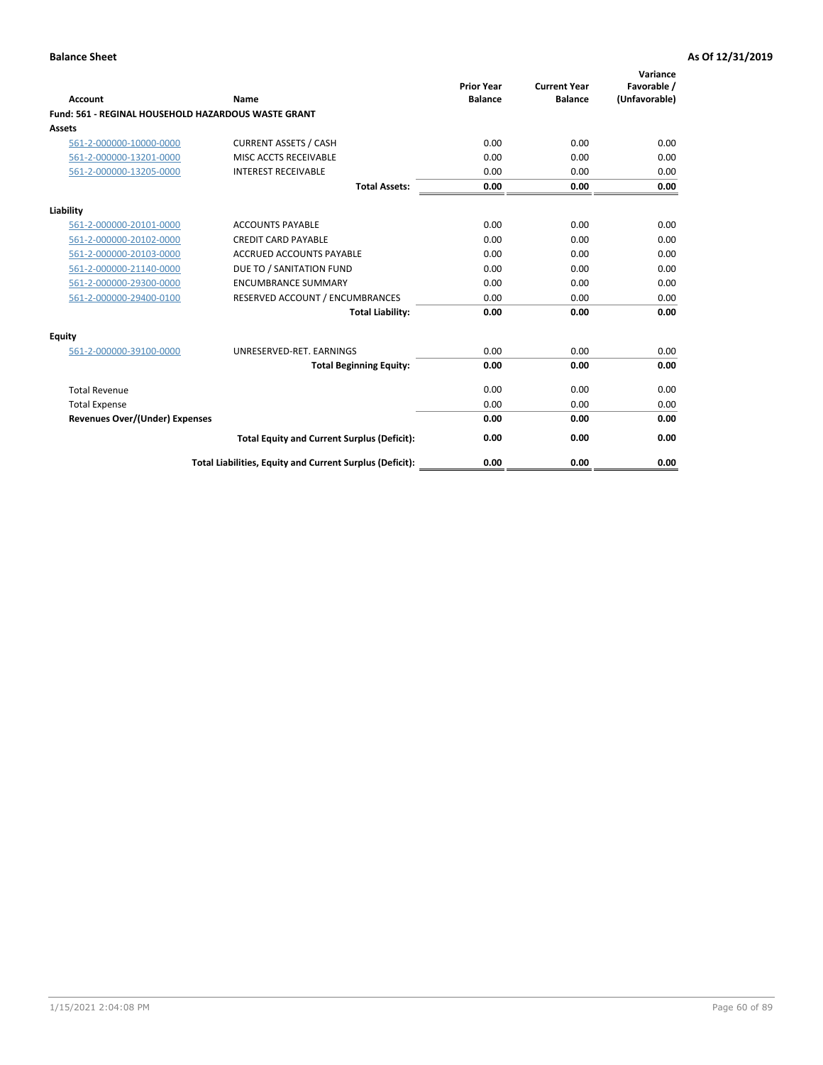| <b>Account</b>                        | Name                                                       | <b>Prior Year</b><br><b>Balance</b> | <b>Current Year</b><br><b>Balance</b> | Variance<br>Favorable /<br>(Unfavorable) |
|---------------------------------------|------------------------------------------------------------|-------------------------------------|---------------------------------------|------------------------------------------|
|                                       | <b>Fund: 561 - REGINAL HOUSEHOLD HAZARDOUS WASTE GRANT</b> |                                     |                                       |                                          |
| Assets                                |                                                            |                                     |                                       |                                          |
| 561-2-000000-10000-0000               | <b>CURRENT ASSETS / CASH</b>                               | 0.00                                | 0.00                                  | 0.00                                     |
| 561-2-000000-13201-0000               | MISC ACCTS RECEIVABLE                                      | 0.00                                | 0.00                                  | 0.00                                     |
| 561-2-000000-13205-0000               | <b>INTEREST RECEIVABLE</b>                                 | 0.00                                | 0.00                                  | 0.00                                     |
|                                       | <b>Total Assets:</b>                                       | 0.00                                | 0.00                                  | 0.00                                     |
| Liability                             |                                                            |                                     |                                       |                                          |
| 561-2-000000-20101-0000               | <b>ACCOUNTS PAYABLE</b>                                    | 0.00                                | 0.00                                  | 0.00                                     |
| 561-2-000000-20102-0000               | <b>CREDIT CARD PAYABLE</b>                                 | 0.00                                | 0.00                                  | 0.00                                     |
| 561-2-000000-20103-0000               | <b>ACCRUED ACCOUNTS PAYABLE</b>                            | 0.00                                | 0.00                                  | 0.00                                     |
| 561-2-000000-21140-0000               | DUE TO / SANITATION FUND                                   | 0.00                                | 0.00                                  | 0.00                                     |
| 561-2-000000-29300-0000               | <b>ENCUMBRANCE SUMMARY</b>                                 | 0.00                                | 0.00                                  | 0.00                                     |
| 561-2-000000-29400-0100               | RESERVED ACCOUNT / ENCUMBRANCES                            | 0.00                                | 0.00                                  | 0.00                                     |
|                                       | <b>Total Liability:</b>                                    | 0.00                                | 0.00                                  | 0.00                                     |
| <b>Equity</b>                         |                                                            |                                     |                                       |                                          |
| 561-2-000000-39100-0000               | UNRESERVED-RET. EARNINGS                                   | 0.00                                | 0.00                                  | 0.00                                     |
|                                       | <b>Total Beginning Equity:</b>                             | 0.00                                | 0.00                                  | 0.00                                     |
| <b>Total Revenue</b>                  |                                                            | 0.00                                | 0.00                                  | 0.00                                     |
| <b>Total Expense</b>                  |                                                            | 0.00                                | 0.00                                  | 0.00                                     |
| <b>Revenues Over/(Under) Expenses</b> |                                                            | 0.00                                | 0.00                                  | 0.00                                     |
|                                       | <b>Total Equity and Current Surplus (Deficit):</b>         | 0.00                                | 0.00                                  | 0.00                                     |
|                                       | Total Liabilities, Equity and Current Surplus (Deficit):   | 0.00                                | 0.00                                  | 0.00                                     |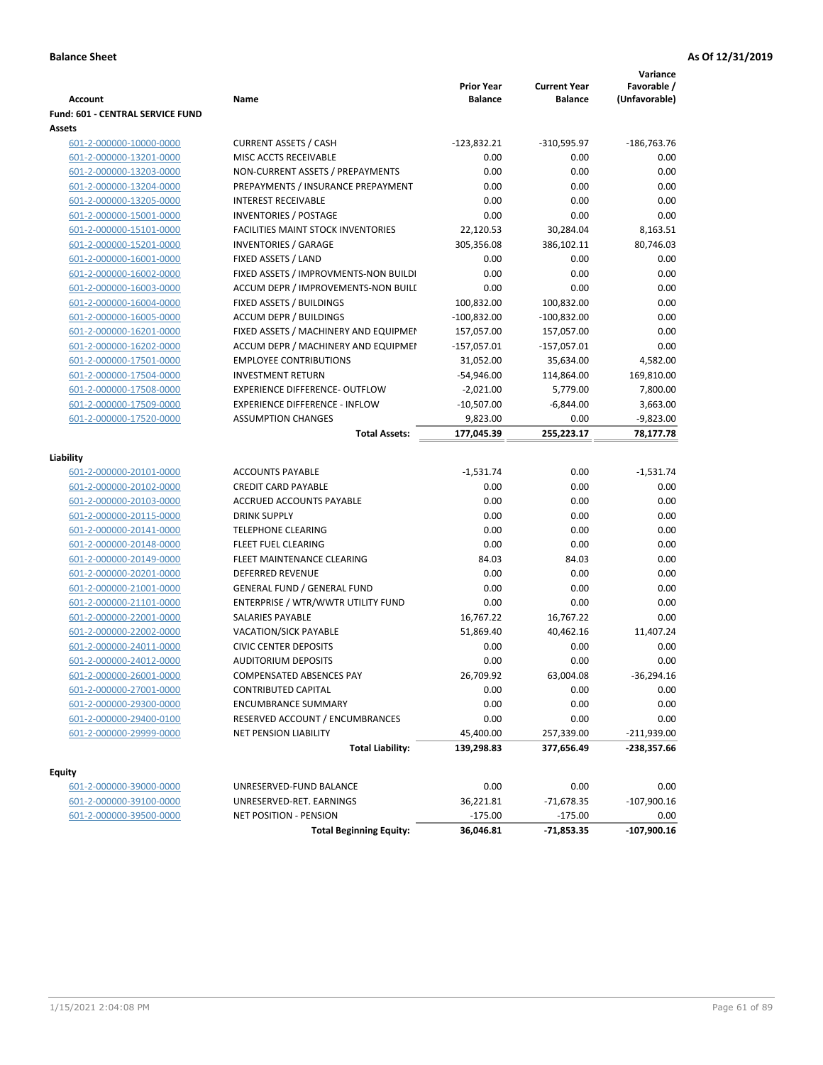| <b>Account</b>                                     | Name                                                                     | <b>Prior Year</b><br><b>Balance</b> | <b>Current Year</b><br><b>Balance</b> | Variance<br>Favorable /<br>(Unfavorable) |
|----------------------------------------------------|--------------------------------------------------------------------------|-------------------------------------|---------------------------------------|------------------------------------------|
| <b>Fund: 601 - CENTRAL SERVICE FUND</b>            |                                                                          |                                     |                                       |                                          |
| Assets                                             |                                                                          |                                     |                                       |                                          |
| 601-2-000000-10000-0000                            | <b>CURRENT ASSETS / CASH</b>                                             | $-123,832.21$                       | $-310,595.97$                         | $-186,763.76$                            |
| 601-2-000000-13201-0000                            | MISC ACCTS RECEIVABLE                                                    | 0.00                                | 0.00                                  | 0.00                                     |
| 601-2-000000-13203-0000                            | NON-CURRENT ASSETS / PREPAYMENTS                                         | 0.00                                | 0.00                                  | 0.00                                     |
| 601-2-000000-13204-0000                            | PREPAYMENTS / INSURANCE PREPAYMENT                                       | 0.00                                | 0.00                                  | 0.00                                     |
| 601-2-000000-13205-0000                            | <b>INTEREST RECEIVABLE</b>                                               | 0.00                                | 0.00                                  | 0.00                                     |
| 601-2-000000-15001-0000                            | <b>INVENTORIES / POSTAGE</b>                                             | 0.00                                | 0.00                                  | 0.00                                     |
| 601-2-000000-15101-0000                            | <b>FACILITIES MAINT STOCK INVENTORIES</b>                                | 22,120.53                           | 30,284.04                             | 8,163.51                                 |
| 601-2-000000-15201-0000                            | <b>INVENTORIES / GARAGE</b>                                              | 305,356.08                          | 386,102.11                            | 80,746.03                                |
| 601-2-000000-16001-0000                            | FIXED ASSETS / LAND                                                      | 0.00                                | 0.00                                  | 0.00                                     |
| 601-2-000000-16002-0000                            | FIXED ASSETS / IMPROVMENTS-NON BUILDI                                    | 0.00                                | 0.00                                  | 0.00                                     |
| 601-2-000000-16003-0000                            | ACCUM DEPR / IMPROVEMENTS-NON BUILI                                      | 0.00                                | 0.00                                  | 0.00                                     |
| 601-2-000000-16004-0000                            | FIXED ASSETS / BUILDINGS                                                 | 100,832.00                          | 100,832.00                            | 0.00                                     |
| 601-2-000000-16005-0000                            | <b>ACCUM DEPR / BUILDINGS</b>                                            | $-100,832.00$                       | $-100,832.00$                         | 0.00                                     |
| 601-2-000000-16201-0000                            | FIXED ASSETS / MACHINERY AND EQUIPMEN                                    | 157,057.00                          | 157,057.00                            | 0.00                                     |
| 601-2-000000-16202-0000                            | ACCUM DEPR / MACHINERY AND EQUIPMEI                                      | $-157,057.01$                       | $-157,057.01$                         | 0.00                                     |
| 601-2-000000-17501-0000                            | <b>EMPLOYEE CONTRIBUTIONS</b>                                            | 31,052.00                           | 35,634.00                             | 4,582.00                                 |
| 601-2-000000-17504-0000                            | <b>INVESTMENT RETURN</b>                                                 | $-54,946.00$                        | 114,864.00                            | 169,810.00                               |
| 601-2-000000-17508-0000                            | <b>EXPERIENCE DIFFERENCE- OUTFLOW</b>                                    | $-2,021.00$                         | 5,779.00                              | 7,800.00                                 |
| 601-2-000000-17509-0000                            | <b>EXPERIENCE DIFFERENCE - INFLOW</b>                                    | $-10,507.00$                        | $-6,844.00$                           | 3,663.00                                 |
| 601-2-000000-17520-0000                            | <b>ASSUMPTION CHANGES</b>                                                | 9,823.00                            | 0.00                                  | $-9,823.00$                              |
|                                                    | <b>Total Assets:</b>                                                     | 177,045.39                          | 255,223.17                            | 78,177.78                                |
| Liability                                          |                                                                          |                                     |                                       |                                          |
|                                                    | <b>ACCOUNTS PAYABLE</b>                                                  |                                     | 0.00                                  | $-1,531.74$                              |
| 601-2-000000-20101-0000                            |                                                                          | $-1,531.74$                         |                                       |                                          |
| 601-2-000000-20102-0000                            | <b>CREDIT CARD PAYABLE</b>                                               | 0.00                                | 0.00                                  | 0.00                                     |
| 601-2-000000-20103-0000                            | ACCRUED ACCOUNTS PAYABLE                                                 | 0.00                                | 0.00<br>0.00                          | 0.00<br>0.00                             |
| 601-2-000000-20115-0000                            | <b>DRINK SUPPLY</b>                                                      | 0.00<br>0.00                        |                                       | 0.00                                     |
| 601-2-000000-20141-0000                            | <b>TELEPHONE CLEARING</b>                                                |                                     | 0.00                                  | 0.00                                     |
| 601-2-000000-20148-0000                            | <b>FLEET FUEL CLEARING</b>                                               | 0.00                                | 0.00                                  | 0.00                                     |
| 601-2-000000-20149-0000                            | FLEET MAINTENANCE CLEARING                                               | 84.03                               | 84.03                                 |                                          |
| 601-2-000000-20201-0000<br>601-2-000000-21001-0000 | <b>DEFERRED REVENUE</b>                                                  | 0.00<br>0.00                        | 0.00<br>0.00                          | 0.00<br>0.00                             |
|                                                    | <b>GENERAL FUND / GENERAL FUND</b><br>ENTERPRISE / WTR/WWTR UTILITY FUND | 0.00                                | 0.00                                  | 0.00                                     |
| 601-2-000000-21101-0000                            |                                                                          |                                     |                                       | 0.00                                     |
| 601-2-000000-22001-0000                            | SALARIES PAYABLE                                                         | 16,767.22                           | 16,767.22                             | 11,407.24                                |
| 601-2-000000-22002-0000                            | <b>VACATION/SICK PAYABLE</b><br><b>CIVIC CENTER DEPOSITS</b>             | 51,869.40                           | 40,462.16                             |                                          |
| 601-2-000000-24011-0000<br>601-2-000000-24012-0000 | <b>AUDITORIUM DEPOSITS</b>                                               | 0.00<br>0.00                        | 0.00<br>0.00                          | 0.00<br>0.00                             |
| 601-2-000000-26001-0000                            | <b>COMPENSATED ABSENCES PAY</b>                                          | 26,709.92                           | 63,004.08                             | $-36,294.16$                             |
|                                                    | <b>CONTRIBUTED CAPITAL</b>                                               | 0.00                                | 0.00                                  | 0.00                                     |
| 601-2-000000-27001-0000<br>601-2-000000-29300-0000 | <b>ENCUMBRANCE SUMMARY</b>                                               | 0.00                                | 0.00                                  | 0.00                                     |
| 601-2-000000-29400-0100                            | RESERVED ACCOUNT / ENCUMBRANCES                                          | 0.00                                | 0.00                                  | 0.00                                     |
| 601-2-000000-29999-0000                            | NET PENSION LIABILITY                                                    | 45,400.00                           | 257,339.00                            | $-211,939.00$                            |
|                                                    |                                                                          |                                     |                                       | $-238,357.66$                            |
|                                                    | <b>Total Liability:</b>                                                  | 139,298.83                          | 377,656.49                            |                                          |
| <b>Equity</b>                                      |                                                                          |                                     |                                       |                                          |
| 601-2-000000-39000-0000                            | UNRESERVED-FUND BALANCE                                                  | 0.00                                | 0.00                                  | 0.00                                     |
| 601-2-000000-39100-0000                            | UNRESERVED-RET. EARNINGS                                                 | 36,221.81                           | $-71,678.35$                          | $-107,900.16$                            |
| 601-2-000000-39500-0000                            | <b>NET POSITION - PENSION</b>                                            | $-175.00$                           | $-175.00$                             | 0.00                                     |
|                                                    | <b>Total Beginning Equity:</b>                                           | 36,046.81                           | $-71,853.35$                          | $-107,900.16$                            |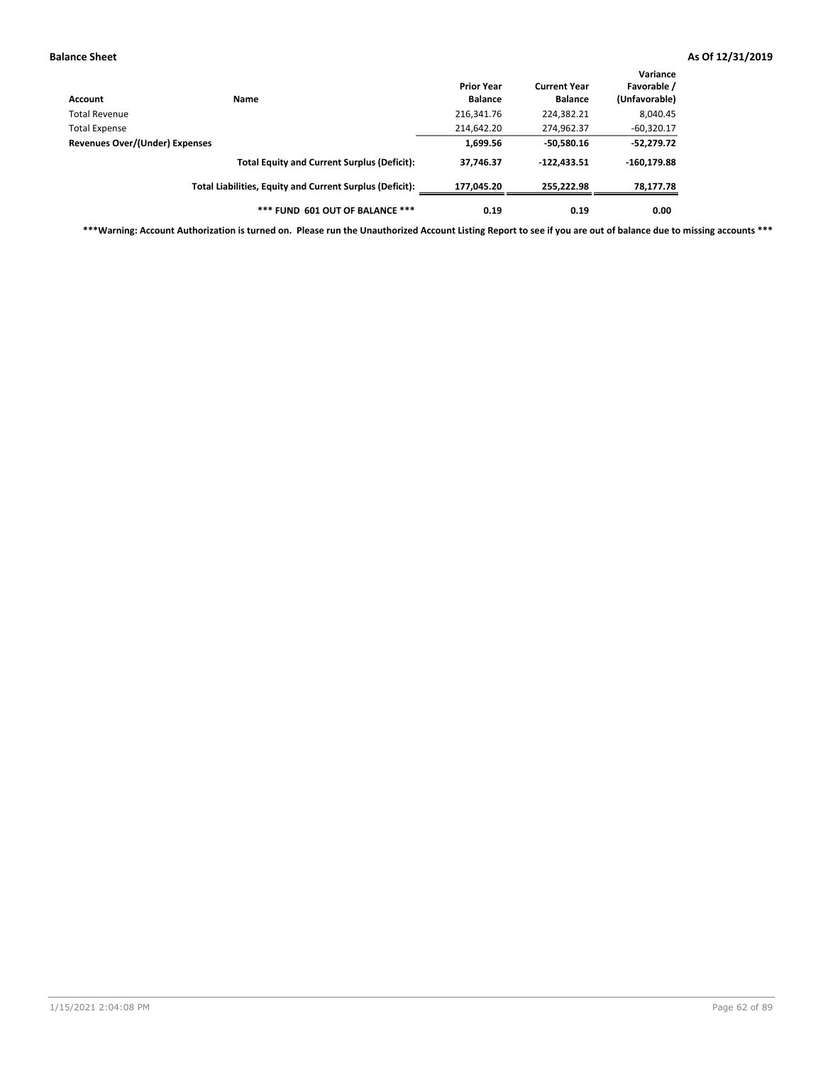| Account                        | <b>Name</b>                                              | <b>Prior Year</b><br><b>Balance</b> | <b>Current Year</b><br><b>Balance</b> | Variance<br>Favorable /<br>(Unfavorable) |
|--------------------------------|----------------------------------------------------------|-------------------------------------|---------------------------------------|------------------------------------------|
| Total Revenue                  |                                                          | 216,341.76                          | 224,382.21                            | 8,040.45                                 |
| <b>Total Expense</b>           |                                                          | 214,642.20                          | 274,962.37                            | $-60,320.17$                             |
| Revenues Over/(Under) Expenses | 1,699.56                                                 | $-50,580.16$                        | $-52,279.72$                          |                                          |
|                                | <b>Total Equity and Current Surplus (Deficit):</b>       | 37,746.37                           | $-122,433.51$                         | $-160, 179.88$                           |
|                                | Total Liabilities, Equity and Current Surplus (Deficit): | 177.045.20                          | 255,222.98                            | 78,177.78                                |
|                                | *** FUND 601 OUT OF BALANCE ***                          | 0.19                                | 0.19                                  | 0.00                                     |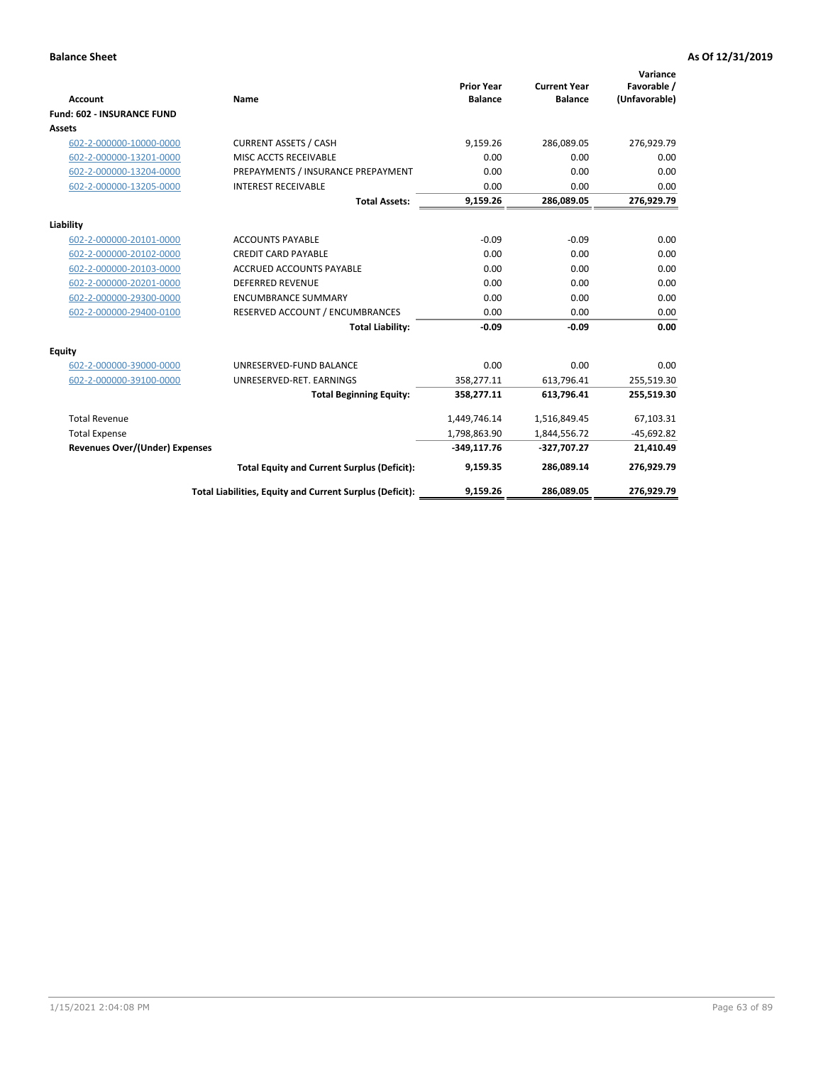|                                       |                                                          |                                     |                                       | Variance                     |
|---------------------------------------|----------------------------------------------------------|-------------------------------------|---------------------------------------|------------------------------|
| <b>Account</b>                        | <b>Name</b>                                              | <b>Prior Year</b><br><b>Balance</b> | <b>Current Year</b><br><b>Balance</b> | Favorable /<br>(Unfavorable) |
| <b>Fund: 602 - INSURANCE FUND</b>     |                                                          |                                     |                                       |                              |
| <b>Assets</b>                         |                                                          |                                     |                                       |                              |
| 602-2-000000-10000-0000               | <b>CURRENT ASSETS / CASH</b>                             | 9,159.26                            | 286,089.05                            | 276,929.79                   |
| 602-2-000000-13201-0000               | MISC ACCTS RECEIVABLE                                    | 0.00                                | 0.00                                  | 0.00                         |
| 602-2-000000-13204-0000               | PREPAYMENTS / INSURANCE PREPAYMENT                       | 0.00                                | 0.00                                  | 0.00                         |
| 602-2-000000-13205-0000               | <b>INTEREST RECEIVABLE</b>                               | 0.00                                | 0.00                                  | 0.00                         |
|                                       | <b>Total Assets:</b>                                     | 9,159.26                            | 286,089.05                            | 276,929.79                   |
| Liability                             |                                                          |                                     |                                       |                              |
| 602-2-000000-20101-0000               | <b>ACCOUNTS PAYABLE</b>                                  | $-0.09$                             | $-0.09$                               | 0.00                         |
| 602-2-000000-20102-0000               | <b>CREDIT CARD PAYABLE</b>                               | 0.00                                | 0.00                                  | 0.00                         |
| 602-2-000000-20103-0000               | <b>ACCRUED ACCOUNTS PAYABLE</b>                          | 0.00                                | 0.00                                  | 0.00                         |
| 602-2-000000-20201-0000               | <b>DEFERRED REVENUE</b>                                  | 0.00                                | 0.00                                  | 0.00                         |
| 602-2-000000-29300-0000               | <b>ENCUMBRANCE SUMMARY</b>                               | 0.00                                | 0.00                                  | 0.00                         |
| 602-2-000000-29400-0100               | RESERVED ACCOUNT / ENCUMBRANCES                          | 0.00                                | 0.00                                  | 0.00                         |
|                                       | <b>Total Liability:</b>                                  | $-0.09$                             | $-0.09$                               | 0.00                         |
| <b>Equity</b>                         |                                                          |                                     |                                       |                              |
| 602-2-000000-39000-0000               | UNRESERVED-FUND BALANCE                                  | 0.00                                | 0.00                                  | 0.00                         |
| 602-2-000000-39100-0000               | UNRESERVED-RET. EARNINGS                                 | 358,277.11                          | 613,796.41                            | 255,519.30                   |
|                                       | <b>Total Beginning Equity:</b>                           | 358,277.11                          | 613,796.41                            | 255,519.30                   |
| <b>Total Revenue</b>                  |                                                          | 1,449,746.14                        | 1,516,849.45                          | 67,103.31                    |
| <b>Total Expense</b>                  |                                                          | 1,798,863.90                        | 1,844,556.72                          | $-45,692.82$                 |
| <b>Revenues Over/(Under) Expenses</b> |                                                          | $-349,117.76$                       | -327,707.27                           | 21,410.49                    |
|                                       | <b>Total Equity and Current Surplus (Deficit):</b>       | 9,159.35                            | 286,089.14                            | 276,929.79                   |
|                                       | Total Liabilities, Equity and Current Surplus (Deficit): | 9,159.26                            | 286,089.05                            | 276,929.79                   |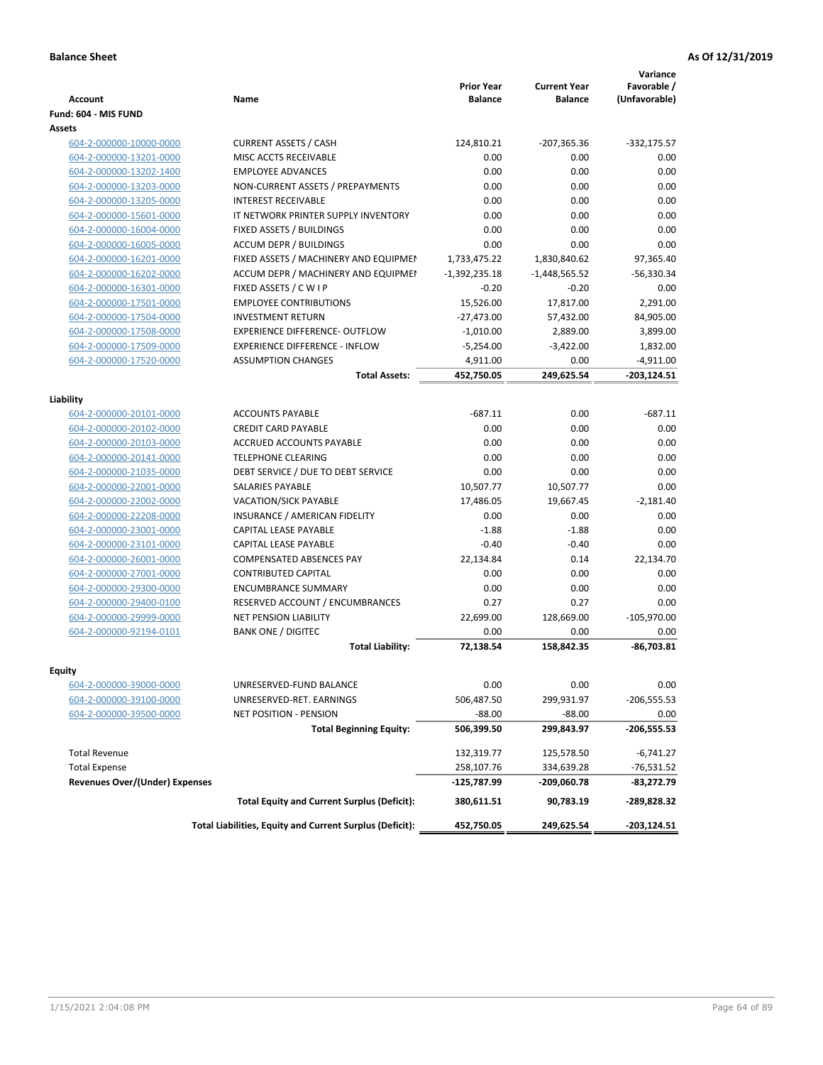| <b>Account</b>                        | <b>Name</b>                                              | <b>Prior Year</b><br><b>Balance</b> | <b>Current Year</b><br><b>Balance</b> | Variance<br>Favorable /<br>(Unfavorable) |
|---------------------------------------|----------------------------------------------------------|-------------------------------------|---------------------------------------|------------------------------------------|
| Fund: 604 - MIS FUND                  |                                                          |                                     |                                       |                                          |
| Assets                                |                                                          |                                     |                                       |                                          |
| 604-2-000000-10000-0000               | <b>CURRENT ASSETS / CASH</b>                             | 124,810.21                          | $-207,365.36$                         | $-332,175.57$                            |
| 604-2-000000-13201-0000               | MISC ACCTS RECEIVABLE                                    | 0.00                                | 0.00                                  | 0.00                                     |
| 604-2-000000-13202-1400               | <b>EMPLOYEE ADVANCES</b>                                 | 0.00                                | 0.00                                  | 0.00                                     |
| 604-2-000000-13203-0000               | NON-CURRENT ASSETS / PREPAYMENTS                         | 0.00                                | 0.00                                  | 0.00                                     |
| 604-2-000000-13205-0000               | <b>INTEREST RECEIVABLE</b>                               | 0.00                                | 0.00                                  | 0.00                                     |
| 604-2-000000-15601-0000               | IT NETWORK PRINTER SUPPLY INVENTORY                      | 0.00                                | 0.00                                  | 0.00                                     |
| 604-2-000000-16004-0000               | FIXED ASSETS / BUILDINGS                                 | 0.00                                | 0.00                                  | 0.00                                     |
| 604-2-000000-16005-0000               | <b>ACCUM DEPR / BUILDINGS</b>                            | 0.00                                | 0.00                                  | 0.00                                     |
| 604-2-000000-16201-0000               | FIXED ASSETS / MACHINERY AND EQUIPMEN                    | 1,733,475.22                        | 1,830,840.62                          | 97,365.40                                |
| 604-2-000000-16202-0000               | ACCUM DEPR / MACHINERY AND EQUIPMEI                      | $-1,392,235.18$                     | $-1,448,565.52$                       | $-56,330.34$                             |
| 604-2-000000-16301-0000               | FIXED ASSETS / C W I P                                   | $-0.20$                             | $-0.20$                               | 0.00                                     |
| 604-2-000000-17501-0000               | <b>EMPLOYEE CONTRIBUTIONS</b>                            | 15,526.00                           | 17,817.00                             | 2,291.00                                 |
| 604-2-000000-17504-0000               | <b>INVESTMENT RETURN</b>                                 | $-27,473.00$                        | 57,432.00                             | 84,905.00                                |
| 604-2-000000-17508-0000               | <b>EXPERIENCE DIFFERENCE- OUTFLOW</b>                    | $-1,010.00$                         | 2,889.00                              | 3,899.00                                 |
| 604-2-000000-17509-0000               | <b>EXPERIENCE DIFFERENCE - INFLOW</b>                    | $-5,254.00$                         | $-3,422.00$                           | 1,832.00                                 |
| 604-2-000000-17520-0000               | <b>ASSUMPTION CHANGES</b>                                | 4,911.00                            | 0.00                                  | $-4,911.00$                              |
|                                       | <b>Total Assets:</b>                                     | 452,750.05                          | 249,625.54                            | $-203, 124.51$                           |
|                                       |                                                          |                                     |                                       |                                          |
| Liability                             |                                                          |                                     |                                       |                                          |
| 604-2-000000-20101-0000               | <b>ACCOUNTS PAYABLE</b>                                  | $-687.11$                           | 0.00                                  | $-687.11$                                |
| 604-2-000000-20102-0000               | <b>CREDIT CARD PAYABLE</b>                               | 0.00                                | 0.00                                  | 0.00                                     |
| 604-2-000000-20103-0000               | <b>ACCRUED ACCOUNTS PAYABLE</b>                          | 0.00                                | 0.00                                  | 0.00                                     |
| 604-2-000000-20141-0000               | <b>TELEPHONE CLEARING</b>                                | 0.00                                | 0.00                                  | 0.00                                     |
| 604-2-000000-21035-0000               | DEBT SERVICE / DUE TO DEBT SERVICE                       | 0.00                                | 0.00                                  | 0.00                                     |
| 604-2-000000-22001-0000               | <b>SALARIES PAYABLE</b>                                  | 10,507.77                           | 10,507.77                             | 0.00                                     |
| 604-2-000000-22002-0000               | <b>VACATION/SICK PAYABLE</b>                             | 17,486.05                           | 19,667.45                             | $-2,181.40$                              |
| 604-2-000000-22208-0000               | INSURANCE / AMERICAN FIDELITY                            | 0.00                                | 0.00                                  | 0.00                                     |
| 604-2-000000-23001-0000               | CAPITAL LEASE PAYABLE                                    | $-1.88$                             | $-1.88$                               | 0.00                                     |
| 604-2-000000-23101-0000               | <b>CAPITAL LEASE PAYABLE</b>                             | $-0.40$                             | $-0.40$                               | 0.00                                     |
| 604-2-000000-26001-0000               | <b>COMPENSATED ABSENCES PAY</b>                          | 22,134.84                           | 0.14                                  | 22,134.70                                |
| 604-2-000000-27001-0000               | <b>CONTRIBUTED CAPITAL</b>                               | 0.00                                | 0.00                                  | 0.00                                     |
| 604-2-000000-29300-0000               | <b>ENCUMBRANCE SUMMARY</b>                               | 0.00                                | 0.00                                  | 0.00                                     |
| 604-2-000000-29400-0100               | RESERVED ACCOUNT / ENCUMBRANCES                          | 0.27                                | 0.27                                  | 0.00                                     |
| 604-2-000000-29999-0000               | <b>NET PENSION LIABILITY</b>                             | 22,699.00                           | 128,669.00                            | $-105,970.00$                            |
| 604-2-000000-92194-0101               | <b>BANK ONE / DIGITEC</b>                                | 0.00                                | 0.00                                  | 0.00                                     |
|                                       | <b>Total Liability:</b>                                  | 72.138.54                           | 158,842.35                            | $-86,703.81$                             |
|                                       |                                                          |                                     |                                       |                                          |
| Equity                                |                                                          | 0.00                                |                                       |                                          |
| 604-2-000000-39000-0000               | UNRESERVED-FUND BALANCE                                  |                                     | 0.00                                  | 0.00                                     |
| 604-2-000000-39100-0000               | UNRESERVED-RET. EARNINGS                                 | 506,487.50                          | 299,931.97                            | $-206,555.53$                            |
| 604-2-000000-39500-0000               | <b>NET POSITION - PENSION</b>                            | $-88.00$                            | $-88.00$                              | 0.00                                     |
|                                       | <b>Total Beginning Equity:</b>                           | 506,399.50                          | 299,843.97                            | -206,555.53                              |
| <b>Total Revenue</b>                  |                                                          | 132,319.77                          | 125,578.50                            | $-6,741.27$                              |
| <b>Total Expense</b>                  |                                                          | 258,107.76                          | 334,639.28                            | -76,531.52                               |
| <b>Revenues Over/(Under) Expenses</b> |                                                          | $-125,787.99$                       | -209,060.78                           | $-83,272.79$                             |
|                                       | <b>Total Equity and Current Surplus (Deficit):</b>       | 380,611.51                          | 90,783.19                             | -289,828.32                              |
|                                       | Total Liabilities, Equity and Current Surplus (Deficit): | 452,750.05                          | 249,625.54                            | -203,124.51                              |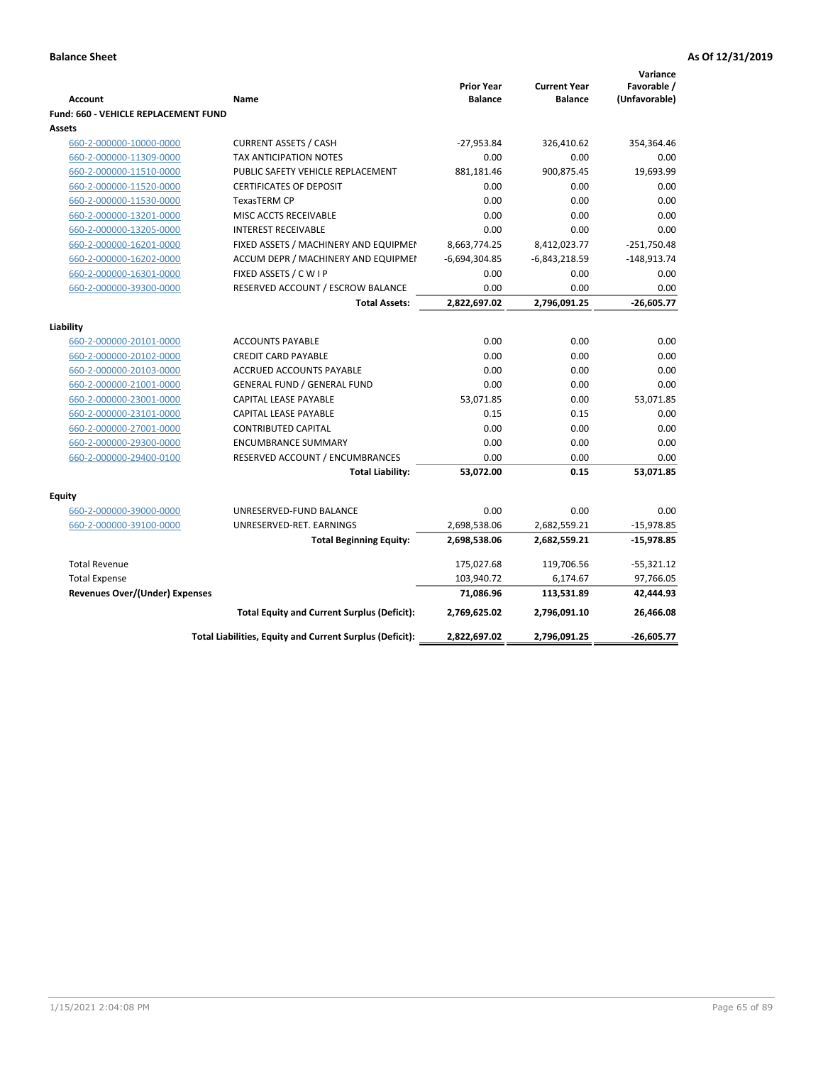|                                       |                                                          |                                     |                                       | Variance                     |
|---------------------------------------|----------------------------------------------------------|-------------------------------------|---------------------------------------|------------------------------|
| <b>Account</b>                        | Name                                                     | <b>Prior Year</b><br><b>Balance</b> | <b>Current Year</b><br><b>Balance</b> | Favorable /<br>(Unfavorable) |
| Fund: 660 - VEHICLE REPLACEMENT FUND  |                                                          |                                     |                                       |                              |
| Assets                                |                                                          |                                     |                                       |                              |
| 660-2-000000-10000-0000               | <b>CURRENT ASSETS / CASH</b>                             | $-27,953.84$                        | 326,410.62                            | 354,364.46                   |
| 660-2-000000-11309-0000               | <b>TAX ANTICIPATION NOTES</b>                            | 0.00                                | 0.00                                  | 0.00                         |
| 660-2-000000-11510-0000               | PUBLIC SAFETY VEHICLE REPLACEMENT                        | 881,181.46                          | 900,875.45                            | 19,693.99                    |
| 660-2-000000-11520-0000               | <b>CERTIFICATES OF DEPOSIT</b>                           | 0.00                                | 0.00                                  | 0.00                         |
| 660-2-000000-11530-0000               | <b>TexasTERM CP</b>                                      | 0.00                                | 0.00                                  | 0.00                         |
| 660-2-000000-13201-0000               | MISC ACCTS RECEIVABLE                                    | 0.00                                | 0.00                                  | 0.00                         |
| 660-2-000000-13205-0000               | <b>INTEREST RECEIVABLE</b>                               | 0.00                                | 0.00                                  | 0.00                         |
| 660-2-000000-16201-0000               | FIXED ASSETS / MACHINERY AND EQUIPMEN                    | 8,663,774.25                        | 8,412,023.77                          | $-251,750.48$                |
| 660-2-000000-16202-0000               | ACCUM DEPR / MACHINERY AND EQUIPMEI                      | $-6,694,304.85$                     | $-6,843,218.59$                       | $-148,913.74$                |
| 660-2-000000-16301-0000               | FIXED ASSETS / C W I P                                   | 0.00                                | 0.00                                  | 0.00                         |
| 660-2-000000-39300-0000               | RESERVED ACCOUNT / ESCROW BALANCE                        | 0.00                                | 0.00                                  | 0.00                         |
|                                       | <b>Total Assets:</b>                                     | 2,822,697.02                        | 2,796,091.25                          | $-26,605.77$                 |
|                                       |                                                          |                                     |                                       |                              |
| Liability                             |                                                          |                                     |                                       |                              |
| 660-2-000000-20101-0000               | <b>ACCOUNTS PAYABLE</b>                                  | 0.00                                | 0.00                                  | 0.00                         |
| 660-2-000000-20102-0000               | <b>CREDIT CARD PAYABLE</b>                               | 0.00                                | 0.00                                  | 0.00                         |
| 660-2-000000-20103-0000               | ACCRUED ACCOUNTS PAYABLE                                 | 0.00                                | 0.00                                  | 0.00                         |
| 660-2-000000-21001-0000               | <b>GENERAL FUND / GENERAL FUND</b>                       | 0.00                                | 0.00                                  | 0.00                         |
| 660-2-000000-23001-0000               | CAPITAL LEASE PAYABLE                                    | 53,071.85                           | 0.00                                  | 53,071.85                    |
| 660-2-000000-23101-0000               | <b>CAPITAL LEASE PAYABLE</b>                             | 0.15                                | 0.15                                  | 0.00                         |
| 660-2-000000-27001-0000               | <b>CONTRIBUTED CAPITAL</b>                               | 0.00                                | 0.00                                  | 0.00                         |
| 660-2-000000-29300-0000               | <b>ENCUMBRANCE SUMMARY</b>                               | 0.00                                | 0.00                                  | 0.00                         |
| 660-2-000000-29400-0100               | RESERVED ACCOUNT / ENCUMBRANCES                          | 0.00                                | 0.00                                  | 0.00                         |
|                                       | <b>Total Liability:</b>                                  | 53,072.00                           | 0.15                                  | 53,071.85                    |
| <b>Equity</b>                         |                                                          |                                     |                                       |                              |
| 660-2-000000-39000-0000               | UNRESERVED-FUND BALANCE                                  | 0.00                                | 0.00                                  | 0.00                         |
| 660-2-000000-39100-0000               | UNRESERVED-RET. EARNINGS                                 | 2,698,538.06                        | 2,682,559.21                          | $-15,978.85$                 |
|                                       | <b>Total Beginning Equity:</b>                           | 2,698,538.06                        | 2,682,559.21                          | $-15,978.85$                 |
| <b>Total Revenue</b>                  |                                                          | 175,027.68                          | 119,706.56                            | $-55,321.12$                 |
| <b>Total Expense</b>                  |                                                          | 103,940.72                          | 6,174.67                              | 97,766.05                    |
| <b>Revenues Over/(Under) Expenses</b> |                                                          | 71,086.96                           | 113,531.89                            | 42,444.93                    |
|                                       |                                                          |                                     |                                       |                              |
|                                       | <b>Total Equity and Current Surplus (Deficit):</b>       | 2,769,625.02                        | 2,796,091.10                          | 26,466.08                    |
|                                       | Total Liabilities, Equity and Current Surplus (Deficit): | 2,822,697.02                        | 2,796,091.25                          | -26,605.77                   |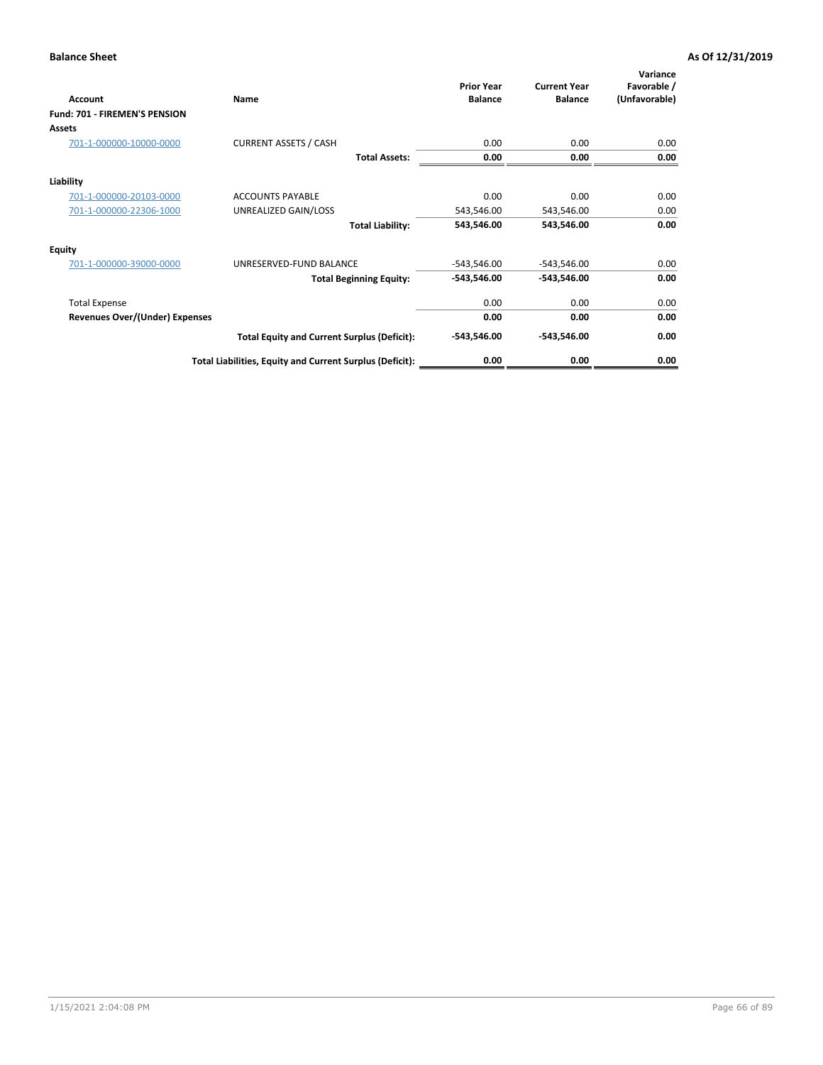| Account                               | Name                                                     | <b>Prior Year</b><br><b>Balance</b> | <b>Current Year</b><br><b>Balance</b> | Variance<br>Favorable /<br>(Unfavorable) |
|---------------------------------------|----------------------------------------------------------|-------------------------------------|---------------------------------------|------------------------------------------|
| Fund: 701 - FIREMEN'S PENSION         |                                                          |                                     |                                       |                                          |
| <b>Assets</b>                         |                                                          |                                     |                                       |                                          |
| 701-1-000000-10000-0000               | <b>CURRENT ASSETS / CASH</b>                             | 0.00                                | 0.00                                  | 0.00                                     |
|                                       | <b>Total Assets:</b>                                     | 0.00                                | 0.00                                  | 0.00                                     |
| Liability                             |                                                          |                                     |                                       |                                          |
| 701-1-000000-20103-0000               | <b>ACCOUNTS PAYABLE</b>                                  | 0.00                                | 0.00                                  | 0.00                                     |
| 701-1-000000-22306-1000               | UNREALIZED GAIN/LOSS                                     | 543,546.00                          | 543,546.00                            | 0.00                                     |
|                                       | <b>Total Liability:</b>                                  | 543,546.00                          | 543,546.00                            | 0.00                                     |
| <b>Equity</b>                         |                                                          |                                     |                                       |                                          |
| 701-1-000000-39000-0000               | UNRESERVED-FUND BALANCE                                  | $-543,546.00$                       | $-543,546.00$                         | 0.00                                     |
|                                       | <b>Total Beginning Equity:</b>                           | $-543,546.00$                       | -543,546.00                           | 0.00                                     |
| <b>Total Expense</b>                  |                                                          | 0.00                                | 0.00                                  | 0.00                                     |
| <b>Revenues Over/(Under) Expenses</b> |                                                          | 0.00                                | 0.00                                  | 0.00                                     |
|                                       | <b>Total Equity and Current Surplus (Deficit):</b>       | $-543,546.00$                       | -543,546.00                           | 0.00                                     |
|                                       | Total Liabilities, Equity and Current Surplus (Deficit): | 0.00                                | 0.00                                  | 0.00                                     |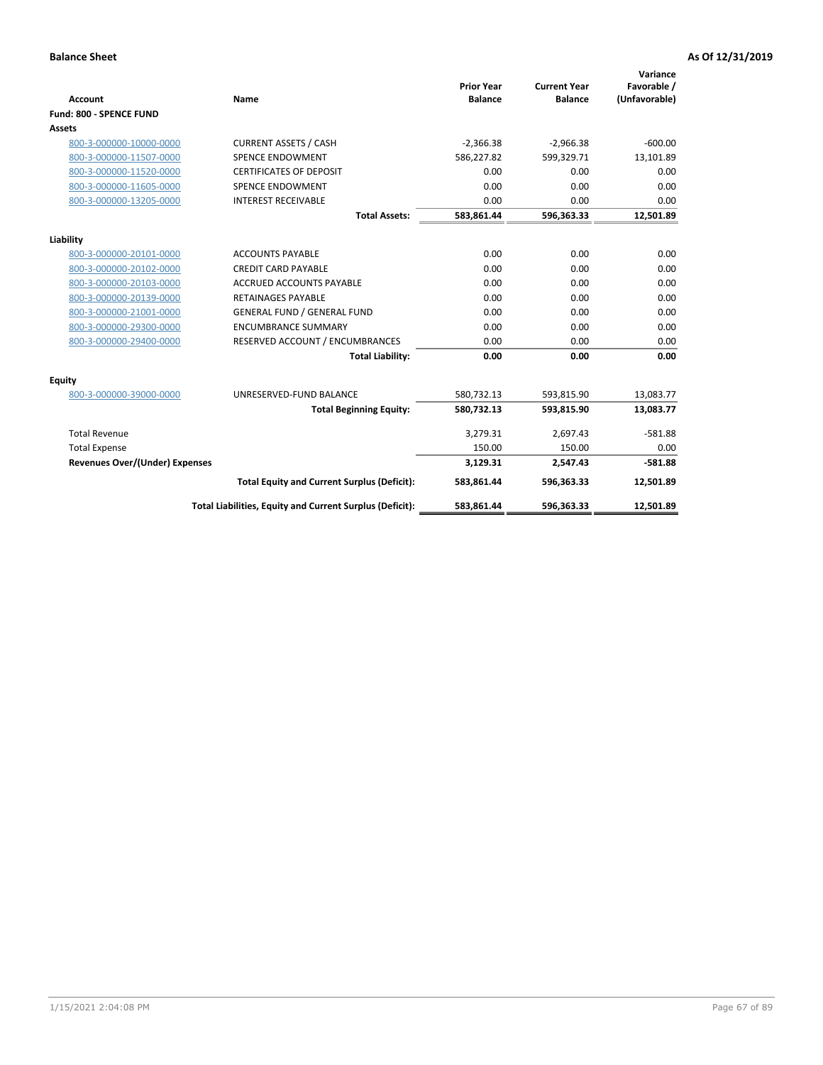|                                       |                                                          |                                     |                                       | Variance                     |
|---------------------------------------|----------------------------------------------------------|-------------------------------------|---------------------------------------|------------------------------|
| <b>Account</b>                        | Name                                                     | <b>Prior Year</b><br><b>Balance</b> | <b>Current Year</b><br><b>Balance</b> | Favorable /<br>(Unfavorable) |
| Fund: 800 - SPENCE FUND               |                                                          |                                     |                                       |                              |
| <b>Assets</b>                         |                                                          |                                     |                                       |                              |
|                                       |                                                          |                                     |                                       |                              |
| 800-3-000000-10000-0000               | <b>CURRENT ASSETS / CASH</b>                             | $-2,366.38$                         | $-2,966.38$                           | $-600.00$                    |
| 800-3-000000-11507-0000               | <b>SPENCE ENDOWMENT</b>                                  | 586,227.82                          | 599,329.71                            | 13,101.89                    |
| 800-3-000000-11520-0000               | <b>CERTIFICATES OF DEPOSIT</b>                           | 0.00                                | 0.00                                  | 0.00                         |
| 800-3-000000-11605-0000               | <b>SPENCE ENDOWMENT</b>                                  | 0.00                                | 0.00                                  | 0.00                         |
| 800-3-000000-13205-0000               | <b>INTEREST RECEIVABLE</b>                               | 0.00                                | 0.00                                  | 0.00                         |
|                                       | <b>Total Assets:</b>                                     | 583,861.44                          | 596,363.33                            | 12,501.89                    |
| Liability                             |                                                          |                                     |                                       |                              |
| 800-3-000000-20101-0000               | <b>ACCOUNTS PAYABLE</b>                                  | 0.00                                | 0.00                                  | 0.00                         |
| 800-3-000000-20102-0000               | <b>CREDIT CARD PAYABLE</b>                               | 0.00                                | 0.00                                  | 0.00                         |
| 800-3-000000-20103-0000               | <b>ACCRUED ACCOUNTS PAYABLE</b>                          | 0.00                                | 0.00                                  | 0.00                         |
| 800-3-000000-20139-0000               | <b>RETAINAGES PAYABLE</b>                                | 0.00                                | 0.00                                  | 0.00                         |
| 800-3-000000-21001-0000               | <b>GENERAL FUND / GENERAL FUND</b>                       | 0.00                                | 0.00                                  | 0.00                         |
| 800-3-000000-29300-0000               | <b>ENCUMBRANCE SUMMARY</b>                               | 0.00                                | 0.00                                  | 0.00                         |
| 800-3-000000-29400-0000               | RESERVED ACCOUNT / ENCUMBRANCES                          | 0.00                                | 0.00                                  | 0.00                         |
|                                       | <b>Total Liability:</b>                                  | 0.00                                | 0.00                                  | 0.00                         |
| <b>Equity</b>                         |                                                          |                                     |                                       |                              |
| 800-3-000000-39000-0000               | UNRESERVED-FUND BALANCE                                  | 580,732.13                          | 593,815.90                            | 13,083.77                    |
|                                       | <b>Total Beginning Equity:</b>                           | 580,732.13                          | 593,815.90                            | 13,083.77                    |
| <b>Total Revenue</b>                  |                                                          | 3,279.31                            | 2,697.43                              | $-581.88$                    |
| <b>Total Expense</b>                  |                                                          | 150.00                              | 150.00                                | 0.00                         |
| <b>Revenues Over/(Under) Expenses</b> |                                                          | 3,129.31                            | 2,547.43                              | $-581.88$                    |
|                                       | <b>Total Equity and Current Surplus (Deficit):</b>       | 583,861.44                          | 596,363.33                            | 12,501.89                    |
|                                       | Total Liabilities, Equity and Current Surplus (Deficit): | 583,861.44                          | 596,363.33                            | 12,501.89                    |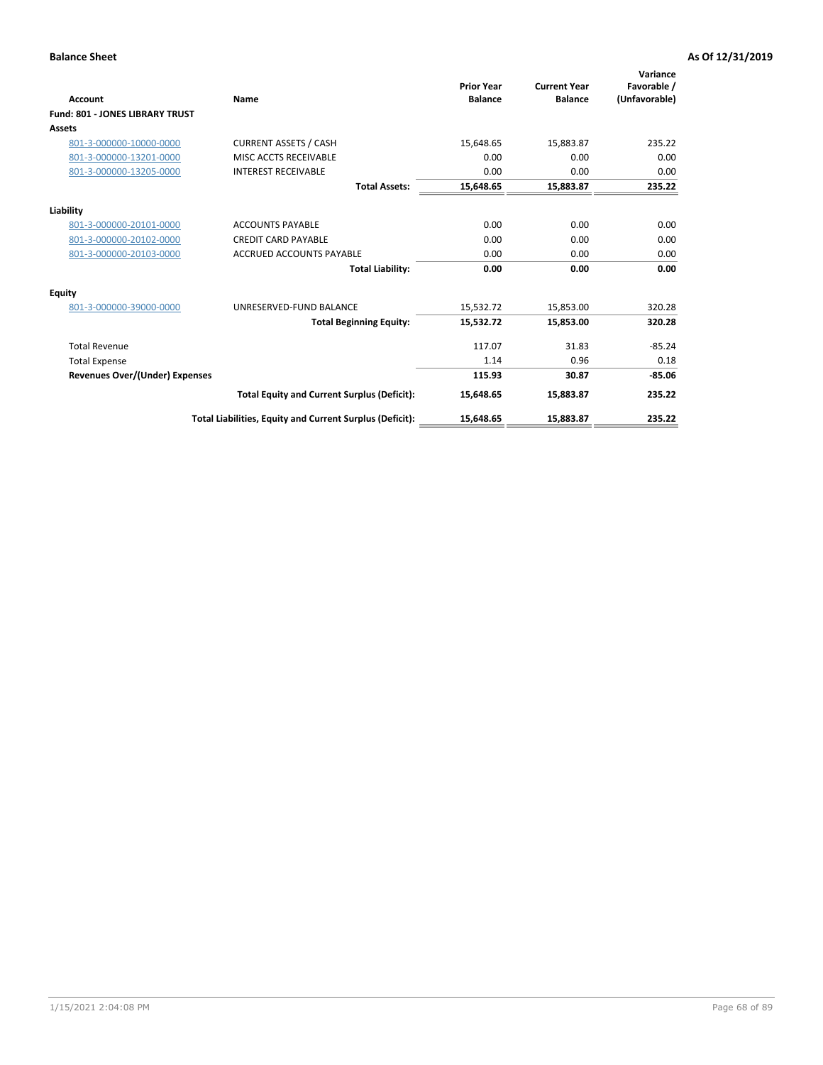|                                        |                                                          |                                     |                                       | Variance                     |
|----------------------------------------|----------------------------------------------------------|-------------------------------------|---------------------------------------|------------------------------|
| Account                                | Name                                                     | <b>Prior Year</b><br><b>Balance</b> | <b>Current Year</b><br><b>Balance</b> | Favorable /<br>(Unfavorable) |
| <b>Fund: 801 - JONES LIBRARY TRUST</b> |                                                          |                                     |                                       |                              |
| Assets                                 |                                                          |                                     |                                       |                              |
| 801-3-000000-10000-0000                | <b>CURRENT ASSETS / CASH</b>                             | 15,648.65                           | 15,883.87                             | 235.22                       |
| 801-3-000000-13201-0000                | MISC ACCTS RECEIVABLE                                    | 0.00                                | 0.00                                  | 0.00                         |
| 801-3-000000-13205-0000                | <b>INTEREST RECEIVABLE</b>                               | 0.00                                | 0.00                                  | 0.00                         |
|                                        | <b>Total Assets:</b>                                     | 15,648.65                           | 15,883.87                             | 235.22                       |
| Liability                              |                                                          |                                     |                                       |                              |
| 801-3-000000-20101-0000                | <b>ACCOUNTS PAYABLE</b>                                  | 0.00                                | 0.00                                  | 0.00                         |
| 801-3-000000-20102-0000                | <b>CREDIT CARD PAYABLE</b>                               | 0.00                                | 0.00                                  | 0.00                         |
| 801-3-000000-20103-0000                | <b>ACCRUED ACCOUNTS PAYABLE</b>                          | 0.00                                | 0.00                                  | 0.00                         |
|                                        | <b>Total Liability:</b>                                  | 0.00                                | 0.00                                  | 0.00                         |
| Equity                                 |                                                          |                                     |                                       |                              |
| 801-3-000000-39000-0000                | UNRESERVED-FUND BALANCE                                  | 15,532.72                           | 15,853.00                             | 320.28                       |
|                                        | <b>Total Beginning Equity:</b>                           | 15,532.72                           | 15.853.00                             | 320.28                       |
| <b>Total Revenue</b>                   |                                                          | 117.07                              | 31.83                                 | $-85.24$                     |
| <b>Total Expense</b>                   |                                                          | 1.14                                | 0.96                                  | 0.18                         |
| <b>Revenues Over/(Under) Expenses</b>  |                                                          | 115.93                              | 30.87                                 | $-85.06$                     |
|                                        | <b>Total Equity and Current Surplus (Deficit):</b>       | 15,648.65                           | 15,883.87                             | 235.22                       |
|                                        | Total Liabilities, Equity and Current Surplus (Deficit): | 15,648.65                           | 15,883.87                             | 235.22                       |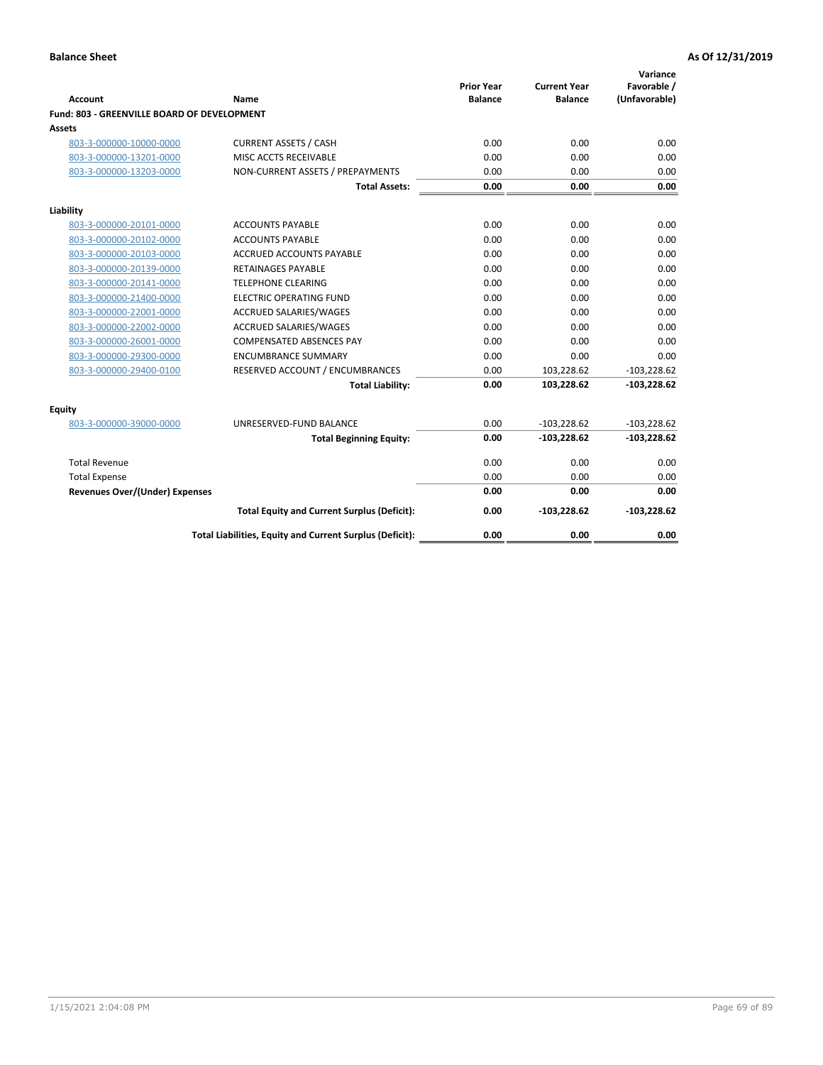| <b>Account</b>                              | Name                                                     | <b>Prior Year</b><br><b>Balance</b> | <b>Current Year</b><br><b>Balance</b> | Variance<br>Favorable /<br>(Unfavorable) |
|---------------------------------------------|----------------------------------------------------------|-------------------------------------|---------------------------------------|------------------------------------------|
| Fund: 803 - GREENVILLE BOARD OF DEVELOPMENT |                                                          |                                     |                                       |                                          |
| Assets                                      |                                                          |                                     |                                       |                                          |
| 803-3-000000-10000-0000                     | <b>CURRENT ASSETS / CASH</b>                             | 0.00                                | 0.00                                  | 0.00                                     |
| 803-3-000000-13201-0000                     | MISC ACCTS RECEIVABLE                                    | 0.00                                | 0.00                                  | 0.00                                     |
| 803-3-000000-13203-0000                     | NON-CURRENT ASSETS / PREPAYMENTS                         | 0.00                                | 0.00                                  | 0.00                                     |
|                                             | <b>Total Assets:</b>                                     | 0.00                                | 0.00                                  | 0.00                                     |
| Liability                                   |                                                          |                                     |                                       |                                          |
| 803-3-000000-20101-0000                     | <b>ACCOUNTS PAYABLE</b>                                  | 0.00                                | 0.00                                  | 0.00                                     |
| 803-3-000000-20102-0000                     | <b>ACCOUNTS PAYABLE</b>                                  | 0.00                                | 0.00                                  | 0.00                                     |
| 803-3-000000-20103-0000                     | ACCRUED ACCOUNTS PAYABLE                                 | 0.00                                | 0.00                                  | 0.00                                     |
| 803-3-000000-20139-0000                     | <b>RETAINAGES PAYABLE</b>                                | 0.00                                | 0.00                                  | 0.00                                     |
| 803-3-000000-20141-0000                     | <b>TELEPHONE CLEARING</b>                                | 0.00                                | 0.00                                  | 0.00                                     |
| 803-3-000000-21400-0000                     | <b>ELECTRIC OPERATING FUND</b>                           | 0.00                                | 0.00                                  | 0.00                                     |
| 803-3-000000-22001-0000                     | <b>ACCRUED SALARIES/WAGES</b>                            | 0.00                                | 0.00                                  | 0.00                                     |
| 803-3-000000-22002-0000                     | <b>ACCRUED SALARIES/WAGES</b>                            | 0.00                                | 0.00                                  | 0.00                                     |
| 803-3-000000-26001-0000                     | <b>COMPENSATED ABSENCES PAY</b>                          | 0.00                                | 0.00                                  | 0.00                                     |
| 803-3-000000-29300-0000                     | <b>ENCUMBRANCE SUMMARY</b>                               | 0.00                                | 0.00                                  | 0.00                                     |
| 803-3-000000-29400-0100                     | RESERVED ACCOUNT / ENCUMBRANCES                          | 0.00                                | 103,228.62                            | $-103,228.62$                            |
|                                             | <b>Total Liability:</b>                                  | 0.00                                | 103,228.62                            | $-103,228.62$                            |
| Equity                                      |                                                          |                                     |                                       |                                          |
| 803-3-000000-39000-0000                     | UNRESERVED-FUND BALANCE                                  | 0.00                                | $-103,228.62$                         | $-103,228.62$                            |
|                                             | <b>Total Beginning Equity:</b>                           | 0.00                                | $-103,228.62$                         | $-103,228.62$                            |
| <b>Total Revenue</b>                        |                                                          | 0.00                                | 0.00                                  | 0.00                                     |
| <b>Total Expense</b>                        |                                                          | 0.00                                | 0.00                                  | 0.00                                     |
| <b>Revenues Over/(Under) Expenses</b>       |                                                          | 0.00                                | 0.00                                  | 0.00                                     |
|                                             | <b>Total Equity and Current Surplus (Deficit):</b>       | 0.00                                | $-103,228.62$                         | $-103,228.62$                            |
|                                             | Total Liabilities, Equity and Current Surplus (Deficit): | 0.00                                | 0.00                                  | 0.00                                     |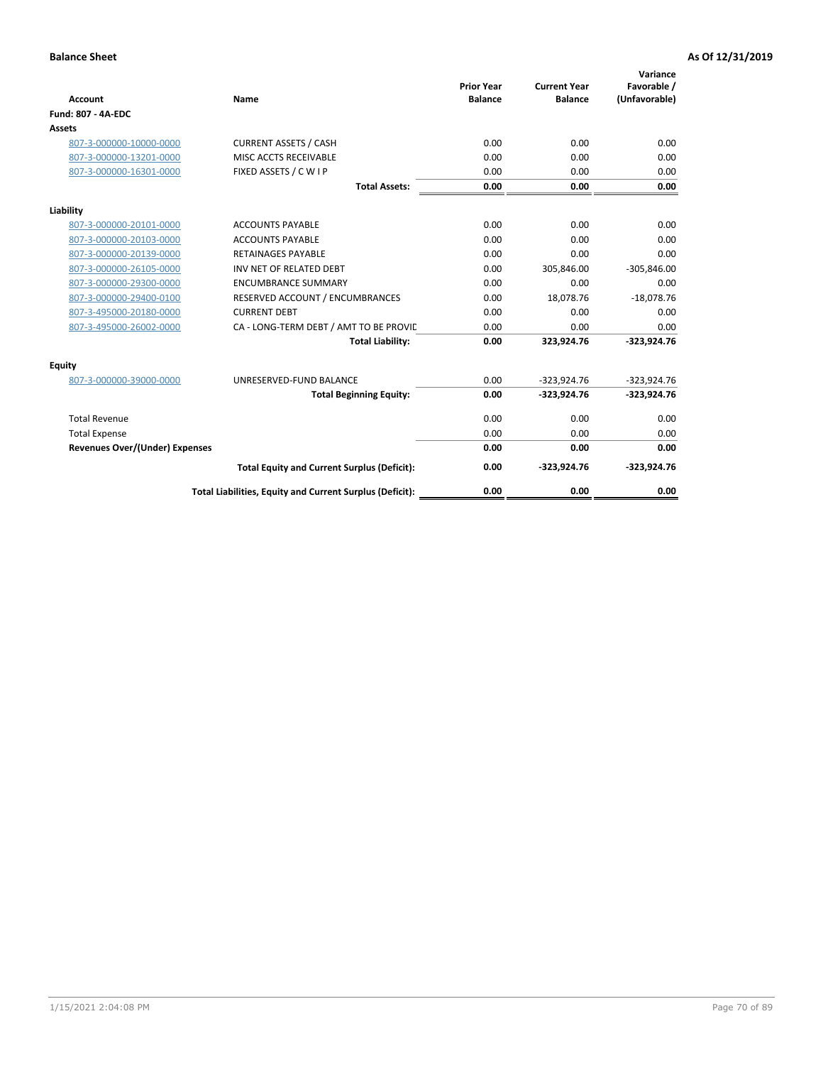| <b>Account</b>                 | Name                                                     | <b>Prior Year</b><br><b>Balance</b> | <b>Current Year</b><br><b>Balance</b> | Variance<br>Favorable /<br>(Unfavorable) |
|--------------------------------|----------------------------------------------------------|-------------------------------------|---------------------------------------|------------------------------------------|
| <b>Fund: 807 - 4A-EDC</b>      |                                                          |                                     |                                       |                                          |
| <b>Assets</b>                  |                                                          |                                     |                                       |                                          |
| 807-3-000000-10000-0000        | <b>CURRENT ASSETS / CASH</b>                             | 0.00                                | 0.00                                  | 0.00                                     |
| 807-3-000000-13201-0000        | MISC ACCTS RECEIVABLE                                    | 0.00                                | 0.00                                  | 0.00                                     |
| 807-3-000000-16301-0000        | FIXED ASSETS / C W I P                                   | 0.00                                | 0.00                                  | 0.00                                     |
|                                | <b>Total Assets:</b>                                     | 0.00                                | 0.00                                  | 0.00                                     |
| Liability                      |                                                          |                                     |                                       |                                          |
| 807-3-000000-20101-0000        | <b>ACCOUNTS PAYABLE</b>                                  | 0.00                                | 0.00                                  | 0.00                                     |
| 807-3-000000-20103-0000        | <b>ACCOUNTS PAYABLE</b>                                  | 0.00                                | 0.00                                  | 0.00                                     |
| 807-3-000000-20139-0000        | <b>RETAINAGES PAYABLE</b>                                | 0.00                                | 0.00                                  | 0.00                                     |
| 807-3-000000-26105-0000        | INV NET OF RELATED DEBT                                  | 0.00                                | 305,846.00                            | $-305,846.00$                            |
| 807-3-000000-29300-0000        | <b>ENCUMBRANCE SUMMARY</b>                               | 0.00                                | 0.00                                  | 0.00                                     |
| 807-3-000000-29400-0100        | RESERVED ACCOUNT / ENCUMBRANCES                          | 0.00                                | 18,078.76                             | $-18,078.76$                             |
| 807-3-495000-20180-0000        | <b>CURRENT DEBT</b>                                      | 0.00                                | 0.00                                  | 0.00                                     |
| 807-3-495000-26002-0000        | CA - LONG-TERM DEBT / AMT TO BE PROVIL                   | 0.00                                | 0.00                                  | 0.00                                     |
|                                | <b>Total Liability:</b>                                  | 0.00                                | 323,924.76                            | $-323,924.76$                            |
| Equity                         |                                                          |                                     |                                       |                                          |
| 807-3-000000-39000-0000        | UNRESERVED-FUND BALANCE                                  | 0.00                                | $-323,924.76$                         | $-323,924.76$                            |
|                                | <b>Total Beginning Equity:</b>                           | 0.00                                | $-323,924.76$                         | $-323,924.76$                            |
| <b>Total Revenue</b>           |                                                          | 0.00                                | 0.00                                  | 0.00                                     |
| <b>Total Expense</b>           |                                                          | 0.00                                | 0.00                                  | 0.00                                     |
| Revenues Over/(Under) Expenses |                                                          | 0.00                                | 0.00                                  | 0.00                                     |
|                                | <b>Total Equity and Current Surplus (Deficit):</b>       | 0.00                                | $-323,924.76$                         | $-323,924.76$                            |
|                                | Total Liabilities, Equity and Current Surplus (Deficit): | 0.00                                | 0.00                                  | 0.00                                     |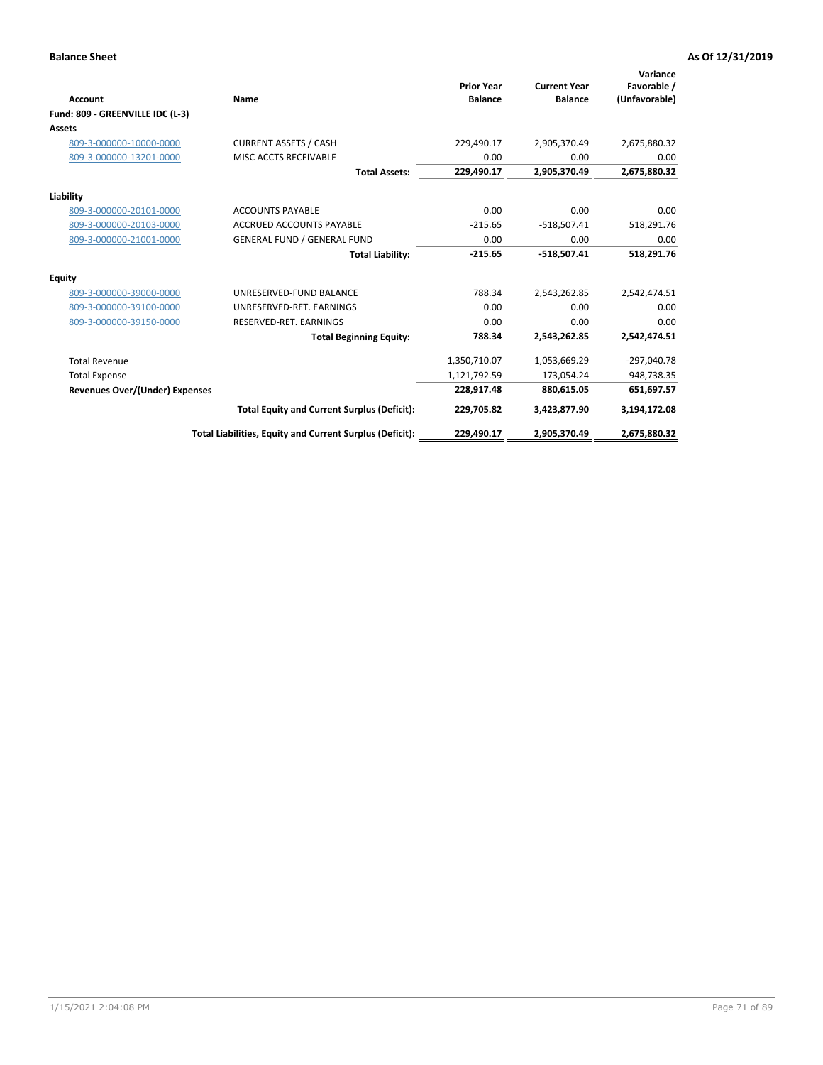| <b>Account</b><br>Fund: 809 - GREENVILLE IDC (L-3) | Name                                                     | <b>Prior Year</b><br><b>Balance</b> | <b>Current Year</b><br><b>Balance</b> | Variance<br>Favorable /<br>(Unfavorable) |
|----------------------------------------------------|----------------------------------------------------------|-------------------------------------|---------------------------------------|------------------------------------------|
| Assets                                             |                                                          |                                     |                                       |                                          |
| 809-3-000000-10000-0000                            | <b>CURRENT ASSETS / CASH</b>                             | 229,490.17                          | 2,905,370.49                          | 2,675,880.32                             |
| 809-3-000000-13201-0000                            | MISC ACCTS RECEIVABLE                                    | 0.00                                | 0.00                                  | 0.00                                     |
|                                                    | <b>Total Assets:</b>                                     | 229.490.17                          | 2,905,370.49                          | 2,675,880.32                             |
| Liability                                          |                                                          |                                     |                                       |                                          |
| 809-3-000000-20101-0000                            | <b>ACCOUNTS PAYABLE</b>                                  | 0.00                                | 0.00                                  | 0.00                                     |
| 809-3-000000-20103-0000                            | <b>ACCRUED ACCOUNTS PAYABLE</b>                          | $-215.65$                           | $-518,507.41$                         | 518,291.76                               |
| 809-3-000000-21001-0000                            | <b>GENERAL FUND / GENERAL FUND</b>                       | 0.00                                | 0.00                                  | 0.00                                     |
|                                                    | <b>Total Liability:</b>                                  | $-215.65$                           | $-518,507.41$                         | 518,291.76                               |
| Equity                                             |                                                          |                                     |                                       |                                          |
| 809-3-000000-39000-0000                            | UNRESERVED-FUND BALANCE                                  | 788.34                              | 2,543,262.85                          | 2,542,474.51                             |
| 809-3-000000-39100-0000                            | UNRESERVED-RET. EARNINGS                                 | 0.00                                | 0.00                                  | 0.00                                     |
| 809-3-000000-39150-0000                            | RESERVED-RET. EARNINGS                                   | 0.00                                | 0.00                                  | 0.00                                     |
|                                                    | <b>Total Beginning Equity:</b>                           | 788.34                              | 2,543,262.85                          | 2,542,474.51                             |
| <b>Total Revenue</b>                               |                                                          | 1,350,710.07                        | 1,053,669.29                          | -297,040.78                              |
| <b>Total Expense</b>                               |                                                          | 1,121,792.59                        | 173,054.24                            | 948,738.35                               |
| <b>Revenues Over/(Under) Expenses</b>              |                                                          | 228,917.48                          | 880,615.05                            | 651,697.57                               |
|                                                    | <b>Total Equity and Current Surplus (Deficit):</b>       | 229,705.82                          | 3,423,877.90                          | 3,194,172.08                             |
|                                                    | Total Liabilities, Equity and Current Surplus (Deficit): | 229,490.17                          | 2,905,370.49                          | 2,675,880.32                             |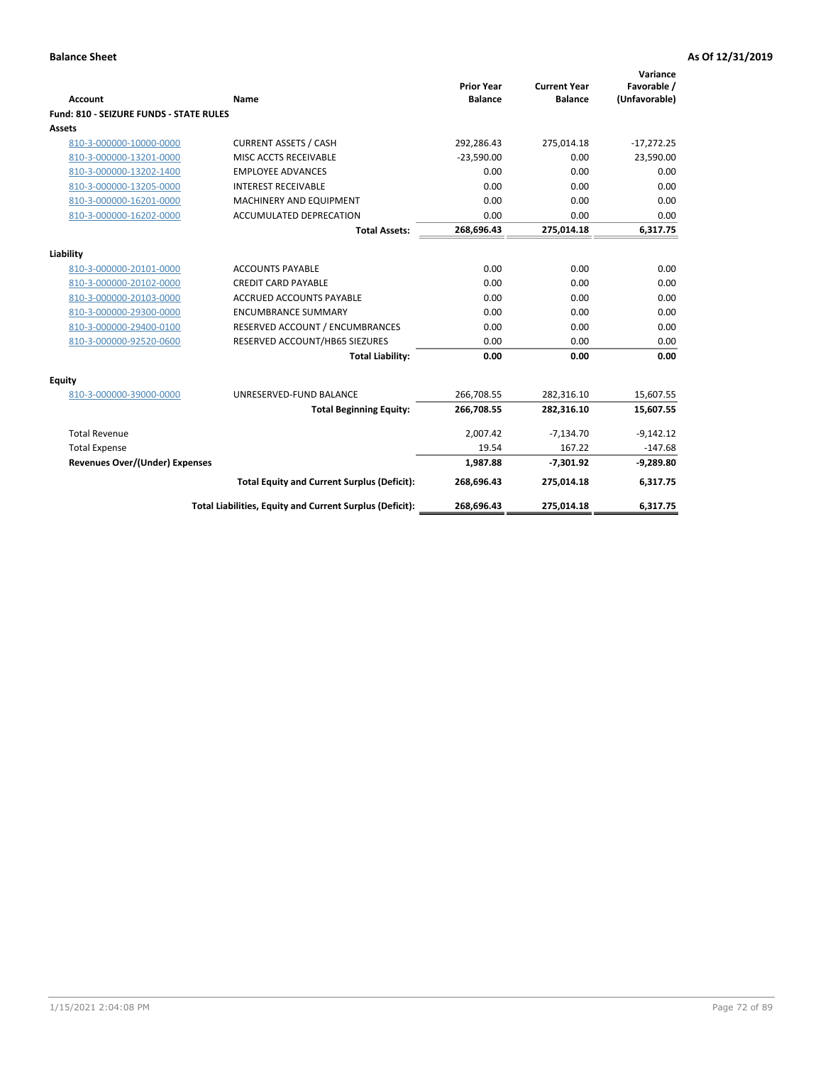| <b>Account</b>                                 | Name                                                     | <b>Prior Year</b><br><b>Balance</b> | <b>Current Year</b><br><b>Balance</b> | Variance<br>Favorable /<br>(Unfavorable) |
|------------------------------------------------|----------------------------------------------------------|-------------------------------------|---------------------------------------|------------------------------------------|
| <b>Fund: 810 - SEIZURE FUNDS - STATE RULES</b> |                                                          |                                     |                                       |                                          |
| <b>Assets</b>                                  |                                                          |                                     |                                       |                                          |
| 810-3-000000-10000-0000                        | <b>CURRENT ASSETS / CASH</b>                             | 292,286.43                          | 275,014.18                            | $-17,272.25$                             |
| 810-3-000000-13201-0000                        | MISC ACCTS RECEIVABLE                                    | $-23,590.00$                        | 0.00                                  | 23,590.00                                |
| 810-3-000000-13202-1400                        | <b>EMPLOYEE ADVANCES</b>                                 | 0.00                                | 0.00                                  | 0.00                                     |
| 810-3-000000-13205-0000                        | <b>INTEREST RECEIVABLE</b>                               | 0.00                                | 0.00                                  | 0.00                                     |
| 810-3-000000-16201-0000                        | MACHINERY AND EQUIPMENT                                  | 0.00                                | 0.00                                  | 0.00                                     |
| 810-3-000000-16202-0000                        | <b>ACCUMULATED DEPRECATION</b>                           | 0.00                                | 0.00                                  | 0.00                                     |
|                                                | <b>Total Assets:</b>                                     | 268,696.43                          | 275,014.18                            | 6,317.75                                 |
| Liability                                      |                                                          |                                     |                                       |                                          |
| 810-3-000000-20101-0000                        | <b>ACCOUNTS PAYABLE</b>                                  | 0.00                                | 0.00                                  | 0.00                                     |
| 810-3-000000-20102-0000                        | <b>CREDIT CARD PAYABLE</b>                               | 0.00                                | 0.00                                  | 0.00                                     |
| 810-3-000000-20103-0000                        | <b>ACCRUED ACCOUNTS PAYABLE</b>                          | 0.00                                | 0.00                                  | 0.00                                     |
| 810-3-000000-29300-0000                        | <b>ENCUMBRANCE SUMMARY</b>                               | 0.00                                | 0.00                                  | 0.00                                     |
| 810-3-000000-29400-0100                        | RESERVED ACCOUNT / ENCUMBRANCES                          | 0.00                                | 0.00                                  | 0.00                                     |
| 810-3-000000-92520-0600                        | RESERVED ACCOUNT/HB65 SIEZURES                           | 0.00                                | 0.00                                  | 0.00                                     |
|                                                | <b>Total Liability:</b>                                  | 0.00                                | 0.00                                  | 0.00                                     |
| Equity                                         |                                                          |                                     |                                       |                                          |
| 810-3-000000-39000-0000                        | UNRESERVED-FUND BALANCE                                  | 266,708.55                          | 282,316.10                            | 15,607.55                                |
|                                                | <b>Total Beginning Equity:</b>                           | 266,708.55                          | 282,316.10                            | 15,607.55                                |
| <b>Total Revenue</b>                           |                                                          | 2,007.42                            | $-7,134.70$                           | $-9,142.12$                              |
| <b>Total Expense</b>                           |                                                          | 19.54                               | 167.22                                | $-147.68$                                |
| Revenues Over/(Under) Expenses                 |                                                          | 1,987.88                            | $-7,301.92$                           | $-9,289.80$                              |
|                                                | <b>Total Equity and Current Surplus (Deficit):</b>       | 268,696.43                          | 275,014.18                            | 6,317.75                                 |
|                                                | Total Liabilities, Equity and Current Surplus (Deficit): | 268,696.43                          | 275,014.18                            | 6,317.75                                 |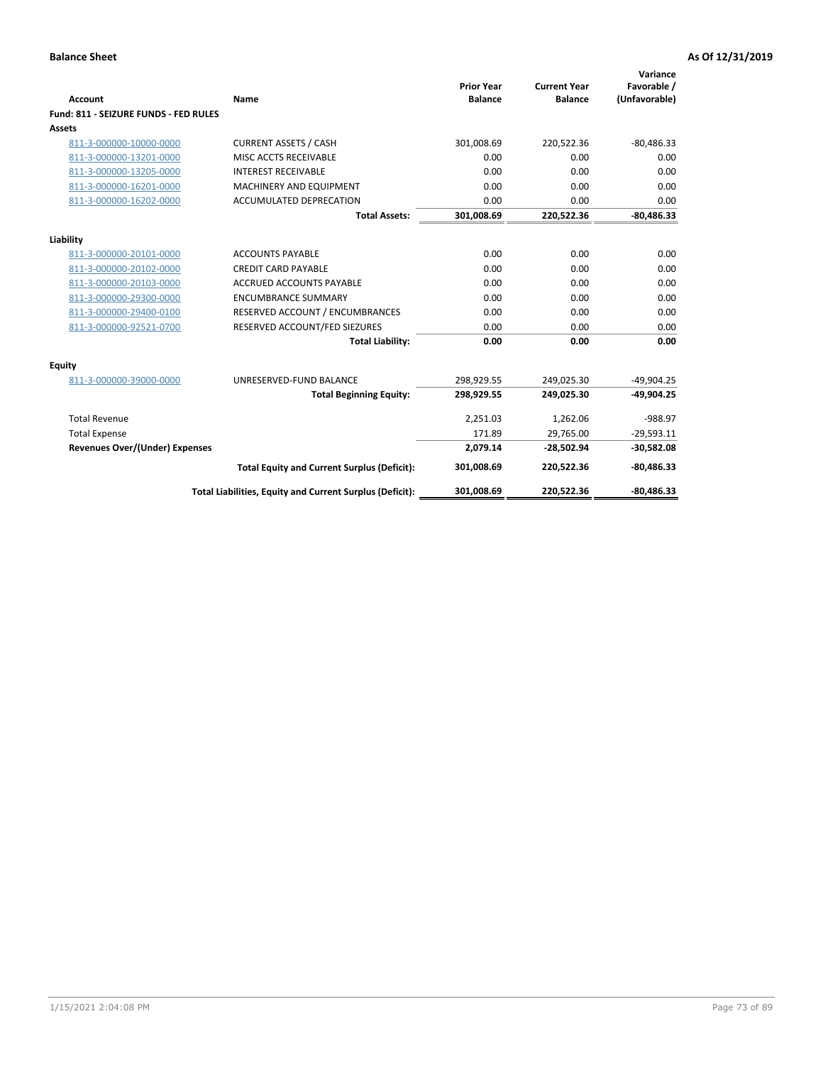| <b>Account</b>                                     | Name                                                     | <b>Prior Year</b><br><b>Balance</b> | <b>Current Year</b><br><b>Balance</b> | Variance<br>Favorable /<br>(Unfavorable) |
|----------------------------------------------------|----------------------------------------------------------|-------------------------------------|---------------------------------------|------------------------------------------|
| Fund: 811 - SEIZURE FUNDS - FED RULES              |                                                          |                                     |                                       |                                          |
| <b>Assets</b>                                      |                                                          |                                     |                                       |                                          |
| 811-3-000000-10000-0000                            | <b>CURRENT ASSETS / CASH</b>                             | 301,008.69                          | 220,522.36                            | $-80,486.33$                             |
| 811-3-000000-13201-0000                            | MISC ACCTS RECEIVABLE                                    | 0.00                                | 0.00                                  | 0.00                                     |
| 811-3-000000-13205-0000                            | <b>INTEREST RECEIVABLE</b>                               | 0.00                                | 0.00                                  | 0.00                                     |
| 811-3-000000-16201-0000                            | <b>MACHINERY AND EQUIPMENT</b>                           | 0.00                                | 0.00                                  | 0.00                                     |
| 811-3-000000-16202-0000                            | <b>ACCUMULATED DEPRECATION</b>                           | 0.00                                | 0.00                                  | 0.00                                     |
|                                                    | <b>Total Assets:</b>                                     | 301,008.69                          | 220,522.36                            | $-80,486.33$                             |
| Liability                                          |                                                          |                                     |                                       |                                          |
| 811-3-000000-20101-0000                            | <b>ACCOUNTS PAYABLE</b>                                  | 0.00                                | 0.00                                  | 0.00                                     |
| 811-3-000000-20102-0000                            | <b>CREDIT CARD PAYABLE</b>                               | 0.00                                | 0.00                                  | 0.00                                     |
|                                                    | <b>ACCRUED ACCOUNTS PAYABLE</b>                          | 0.00                                | 0.00                                  | 0.00                                     |
| 811-3-000000-20103-0000<br>811-3-000000-29300-0000 | <b>ENCUMBRANCE SUMMARY</b>                               | 0.00                                | 0.00                                  | 0.00                                     |
| 811-3-000000-29400-0100                            | RESERVED ACCOUNT / ENCUMBRANCES                          | 0.00                                | 0.00                                  | 0.00                                     |
| 811-3-000000-92521-0700                            | RESERVED ACCOUNT/FED SIEZURES                            | 0.00                                | 0.00                                  | 0.00                                     |
|                                                    | <b>Total Liability:</b>                                  | 0.00                                | 0.00                                  | 0.00                                     |
|                                                    |                                                          |                                     |                                       |                                          |
| Equity                                             |                                                          |                                     |                                       |                                          |
| 811-3-000000-39000-0000                            | UNRESERVED-FUND BALANCE                                  | 298,929.55                          | 249,025.30                            | $-49,904.25$                             |
|                                                    | <b>Total Beginning Equity:</b>                           | 298,929.55                          | 249,025.30                            | $-49,904.25$                             |
| <b>Total Revenue</b>                               |                                                          | 2,251.03                            | 1,262.06                              | $-988.97$                                |
| <b>Total Expense</b>                               |                                                          | 171.89                              | 29,765.00                             | $-29,593.11$                             |
| <b>Revenues Over/(Under) Expenses</b>              |                                                          | 2,079.14                            | $-28,502.94$                          | $-30,582.08$                             |
|                                                    | <b>Total Equity and Current Surplus (Deficit):</b>       | 301,008.69                          | 220,522.36                            | $-80,486.33$                             |
|                                                    | Total Liabilities, Equity and Current Surplus (Deficit): | 301,008.69                          | 220,522.36                            | $-80.486.33$                             |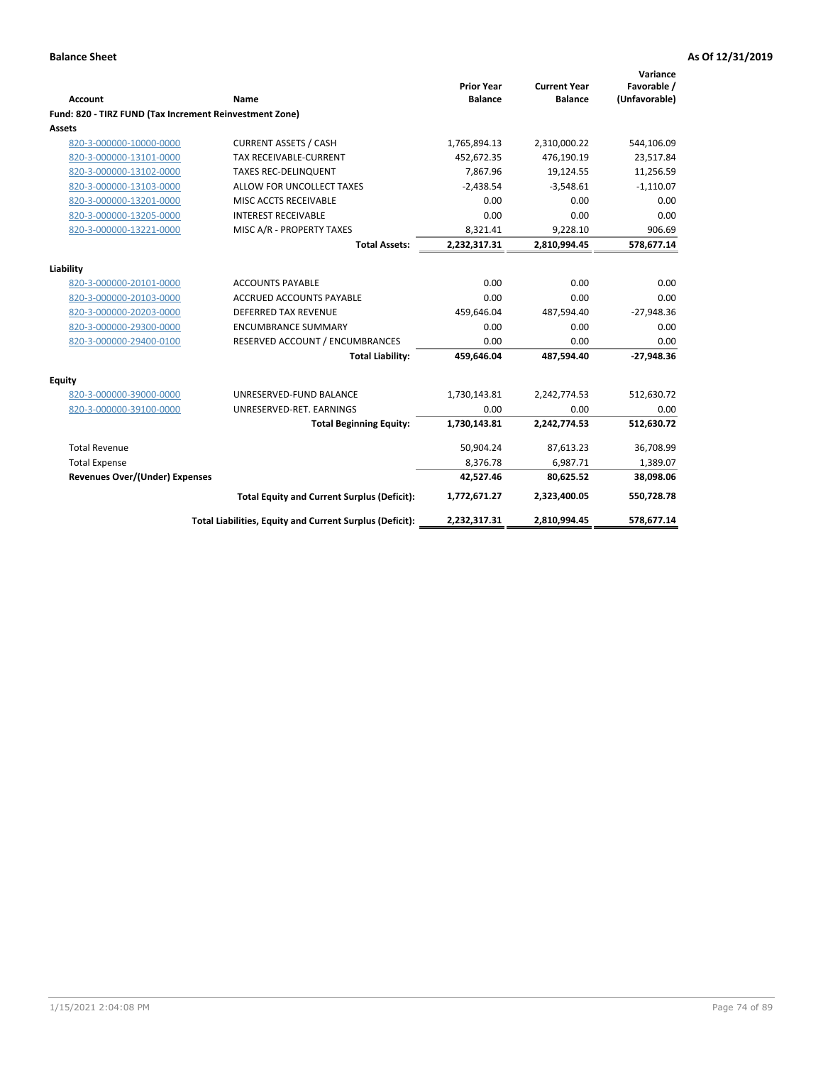|                                                         |                                                          | <b>Prior Year</b> | <b>Current Year</b> | Variance<br>Favorable / |
|---------------------------------------------------------|----------------------------------------------------------|-------------------|---------------------|-------------------------|
| <b>Account</b>                                          | Name                                                     | <b>Balance</b>    | <b>Balance</b>      | (Unfavorable)           |
| Fund: 820 - TIRZ FUND (Tax Increment Reinvestment Zone) |                                                          |                   |                     |                         |
| Assets                                                  |                                                          |                   |                     |                         |
| 820-3-000000-10000-0000                                 | <b>CURRENT ASSETS / CASH</b>                             | 1,765,894.13      | 2,310,000.22        | 544,106.09              |
| 820-3-000000-13101-0000                                 | <b>TAX RECEIVABLE-CURRENT</b>                            | 452,672.35        | 476,190.19          | 23,517.84               |
| 820-3-000000-13102-0000                                 | <b>TAXES REC-DELINQUENT</b>                              | 7,867.96          | 19,124.55           | 11,256.59               |
| 820-3-000000-13103-0000                                 | ALLOW FOR UNCOLLECT TAXES                                | $-2,438.54$       | $-3,548.61$         | $-1,110.07$             |
| 820-3-000000-13201-0000                                 | MISC ACCTS RECEIVABLE                                    | 0.00              | 0.00                | 0.00                    |
| 820-3-000000-13205-0000                                 | <b>INTEREST RECEIVABLE</b>                               | 0.00              | 0.00                | 0.00                    |
| 820-3-000000-13221-0000                                 | MISC A/R - PROPERTY TAXES                                | 8,321.41          | 9,228.10            | 906.69                  |
|                                                         | <b>Total Assets:</b>                                     | 2,232,317.31      | 2,810,994.45        | 578,677.14              |
| Liability                                               |                                                          |                   |                     |                         |
| 820-3-000000-20101-0000                                 | <b>ACCOUNTS PAYABLE</b>                                  | 0.00              | 0.00                | 0.00                    |
| 820-3-000000-20103-0000                                 | ACCRUED ACCOUNTS PAYABLE                                 | 0.00              | 0.00                | 0.00                    |
| 820-3-000000-20203-0000                                 | <b>DEFERRED TAX REVENUE</b>                              | 459,646.04        | 487,594.40          | $-27,948.36$            |
| 820-3-000000-29300-0000                                 | <b>ENCUMBRANCE SUMMARY</b>                               | 0.00              | 0.00                | 0.00                    |
| 820-3-000000-29400-0100                                 | RESERVED ACCOUNT / ENCUMBRANCES                          | 0.00              | 0.00                | 0.00                    |
|                                                         | <b>Total Liability:</b>                                  | 459,646.04        | 487,594.40          | $-27,948.36$            |
| Equity                                                  |                                                          |                   |                     |                         |
| 820-3-000000-39000-0000                                 | UNRESERVED-FUND BALANCE                                  | 1,730,143.81      | 2,242,774.53        | 512,630.72              |
| 820-3-000000-39100-0000                                 | UNRESERVED-RET. EARNINGS                                 | 0.00              | 0.00                | 0.00                    |
|                                                         | <b>Total Beginning Equity:</b>                           | 1,730,143.81      | 2,242,774.53        | 512,630.72              |
| <b>Total Revenue</b>                                    |                                                          | 50,904.24         | 87,613.23           | 36,708.99               |
| <b>Total Expense</b>                                    |                                                          | 8,376.78          | 6,987.71            | 1,389.07                |
| <b>Revenues Over/(Under) Expenses</b>                   |                                                          | 42,527.46         | 80,625.52           | 38,098.06               |
|                                                         | <b>Total Equity and Current Surplus (Deficit):</b>       | 1,772,671.27      | 2,323,400.05        | 550,728.78              |
|                                                         | Total Liabilities, Equity and Current Surplus (Deficit): | 2,232,317.31      | 2,810,994.45        | 578,677.14              |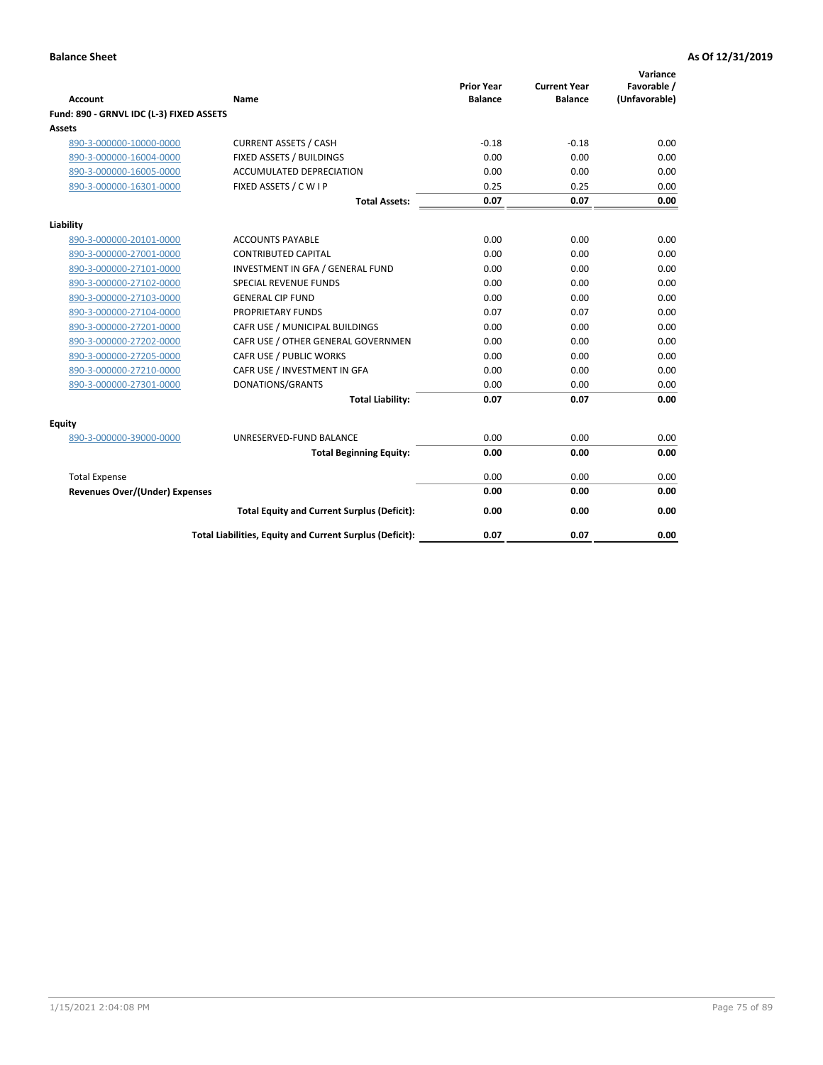| <b>Account</b>                           | Name                                                     | <b>Prior Year</b><br><b>Balance</b> | <b>Current Year</b><br><b>Balance</b> | Variance<br>Favorable /<br>(Unfavorable) |
|------------------------------------------|----------------------------------------------------------|-------------------------------------|---------------------------------------|------------------------------------------|
| Fund: 890 - GRNVL IDC (L-3) FIXED ASSETS |                                                          |                                     |                                       |                                          |
| <b>Assets</b>                            |                                                          |                                     |                                       |                                          |
| 890-3-000000-10000-0000                  | <b>CURRENT ASSETS / CASH</b>                             | $-0.18$                             | $-0.18$                               | 0.00                                     |
| 890-3-000000-16004-0000                  | FIXED ASSETS / BUILDINGS                                 | 0.00                                | 0.00                                  | 0.00                                     |
| 890-3-000000-16005-0000                  | <b>ACCUMULATED DEPRECIATION</b>                          | 0.00                                | 0.00                                  | 0.00                                     |
| 890-3-000000-16301-0000                  | FIXED ASSETS / C W I P                                   | 0.25                                | 0.25                                  | 0.00                                     |
|                                          | <b>Total Assets:</b>                                     | 0.07                                | 0.07                                  | 0.00                                     |
| Liability                                |                                                          |                                     |                                       |                                          |
| 890-3-000000-20101-0000                  | <b>ACCOUNTS PAYABLE</b>                                  | 0.00                                | 0.00                                  | 0.00                                     |
| 890-3-000000-27001-0000                  | <b>CONTRIBUTED CAPITAL</b>                               | 0.00                                | 0.00                                  | 0.00                                     |
| 890-3-000000-27101-0000                  | INVESTMENT IN GFA / GENERAL FUND                         | 0.00                                | 0.00                                  | 0.00                                     |
| 890-3-000000-27102-0000                  | <b>SPECIAL REVENUE FUNDS</b>                             | 0.00                                | 0.00                                  | 0.00                                     |
| 890-3-000000-27103-0000                  | <b>GENERAL CIP FUND</b>                                  | 0.00                                | 0.00                                  | 0.00                                     |
| 890-3-000000-27104-0000                  | PROPRIETARY FUNDS                                        | 0.07                                | 0.07                                  | 0.00                                     |
| 890-3-000000-27201-0000                  | CAFR USE / MUNICIPAL BUILDINGS                           | 0.00                                | 0.00                                  | 0.00                                     |
| 890-3-000000-27202-0000                  | CAFR USE / OTHER GENERAL GOVERNMEN                       | 0.00                                | 0.00                                  | 0.00                                     |
| 890-3-000000-27205-0000                  | CAFR USE / PUBLIC WORKS                                  | 0.00                                | 0.00                                  | 0.00                                     |
| 890-3-000000-27210-0000                  | CAFR USE / INVESTMENT IN GFA                             | 0.00                                | 0.00                                  | 0.00                                     |
| 890-3-000000-27301-0000                  | DONATIONS/GRANTS                                         | 0.00                                | 0.00                                  | 0.00                                     |
|                                          | <b>Total Liability:</b>                                  | 0.07                                | 0.07                                  | 0.00                                     |
| Equity                                   |                                                          |                                     |                                       |                                          |
| 890-3-000000-39000-0000                  | UNRESERVED-FUND BALANCE                                  | 0.00                                | 0.00                                  | 0.00                                     |
|                                          | <b>Total Beginning Equity:</b>                           | 0.00                                | 0.00                                  | 0.00                                     |
| <b>Total Expense</b>                     |                                                          | 0.00                                | 0.00                                  | 0.00                                     |
| Revenues Over/(Under) Expenses           |                                                          | 0.00                                | 0.00                                  | 0.00                                     |
|                                          | <b>Total Equity and Current Surplus (Deficit):</b>       | 0.00                                | 0.00                                  | 0.00                                     |
|                                          | Total Liabilities, Equity and Current Surplus (Deficit): | 0.07                                | 0.07                                  | 0.00                                     |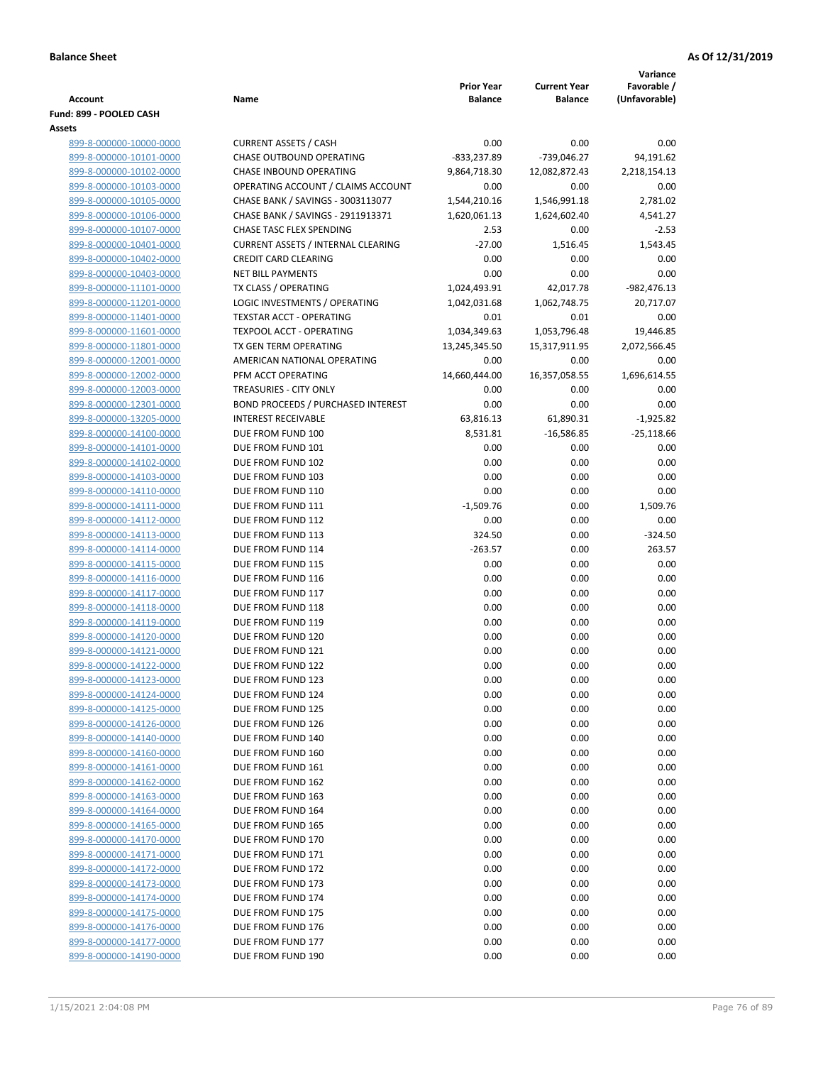|                                                    |                                                          |                                     |                                       | Variance                     |
|----------------------------------------------------|----------------------------------------------------------|-------------------------------------|---------------------------------------|------------------------------|
| Account                                            | Name                                                     | <b>Prior Year</b><br><b>Balance</b> | <b>Current Year</b><br><b>Balance</b> | Favorable /<br>(Unfavorable) |
| Fund: 899 - POOLED CASH                            |                                                          |                                     |                                       |                              |
| Assets                                             |                                                          |                                     |                                       |                              |
| 899-8-000000-10000-0000                            | <b>CURRENT ASSETS / CASH</b>                             | 0.00                                | 0.00                                  | 0.00                         |
| 899-8-000000-10101-0000                            | <b>CHASE OUTBOUND OPERATING</b>                          | $-833,237.89$                       | -739,046.27                           | 94,191.62                    |
| 899-8-000000-10102-0000                            | CHASE INBOUND OPERATING                                  | 9,864,718.30                        | 12,082,872.43                         | 2,218,154.13                 |
| 899-8-000000-10103-0000                            | OPERATING ACCOUNT / CLAIMS ACCOUNT                       | 0.00                                | 0.00                                  | 0.00                         |
| 899-8-000000-10105-0000                            | CHASE BANK / SAVINGS - 3003113077                        | 1,544,210.16                        | 1,546,991.18                          | 2,781.02                     |
| 899-8-000000-10106-0000                            | CHASE BANK / SAVINGS - 2911913371                        | 1,620,061.13                        | 1,624,602.40                          | 4,541.27                     |
| 899-8-000000-10107-0000                            | <b>CHASE TASC FLEX SPENDING</b>                          | 2.53                                | 0.00                                  | $-2.53$                      |
| 899-8-000000-10401-0000                            | <b>CURRENT ASSETS / INTERNAL CLEARING</b>                | $-27.00$                            | 1,516.45                              | 1,543.45                     |
| 899-8-000000-10402-0000                            | <b>CREDIT CARD CLEARING</b>                              | 0.00                                | 0.00                                  | 0.00                         |
| 899-8-000000-10403-0000                            | <b>NET BILL PAYMENTS</b>                                 | 0.00                                | 0.00                                  | 0.00                         |
| 899-8-000000-11101-0000                            | TX CLASS / OPERATING                                     | 1,024,493.91                        | 42,017.78                             | -982,476.13                  |
| 899-8-000000-11201-0000                            | LOGIC INVESTMENTS / OPERATING                            | 1,042,031.68                        | 1,062,748.75                          | 20,717.07                    |
| 899-8-000000-11401-0000                            | <b>TEXSTAR ACCT - OPERATING</b>                          | 0.01                                | 0.01                                  | 0.00                         |
| 899-8-000000-11601-0000                            | <b>TEXPOOL ACCT - OPERATING</b><br>TX GEN TERM OPERATING | 1,034,349.63                        | 1,053,796.48                          | 19,446.85                    |
| 899-8-000000-11801-0000<br>899-8-000000-12001-0000 | AMERICAN NATIONAL OPERATING                              | 13,245,345.50<br>0.00               | 15,317,911.95<br>0.00                 | 2,072,566.45<br>0.00         |
| 899-8-000000-12002-0000                            | PFM ACCT OPERATING                                       | 14,660,444.00                       | 16,357,058.55                         | 1,696,614.55                 |
| 899-8-000000-12003-0000                            | TREASURIES - CITY ONLY                                   | 0.00                                | 0.00                                  | 0.00                         |
| 899-8-000000-12301-0000                            | <b>BOND PROCEEDS / PURCHASED INTEREST</b>                | 0.00                                | 0.00                                  | 0.00                         |
| 899-8-000000-13205-0000                            | <b>INTEREST RECEIVABLE</b>                               | 63,816.13                           | 61,890.31                             | $-1,925.82$                  |
| 899-8-000000-14100-0000                            | DUE FROM FUND 100                                        | 8,531.81                            | $-16,586.85$                          | $-25,118.66$                 |
| 899-8-000000-14101-0000                            | DUE FROM FUND 101                                        | 0.00                                | 0.00                                  | 0.00                         |
| 899-8-000000-14102-0000                            | DUE FROM FUND 102                                        | 0.00                                | 0.00                                  | 0.00                         |
| 899-8-000000-14103-0000                            | DUE FROM FUND 103                                        | 0.00                                | 0.00                                  | 0.00                         |
| 899-8-000000-14110-0000                            | DUE FROM FUND 110                                        | 0.00                                | 0.00                                  | 0.00                         |
| 899-8-000000-14111-0000                            | DUE FROM FUND 111                                        | $-1,509.76$                         | 0.00                                  | 1,509.76                     |
| 899-8-000000-14112-0000                            | DUE FROM FUND 112                                        | 0.00                                | 0.00                                  | 0.00                         |
| 899-8-000000-14113-0000                            | DUE FROM FUND 113                                        | 324.50                              | 0.00                                  | $-324.50$                    |
| 899-8-000000-14114-0000                            | DUE FROM FUND 114                                        | $-263.57$                           | 0.00                                  | 263.57                       |
| 899-8-000000-14115-0000                            | DUE FROM FUND 115                                        | 0.00                                | 0.00                                  | 0.00                         |
| 899-8-000000-14116-0000                            | DUE FROM FUND 116                                        | 0.00                                | 0.00                                  | 0.00                         |
| 899-8-000000-14117-0000                            | DUE FROM FUND 117                                        | 0.00                                | 0.00                                  | 0.00                         |
| 899-8-000000-14118-0000                            | DUE FROM FUND 118                                        | 0.00                                | 0.00                                  | 0.00                         |
| 899-8-000000-14119-0000                            | DUE FROM FUND 119                                        | 0.00                                | 0.00                                  | 0.00                         |
| 899-8-000000-14120-0000                            | DUE FROM FUND 120                                        | 0.00                                | 0.00                                  | 0.00                         |
| 899-8-000000-14121-0000<br>899-8-000000-14122-0000 | DUE FROM FUND 121<br>DUE FROM FUND 122                   | 0.00                                | 0.00                                  | 0.00                         |
| 899-8-000000-14123-0000                            | DUE FROM FUND 123                                        | 0.00<br>0.00                        | 0.00<br>0.00                          | 0.00<br>0.00                 |
| 899-8-000000-14124-0000                            | DUE FROM FUND 124                                        | 0.00                                | 0.00                                  | 0.00                         |
| 899-8-000000-14125-0000                            | DUE FROM FUND 125                                        | 0.00                                | 0.00                                  | 0.00                         |
| 899-8-000000-14126-0000                            | DUE FROM FUND 126                                        | 0.00                                | 0.00                                  | 0.00                         |
| 899-8-000000-14140-0000                            | DUE FROM FUND 140                                        | 0.00                                | 0.00                                  | 0.00                         |
| 899-8-000000-14160-0000                            | DUE FROM FUND 160                                        | 0.00                                | 0.00                                  | 0.00                         |
| 899-8-000000-14161-0000                            | DUE FROM FUND 161                                        | 0.00                                | 0.00                                  | 0.00                         |
| 899-8-000000-14162-0000                            | DUE FROM FUND 162                                        | 0.00                                | 0.00                                  | 0.00                         |
| 899-8-000000-14163-0000                            | DUE FROM FUND 163                                        | 0.00                                | 0.00                                  | 0.00                         |
| 899-8-000000-14164-0000                            | DUE FROM FUND 164                                        | 0.00                                | 0.00                                  | 0.00                         |
| 899-8-000000-14165-0000                            | DUE FROM FUND 165                                        | 0.00                                | 0.00                                  | 0.00                         |
| 899-8-000000-14170-0000                            | DUE FROM FUND 170                                        | 0.00                                | 0.00                                  | 0.00                         |
| 899-8-000000-14171-0000                            | DUE FROM FUND 171                                        | 0.00                                | 0.00                                  | 0.00                         |
| 899-8-000000-14172-0000                            | DUE FROM FUND 172                                        | 0.00                                | 0.00                                  | 0.00                         |
| 899-8-000000-14173-0000                            | DUE FROM FUND 173                                        | 0.00                                | 0.00                                  | 0.00                         |
| 899-8-000000-14174-0000                            | DUE FROM FUND 174                                        | 0.00                                | 0.00                                  | 0.00                         |
| 899-8-000000-14175-0000                            | DUE FROM FUND 175                                        | 0.00                                | 0.00                                  | 0.00                         |
| 899-8-000000-14176-0000                            | DUE FROM FUND 176                                        | 0.00                                | 0.00                                  | 0.00                         |
| 899-8-000000-14177-0000                            | DUE FROM FUND 177                                        | 0.00                                | 0.00                                  | 0.00                         |
| 899-8-000000-14190-0000                            | DUE FROM FUND 190                                        | 0.00                                | 0.00                                  | 0.00                         |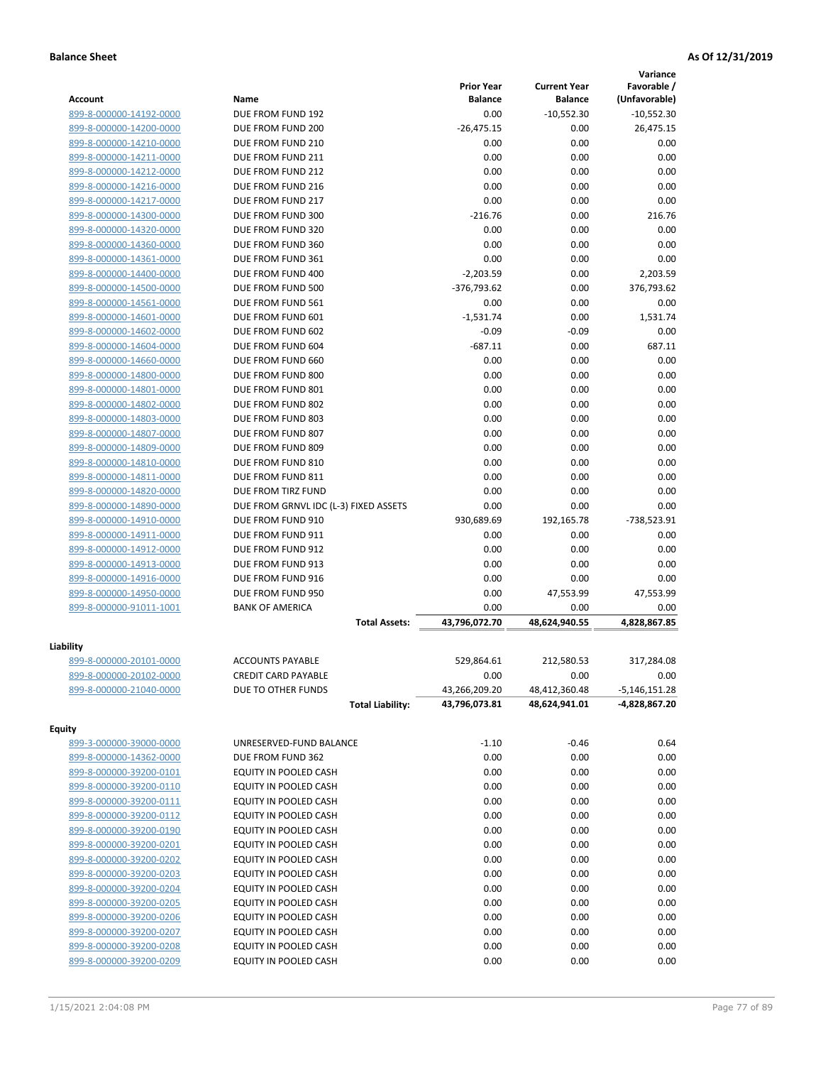|                         |                                       |                   |                     | Variance      |
|-------------------------|---------------------------------------|-------------------|---------------------|---------------|
|                         |                                       | <b>Prior Year</b> | <b>Current Year</b> | Favorable /   |
| Account                 | Name                                  | <b>Balance</b>    | <b>Balance</b>      | (Unfavorable) |
| 899-8-000000-14192-0000 | DUE FROM FUND 192                     | 0.00              | $-10,552.30$        | $-10,552.30$  |
| 899-8-000000-14200-0000 | DUE FROM FUND 200                     | $-26,475.15$      | 0.00                | 26,475.15     |
| 899-8-000000-14210-0000 | DUE FROM FUND 210                     | 0.00              | 0.00                | 0.00          |
| 899-8-000000-14211-0000 | DUE FROM FUND 211                     | 0.00              | 0.00                | 0.00          |
| 899-8-000000-14212-0000 | DUE FROM FUND 212                     | 0.00              | 0.00                | 0.00          |
| 899-8-000000-14216-0000 | DUE FROM FUND 216                     | 0.00              | 0.00                | 0.00          |
| 899-8-000000-14217-0000 | DUE FROM FUND 217                     | 0.00              | 0.00                | 0.00          |
| 899-8-000000-14300-0000 | DUE FROM FUND 300                     | $-216.76$         | 0.00                | 216.76        |
| 899-8-000000-14320-0000 | DUE FROM FUND 320                     | 0.00              | 0.00                | 0.00          |
| 899-8-000000-14360-0000 | DUE FROM FUND 360                     | 0.00              | 0.00                | 0.00          |
| 899-8-000000-14361-0000 | DUE FROM FUND 361                     | 0.00              | 0.00                | 0.00          |
| 899-8-000000-14400-0000 | DUE FROM FUND 400                     | $-2,203.59$       | 0.00                | 2,203.59      |
| 899-8-000000-14500-0000 | DUE FROM FUND 500                     | $-376,793.62$     | 0.00                | 376,793.62    |
| 899-8-000000-14561-0000 | DUE FROM FUND 561                     | 0.00              | 0.00                | 0.00          |
| 899-8-000000-14601-0000 | DUE FROM FUND 601                     | $-1,531.74$       | 0.00                | 1,531.74      |
| 899-8-000000-14602-0000 | DUE FROM FUND 602                     | $-0.09$           | $-0.09$             | 0.00          |
| 899-8-000000-14604-0000 | DUE FROM FUND 604                     | $-687.11$         | 0.00                | 687.11        |
| 899-8-000000-14660-0000 | DUE FROM FUND 660                     | 0.00              | 0.00                | 0.00          |
| 899-8-000000-14800-0000 | DUE FROM FUND 800                     | 0.00              | 0.00                | 0.00          |
| 899-8-000000-14801-0000 | DUE FROM FUND 801                     | 0.00              | 0.00                | 0.00          |
| 899-8-000000-14802-0000 | DUE FROM FUND 802                     | 0.00              | 0.00                | 0.00          |
| 899-8-000000-14803-0000 | DUE FROM FUND 803                     | 0.00              | 0.00                | 0.00          |
| 899-8-000000-14807-0000 | DUE FROM FUND 807                     | 0.00              | 0.00                | 0.00          |
| 899-8-000000-14809-0000 | DUE FROM FUND 809                     | 0.00              | 0.00                | 0.00          |
| 899-8-000000-14810-0000 | DUE FROM FUND 810                     | 0.00              | 0.00                | 0.00          |
| 899-8-000000-14811-0000 | DUE FROM FUND 811                     | 0.00              | 0.00                | 0.00          |
| 899-8-000000-14820-0000 | DUE FROM TIRZ FUND                    | 0.00              | 0.00                | 0.00          |
| 899-8-000000-14890-0000 | DUE FROM GRNVL IDC (L-3) FIXED ASSETS | 0.00              | 0.00                | 0.00          |
| 899-8-000000-14910-0000 | DUE FROM FUND 910                     | 930,689.69        | 192,165.78          | -738,523.91   |
| 899-8-000000-14911-0000 | DUE FROM FUND 911                     | 0.00              | 0.00                | 0.00          |
| 899-8-000000-14912-0000 | DUE FROM FUND 912                     | 0.00              | 0.00                | 0.00          |
| 899-8-000000-14913-0000 | DUE FROM FUND 913                     | 0.00              | 0.00                | 0.00          |
| 899-8-000000-14916-0000 | DUE FROM FUND 916                     | 0.00              | 0.00                | 0.00          |
| 899-8-000000-14950-0000 | DUE FROM FUND 950                     | 0.00              | 47,553.99           | 47,553.99     |
| 899-8-000000-91011-1001 | <b>BANK OF AMERICA</b>                | 0.00              | 0.00                | 0.00          |
|                         | <b>Total Assets:</b>                  | 43.796.072.70     | 48,624,940.55       | 4,828,867.85  |
|                         |                                       |                   |                     |               |
| Liability               |                                       |                   |                     |               |
| 899-8-000000-20101-0000 | <b>ACCOUNTS PAYABLE</b>               | 529,864.61        | 212,580.53          | 317,284.08    |
| 899-8-000000-20102-0000 | <b>CREDIT CARD PAYABLE</b>            | 0.00              | 0.00                | 0.00          |
| 899-8-000000-21040-0000 | DUE TO OTHER FUNDS                    | 43,266,209.20     | 48,412,360.48       | -5,146,151.28 |
|                         | <b>Total Liability:</b>               | 43,796,073.81     | 48,624,941.01       | -4,828,867.20 |
| <b>Equity</b>           |                                       |                   |                     |               |
| 899-3-000000-39000-0000 | UNRESERVED-FUND BALANCE               | $-1.10$           | $-0.46$             | 0.64          |
| 899-8-000000-14362-0000 | DUE FROM FUND 362                     | 0.00              | 0.00                | 0.00          |
| 899-8-000000-39200-0101 | EQUITY IN POOLED CASH                 | 0.00              | 0.00                | 0.00          |
| 899-8-000000-39200-0110 |                                       |                   |                     |               |
|                         | EQUITY IN POOLED CASH                 | 0.00              | 0.00                | 0.00          |
| 899-8-000000-39200-0111 | EQUITY IN POOLED CASH                 | 0.00              | 0.00                | 0.00          |
| 899-8-000000-39200-0112 | EQUITY IN POOLED CASH                 | 0.00              | 0.00                | 0.00          |
| 899-8-000000-39200-0190 | EQUITY IN POOLED CASH                 | 0.00              | 0.00                | 0.00          |
| 899-8-000000-39200-0201 | EQUITY IN POOLED CASH                 | 0.00              | 0.00                | 0.00          |
| 899-8-000000-39200-0202 | EQUITY IN POOLED CASH                 | 0.00              | 0.00                | 0.00          |
| 899-8-000000-39200-0203 | EQUITY IN POOLED CASH                 | 0.00              | 0.00                | 0.00          |
| 899-8-000000-39200-0204 | EQUITY IN POOLED CASH                 | 0.00              | 0.00                | 0.00          |
| 899-8-000000-39200-0205 | EQUITY IN POOLED CASH                 | 0.00              | 0.00                | 0.00          |
| 899-8-000000-39200-0206 | EQUITY IN POOLED CASH                 | 0.00              | 0.00                | 0.00          |
| 899-8-000000-39200-0207 | EQUITY IN POOLED CASH                 | 0.00              | 0.00                | 0.00          |
| 899-8-000000-39200-0208 | EQUITY IN POOLED CASH                 | 0.00              | 0.00                | 0.00          |
| 899-8-000000-39200-0209 | EQUITY IN POOLED CASH                 | 0.00              | 0.00                | 0.00          |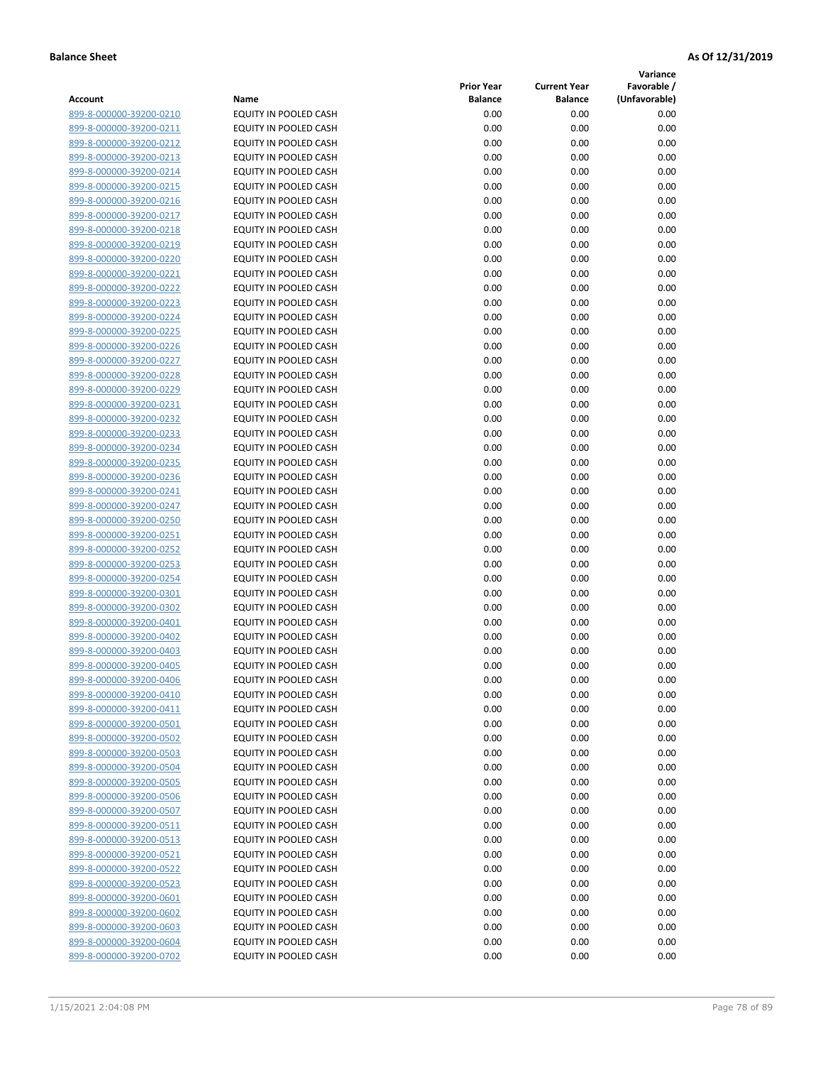**Variance**

| Account                                            | Name                                           | <b>Prior Year</b><br><b>Balance</b> | <b>Current Year</b><br><b>Balance</b> | Favorable /<br>(Unfavorable) |
|----------------------------------------------------|------------------------------------------------|-------------------------------------|---------------------------------------|------------------------------|
| 899-8-000000-39200-0210                            | EQUITY IN POOLED CASH                          | 0.00                                | 0.00                                  | 0.00                         |
| 899-8-000000-39200-0211                            | EQUITY IN POOLED CASH                          | 0.00                                | 0.00                                  | 0.00                         |
| 899-8-000000-39200-0212                            | EQUITY IN POOLED CASH                          | 0.00                                | 0.00                                  | 0.00                         |
| 899-8-000000-39200-0213                            | EQUITY IN POOLED CASH                          | 0.00                                | 0.00                                  | 0.00                         |
| 899-8-000000-39200-0214                            | <b>EQUITY IN POOLED CASH</b>                   | 0.00                                | 0.00                                  | 0.00                         |
| 899-8-000000-39200-0215                            | EQUITY IN POOLED CASH                          | 0.00                                | 0.00                                  | 0.00                         |
| 899-8-000000-39200-0216                            | EQUITY IN POOLED CASH                          | 0.00                                | 0.00                                  | 0.00                         |
| 899-8-000000-39200-0217                            | EQUITY IN POOLED CASH                          | 0.00                                | 0.00                                  | 0.00                         |
| 899-8-000000-39200-0218                            | EQUITY IN POOLED CASH                          | 0.00                                | 0.00                                  | 0.00                         |
| 899-8-000000-39200-0219                            | EQUITY IN POOLED CASH                          | 0.00                                | 0.00                                  | 0.00                         |
| 899-8-000000-39200-0220                            | EQUITY IN POOLED CASH                          | 0.00                                | 0.00                                  | 0.00                         |
| 899-8-000000-39200-0221                            | EQUITY IN POOLED CASH                          | 0.00                                | 0.00                                  | 0.00                         |
| 899-8-000000-39200-0222                            | EQUITY IN POOLED CASH                          | 0.00                                | 0.00                                  | 0.00                         |
| 899-8-000000-39200-0223                            | EQUITY IN POOLED CASH                          | 0.00                                | 0.00                                  | 0.00                         |
| 899-8-000000-39200-0224                            | EQUITY IN POOLED CASH                          | 0.00                                | 0.00                                  | 0.00                         |
| 899-8-000000-39200-0225                            | EQUITY IN POOLED CASH                          | 0.00                                | 0.00                                  | 0.00                         |
| 899-8-000000-39200-0226                            | EQUITY IN POOLED CASH                          | 0.00                                | 0.00                                  | 0.00                         |
| 899-8-000000-39200-0227                            | EQUITY IN POOLED CASH                          | 0.00                                | 0.00                                  | 0.00                         |
| 899-8-000000-39200-0228                            | EQUITY IN POOLED CASH                          | 0.00                                | 0.00                                  | 0.00                         |
| 899-8-000000-39200-0229                            | <b>EQUITY IN POOLED CASH</b>                   | 0.00                                | 0.00                                  | 0.00                         |
| 899-8-000000-39200-0231                            | <b>EQUITY IN POOLED CASH</b>                   | 0.00                                | 0.00                                  | 0.00                         |
| 899-8-000000-39200-0232                            | EQUITY IN POOLED CASH                          | 0.00                                | 0.00                                  | 0.00                         |
| 899-8-000000-39200-0233                            | <b>EQUITY IN POOLED CASH</b>                   | 0.00                                | 0.00                                  | 0.00                         |
| 899-8-000000-39200-0234                            | EQUITY IN POOLED CASH                          | 0.00                                | 0.00                                  | 0.00                         |
| 899-8-000000-39200-0235                            | EQUITY IN POOLED CASH                          | 0.00                                | 0.00                                  | 0.00                         |
| 899-8-000000-39200-0236                            | EQUITY IN POOLED CASH                          | 0.00                                | 0.00                                  | 0.00                         |
| 899-8-000000-39200-0241                            | EQUITY IN POOLED CASH                          | 0.00                                | 0.00                                  | 0.00                         |
| 899-8-000000-39200-0247                            | EQUITY IN POOLED CASH                          | 0.00                                | 0.00                                  | 0.00                         |
| 899-8-000000-39200-0250                            | EQUITY IN POOLED CASH                          | 0.00                                | 0.00                                  | 0.00                         |
| 899-8-000000-39200-0251                            | EQUITY IN POOLED CASH                          | 0.00                                | 0.00                                  | 0.00                         |
| 899-8-000000-39200-0252                            | EQUITY IN POOLED CASH                          | 0.00                                | 0.00                                  | 0.00                         |
| 899-8-000000-39200-0253                            | EQUITY IN POOLED CASH                          | 0.00                                | 0.00                                  | 0.00                         |
| 899-8-000000-39200-0254                            | EQUITY IN POOLED CASH                          | 0.00                                | 0.00                                  | 0.00                         |
| 899-8-000000-39200-0301<br>899-8-000000-39200-0302 | EQUITY IN POOLED CASH                          | 0.00<br>0.00                        | 0.00                                  | 0.00                         |
| 899-8-000000-39200-0401                            | EQUITY IN POOLED CASH<br>EQUITY IN POOLED CASH | 0.00                                | 0.00<br>0.00                          | 0.00<br>0.00                 |
| 899-8-000000-39200-0402                            | EQUITY IN POOLED CASH                          | 0.00                                | 0.00                                  | 0.00                         |
| 899-8-000000-39200-0403                            | EQUITY IN POOLED CASH                          | 0.00                                | 0.00                                  | 0.00                         |
| 899-8-000000-39200-0405                            | <b>EQUITY IN POOLED CASH</b>                   | 0.00                                | 0.00                                  | 0.00                         |
| 899-8-000000-39200-0406                            | EQUITY IN POOLED CASH                          | 0.00                                | 0.00                                  | 0.00                         |
| 899-8-000000-39200-0410                            | <b>EQUITY IN POOLED CASH</b>                   | 0.00                                | 0.00                                  | 0.00                         |
| 899-8-000000-39200-0411                            | EQUITY IN POOLED CASH                          | 0.00                                | 0.00                                  | 0.00                         |
| 899-8-000000-39200-0501                            | EQUITY IN POOLED CASH                          | 0.00                                | 0.00                                  | 0.00                         |
| 899-8-000000-39200-0502                            | EQUITY IN POOLED CASH                          | 0.00                                | 0.00                                  | 0.00                         |
| 899-8-000000-39200-0503                            | EQUITY IN POOLED CASH                          | 0.00                                | 0.00                                  | 0.00                         |
| 899-8-000000-39200-0504                            | <b>EQUITY IN POOLED CASH</b>                   | 0.00                                | 0.00                                  | 0.00                         |
| 899-8-000000-39200-0505                            | EQUITY IN POOLED CASH                          | 0.00                                | 0.00                                  | 0.00                         |
| 899-8-000000-39200-0506                            | EQUITY IN POOLED CASH                          | 0.00                                | 0.00                                  | 0.00                         |
| 899-8-000000-39200-0507                            | EQUITY IN POOLED CASH                          | 0.00                                | 0.00                                  | 0.00                         |
| 899-8-000000-39200-0511                            | <b>EQUITY IN POOLED CASH</b>                   | 0.00                                | 0.00                                  | 0.00                         |
| 899-8-000000-39200-0513                            | EQUITY IN POOLED CASH                          | 0.00                                | 0.00                                  | 0.00                         |
| 899-8-000000-39200-0521                            | EQUITY IN POOLED CASH                          | 0.00                                | 0.00                                  | 0.00                         |
| 899-8-000000-39200-0522                            | EQUITY IN POOLED CASH                          | 0.00                                | 0.00                                  | 0.00                         |
| 899-8-000000-39200-0523                            | EQUITY IN POOLED CASH                          | 0.00                                | 0.00                                  | 0.00                         |
| 899-8-000000-39200-0601                            | EQUITY IN POOLED CASH                          | 0.00                                | 0.00                                  | 0.00                         |
| 899-8-000000-39200-0602                            | EQUITY IN POOLED CASH                          | 0.00                                | 0.00                                  | 0.00                         |
| 899-8-000000-39200-0603                            | EQUITY IN POOLED CASH                          | 0.00                                | 0.00                                  | 0.00                         |
| 899-8-000000-39200-0604                            | EQUITY IN POOLED CASH                          | 0.00                                | 0.00                                  | 0.00                         |
| 899-8-000000-39200-0702                            | EQUITY IN POOLED CASH                          | 0.00                                | 0.00                                  | 0.00                         |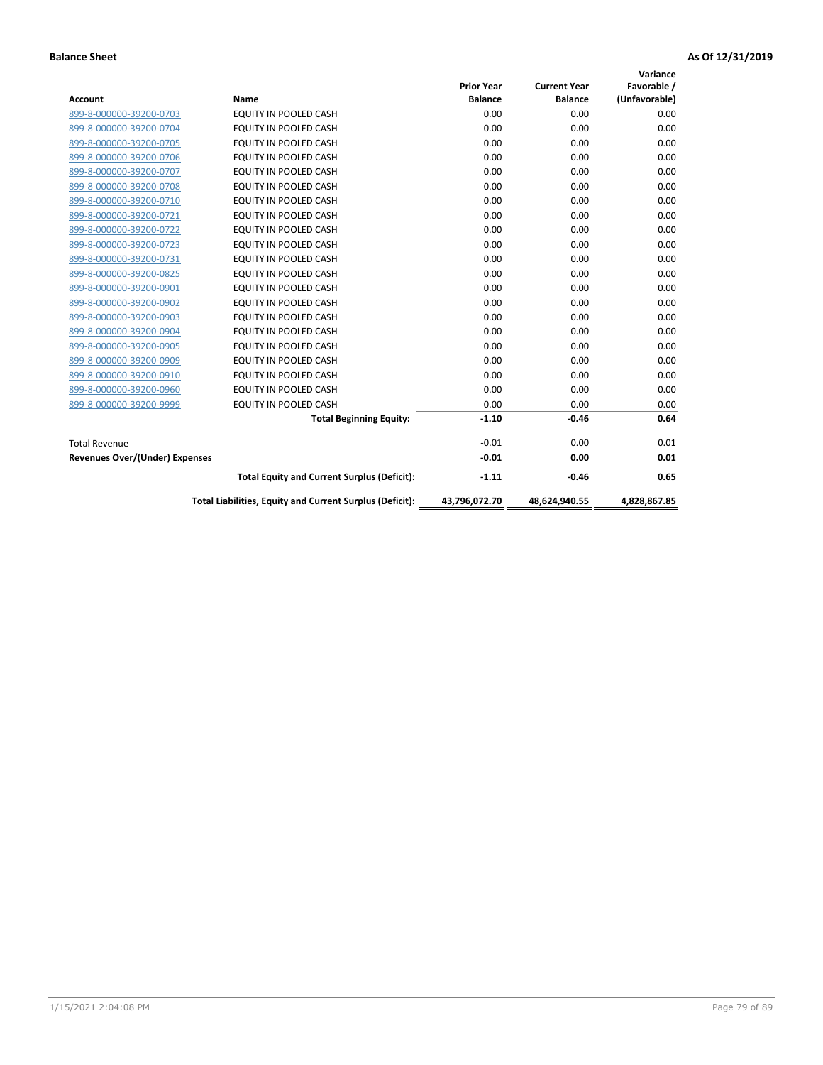| <b>Account</b>                 | <b>Name</b>                                              | <b>Prior Year</b><br><b>Balance</b> | <b>Current Year</b><br><b>Balance</b> | Variance<br>Favorable /<br>(Unfavorable) |
|--------------------------------|----------------------------------------------------------|-------------------------------------|---------------------------------------|------------------------------------------|
| 899-8-000000-39200-0703        | <b>EQUITY IN POOLED CASH</b>                             | 0.00                                | 0.00                                  | 0.00                                     |
| 899-8-000000-39200-0704        | EQUITY IN POOLED CASH                                    | 0.00                                | 0.00                                  | 0.00                                     |
| 899-8-000000-39200-0705        | EQUITY IN POOLED CASH                                    | 0.00                                | 0.00                                  | 0.00                                     |
| 899-8-000000-39200-0706        | <b>EQUITY IN POOLED CASH</b>                             | 0.00                                | 0.00                                  | 0.00                                     |
| 899-8-000000-39200-0707        | <b>EQUITY IN POOLED CASH</b>                             | 0.00                                | 0.00                                  | 0.00                                     |
| 899-8-000000-39200-0708        | <b>EQUITY IN POOLED CASH</b>                             | 0.00                                | 0.00                                  | 0.00                                     |
| 899-8-000000-39200-0710        | <b>EQUITY IN POOLED CASH</b>                             | 0.00                                | 0.00                                  | 0.00                                     |
| 899-8-000000-39200-0721        | <b>EQUITY IN POOLED CASH</b>                             | 0.00                                | 0.00                                  | 0.00                                     |
| 899-8-000000-39200-0722        | EQUITY IN POOLED CASH                                    | 0.00                                | 0.00                                  | 0.00                                     |
| 899-8-000000-39200-0723        | <b>EQUITY IN POOLED CASH</b>                             | 0.00                                | 0.00                                  | 0.00                                     |
| 899-8-000000-39200-0731        | <b>EQUITY IN POOLED CASH</b>                             | 0.00                                | 0.00                                  | 0.00                                     |
| 899-8-000000-39200-0825        | <b>EQUITY IN POOLED CASH</b>                             | 0.00                                | 0.00                                  | 0.00                                     |
| 899-8-000000-39200-0901        | <b>EQUITY IN POOLED CASH</b>                             | 0.00                                | 0.00                                  | 0.00                                     |
| 899-8-000000-39200-0902        | EQUITY IN POOLED CASH                                    | 0.00                                | 0.00                                  | 0.00                                     |
| 899-8-000000-39200-0903        | <b>EQUITY IN POOLED CASH</b>                             | 0.00                                | 0.00                                  | 0.00                                     |
| 899-8-000000-39200-0904        | <b>EQUITY IN POOLED CASH</b>                             | 0.00                                | 0.00                                  | 0.00                                     |
| 899-8-000000-39200-0905        | EQUITY IN POOLED CASH                                    | 0.00                                | 0.00                                  | 0.00                                     |
| 899-8-000000-39200-0909        | EQUITY IN POOLED CASH                                    | 0.00                                | 0.00                                  | 0.00                                     |
| 899-8-000000-39200-0910        | <b>EQUITY IN POOLED CASH</b>                             | 0.00                                | 0.00                                  | 0.00                                     |
| 899-8-000000-39200-0960        | <b>EQUITY IN POOLED CASH</b>                             | 0.00                                | 0.00                                  | 0.00                                     |
| 899-8-000000-39200-9999        | <b>EQUITY IN POOLED CASH</b>                             | 0.00                                | 0.00                                  | 0.00                                     |
|                                | <b>Total Beginning Equity:</b>                           | $-1.10$                             | $-0.46$                               | 0.64                                     |
| <b>Total Revenue</b>           |                                                          | $-0.01$                             | 0.00                                  | 0.01                                     |
| Revenues Over/(Under) Expenses |                                                          | $-0.01$                             | 0.00                                  | 0.01                                     |
|                                | <b>Total Equity and Current Surplus (Deficit):</b>       | $-1.11$                             | $-0.46$                               | 0.65                                     |
|                                | Total Liabilities, Equity and Current Surplus (Deficit): | 43,796,072.70                       | 48,624,940.55                         | 4.828.867.85                             |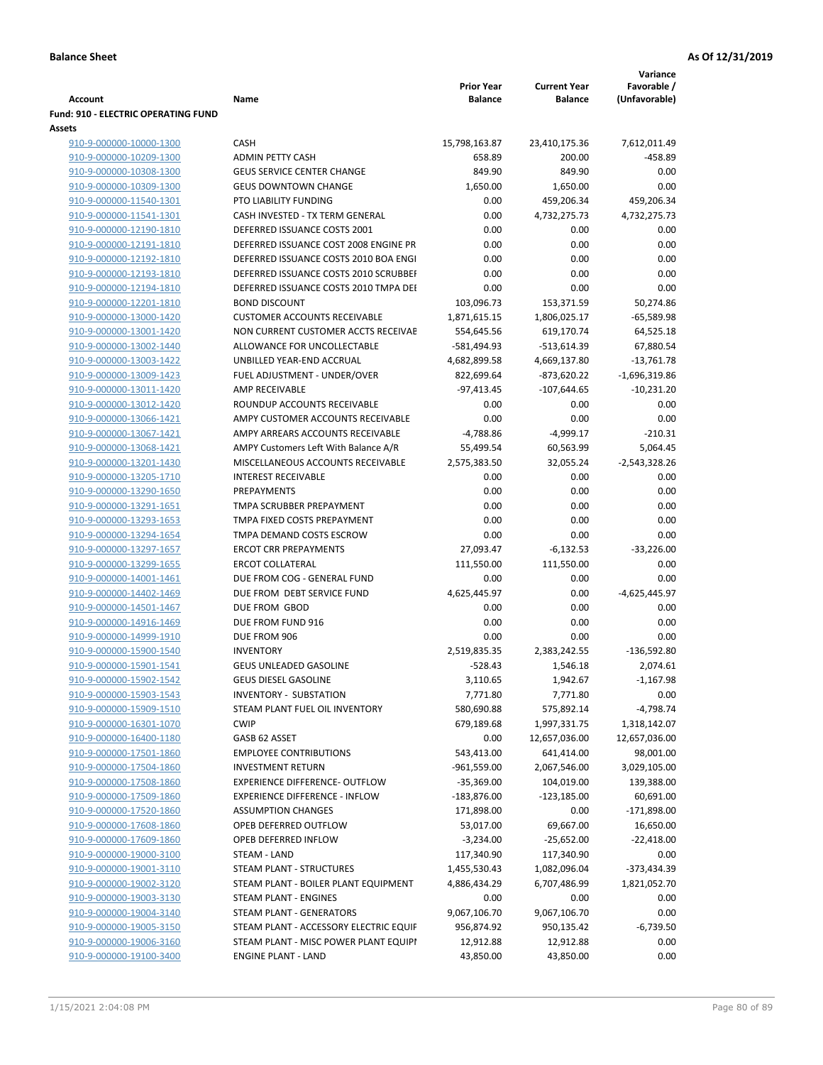|                                            |                                        | Variance          |                     |                 |  |
|--------------------------------------------|----------------------------------------|-------------------|---------------------|-----------------|--|
|                                            |                                        | <b>Prior Year</b> | <b>Current Year</b> | Favorable /     |  |
| Account                                    | Name                                   | <b>Balance</b>    | <b>Balance</b>      | (Unfavorable)   |  |
| <b>Fund: 910 - ELECTRIC OPERATING FUND</b> |                                        |                   |                     |                 |  |
| <b>Assets</b>                              |                                        |                   |                     |                 |  |
| 910-9-000000-10000-1300                    | CASH                                   | 15,798,163.87     | 23,410,175.36       | 7,612,011.49    |  |
| 910-9-000000-10209-1300                    | <b>ADMIN PETTY CASH</b>                | 658.89            | 200.00              | $-458.89$       |  |
| 910-9-000000-10308-1300                    | <b>GEUS SERVICE CENTER CHANGE</b>      | 849.90            | 849.90              | 0.00            |  |
| 910-9-000000-10309-1300                    | <b>GEUS DOWNTOWN CHANGE</b>            | 1,650.00          | 1,650.00            | 0.00            |  |
| 910-9-000000-11540-1301                    | PTO LIABILITY FUNDING                  | 0.00              | 459,206.34          | 459,206.34      |  |
| 910-9-000000-11541-1301                    | CASH INVESTED - TX TERM GENERAL        | 0.00              | 4,732,275.73        | 4,732,275.73    |  |
| 910-9-000000-12190-1810                    | DEFERRED ISSUANCE COSTS 2001           | 0.00              | 0.00                | 0.00            |  |
| 910-9-000000-12191-1810                    | DEFERRED ISSUANCE COST 2008 ENGINE PR  | 0.00              | 0.00                | 0.00            |  |
| 910-9-000000-12192-1810                    | DEFERRED ISSUANCE COSTS 2010 BOA ENGI  | 0.00              | 0.00                | 0.00            |  |
| 910-9-000000-12193-1810                    | DEFERRED ISSUANCE COSTS 2010 SCRUBBEI  | 0.00              | 0.00                | 0.00            |  |
| 910-9-000000-12194-1810                    | DEFERRED ISSUANCE COSTS 2010 TMPA DEI  | 0.00              | 0.00                | 0.00            |  |
| 910-9-000000-12201-1810                    | <b>BOND DISCOUNT</b>                   | 103,096.73        | 153,371.59          | 50,274.86       |  |
| 910-9-000000-13000-1420                    | <b>CUSTOMER ACCOUNTS RECEIVABLE</b>    | 1,871,615.15      | 1,806,025.17        | $-65,589.98$    |  |
| 910-9-000000-13001-1420                    | NON CURRENT CUSTOMER ACCTS RECEIVAE    | 554,645.56        | 619,170.74          | 64,525.18       |  |
| 910-9-000000-13002-1440                    | ALLOWANCE FOR UNCOLLECTABLE            | -581,494.93       | $-513,614.39$       | 67,880.54       |  |
| 910-9-000000-13003-1422                    | UNBILLED YEAR-END ACCRUAL              | 4,682,899.58      | 4,669,137.80        | $-13,761.78$    |  |
| 910-9-000000-13009-1423                    | FUEL ADJUSTMENT - UNDER/OVER           | 822,699.64        | $-873,620.22$       | $-1,696,319.86$ |  |
| 910-9-000000-13011-1420                    | AMP RECEIVABLE                         | $-97,413.45$      | $-107,644.65$       | $-10,231.20$    |  |
| 910-9-000000-13012-1420                    | ROUNDUP ACCOUNTS RECEIVABLE            | 0.00              | 0.00                | 0.00            |  |
| 910-9-000000-13066-1421                    | AMPY CUSTOMER ACCOUNTS RECEIVABLE      | 0.00              | 0.00                | 0.00            |  |
| 910-9-000000-13067-1421                    | AMPY ARREARS ACCOUNTS RECEIVABLE       | $-4,788.86$       | $-4,999.17$         | $-210.31$       |  |
| 910-9-000000-13068-1421                    | AMPY Customers Left With Balance A/R   | 55,499.54         | 60,563.99           | 5,064.45        |  |
| 910-9-000000-13201-1430                    | MISCELLANEOUS ACCOUNTS RECEIVABLE      | 2,575,383.50      | 32,055.24           | $-2,543,328.26$ |  |
| 910-9-000000-13205-1710                    | <b>INTEREST RECEIVABLE</b>             | 0.00              | 0.00                | 0.00            |  |
| 910-9-000000-13290-1650                    | <b>PREPAYMENTS</b>                     | 0.00              | 0.00                | 0.00            |  |
| 910-9-000000-13291-1651                    | TMPA SCRUBBER PREPAYMENT               | 0.00              | 0.00                | 0.00            |  |
| 910-9-000000-13293-1653                    | TMPA FIXED COSTS PREPAYMENT            | 0.00              | 0.00                | 0.00            |  |
| 910-9-000000-13294-1654                    | TMPA DEMAND COSTS ESCROW               | 0.00              | 0.00                | 0.00            |  |
| 910-9-000000-13297-1657                    | <b>ERCOT CRR PREPAYMENTS</b>           | 27,093.47         | $-6,132.53$         | $-33,226.00$    |  |
| 910-9-000000-13299-1655                    | <b>ERCOT COLLATERAL</b>                | 111,550.00        | 111,550.00          | 0.00            |  |
| 910-9-000000-14001-1461                    | DUE FROM COG - GENERAL FUND            | 0.00              | 0.00                | 0.00            |  |
| 910-9-000000-14402-1469                    | DUE FROM DEBT SERVICE FUND             | 4,625,445.97      | 0.00                | $-4,625,445.97$ |  |
| 910-9-000000-14501-1467                    | DUE FROM GBOD                          | 0.00              | 0.00                | 0.00            |  |
| 910-9-000000-14916-1469                    | DUE FROM FUND 916                      | 0.00              | 0.00                | 0.00            |  |
| 910-9-000000-14999-1910                    | DUE FROM 906                           | 0.00              | 0.00                | 0.00            |  |
| 910-9-000000-15900-1540                    | <b>INVENTORY</b>                       | 2,519,835.35      | 2,383,242.55        | $-136,592.80$   |  |
| 910-9-000000-15901-1541                    | GEUS UNLEADED GASOLINE                 | $-528.43$         | 1,546.18            | 2,074.61        |  |
| 910-9-000000-15902-1542                    | <b>GEUS DIESEL GASOLINE</b>            | 3,110.65          | 1,942.67            | $-1,167.98$     |  |
| 910-9-000000-15903-1543                    | <b>INVENTORY - SUBSTATION</b>          | 7,771.80          | 7,771.80            | 0.00            |  |
| 910-9-000000-15909-1510                    | STEAM PLANT FUEL OIL INVENTORY         | 580,690.88        | 575,892.14          | $-4,798.74$     |  |
| 910-9-000000-16301-1070                    | <b>CWIP</b>                            | 679,189.68        | 1,997,331.75        | 1,318,142.07    |  |
| 910-9-000000-16400-1180                    | GASB 62 ASSET                          | 0.00              | 12,657,036.00       | 12,657,036.00   |  |
| 910-9-000000-17501-1860                    | <b>EMPLOYEE CONTRIBUTIONS</b>          | 543,413.00        | 641,414.00          | 98,001.00       |  |
| 910-9-000000-17504-1860                    | <b>INVESTMENT RETURN</b>               | $-961,559.00$     | 2,067,546.00        | 3,029,105.00    |  |
| 910-9-000000-17508-1860                    | EXPERIENCE DIFFERENCE- OUTFLOW         | $-35,369.00$      | 104,019.00          | 139,388.00      |  |
| 910-9-000000-17509-1860                    | <b>EXPERIENCE DIFFERENCE - INFLOW</b>  | $-183,876.00$     | $-123,185.00$       | 60,691.00       |  |
| 910-9-000000-17520-1860                    | <b>ASSUMPTION CHANGES</b>              | 171,898.00        | 0.00                | $-171,898.00$   |  |
| 910-9-000000-17608-1860                    | OPEB DEFERRED OUTFLOW                  | 53,017.00         | 69,667.00           | 16,650.00       |  |
| 910-9-000000-17609-1860                    | OPEB DEFERRED INFLOW                   | $-3,234.00$       | $-25,652.00$        | $-22,418.00$    |  |
| 910-9-000000-19000-3100                    | STEAM - LAND                           | 117,340.90        | 117,340.90          | 0.00            |  |
| 910-9-000000-19001-3110                    | STEAM PLANT - STRUCTURES               | 1,455,530.43      | 1,082,096.04        | -373,434.39     |  |
| 910-9-000000-19002-3120                    | STEAM PLANT - BOILER PLANT EQUIPMENT   | 4,886,434.29      | 6,707,486.99        | 1,821,052.70    |  |
| 910-9-000000-19003-3130                    | STEAM PLANT - ENGINES                  | 0.00              | 0.00                | 0.00            |  |
| 910-9-000000-19004-3140                    | STEAM PLANT - GENERATORS               | 9,067,106.70      | 9,067,106.70        | 0.00            |  |
| 910-9-000000-19005-3150                    | STEAM PLANT - ACCESSORY ELECTRIC EQUIF | 956,874.92        | 950,135.42          | $-6,739.50$     |  |
| 910-9-000000-19006-3160                    | STEAM PLANT - MISC POWER PLANT EQUIPI  | 12,912.88         | 12,912.88           | 0.00            |  |
| 910-9-000000-19100-3400                    | <b>ENGINE PLANT - LAND</b>             | 43,850.00         | 43,850.00           | 0.00            |  |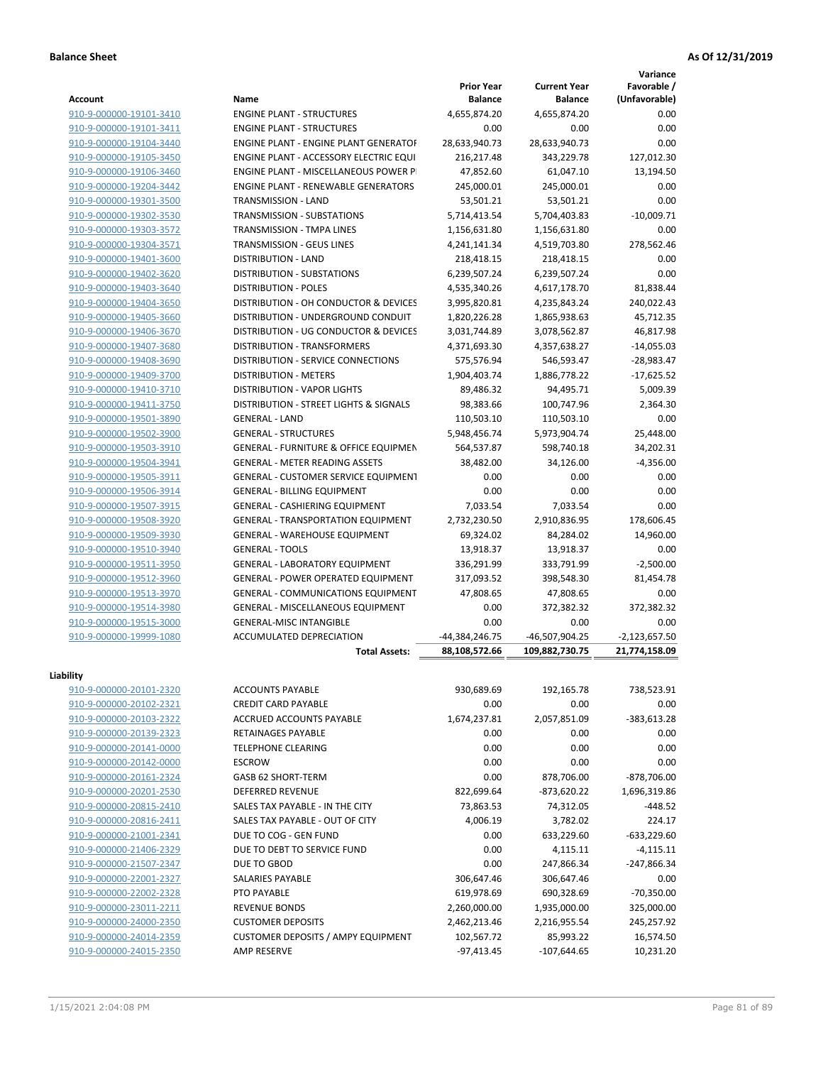**Variance**

| <b>Account</b>          | Name                                             | <b>Prior Year</b><br><b>Balance</b> | <b>Current Year</b><br><b>Balance</b> | Favorable /<br>(Unfavorable) |
|-------------------------|--------------------------------------------------|-------------------------------------|---------------------------------------|------------------------------|
| 910-9-000000-19101-3410 | <b>ENGINE PLANT - STRUCTURES</b>                 | 4,655,874.20                        | 4,655,874.20                          | 0.00                         |
| 910-9-000000-19101-3411 | <b>ENGINE PLANT - STRUCTURES</b>                 | 0.00                                | 0.00                                  | 0.00                         |
| 910-9-000000-19104-3440 | <b>ENGINE PLANT - ENGINE PLANT GENERATOF</b>     | 28,633,940.73                       | 28,633,940.73                         | 0.00                         |
| 910-9-000000-19105-3450 | ENGINE PLANT - ACCESSORY ELECTRIC EQUI           | 216,217.48                          | 343,229.78                            | 127,012.30                   |
| 910-9-000000-19106-3460 | <b>ENGINE PLANT - MISCELLANEOUS POWER P</b>      | 47,852.60                           | 61,047.10                             | 13,194.50                    |
| 910-9-000000-19204-3442 | <b>ENGINE PLANT - RENEWABLE GENERATORS</b>       | 245,000.01                          | 245,000.01                            | 0.00                         |
| 910-9-000000-19301-3500 | TRANSMISSION - LAND                              | 53,501.21                           | 53,501.21                             | 0.00                         |
| 910-9-000000-19302-3530 | TRANSMISSION - SUBSTATIONS                       | 5,714,413.54                        | 5,704,403.83                          | $-10,009.71$                 |
| 910-9-000000-19303-3572 | TRANSMISSION - TMPA LINES                        | 1,156,631.80                        |                                       | 0.00                         |
| 910-9-000000-19304-3571 | TRANSMISSION - GEUS LINES                        |                                     | 1,156,631.80<br>4,519,703.80          |                              |
|                         |                                                  | 4,241,141.34                        |                                       | 278,562.46                   |
| 910-9-000000-19401-3600 | <b>DISTRIBUTION - LAND</b>                       | 218,418.15                          | 218,418.15                            | 0.00                         |
| 910-9-000000-19402-3620 | DISTRIBUTION - SUBSTATIONS                       | 6,239,507.24                        | 6,239,507.24                          | 0.00                         |
| 910-9-000000-19403-3640 | <b>DISTRIBUTION - POLES</b>                      | 4,535,340.26                        | 4,617,178.70                          | 81,838.44                    |
| 910-9-000000-19404-3650 | DISTRIBUTION - OH CONDUCTOR & DEVICES            | 3,995,820.81                        | 4,235,843.24                          | 240,022.43                   |
| 910-9-000000-19405-3660 | DISTRIBUTION - UNDERGROUND CONDUIT               | 1,820,226.28                        | 1,865,938.63                          | 45,712.35                    |
| 910-9-000000-19406-3670 | DISTRIBUTION - UG CONDUCTOR & DEVICES            | 3,031,744.89                        | 3,078,562.87                          | 46,817.98                    |
| 910-9-000000-19407-3680 | <b>DISTRIBUTION - TRANSFORMERS</b>               | 4,371,693.30                        | 4,357,638.27                          | $-14,055.03$                 |
| 910-9-000000-19408-3690 | DISTRIBUTION - SERVICE CONNECTIONS               | 575,576.94                          | 546,593.47                            | $-28,983.47$                 |
| 910-9-000000-19409-3700 | <b>DISTRIBUTION - METERS</b>                     | 1,904,403.74                        | 1,886,778.22                          | $-17,625.52$                 |
| 910-9-000000-19410-3710 | DISTRIBUTION - VAPOR LIGHTS                      | 89,486.32                           | 94,495.71                             | 5,009.39                     |
| 910-9-000000-19411-3750 | DISTRIBUTION - STREET LIGHTS & SIGNALS           | 98,383.66                           | 100,747.96                            | 2,364.30                     |
| 910-9-000000-19501-3890 | <b>GENERAL - LAND</b>                            | 110,503.10                          | 110,503.10                            | 0.00                         |
| 910-9-000000-19502-3900 | <b>GENERAL - STRUCTURES</b>                      | 5,948,456.74                        | 5,973,904.74                          | 25,448.00                    |
| 910-9-000000-19503-3910 | <b>GENERAL - FURNITURE &amp; OFFICE EQUIPMEN</b> | 564,537.87                          | 598,740.18                            | 34,202.31                    |
| 910-9-000000-19504-3941 | <b>GENERAL - METER READING ASSETS</b>            | 38,482.00                           | 34,126.00                             | $-4,356.00$                  |
| 910-9-000000-19505-3911 | <b>GENERAL - CUSTOMER SERVICE EQUIPMENT</b>      | 0.00                                | 0.00                                  | 0.00                         |
| 910-9-000000-19506-3914 | <b>GENERAL - BILLING EQUIPMENT</b>               | 0.00                                | 0.00                                  | 0.00                         |
| 910-9-000000-19507-3915 | GENERAL - CASHIERING EQUIPMENT                   | 7,033.54                            | 7,033.54                              | 0.00                         |
| 910-9-000000-19508-3920 | <b>GENERAL - TRANSPORTATION EQUIPMENT</b>        | 2,732,230.50                        | 2,910,836.95                          | 178,606.45                   |
| 910-9-000000-19509-3930 | GENERAL - WAREHOUSE EQUIPMENT                    | 69,324.02                           | 84,284.02                             | 14,960.00                    |
| 910-9-000000-19510-3940 | <b>GENERAL - TOOLS</b>                           | 13,918.37                           | 13,918.37                             | 0.00                         |
| 910-9-000000-19511-3950 | GENERAL - LABORATORY EQUIPMENT                   | 336,291.99                          | 333,791.99                            | $-2,500.00$                  |
| 910-9-000000-19512-3960 | <b>GENERAL - POWER OPERATED EQUIPMENT</b>        | 317,093.52                          | 398,548.30                            | 81,454.78                    |
| 910-9-000000-19513-3970 | GENERAL - COMMUNICATIONS EQUIPMENT               | 47,808.65                           | 47,808.65                             | 0.00                         |
| 910-9-000000-19514-3980 | GENERAL - MISCELLANEOUS EQUIPMENT                | 0.00                                | 372,382.32                            | 372,382.32                   |
| 910-9-000000-19515-3000 | <b>GENERAL-MISC INTANGIBLE</b>                   | 0.00                                | 0.00                                  | 0.00                         |
| 910-9-000000-19999-1080 | ACCUMULATED DEPRECIATION                         | -44,384,246.75                      | -46,507,904.25                        | $-2,123,657.50$              |
|                         | <b>Total Assets:</b>                             | 88,108,572.66                       | 109,882,730.75                        | 21,774,158.09                |
|                         |                                                  |                                     |                                       |                              |
| Liability               |                                                  |                                     |                                       |                              |
| 910-9-000000-20101-2320 | <b>ACCOUNTS PAYABLE</b>                          | 930,689.69                          | 192,165.78                            | 738,523.91                   |
| 910-9-000000-20102-2321 | <b>CREDIT CARD PAYABLE</b>                       | 0.00                                | 0.00                                  | 0.00                         |
| 910-9-000000-20103-2322 | ACCRUED ACCOUNTS PAYABLE                         | 1,674,237.81                        | 2,057,851.09                          | -383,613.28                  |
| 910-9-000000-20139-2323 | RETAINAGES PAYABLE                               | 0.00                                | 0.00                                  | 0.00                         |
| 910-9-000000-20141-0000 | TELEPHONE CLEARING                               | 0.00                                | 0.00                                  | 0.00                         |
| 910-9-000000-20142-0000 | <b>ESCROW</b>                                    | 0.00                                | 0.00                                  | 0.00                         |
| 910-9-000000-20161-2324 | GASB 62 SHORT-TERM                               | 0.00                                | 878,706.00                            | $-878,706.00$                |
| 910-9-000000-20201-2530 | <b>DEFERRED REVENUE</b>                          | 822,699.64                          | $-873,620.22$                         | 1,696,319.86                 |
| 910-9-000000-20815-2410 | SALES TAX PAYABLE - IN THE CITY                  | 73,863.53                           | 74,312.05                             | $-448.52$                    |
| 910-9-000000-20816-2411 | SALES TAX PAYABLE - OUT OF CITY                  | 4,006.19                            | 3,782.02                              | 224.17                       |
| 910-9-000000-21001-2341 | DUE TO COG - GEN FUND                            | 0.00                                | 633,229.60                            | $-633,229.60$                |
| 910-9-000000-21406-2329 | DUE TO DEBT TO SERVICE FUND                      | 0.00                                | 4,115.11                              | -4,115.11                    |
| 910-9-000000-21507-2347 | DUE TO GBOD                                      | 0.00                                | 247,866.34                            | -247,866.34                  |
| 910-9-000000-22001-2327 | SALARIES PAYABLE                                 | 306,647.46                          | 306,647.46                            | 0.00                         |
| 910-9-000000-22002-2328 | PTO PAYABLE                                      | 619,978.69                          | 690,328.69                            | $-70,350.00$                 |
|                         |                                                  |                                     |                                       |                              |
| 910-9-000000-23011-2211 | <b>REVENUE BONDS</b>                             | 2,260,000.00                        | 1,935,000.00                          | 325,000.00                   |
| 910-9-000000-24000-2350 | <b>CUSTOMER DEPOSITS</b>                         | 2,462,213.46                        | 2,216,955.54                          | 245,257.92                   |
| 910-9-000000-24014-2359 | <b>CUSTOMER DEPOSITS / AMPY EQUIPMENT</b>        | 102,567.72                          | 85,993.22                             | 16,574.50                    |
| 910-9-000000-24015-2350 | AMP RESERVE                                      | $-97,413.45$                        | $-107,644.65$                         | 10,231.20                    |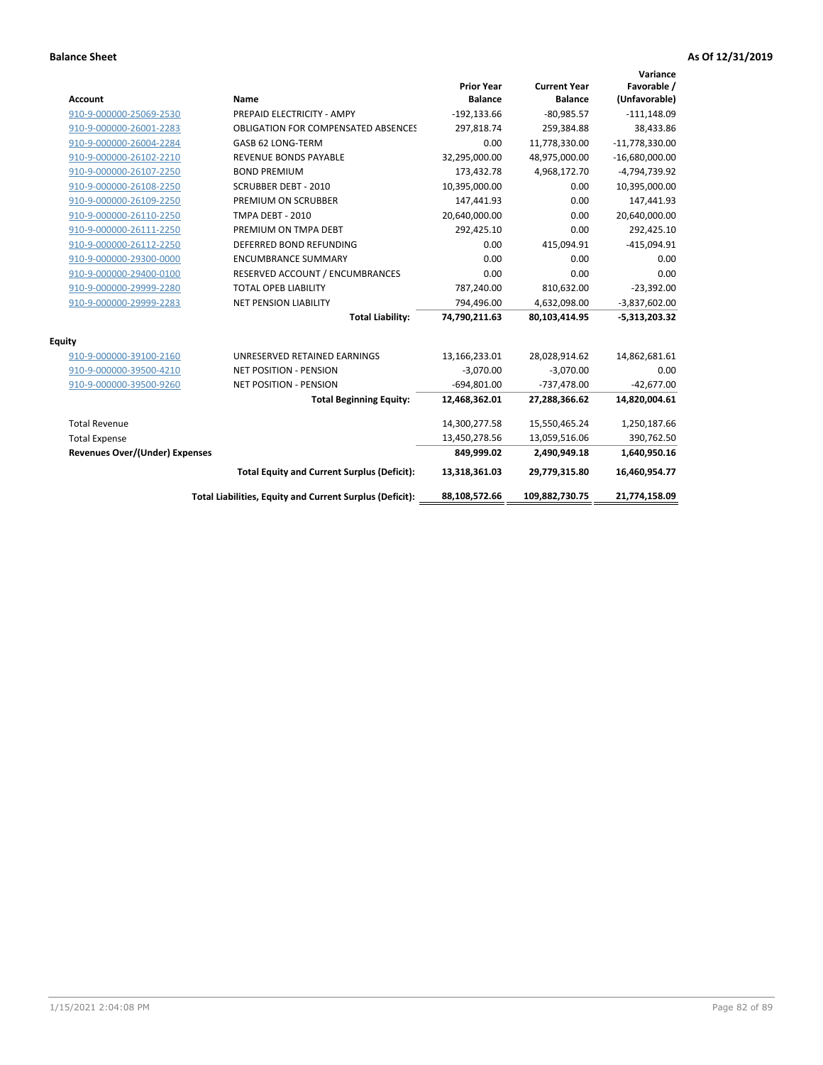| <b>Account</b>                        | Name                                                     | <b>Prior Year</b><br><b>Balance</b> | <b>Current Year</b><br><b>Balance</b> | Variance<br>Favorable /<br>(Unfavorable) |
|---------------------------------------|----------------------------------------------------------|-------------------------------------|---------------------------------------|------------------------------------------|
| 910-9-000000-25069-2530               | PREPAID ELECTRICITY - AMPY                               | $-192, 133.66$                      | $-80.985.57$                          | $-111,148.09$                            |
| 910-9-000000-26001-2283               | <b>OBLIGATION FOR COMPENSATED ABSENCES</b>               | 297,818.74                          | 259,384.88                            | 38,433.86                                |
| 910-9-000000-26004-2284               | GASB 62 LONG-TERM                                        | 0.00                                | 11,778,330.00                         | $-11,778,330.00$                         |
| 910-9-000000-26102-2210               | <b>REVENUE BONDS PAYABLE</b>                             | 32,295,000.00                       | 48,975,000.00                         | $-16,680,000.00$                         |
| 910-9-000000-26107-2250               | <b>BOND PREMIUM</b>                                      | 173,432.78                          | 4,968,172.70                          | -4,794,739.92                            |
| 910-9-000000-26108-2250               | <b>SCRUBBER DEBT - 2010</b>                              | 10,395,000.00                       | 0.00                                  | 10,395,000.00                            |
| 910-9-000000-26109-2250               | PREMIUM ON SCRUBBER                                      | 147,441.93                          | 0.00                                  | 147,441.93                               |
| 910-9-000000-26110-2250               | TMPA DEBT - 2010                                         | 20,640,000.00                       | 0.00                                  | 20,640,000.00                            |
| 910-9-000000-26111-2250               | PREMIUM ON TMPA DEBT                                     | 292,425.10                          | 0.00                                  | 292,425.10                               |
| 910-9-000000-26112-2250               | DEFERRED BOND REFUNDING                                  | 0.00                                | 415,094.91                            | $-415,094.91$                            |
| 910-9-000000-29300-0000               | <b>ENCUMBRANCE SUMMARY</b>                               | 0.00                                | 0.00                                  | 0.00                                     |
| 910-9-000000-29400-0100               | RESERVED ACCOUNT / ENCUMBRANCES                          | 0.00                                | 0.00                                  | 0.00                                     |
| 910-9-000000-29999-2280               | <b>TOTAL OPEB LIABILITY</b>                              | 787,240.00                          | 810,632.00                            | $-23,392.00$                             |
| 910-9-000000-29999-2283               | <b>NET PENSION LIABILITY</b>                             | 794,496.00                          | 4,632,098.00                          | $-3,837,602.00$                          |
|                                       | <b>Total Liability:</b>                                  | 74,790,211.63                       | 80,103,414.95                         | $-5,313,203.32$                          |
| <b>Equity</b>                         |                                                          |                                     |                                       |                                          |
| 910-9-000000-39100-2160               | UNRESERVED RETAINED EARNINGS                             | 13,166,233.01                       | 28,028,914.62                         | 14,862,681.61                            |
| 910-9-000000-39500-4210               | <b>NET POSITION - PENSION</b>                            | $-3,070.00$                         | $-3,070.00$                           | 0.00                                     |
| 910-9-000000-39500-9260               | <b>NET POSITION - PENSION</b>                            | $-694,801.00$                       | $-737,478.00$                         | $-42,677.00$                             |
|                                       | <b>Total Beginning Equity:</b>                           | 12,468,362.01                       | 27,288,366.62                         | 14,820,004.61                            |
| <b>Total Revenue</b>                  |                                                          | 14,300,277.58                       | 15,550,465.24                         | 1,250,187.66                             |
| <b>Total Expense</b>                  |                                                          | 13,450,278.56                       | 13,059,516.06                         | 390,762.50                               |
| <b>Revenues Over/(Under) Expenses</b> |                                                          | 849,999.02                          | 2,490,949.18                          | 1,640,950.16                             |
|                                       | <b>Total Equity and Current Surplus (Deficit):</b>       | 13,318,361.03                       | 29,779,315.80                         | 16,460,954.77                            |
|                                       | Total Liabilities, Equity and Current Surplus (Deficit): | 88,108,572.66                       | 109,882,730.75                        | 21,774,158.09                            |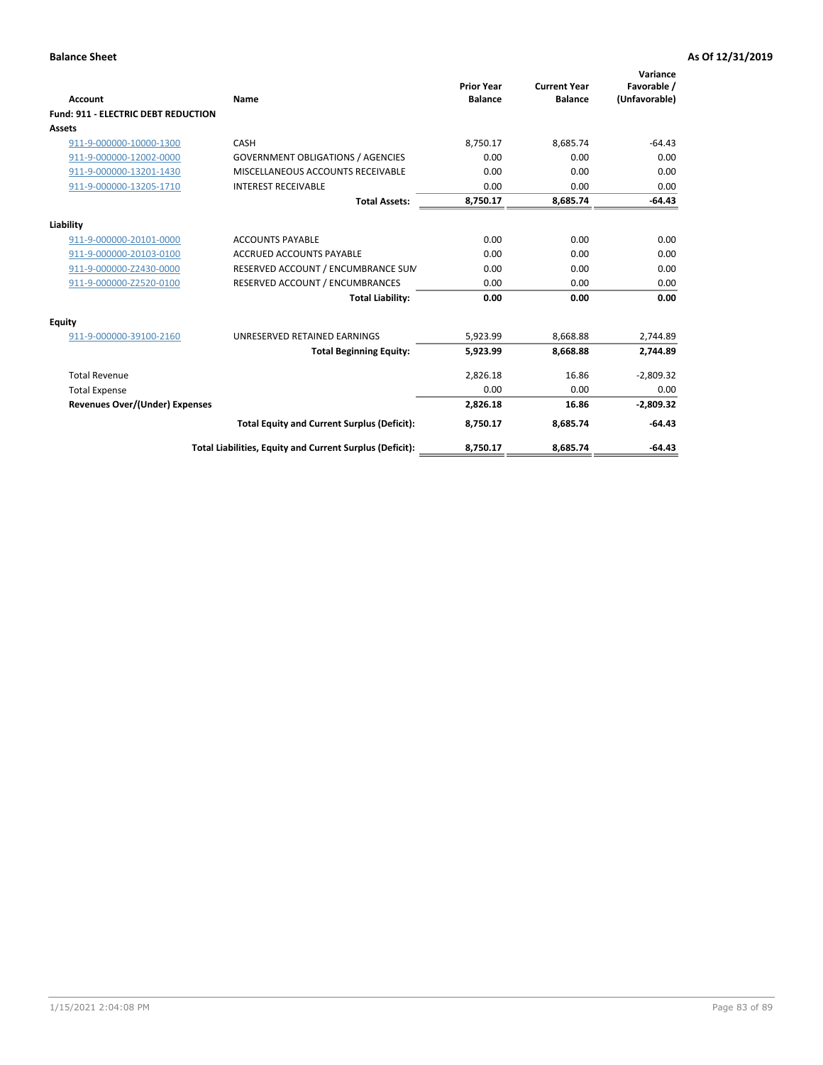| <b>Account</b>                             | Name                                                     | <b>Prior Year</b><br><b>Balance</b> | <b>Current Year</b><br><b>Balance</b> | Variance<br>Favorable /<br>(Unfavorable) |
|--------------------------------------------|----------------------------------------------------------|-------------------------------------|---------------------------------------|------------------------------------------|
| <b>Fund: 911 - ELECTRIC DEBT REDUCTION</b> |                                                          |                                     |                                       |                                          |
| <b>Assets</b>                              |                                                          |                                     |                                       |                                          |
| 911-9-000000-10000-1300                    | CASH                                                     | 8,750.17                            | 8,685.74                              | $-64.43$                                 |
| 911-9-000000-12002-0000                    | <b>GOVERNMENT OBLIGATIONS / AGENCIES</b>                 | 0.00                                | 0.00                                  | 0.00                                     |
| 911-9-000000-13201-1430                    | MISCELLANEOUS ACCOUNTS RECEIVABLE                        | 0.00                                | 0.00                                  | 0.00                                     |
| 911-9-000000-13205-1710                    | <b>INTEREST RECEIVABLE</b>                               | 0.00                                | 0.00                                  | 0.00                                     |
|                                            | <b>Total Assets:</b>                                     | 8,750.17                            | 8,685.74                              | $-64.43$                                 |
| Liability                                  |                                                          |                                     |                                       |                                          |
| 911-9-000000-20101-0000                    | <b>ACCOUNTS PAYABLE</b>                                  | 0.00                                | 0.00                                  | 0.00                                     |
| 911-9-000000-20103-0100                    | <b>ACCRUED ACCOUNTS PAYABLE</b>                          | 0.00                                | 0.00                                  | 0.00                                     |
| 911-9-000000-Z2430-0000                    | RESERVED ACCOUNT / ENCUMBRANCE SUM                       | 0.00                                | 0.00                                  | 0.00                                     |
| 911-9-000000-Z2520-0100                    | RESERVED ACCOUNT / ENCUMBRANCES                          | 0.00                                | 0.00                                  | 0.00                                     |
|                                            | <b>Total Liability:</b>                                  | 0.00                                | 0.00                                  | 0.00                                     |
| <b>Equity</b>                              |                                                          |                                     |                                       |                                          |
| 911-9-000000-39100-2160                    | UNRESERVED RETAINED EARNINGS                             | 5,923.99                            | 8,668.88                              | 2,744.89                                 |
|                                            | <b>Total Beginning Equity:</b>                           | 5,923.99                            | 8.668.88                              | 2,744.89                                 |
| <b>Total Revenue</b>                       |                                                          | 2,826.18                            | 16.86                                 | $-2,809.32$                              |
| <b>Total Expense</b>                       |                                                          | 0.00                                | 0.00                                  | 0.00                                     |
| <b>Revenues Over/(Under) Expenses</b>      |                                                          | 2,826.18                            | 16.86                                 | $-2,809.32$                              |
|                                            | <b>Total Equity and Current Surplus (Deficit):</b>       | 8,750.17                            | 8,685.74                              | $-64.43$                                 |
|                                            | Total Liabilities, Equity and Current Surplus (Deficit): | 8,750.17                            | 8,685.74                              | $-64.43$                                 |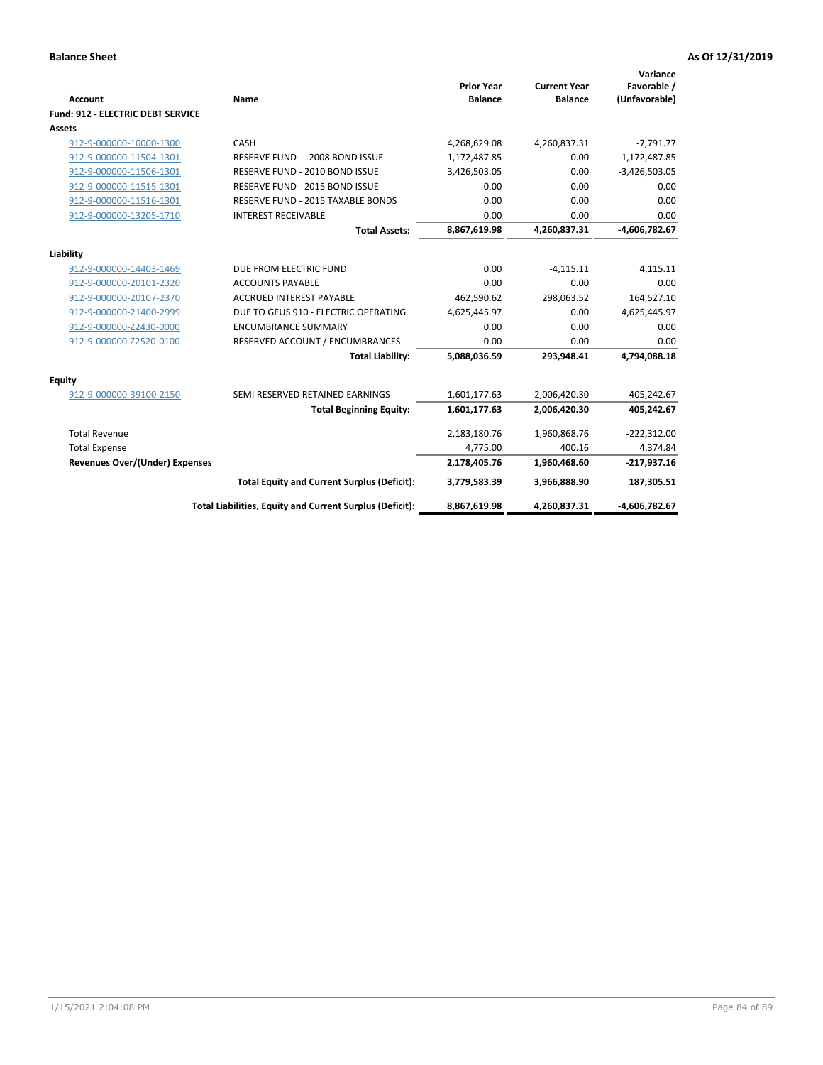| <b>Account</b>                           | <b>Name</b>                                              | <b>Prior Year</b><br><b>Balance</b> | <b>Current Year</b><br><b>Balance</b> | Variance<br>Favorable /<br>(Unfavorable) |
|------------------------------------------|----------------------------------------------------------|-------------------------------------|---------------------------------------|------------------------------------------|
| <b>Fund: 912 - ELECTRIC DEBT SERVICE</b> |                                                          |                                     |                                       |                                          |
| <b>Assets</b>                            |                                                          |                                     |                                       |                                          |
| 912-9-000000-10000-1300                  | CASH                                                     | 4,268,629.08                        | 4,260,837.31                          | $-7,791.77$                              |
| 912-9-000000-11504-1301                  | RESERVE FUND - 2008 BOND ISSUE                           | 1,172,487.85                        | 0.00                                  | $-1,172,487.85$                          |
| 912-9-000000-11506-1301                  | RESERVE FUND - 2010 BOND ISSUE                           | 3,426,503.05                        | 0.00                                  | $-3,426,503.05$                          |
| 912-9-000000-11515-1301                  | RESERVE FUND - 2015 BOND ISSUE                           | 0.00                                | 0.00                                  | 0.00                                     |
| 912-9-000000-11516-1301                  | <b>RESERVE FUND - 2015 TAXABLE BONDS</b>                 | 0.00                                | 0.00                                  | 0.00                                     |
| 912-9-000000-13205-1710                  | <b>INTEREST RECEIVABLE</b>                               | 0.00                                | 0.00                                  | 0.00                                     |
|                                          | <b>Total Assets:</b>                                     | 8,867,619.98                        | 4,260,837.31                          | $-4,606,782.67$                          |
| Liability                                |                                                          |                                     |                                       |                                          |
| 912-9-000000-14403-1469                  | DUE FROM ELECTRIC FUND                                   | 0.00                                | $-4,115.11$                           | 4,115.11                                 |
| 912-9-000000-20101-2320                  | <b>ACCOUNTS PAYABLE</b>                                  | 0.00                                | 0.00                                  | 0.00                                     |
| 912-9-000000-20107-2370                  | <b>ACCRUED INTEREST PAYABLE</b>                          | 462,590.62                          | 298,063.52                            | 164,527.10                               |
|                                          | DUE TO GEUS 910 - ELECTRIC OPERATING                     |                                     | 0.00                                  |                                          |
| 912-9-000000-21400-2999                  |                                                          | 4,625,445.97                        |                                       | 4,625,445.97                             |
| 912-9-000000-Z2430-0000                  | <b>ENCUMBRANCE SUMMARY</b>                               | 0.00                                | 0.00                                  | 0.00                                     |
| 912-9-000000-Z2520-0100                  | RESERVED ACCOUNT / ENCUMBRANCES                          | 0.00                                | 0.00                                  | 0.00                                     |
|                                          | <b>Total Liability:</b>                                  | 5,088,036.59                        | 293,948.41                            | 4,794,088.18                             |
| <b>Equity</b>                            |                                                          |                                     |                                       |                                          |
| 912-9-000000-39100-2150                  | SEMI RESERVED RETAINED EARNINGS                          | 1,601,177.63                        | 2,006,420.30                          | 405,242.67                               |
|                                          | <b>Total Beginning Equity:</b>                           | 1,601,177.63                        | 2,006,420.30                          | 405,242.67                               |
| <b>Total Revenue</b>                     |                                                          | 2,183,180.76                        | 1,960,868.76                          | $-222,312.00$                            |
| <b>Total Expense</b>                     |                                                          | 4,775.00                            | 400.16                                | 4,374.84                                 |
| Revenues Over/(Under) Expenses           |                                                          | 2,178,405.76                        | 1,960,468.60                          | $-217,937.16$                            |
|                                          | <b>Total Equity and Current Surplus (Deficit):</b>       | 3,779,583.39                        | 3,966,888.90                          | 187,305.51                               |
|                                          | Total Liabilities, Equity and Current Surplus (Deficit): | 8,867,619.98                        | 4,260,837.31                          | -4,606,782.67                            |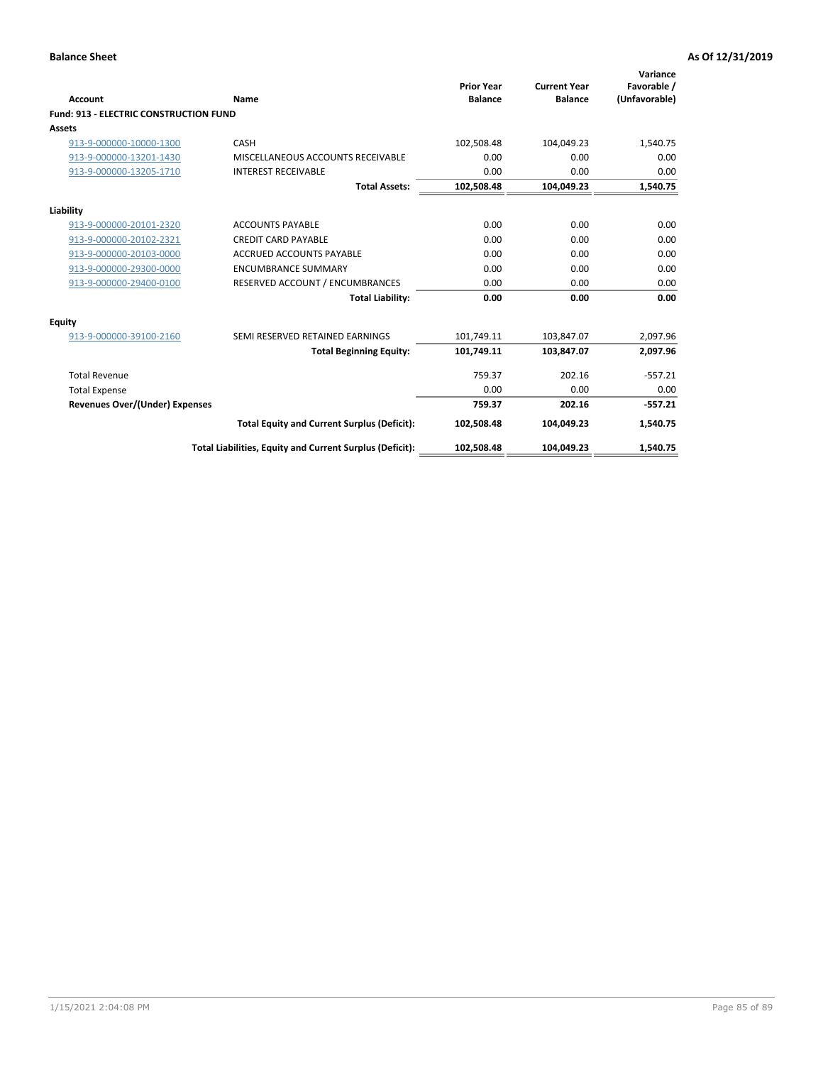| Account                                       | Name                                                     | <b>Prior Year</b><br><b>Balance</b> | <b>Current Year</b><br><b>Balance</b> | Variance<br>Favorable /<br>(Unfavorable) |
|-----------------------------------------------|----------------------------------------------------------|-------------------------------------|---------------------------------------|------------------------------------------|
| <b>Fund: 913 - ELECTRIC CONSTRUCTION FUND</b> |                                                          |                                     |                                       |                                          |
| <b>Assets</b>                                 |                                                          |                                     |                                       |                                          |
| 913-9-000000-10000-1300                       | CASH                                                     | 102,508.48                          | 104,049.23                            | 1,540.75                                 |
| 913-9-000000-13201-1430                       | MISCELLANEOUS ACCOUNTS RECEIVABLE                        | 0.00                                | 0.00                                  | 0.00                                     |
| 913-9-000000-13205-1710                       | <b>INTEREST RECEIVABLE</b>                               | 0.00                                | 0.00                                  | 0.00                                     |
|                                               | <b>Total Assets:</b>                                     | 102,508.48                          | 104,049.23                            | 1,540.75                                 |
| Liability                                     |                                                          |                                     |                                       |                                          |
| 913-9-000000-20101-2320                       | <b>ACCOUNTS PAYABLE</b>                                  | 0.00                                | 0.00                                  | 0.00                                     |
| 913-9-000000-20102-2321                       | <b>CREDIT CARD PAYABLE</b>                               | 0.00                                | 0.00                                  | 0.00                                     |
| 913-9-000000-20103-0000                       | <b>ACCRUED ACCOUNTS PAYABLE</b>                          | 0.00                                | 0.00                                  | 0.00                                     |
| 913-9-000000-29300-0000                       | <b>ENCUMBRANCE SUMMARY</b>                               | 0.00                                | 0.00                                  | 0.00                                     |
| 913-9-000000-29400-0100                       | RESERVED ACCOUNT / ENCUMBRANCES                          | 0.00                                | 0.00                                  | 0.00                                     |
|                                               | <b>Total Liability:</b>                                  | 0.00                                | 0.00                                  | 0.00                                     |
| <b>Equity</b>                                 |                                                          |                                     |                                       |                                          |
| 913-9-000000-39100-2160                       | SEMI RESERVED RETAINED EARNINGS                          | 101,749.11                          | 103,847.07                            | 2,097.96                                 |
|                                               | <b>Total Beginning Equity:</b>                           | 101,749.11                          | 103.847.07                            | 2,097.96                                 |
| <b>Total Revenue</b>                          |                                                          | 759.37                              | 202.16                                | $-557.21$                                |
| <b>Total Expense</b>                          |                                                          | 0.00                                | 0.00                                  | 0.00                                     |
| <b>Revenues Over/(Under) Expenses</b>         |                                                          | 759.37                              | 202.16                                | $-557.21$                                |
|                                               | <b>Total Equity and Current Surplus (Deficit):</b>       | 102,508.48                          | 104.049.23                            | 1,540.75                                 |
|                                               | Total Liabilities, Equity and Current Surplus (Deficit): | 102,508.48                          | 104,049.23                            | 1,540.75                                 |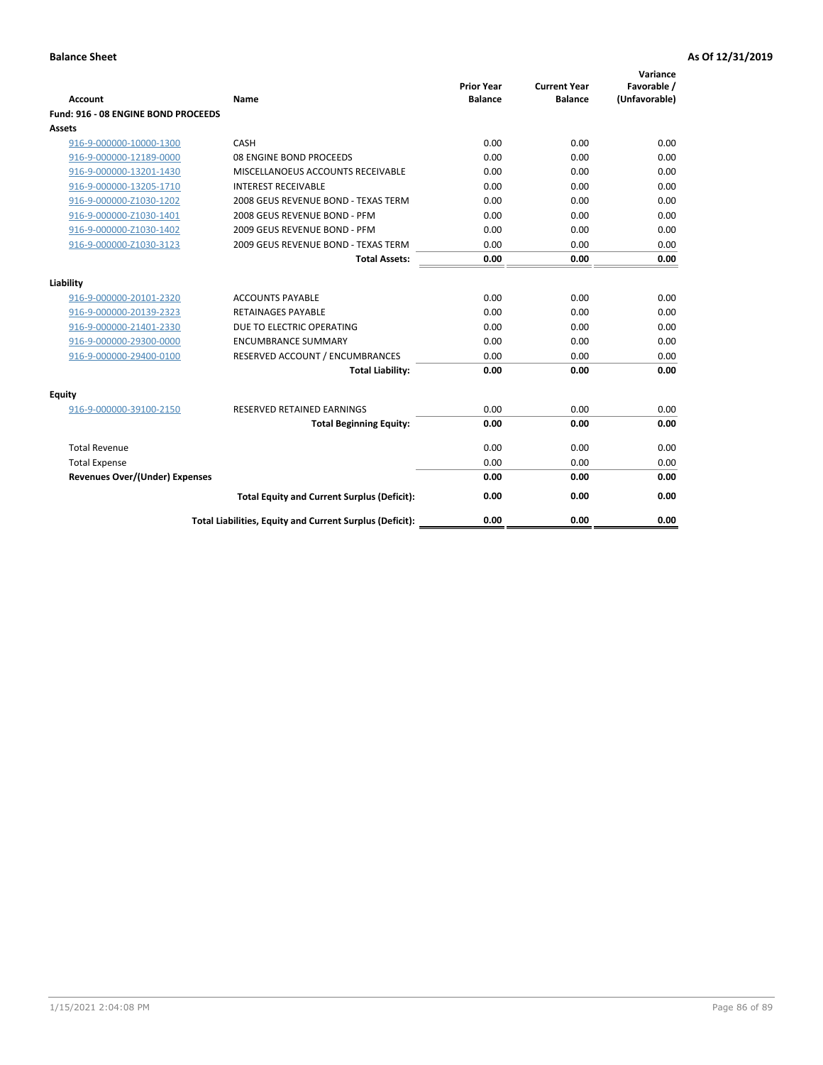| <b>Account</b>                        | Name                                                     | <b>Prior Year</b><br><b>Balance</b> | <b>Current Year</b><br><b>Balance</b> | Variance<br>Favorable /<br>(Unfavorable) |
|---------------------------------------|----------------------------------------------------------|-------------------------------------|---------------------------------------|------------------------------------------|
| Fund: 916 - 08 ENGINE BOND PROCEEDS   |                                                          |                                     |                                       |                                          |
| <b>Assets</b>                         |                                                          |                                     |                                       |                                          |
| 916-9-000000-10000-1300               | CASH                                                     | 0.00                                | 0.00                                  | 0.00                                     |
| 916-9-000000-12189-0000               | 08 ENGINE BOND PROCEEDS                                  | 0.00                                | 0.00                                  | 0.00                                     |
| 916-9-000000-13201-1430               | MISCELLANOEUS ACCOUNTS RECEIVABLE                        | 0.00                                | 0.00                                  | 0.00                                     |
| 916-9-000000-13205-1710               | <b>INTEREST RECEIVABLE</b>                               | 0.00                                | 0.00                                  | 0.00                                     |
| 916-9-000000-Z1030-1202               | 2008 GEUS REVENUE BOND - TEXAS TERM                      | 0.00                                | 0.00                                  | 0.00                                     |
| 916-9-000000-Z1030-1401               | 2008 GEUS REVENUE BOND - PFM                             | 0.00                                | 0.00                                  | 0.00                                     |
| 916-9-000000-Z1030-1402               | 2009 GEUS REVENUE BOND - PFM                             | 0.00                                | 0.00                                  | 0.00                                     |
| 916-9-000000-Z1030-3123               | 2009 GEUS REVENUE BOND - TEXAS TERM                      | 0.00                                | 0.00                                  | 0.00                                     |
|                                       | <b>Total Assets:</b>                                     | 0.00                                | 0.00                                  | 0.00                                     |
| Liability                             |                                                          |                                     |                                       |                                          |
| 916-9-000000-20101-2320               | <b>ACCOUNTS PAYABLE</b>                                  | 0.00                                | 0.00                                  | 0.00                                     |
| 916-9-000000-20139-2323               | <b>RETAINAGES PAYABLE</b>                                | 0.00                                | 0.00                                  | 0.00                                     |
| 916-9-000000-21401-2330               | DUE TO ELECTRIC OPERATING                                | 0.00                                | 0.00                                  | 0.00                                     |
| 916-9-000000-29300-0000               | <b>ENCUMBRANCE SUMMARY</b>                               | 0.00                                | 0.00                                  | 0.00                                     |
| 916-9-000000-29400-0100               | RESERVED ACCOUNT / ENCUMBRANCES                          | 0.00                                | 0.00                                  | 0.00                                     |
|                                       | <b>Total Liability:</b>                                  | 0.00                                | 0.00                                  | 0.00                                     |
| Equity                                |                                                          |                                     |                                       |                                          |
| 916-9-000000-39100-2150               | <b>RESERVED RETAINED EARNINGS</b>                        | 0.00                                | 0.00                                  | 0.00                                     |
|                                       | <b>Total Beginning Equity:</b>                           | 0.00                                | 0.00                                  | 0.00                                     |
| <b>Total Revenue</b>                  |                                                          | 0.00                                | 0.00                                  | 0.00                                     |
| <b>Total Expense</b>                  |                                                          | 0.00                                | 0.00                                  | 0.00                                     |
| <b>Revenues Over/(Under) Expenses</b> |                                                          | 0.00                                | 0.00                                  | 0.00                                     |
|                                       | <b>Total Equity and Current Surplus (Deficit):</b>       | 0.00                                | 0.00                                  | 0.00                                     |
|                                       | Total Liabilities, Equity and Current Surplus (Deficit): | 0.00                                | 0.00                                  | 0.00                                     |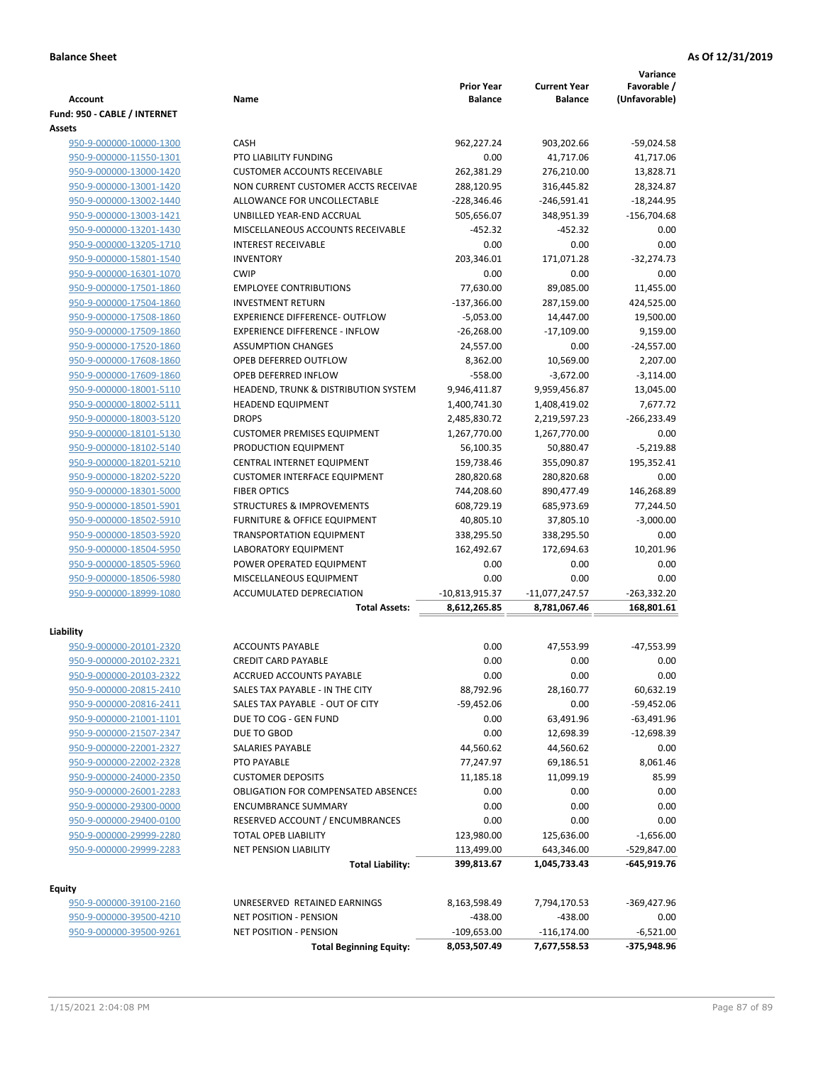| <b>Balance</b><br><b>Balance</b><br><b>Account</b><br>Name<br>Fund: 950 - CABLE / INTERNET<br><b>Assets</b><br>950-9-000000-10000-1300<br><b>CASH</b><br>962,227.24<br>903,202.66<br>950-9-000000-11550-1301<br>PTO LIABILITY FUNDING<br>0.00<br>41,717.06<br>262,381.29<br><b>CUSTOMER ACCOUNTS RECEIVABLE</b><br>276,210.00<br>950-9-000000-13000-1420<br>950-9-000000-13001-1420<br>NON CURRENT CUSTOMER ACCTS RECEIVAE<br>288,120.95<br>316,445.82<br>ALLOWANCE FOR UNCOLLECTABLE<br>$-228,346.46$<br>$-246,591.41$<br>950-9-000000-13002-1440<br>950-9-000000-13003-1421<br>UNBILLED YEAR-END ACCRUAL<br>505,656.07<br>348,951.39<br>950-9-000000-13201-1430<br>MISCELLANEOUS ACCOUNTS RECEIVABLE<br>$-452.32$<br>$-452.32$<br><b>INTEREST RECEIVABLE</b><br>0.00<br>950-9-000000-13205-1710<br>0.00<br>203,346.01<br>950-9-000000-15801-1540<br><b>INVENTORY</b><br>171,071.28<br><b>CWIP</b><br>0.00<br>0.00<br>950-9-000000-16301-1070<br>950-9-000000-17501-1860<br><b>EMPLOYEE CONTRIBUTIONS</b><br>77,630.00<br>89,085.00<br>950-9-000000-17504-1860<br><b>INVESTMENT RETURN</b><br>$-137,366.00$<br>287,159.00<br><b>EXPERIENCE DIFFERENCE- OUTFLOW</b><br>950-9-000000-17508-1860<br>$-5,053.00$<br>14,447.00<br>950-9-000000-17509-1860<br><b>EXPERIENCE DIFFERENCE - INFLOW</b><br>$-26,268.00$<br>$-17,109.00$<br><b>ASSUMPTION CHANGES</b><br>24,557.00<br>0.00<br>950-9-000000-17520-1860<br>950-9-000000-17608-1860<br>OPEB DEFERRED OUTFLOW<br>8,362.00<br>10,569.00<br>950-9-000000-17609-1860<br><b>OPEB DEFERRED INFLOW</b><br>$-558.00$<br>$-3,672.00$<br>950-9-000000-18001-5110<br>HEADEND, TRUNK & DISTRIBUTION SYSTEM<br>9,946,411.87<br>9,959,456.87<br>950-9-000000-18002-5111<br><b>HEADEND EQUIPMENT</b><br>1,400,741.30<br>1,408,419.02<br><b>DROPS</b><br>950-9-000000-18003-5120<br>2,485,830.72<br>2,219,597.23<br>950-9-000000-18101-5130<br><b>CUSTOMER PREMISES EQUIPMENT</b><br>1,267,770.00<br>1,267,770.00<br>950-9-000000-18102-5140<br>PRODUCTION EQUIPMENT<br>56,100.35<br>50,880.47<br>159,738.46<br>950-9-000000-18201-5210<br>CENTRAL INTERNET EQUIPMENT<br>355,090.87<br>950-9-000000-18202-5220<br><b>CUSTOMER INTERFACE EQUIPMENT</b><br>280,820.68<br>280,820.68<br>890,477.49 |                                                | <b>Prior Year</b><br><b>Current Year</b> | Variance<br>Favorable /     |
|------------------------------------------------------------------------------------------------------------------------------------------------------------------------------------------------------------------------------------------------------------------------------------------------------------------------------------------------------------------------------------------------------------------------------------------------------------------------------------------------------------------------------------------------------------------------------------------------------------------------------------------------------------------------------------------------------------------------------------------------------------------------------------------------------------------------------------------------------------------------------------------------------------------------------------------------------------------------------------------------------------------------------------------------------------------------------------------------------------------------------------------------------------------------------------------------------------------------------------------------------------------------------------------------------------------------------------------------------------------------------------------------------------------------------------------------------------------------------------------------------------------------------------------------------------------------------------------------------------------------------------------------------------------------------------------------------------------------------------------------------------------------------------------------------------------------------------------------------------------------------------------------------------------------------------------------------------------------------------------------------------------------------------------------------------------------------------------------------------------------------------------------------------------------------------------------------------------------------------|------------------------------------------------|------------------------------------------|-----------------------------|
|                                                                                                                                                                                                                                                                                                                                                                                                                                                                                                                                                                                                                                                                                                                                                                                                                                                                                                                                                                                                                                                                                                                                                                                                                                                                                                                                                                                                                                                                                                                                                                                                                                                                                                                                                                                                                                                                                                                                                                                                                                                                                                                                                                                                                                    |                                                |                                          | (Unfavorable)               |
|                                                                                                                                                                                                                                                                                                                                                                                                                                                                                                                                                                                                                                                                                                                                                                                                                                                                                                                                                                                                                                                                                                                                                                                                                                                                                                                                                                                                                                                                                                                                                                                                                                                                                                                                                                                                                                                                                                                                                                                                                                                                                                                                                                                                                                    |                                                |                                          |                             |
|                                                                                                                                                                                                                                                                                                                                                                                                                                                                                                                                                                                                                                                                                                                                                                                                                                                                                                                                                                                                                                                                                                                                                                                                                                                                                                                                                                                                                                                                                                                                                                                                                                                                                                                                                                                                                                                                                                                                                                                                                                                                                                                                                                                                                                    |                                                |                                          | $-59,024.58$                |
|                                                                                                                                                                                                                                                                                                                                                                                                                                                                                                                                                                                                                                                                                                                                                                                                                                                                                                                                                                                                                                                                                                                                                                                                                                                                                                                                                                                                                                                                                                                                                                                                                                                                                                                                                                                                                                                                                                                                                                                                                                                                                                                                                                                                                                    |                                                |                                          | 41,717.06                   |
|                                                                                                                                                                                                                                                                                                                                                                                                                                                                                                                                                                                                                                                                                                                                                                                                                                                                                                                                                                                                                                                                                                                                                                                                                                                                                                                                                                                                                                                                                                                                                                                                                                                                                                                                                                                                                                                                                                                                                                                                                                                                                                                                                                                                                                    |                                                |                                          | 13,828.71                   |
|                                                                                                                                                                                                                                                                                                                                                                                                                                                                                                                                                                                                                                                                                                                                                                                                                                                                                                                                                                                                                                                                                                                                                                                                                                                                                                                                                                                                                                                                                                                                                                                                                                                                                                                                                                                                                                                                                                                                                                                                                                                                                                                                                                                                                                    |                                                |                                          | 28,324.87                   |
|                                                                                                                                                                                                                                                                                                                                                                                                                                                                                                                                                                                                                                                                                                                                                                                                                                                                                                                                                                                                                                                                                                                                                                                                                                                                                                                                                                                                                                                                                                                                                                                                                                                                                                                                                                                                                                                                                                                                                                                                                                                                                                                                                                                                                                    |                                                |                                          | $-18,244.95$                |
|                                                                                                                                                                                                                                                                                                                                                                                                                                                                                                                                                                                                                                                                                                                                                                                                                                                                                                                                                                                                                                                                                                                                                                                                                                                                                                                                                                                                                                                                                                                                                                                                                                                                                                                                                                                                                                                                                                                                                                                                                                                                                                                                                                                                                                    |                                                |                                          | $-156,704.68$               |
|                                                                                                                                                                                                                                                                                                                                                                                                                                                                                                                                                                                                                                                                                                                                                                                                                                                                                                                                                                                                                                                                                                                                                                                                                                                                                                                                                                                                                                                                                                                                                                                                                                                                                                                                                                                                                                                                                                                                                                                                                                                                                                                                                                                                                                    |                                                |                                          | 0.00                        |
|                                                                                                                                                                                                                                                                                                                                                                                                                                                                                                                                                                                                                                                                                                                                                                                                                                                                                                                                                                                                                                                                                                                                                                                                                                                                                                                                                                                                                                                                                                                                                                                                                                                                                                                                                                                                                                                                                                                                                                                                                                                                                                                                                                                                                                    |                                                |                                          | 0.00                        |
|                                                                                                                                                                                                                                                                                                                                                                                                                                                                                                                                                                                                                                                                                                                                                                                                                                                                                                                                                                                                                                                                                                                                                                                                                                                                                                                                                                                                                                                                                                                                                                                                                                                                                                                                                                                                                                                                                                                                                                                                                                                                                                                                                                                                                                    |                                                |                                          | $-32,274.73$                |
|                                                                                                                                                                                                                                                                                                                                                                                                                                                                                                                                                                                                                                                                                                                                                                                                                                                                                                                                                                                                                                                                                                                                                                                                                                                                                                                                                                                                                                                                                                                                                                                                                                                                                                                                                                                                                                                                                                                                                                                                                                                                                                                                                                                                                                    |                                                |                                          | 0.00                        |
|                                                                                                                                                                                                                                                                                                                                                                                                                                                                                                                                                                                                                                                                                                                                                                                                                                                                                                                                                                                                                                                                                                                                                                                                                                                                                                                                                                                                                                                                                                                                                                                                                                                                                                                                                                                                                                                                                                                                                                                                                                                                                                                                                                                                                                    |                                                |                                          | 11,455.00                   |
|                                                                                                                                                                                                                                                                                                                                                                                                                                                                                                                                                                                                                                                                                                                                                                                                                                                                                                                                                                                                                                                                                                                                                                                                                                                                                                                                                                                                                                                                                                                                                                                                                                                                                                                                                                                                                                                                                                                                                                                                                                                                                                                                                                                                                                    |                                                |                                          | 424,525.00                  |
|                                                                                                                                                                                                                                                                                                                                                                                                                                                                                                                                                                                                                                                                                                                                                                                                                                                                                                                                                                                                                                                                                                                                                                                                                                                                                                                                                                                                                                                                                                                                                                                                                                                                                                                                                                                                                                                                                                                                                                                                                                                                                                                                                                                                                                    |                                                |                                          | 19,500.00                   |
|                                                                                                                                                                                                                                                                                                                                                                                                                                                                                                                                                                                                                                                                                                                                                                                                                                                                                                                                                                                                                                                                                                                                                                                                                                                                                                                                                                                                                                                                                                                                                                                                                                                                                                                                                                                                                                                                                                                                                                                                                                                                                                                                                                                                                                    |                                                |                                          | 9,159.00                    |
|                                                                                                                                                                                                                                                                                                                                                                                                                                                                                                                                                                                                                                                                                                                                                                                                                                                                                                                                                                                                                                                                                                                                                                                                                                                                                                                                                                                                                                                                                                                                                                                                                                                                                                                                                                                                                                                                                                                                                                                                                                                                                                                                                                                                                                    |                                                |                                          | $-24,557.00$                |
|                                                                                                                                                                                                                                                                                                                                                                                                                                                                                                                                                                                                                                                                                                                                                                                                                                                                                                                                                                                                                                                                                                                                                                                                                                                                                                                                                                                                                                                                                                                                                                                                                                                                                                                                                                                                                                                                                                                                                                                                                                                                                                                                                                                                                                    |                                                |                                          | 2,207.00                    |
|                                                                                                                                                                                                                                                                                                                                                                                                                                                                                                                                                                                                                                                                                                                                                                                                                                                                                                                                                                                                                                                                                                                                                                                                                                                                                                                                                                                                                                                                                                                                                                                                                                                                                                                                                                                                                                                                                                                                                                                                                                                                                                                                                                                                                                    |                                                |                                          | $-3,114.00$                 |
|                                                                                                                                                                                                                                                                                                                                                                                                                                                                                                                                                                                                                                                                                                                                                                                                                                                                                                                                                                                                                                                                                                                                                                                                                                                                                                                                                                                                                                                                                                                                                                                                                                                                                                                                                                                                                                                                                                                                                                                                                                                                                                                                                                                                                                    |                                                |                                          | 13,045.00                   |
|                                                                                                                                                                                                                                                                                                                                                                                                                                                                                                                                                                                                                                                                                                                                                                                                                                                                                                                                                                                                                                                                                                                                                                                                                                                                                                                                                                                                                                                                                                                                                                                                                                                                                                                                                                                                                                                                                                                                                                                                                                                                                                                                                                                                                                    |                                                |                                          | 7,677.72                    |
|                                                                                                                                                                                                                                                                                                                                                                                                                                                                                                                                                                                                                                                                                                                                                                                                                                                                                                                                                                                                                                                                                                                                                                                                                                                                                                                                                                                                                                                                                                                                                                                                                                                                                                                                                                                                                                                                                                                                                                                                                                                                                                                                                                                                                                    |                                                |                                          | $-266,233.49$               |
|                                                                                                                                                                                                                                                                                                                                                                                                                                                                                                                                                                                                                                                                                                                                                                                                                                                                                                                                                                                                                                                                                                                                                                                                                                                                                                                                                                                                                                                                                                                                                                                                                                                                                                                                                                                                                                                                                                                                                                                                                                                                                                                                                                                                                                    |                                                |                                          | 0.00                        |
|                                                                                                                                                                                                                                                                                                                                                                                                                                                                                                                                                                                                                                                                                                                                                                                                                                                                                                                                                                                                                                                                                                                                                                                                                                                                                                                                                                                                                                                                                                                                                                                                                                                                                                                                                                                                                                                                                                                                                                                                                                                                                                                                                                                                                                    |                                                |                                          | $-5,219.88$                 |
|                                                                                                                                                                                                                                                                                                                                                                                                                                                                                                                                                                                                                                                                                                                                                                                                                                                                                                                                                                                                                                                                                                                                                                                                                                                                                                                                                                                                                                                                                                                                                                                                                                                                                                                                                                                                                                                                                                                                                                                                                                                                                                                                                                                                                                    |                                                |                                          | 195,352.41                  |
|                                                                                                                                                                                                                                                                                                                                                                                                                                                                                                                                                                                                                                                                                                                                                                                                                                                                                                                                                                                                                                                                                                                                                                                                                                                                                                                                                                                                                                                                                                                                                                                                                                                                                                                                                                                                                                                                                                                                                                                                                                                                                                                                                                                                                                    |                                                |                                          | 0.00                        |
|                                                                                                                                                                                                                                                                                                                                                                                                                                                                                                                                                                                                                                                                                                                                                                                                                                                                                                                                                                                                                                                                                                                                                                                                                                                                                                                                                                                                                                                                                                                                                                                                                                                                                                                                                                                                                                                                                                                                                                                                                                                                                                                                                                                                                                    | <b>FIBER OPTICS</b><br>950-9-000000-18301-5000 | 744,208.60                               | 146,268.89                  |
| 950-9-000000-18501-5901<br><b>STRUCTURES &amp; IMPROVEMENTS</b><br>608,729.19<br>685,973.69                                                                                                                                                                                                                                                                                                                                                                                                                                                                                                                                                                                                                                                                                                                                                                                                                                                                                                                                                                                                                                                                                                                                                                                                                                                                                                                                                                                                                                                                                                                                                                                                                                                                                                                                                                                                                                                                                                                                                                                                                                                                                                                                        |                                                |                                          | 77,244.50                   |
| 950-9-000000-18502-5910<br><b>FURNITURE &amp; OFFICE EQUIPMENT</b><br>40,805.10<br>37,805.10                                                                                                                                                                                                                                                                                                                                                                                                                                                                                                                                                                                                                                                                                                                                                                                                                                                                                                                                                                                                                                                                                                                                                                                                                                                                                                                                                                                                                                                                                                                                                                                                                                                                                                                                                                                                                                                                                                                                                                                                                                                                                                                                       |                                                |                                          | $-3,000.00$                 |
| 950-9-000000-18503-5920<br><b>TRANSPORTATION EQUIPMENT</b><br>338,295.50<br>338,295.50                                                                                                                                                                                                                                                                                                                                                                                                                                                                                                                                                                                                                                                                                                                                                                                                                                                                                                                                                                                                                                                                                                                                                                                                                                                                                                                                                                                                                                                                                                                                                                                                                                                                                                                                                                                                                                                                                                                                                                                                                                                                                                                                             |                                                |                                          | 0.00                        |
| 950-9-000000-18504-5950<br>LABORATORY EQUIPMENT<br>162,492.67<br>172,694.63                                                                                                                                                                                                                                                                                                                                                                                                                                                                                                                                                                                                                                                                                                                                                                                                                                                                                                                                                                                                                                                                                                                                                                                                                                                                                                                                                                                                                                                                                                                                                                                                                                                                                                                                                                                                                                                                                                                                                                                                                                                                                                                                                        |                                                |                                          | 10,201.96                   |
| POWER OPERATED EQUIPMENT<br>0.00<br>0.00<br>950-9-000000-18505-5960                                                                                                                                                                                                                                                                                                                                                                                                                                                                                                                                                                                                                                                                                                                                                                                                                                                                                                                                                                                                                                                                                                                                                                                                                                                                                                                                                                                                                                                                                                                                                                                                                                                                                                                                                                                                                                                                                                                                                                                                                                                                                                                                                                |                                                |                                          | 0.00                        |
| MISCELLANEOUS EQUIPMENT<br>0.00<br>0.00<br>950-9-000000-18506-5980                                                                                                                                                                                                                                                                                                                                                                                                                                                                                                                                                                                                                                                                                                                                                                                                                                                                                                                                                                                                                                                                                                                                                                                                                                                                                                                                                                                                                                                                                                                                                                                                                                                                                                                                                                                                                                                                                                                                                                                                                                                                                                                                                                 |                                                |                                          | 0.00                        |
| 950-9-000000-18999-1080<br>ACCUMULATED DEPRECIATION<br>$-10,813,915.37$<br>$-11,077,247.57$<br>8,612,265.85<br>8,781,067.46<br><b>Total Assets:</b>                                                                                                                                                                                                                                                                                                                                                                                                                                                                                                                                                                                                                                                                                                                                                                                                                                                                                                                                                                                                                                                                                                                                                                                                                                                                                                                                                                                                                                                                                                                                                                                                                                                                                                                                                                                                                                                                                                                                                                                                                                                                                |                                                |                                          | $-263,332.20$<br>168,801.61 |
|                                                                                                                                                                                                                                                                                                                                                                                                                                                                                                                                                                                                                                                                                                                                                                                                                                                                                                                                                                                                                                                                                                                                                                                                                                                                                                                                                                                                                                                                                                                                                                                                                                                                                                                                                                                                                                                                                                                                                                                                                                                                                                                                                                                                                                    |                                                |                                          |                             |
| Liability                                                                                                                                                                                                                                                                                                                                                                                                                                                                                                                                                                                                                                                                                                                                                                                                                                                                                                                                                                                                                                                                                                                                                                                                                                                                                                                                                                                                                                                                                                                                                                                                                                                                                                                                                                                                                                                                                                                                                                                                                                                                                                                                                                                                                          |                                                |                                          |                             |
| <b>ACCOUNTS PAYABLE</b><br>0.00<br>47,553.99<br>950-9-000000-20101-2320                                                                                                                                                                                                                                                                                                                                                                                                                                                                                                                                                                                                                                                                                                                                                                                                                                                                                                                                                                                                                                                                                                                                                                                                                                                                                                                                                                                                                                                                                                                                                                                                                                                                                                                                                                                                                                                                                                                                                                                                                                                                                                                                                            |                                                |                                          | -47,553.99                  |
| <b>CREDIT CARD PAYABLE</b><br>0.00<br>0.00<br>950-9-000000-20102-2321                                                                                                                                                                                                                                                                                                                                                                                                                                                                                                                                                                                                                                                                                                                                                                                                                                                                                                                                                                                                                                                                                                                                                                                                                                                                                                                                                                                                                                                                                                                                                                                                                                                                                                                                                                                                                                                                                                                                                                                                                                                                                                                                                              |                                                |                                          | 0.00                        |
| 950-9-000000-20103-2322<br>0.00<br>0.00<br>ACCRUED ACCOUNTS PAYABLE                                                                                                                                                                                                                                                                                                                                                                                                                                                                                                                                                                                                                                                                                                                                                                                                                                                                                                                                                                                                                                                                                                                                                                                                                                                                                                                                                                                                                                                                                                                                                                                                                                                                                                                                                                                                                                                                                                                                                                                                                                                                                                                                                                |                                                |                                          | 0.00                        |
| 88,792.96<br>950-9-000000-20815-2410<br>SALES TAX PAYABLE - IN THE CITY<br>28,160.77                                                                                                                                                                                                                                                                                                                                                                                                                                                                                                                                                                                                                                                                                                                                                                                                                                                                                                                                                                                                                                                                                                                                                                                                                                                                                                                                                                                                                                                                                                                                                                                                                                                                                                                                                                                                                                                                                                                                                                                                                                                                                                                                               |                                                |                                          | 60,632.19                   |
| $-59,452.06$<br>SALES TAX PAYABLE - OUT OF CITY<br>0.00<br>950-9-000000-20816-2411                                                                                                                                                                                                                                                                                                                                                                                                                                                                                                                                                                                                                                                                                                                                                                                                                                                                                                                                                                                                                                                                                                                                                                                                                                                                                                                                                                                                                                                                                                                                                                                                                                                                                                                                                                                                                                                                                                                                                                                                                                                                                                                                                 |                                                |                                          | $-59,452.06$                |
| 950-9-000000-21001-1101<br>DUE TO COG - GEN FUND<br>63,491.96<br>0.00                                                                                                                                                                                                                                                                                                                                                                                                                                                                                                                                                                                                                                                                                                                                                                                                                                                                                                                                                                                                                                                                                                                                                                                                                                                                                                                                                                                                                                                                                                                                                                                                                                                                                                                                                                                                                                                                                                                                                                                                                                                                                                                                                              |                                                |                                          | -63,491.96                  |
| 0.00<br>950-9-000000-21507-2347<br>DUE TO GBOD<br>12,698.39                                                                                                                                                                                                                                                                                                                                                                                                                                                                                                                                                                                                                                                                                                                                                                                                                                                                                                                                                                                                                                                                                                                                                                                                                                                                                                                                                                                                                                                                                                                                                                                                                                                                                                                                                                                                                                                                                                                                                                                                                                                                                                                                                                        |                                                |                                          | $-12,698.39$                |
| 44,560.62<br>950-9-000000-22001-2327<br>SALARIES PAYABLE<br>44,560.62                                                                                                                                                                                                                                                                                                                                                                                                                                                                                                                                                                                                                                                                                                                                                                                                                                                                                                                                                                                                                                                                                                                                                                                                                                                                                                                                                                                                                                                                                                                                                                                                                                                                                                                                                                                                                                                                                                                                                                                                                                                                                                                                                              |                                                |                                          | 0.00                        |
| 950-9-000000-22002-2328<br>PTO PAYABLE<br>77,247.97<br>69,186.51                                                                                                                                                                                                                                                                                                                                                                                                                                                                                                                                                                                                                                                                                                                                                                                                                                                                                                                                                                                                                                                                                                                                                                                                                                                                                                                                                                                                                                                                                                                                                                                                                                                                                                                                                                                                                                                                                                                                                                                                                                                                                                                                                                   |                                                |                                          | 8,061.46                    |
| 950-9-000000-24000-2350<br><b>CUSTOMER DEPOSITS</b><br>11,185.18<br>11,099.19                                                                                                                                                                                                                                                                                                                                                                                                                                                                                                                                                                                                                                                                                                                                                                                                                                                                                                                                                                                                                                                                                                                                                                                                                                                                                                                                                                                                                                                                                                                                                                                                                                                                                                                                                                                                                                                                                                                                                                                                                                                                                                                                                      |                                                |                                          | 85.99                       |
| 950-9-000000-26001-2283<br><b>OBLIGATION FOR COMPENSATED ABSENCES</b><br>0.00<br>0.00                                                                                                                                                                                                                                                                                                                                                                                                                                                                                                                                                                                                                                                                                                                                                                                                                                                                                                                                                                                                                                                                                                                                                                                                                                                                                                                                                                                                                                                                                                                                                                                                                                                                                                                                                                                                                                                                                                                                                                                                                                                                                                                                              |                                                |                                          | 0.00                        |
| 950-9-000000-29300-0000<br>0.00<br>0.00<br><b>ENCUMBRANCE SUMMARY</b>                                                                                                                                                                                                                                                                                                                                                                                                                                                                                                                                                                                                                                                                                                                                                                                                                                                                                                                                                                                                                                                                                                                                                                                                                                                                                                                                                                                                                                                                                                                                                                                                                                                                                                                                                                                                                                                                                                                                                                                                                                                                                                                                                              |                                                |                                          | 0.00                        |
| 950-9-000000-29400-0100<br>RESERVED ACCOUNT / ENCUMBRANCES<br>0.00<br>0.00<br>950-9-000000-29999-2280<br>TOTAL OPEB LIABILITY<br>125,636.00                                                                                                                                                                                                                                                                                                                                                                                                                                                                                                                                                                                                                                                                                                                                                                                                                                                                                                                                                                                                                                                                                                                                                                                                                                                                                                                                                                                                                                                                                                                                                                                                                                                                                                                                                                                                                                                                                                                                                                                                                                                                                        |                                                |                                          | 0.00                        |
| 123,980.00<br>950-9-000000-29999-2283<br><b>NET PENSION LIABILITY</b><br>113,499.00<br>643,346.00                                                                                                                                                                                                                                                                                                                                                                                                                                                                                                                                                                                                                                                                                                                                                                                                                                                                                                                                                                                                                                                                                                                                                                                                                                                                                                                                                                                                                                                                                                                                                                                                                                                                                                                                                                                                                                                                                                                                                                                                                                                                                                                                  |                                                |                                          | $-1,656.00$<br>-529,847.00  |
| <b>Total Liability:</b><br>399,813.67<br>1,045,733.43                                                                                                                                                                                                                                                                                                                                                                                                                                                                                                                                                                                                                                                                                                                                                                                                                                                                                                                                                                                                                                                                                                                                                                                                                                                                                                                                                                                                                                                                                                                                                                                                                                                                                                                                                                                                                                                                                                                                                                                                                                                                                                                                                                              |                                                |                                          | -645,919.76                 |
|                                                                                                                                                                                                                                                                                                                                                                                                                                                                                                                                                                                                                                                                                                                                                                                                                                                                                                                                                                                                                                                                                                                                                                                                                                                                                                                                                                                                                                                                                                                                                                                                                                                                                                                                                                                                                                                                                                                                                                                                                                                                                                                                                                                                                                    |                                                |                                          |                             |
| <b>Equity</b><br>950-9-000000-39100-2160<br>UNRESERVED RETAINED EARNINGS                                                                                                                                                                                                                                                                                                                                                                                                                                                                                                                                                                                                                                                                                                                                                                                                                                                                                                                                                                                                                                                                                                                                                                                                                                                                                                                                                                                                                                                                                                                                                                                                                                                                                                                                                                                                                                                                                                                                                                                                                                                                                                                                                           |                                                |                                          |                             |
| 8,163,598.49<br>7,794,170.53<br><b>NET POSITION - PENSION</b><br>$-438.00$<br>$-438.00$<br>950-9-000000-39500-4210                                                                                                                                                                                                                                                                                                                                                                                                                                                                                                                                                                                                                                                                                                                                                                                                                                                                                                                                                                                                                                                                                                                                                                                                                                                                                                                                                                                                                                                                                                                                                                                                                                                                                                                                                                                                                                                                                                                                                                                                                                                                                                                 |                                                |                                          | -369,427.96<br>0.00         |
| 950-9-000000-39500-9261<br><b>NET POSITION - PENSION</b><br>$-109,653.00$<br>$-116, 174.00$                                                                                                                                                                                                                                                                                                                                                                                                                                                                                                                                                                                                                                                                                                                                                                                                                                                                                                                                                                                                                                                                                                                                                                                                                                                                                                                                                                                                                                                                                                                                                                                                                                                                                                                                                                                                                                                                                                                                                                                                                                                                                                                                        |                                                |                                          | $-6,521.00$                 |
| <b>Total Beginning Equity:</b><br>8,053,507.49<br>7,677,558.53                                                                                                                                                                                                                                                                                                                                                                                                                                                                                                                                                                                                                                                                                                                                                                                                                                                                                                                                                                                                                                                                                                                                                                                                                                                                                                                                                                                                                                                                                                                                                                                                                                                                                                                                                                                                                                                                                                                                                                                                                                                                                                                                                                     |                                                |                                          | -375,948.96                 |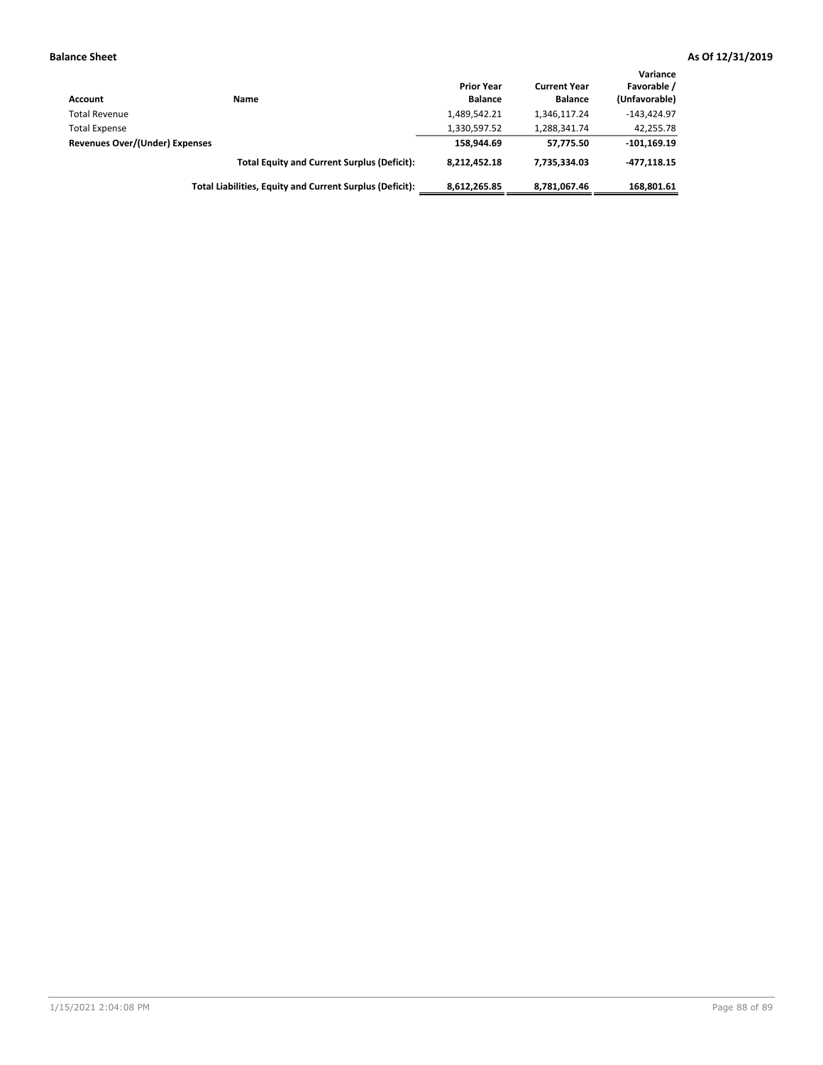| Account                        | Name                                                     | <b>Prior Year</b><br><b>Balance</b> | <b>Current Year</b><br><b>Balance</b> | Variance<br>Favorable /<br>(Unfavorable) |
|--------------------------------|----------------------------------------------------------|-------------------------------------|---------------------------------------|------------------------------------------|
| <b>Total Revenue</b>           |                                                          | 1,489,542.21                        | 1,346,117.24                          | $-143.424.97$                            |
| <b>Total Expense</b>           |                                                          | 1,330,597.52                        | 1,288,341.74                          | 42,255.78                                |
| Revenues Over/(Under) Expenses |                                                          | 158.944.69                          | 57.775.50                             | $-101, 169.19$                           |
|                                | <b>Total Equity and Current Surplus (Deficit):</b>       | 8,212,452.18                        | 7,735,334.03                          | $-477.118.15$                            |
|                                | Total Liabilities, Equity and Current Surplus (Deficit): | 8,612,265.85                        | 8,781,067.46                          | 168.801.61                               |